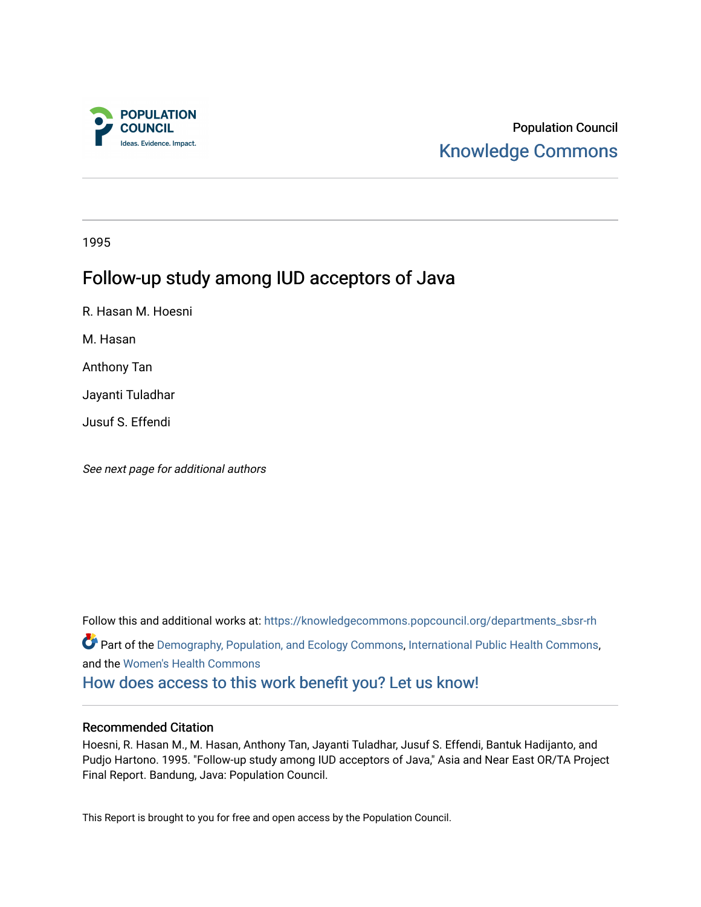

## Population Council [Knowledge Commons](https://knowledgecommons.popcouncil.org/)

1995

# Follow-up study among IUD acceptors of Java

R. Hasan M. Hoesni

M. Hasan

Anthony Tan

Jayanti Tuladhar

Jusuf S. Effendi

See next page for additional authors

Follow this and additional works at: [https://knowledgecommons.popcouncil.org/departments\\_sbsr-rh](https://knowledgecommons.popcouncil.org/departments_sbsr-rh?utm_source=knowledgecommons.popcouncil.org%2Fdepartments_sbsr-rh%2F2099&utm_medium=PDF&utm_campaign=PDFCoverPages)  Part of the [Demography, Population, and Ecology Commons,](https://network.bepress.com/hgg/discipline/418?utm_source=knowledgecommons.popcouncil.org%2Fdepartments_sbsr-rh%2F2099&utm_medium=PDF&utm_campaign=PDFCoverPages) [International Public Health Commons](https://network.bepress.com/hgg/discipline/746?utm_source=knowledgecommons.popcouncil.org%2Fdepartments_sbsr-rh%2F2099&utm_medium=PDF&utm_campaign=PDFCoverPages), and the [Women's Health Commons](https://network.bepress.com/hgg/discipline/1241?utm_source=knowledgecommons.popcouncil.org%2Fdepartments_sbsr-rh%2F2099&utm_medium=PDF&utm_campaign=PDFCoverPages)  [How does access to this work benefit you? Let us know!](https://pcouncil.wufoo.com/forms/open-access-to-population-council-research/)

### Recommended Citation

Hoesni, R. Hasan M., M. Hasan, Anthony Tan, Jayanti Tuladhar, Jusuf S. Effendi, Bantuk Hadijanto, and Pudjo Hartono. 1995. "Follow-up study among IUD acceptors of Java," Asia and Near East OR/TA Project Final Report. Bandung, Java: Population Council.

This Report is brought to you for free and open access by the Population Council.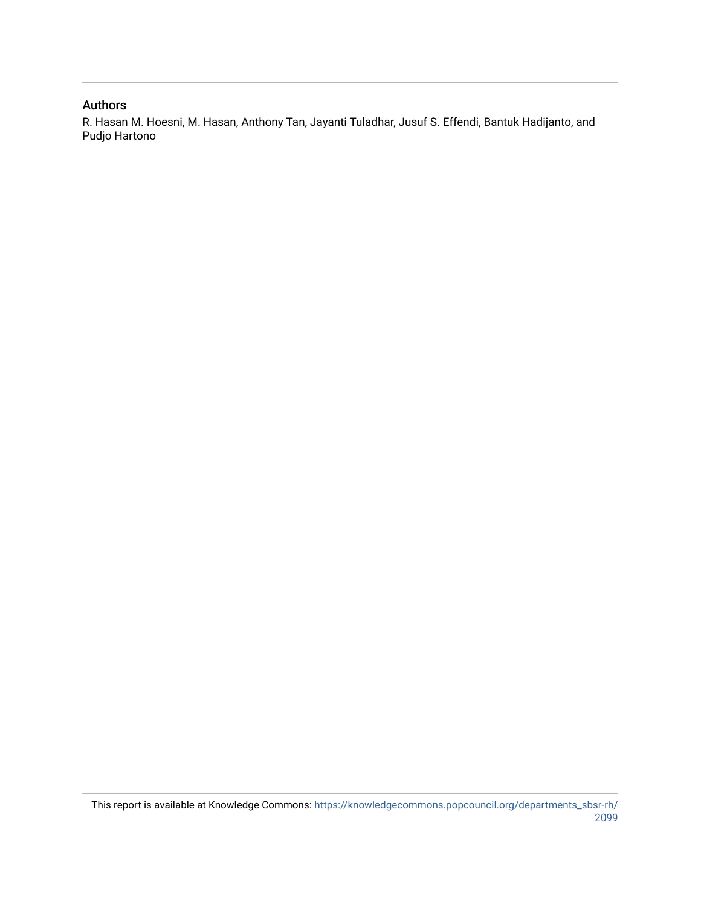### Authors

R. Hasan M. Hoesni, M. Hasan, Anthony Tan, Jayanti Tuladhar, Jusuf S. Effendi, Bantuk Hadijanto, and Pudjo Hartono

This report is available at Knowledge Commons: [https://knowledgecommons.popcouncil.org/departments\\_sbsr-rh/](https://knowledgecommons.popcouncil.org/departments_sbsr-rh/2099) [2099](https://knowledgecommons.popcouncil.org/departments_sbsr-rh/2099)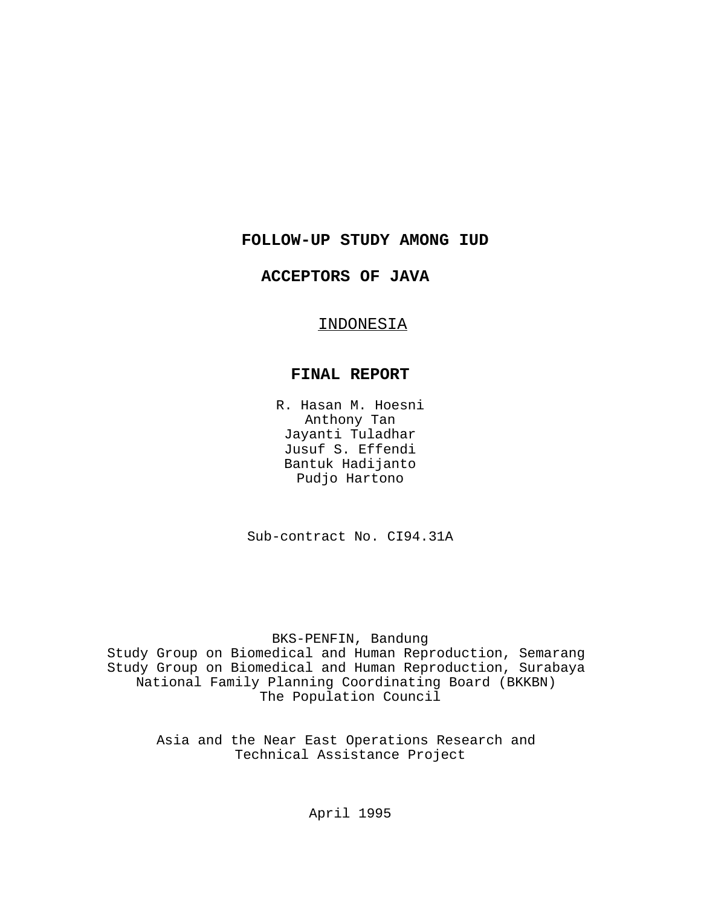## **FOLLOW-UP STUDY AMONG IUD**

## **ACCEPTORS OF JAVA**

## INDONESIA

## **FINAL REPORT**

R. Hasan M. Hoesni Anthony Tan Jayanti Tuladhar Jusuf S. Effendi Bantuk Hadijanto Pudjo Hartono

Sub-contract No. CI94.31A

#### BKS-PENFIN, Bandung

Study Group on Biomedical and Human Reproduction, Semarang Study Group on Biomedical and Human Reproduction, Surabaya National Family Planning Coordinating Board (BKKBN) The Population Council

Asia and the Near East Operations Research and Technical Assistance Project

April 1995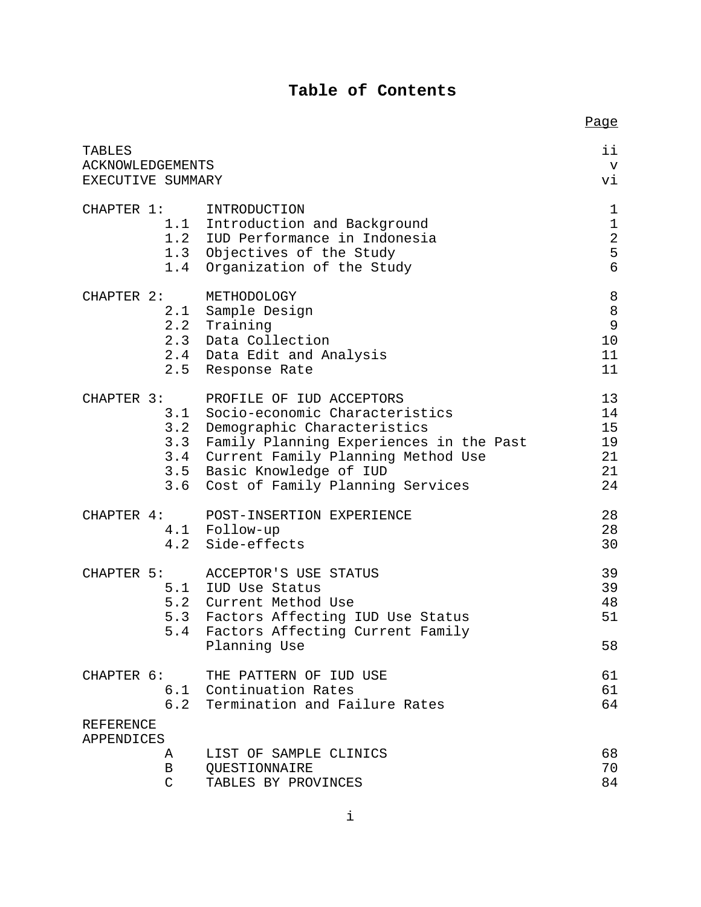## **Table of Contents**

|                                                        |                                                                                                                                                                                                                                                                  | Page                                                              |
|--------------------------------------------------------|------------------------------------------------------------------------------------------------------------------------------------------------------------------------------------------------------------------------------------------------------------------|-------------------------------------------------------------------|
| TABLES<br><b>ACKNOWLEDGEMENTS</b><br>EXECUTIVE SUMMARY |                                                                                                                                                                                                                                                                  | ii<br>$\mathbf v$<br>vi                                           |
|                                                        | CHAPTER 1: INTRODUCTION<br>1.1 Introduction and Background<br>1.2 IUD Performance in Indonesia<br>1.3 Objectives of the Study<br>1.4 Organization of the Study                                                                                                   | $\mathbf 1$<br>$\mathbf{1}$<br>$\sqrt{2}$<br>5<br>$6\overline{6}$ |
| CHAPTER 2:                                             | METHODOLOGY<br>2.1 Sample Design<br>2.2 Training<br>2.3 Data Collection<br>2.4 Data Edit and Analysis<br>2.5 Response Rate                                                                                                                                       | 8<br>$\, 8$<br>$\overline{9}$<br>10<br>11<br>11                   |
| CHAPTER 3:                                             | PROFILE OF IUD ACCEPTORS<br>3.1 Socio-economic Characteristics<br>3.2 Demographic Characteristics<br>3.3 Family Planning Experiences in the Past<br>3.4 Current Family Planning Method Use<br>3.5 Basic Knowledge of IUD<br>3.6 Cost of Family Planning Services | 13<br>14<br>15<br>19<br>21<br>21<br>24                            |
|                                                        | CHAPTER 4: POST-INSERTION EXPERIENCE<br>4.1 Follow-up<br>4.2 Side-effects                                                                                                                                                                                        | 28<br>28<br>30                                                    |
|                                                        | CHAPTER 5: ACCEPTOR'S USE STATUS<br>5.1 IUD Use Status<br>5.2 Current Method Use<br>5.3 Factors Affecting IUD Use Status<br>5.4 Factors Affecting Current Family<br>Planning Use                                                                                 | 39<br>39<br>48<br>51<br>58                                        |
| CHAPTER 6:                                             | THE PATTERN OF IUD USE<br>6.1 Continuation Rates<br>6.2 Termination and Failure Rates                                                                                                                                                                            | 61<br>61<br>64                                                    |
| <b>REFERENCE</b><br>APPENDICES                         |                                                                                                                                                                                                                                                                  |                                                                   |
| Α<br>B<br>$\mathsf{C}$                                 | LIST OF SAMPLE CLINICS<br>QUESTIONNAIRE<br>TABLES BY PROVINCES                                                                                                                                                                                                   | 68<br>70<br>84                                                    |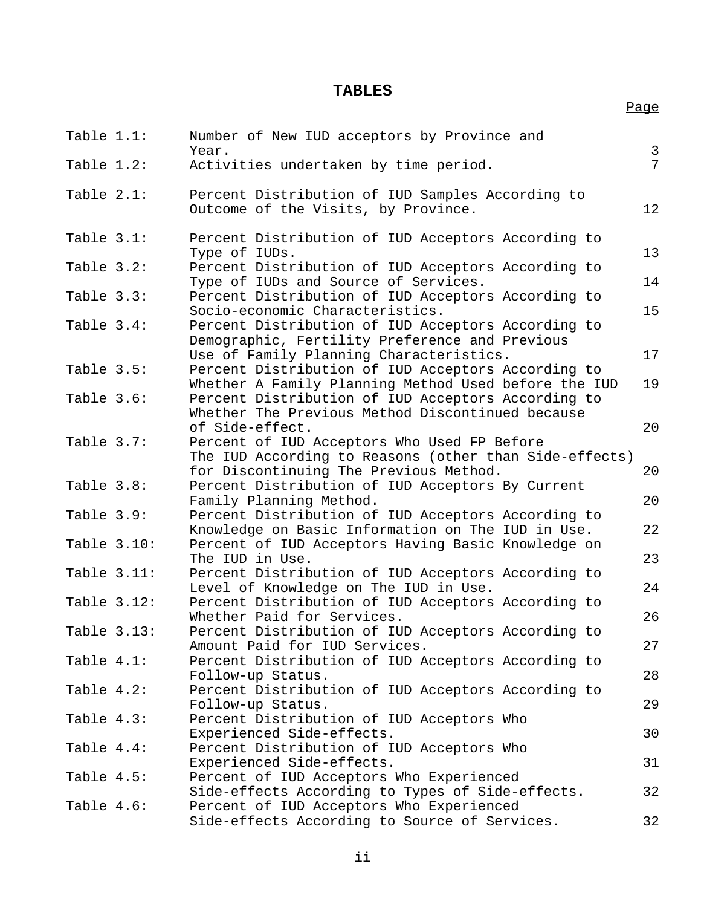## **TABLES**

Page

| Table 1.1:  | Number of New IUD acceptors by Province and<br>Year.                                                                      | $\mathfrak{Z}$ |
|-------------|---------------------------------------------------------------------------------------------------------------------------|----------------|
| Table 1.2:  | Activities undertaken by time period.                                                                                     | 7              |
| Table 2.1:  | Percent Distribution of IUD Samples According to<br>Outcome of the Visits, by Province.                                   | 12             |
| Table 3.1:  | Percent Distribution of IUD Acceptors According to<br>Type of IUDs.                                                       | 13             |
| Table 3.2:  | Percent Distribution of IUD Acceptors According to<br>Type of IUDs and Source of Services.                                | 14             |
| Table 3.3:  | Percent Distribution of IUD Acceptors According to<br>Socio-economic Characteristics.                                     | 15             |
| Table 3.4:  | Percent Distribution of IUD Acceptors According to<br>Demographic, Fertility Preference and Previous                      |                |
|             | Use of Family Planning Characteristics.                                                                                   | 17             |
| Table 3.5:  | Percent Distribution of IUD Acceptors According to<br>Whether A Family Planning Method Used before the IUD                | 19             |
| Table 3.6:  | Percent Distribution of IUD Acceptors According to<br>Whether The Previous Method Discontinued because<br>of Side-effect. | 20             |
| Table 3.7:  | Percent of IUD Acceptors Who Used FP Before                                                                               |                |
|             | The IUD According to Reasons (other than Side-effects)<br>for Discontinuing The Previous Method.                          | 20             |
| Table 3.8:  | Percent Distribution of IUD Acceptors By Current<br>Family Planning Method.                                               | 20             |
| Table 3.9:  | Percent Distribution of IUD Acceptors According to                                                                        | 22             |
| Table 3.10: | Knowledge on Basic Information on The IUD in Use.<br>Percent of IUD Acceptors Having Basic Knowledge on                   |                |
| Table 3.11: | The IUD in Use.<br>Percent Distribution of IUD Acceptors According to                                                     | 23             |
|             | Level of Knowledge on The IUD in Use.                                                                                     | 24             |
| Table 3.12: | Percent Distribution of IUD Acceptors According to<br>Whether Paid for Services.                                          | 26             |
| Table 3.13: | Percent Distribution of IUD Acceptors According to                                                                        |                |
|             | Amount Paid for IUD Services.                                                                                             | 27             |
| Table 4.1:  | Percent Distribution of IUD Acceptors According to<br>Follow-up Status.                                                   | 28             |
| Table 4.2:  | Percent Distribution of IUD Acceptors According to                                                                        | 29             |
| Table 4.3:  | Follow-up Status.<br>Percent Distribution of IUD Acceptors Who                                                            |                |
|             | Experienced Side-effects.                                                                                                 | 30             |
| Table 4.4:  | Percent Distribution of IUD Acceptors Who                                                                                 |                |
| Table 4.5:  | Experienced Side-effects.<br>Percent of IUD Acceptors Who Experienced                                                     | 31             |
|             | Side-effects According to Types of Side-effects.                                                                          | 32             |
| Table 4.6:  | Percent of IUD Acceptors Who Experienced<br>Side-effects According to Source of Services.                                 | 32             |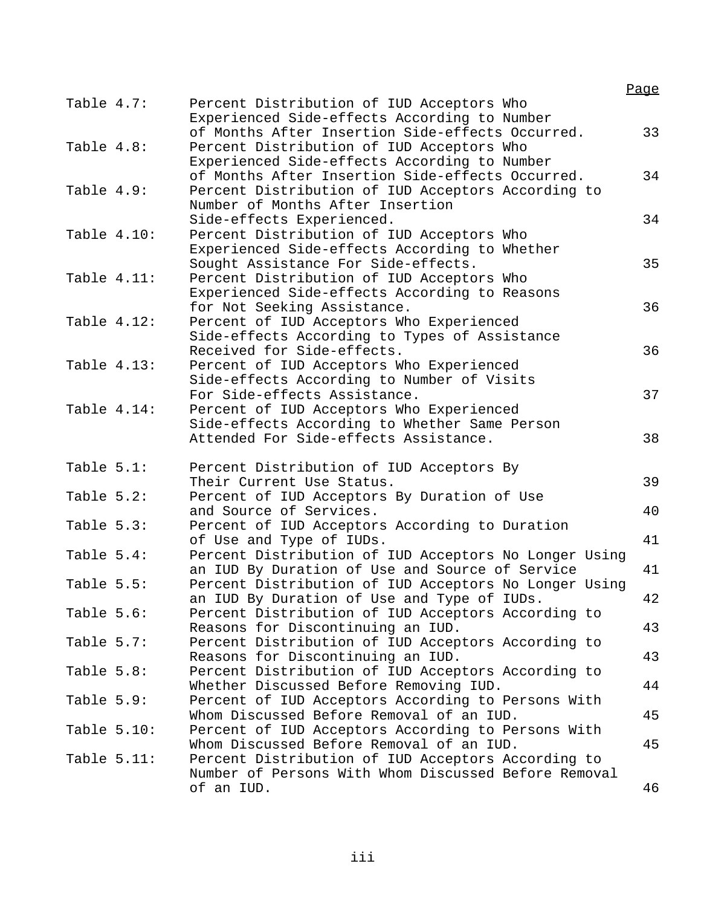|             |                                                                                                                          | <u>Page</u> |
|-------------|--------------------------------------------------------------------------------------------------------------------------|-------------|
| Table 4.7:  | Percent Distribution of IUD Acceptors Who<br>Experienced Side-effects According to Number                                |             |
| Table 4.8:  | of Months After Insertion Side-effects Occurred.<br>Percent Distribution of IUD Acceptors Who                            | 33          |
|             | Experienced Side-effects According to Number<br>of Months After Insertion Side-effects Occurred.                         | 34          |
| Table 4.9:  | Percent Distribution of IUD Acceptors According to<br>Number of Months After Insertion                                   |             |
| Table 4.10: | Side-effects Experienced.<br>Percent Distribution of IUD Acceptors Who                                                   | 34          |
|             | Experienced Side-effects According to Whether<br>Sought Assistance For Side-effects.                                     | 35          |
| Table 4.11: | Percent Distribution of IUD Acceptors Who                                                                                |             |
|             | Experienced Side-effects According to Reasons<br>for Not Seeking Assistance.                                             | 36          |
| Table 4.12: | Percent of IUD Acceptors Who Experienced                                                                                 |             |
|             | Side-effects According to Types of Assistance<br>Received for Side-effects.                                              | 36          |
| Table 4.13: | Percent of IUD Acceptors Who Experienced                                                                                 |             |
|             | Side-effects According to Number of Visits<br>For Side-effects Assistance.                                               | 37          |
| Table 4.14: | Percent of IUD Acceptors Who Experienced                                                                                 |             |
|             | Side-effects According to Whether Same Person<br>Attended For Side-effects Assistance.                                   | 38          |
| Table 5.1:  | Percent Distribution of IUD Acceptors By<br>Their Current Use Status.                                                    | 39          |
| Table 5.2:  | Percent of IUD Acceptors By Duration of Use                                                                              |             |
|             | and Source of Services.                                                                                                  | 40          |
| Table 5.3:  | Percent of IUD Acceptors According to Duration<br>of Use and Type of IUDs.                                               | 41          |
| Table 5.4:  | Percent Distribution of IUD Acceptors No Longer Using<br>an IUD By Duration of Use and Source of Service                 | 41          |
| Table 5.5:  | Percent Distribution of IUD Acceptors No Longer Using                                                                    |             |
| Table 5.6:  | an IUD By Duration of Use and Type of IUDs.<br>Percent Distribution of IUD Acceptors According to                        | 42          |
|             | Reasons for Discontinuing an IUD.                                                                                        | 43          |
| Table 5.7:  | Percent Distribution of IUD Acceptors According to<br>Reasons for Discontinuing an IUD.                                  | 43          |
| Table 5.8:  | Percent Distribution of IUD Acceptors According to                                                                       |             |
|             | Whether Discussed Before Removing IUD.                                                                                   | 44          |
| Table 5.9:  | Percent of IUD Acceptors According to Persons With<br>Whom Discussed Before Removal of an IUD.                           | 45          |
| Table 5.10: | Percent of IUD Acceptors According to Persons With                                                                       |             |
|             | Whom Discussed Before Removal of an IUD.                                                                                 | 45          |
| Table 5.11: | Percent Distribution of IUD Acceptors According to<br>Number of Persons With Whom Discussed Before Removal<br>of an IUD. | 46          |
|             |                                                                                                                          |             |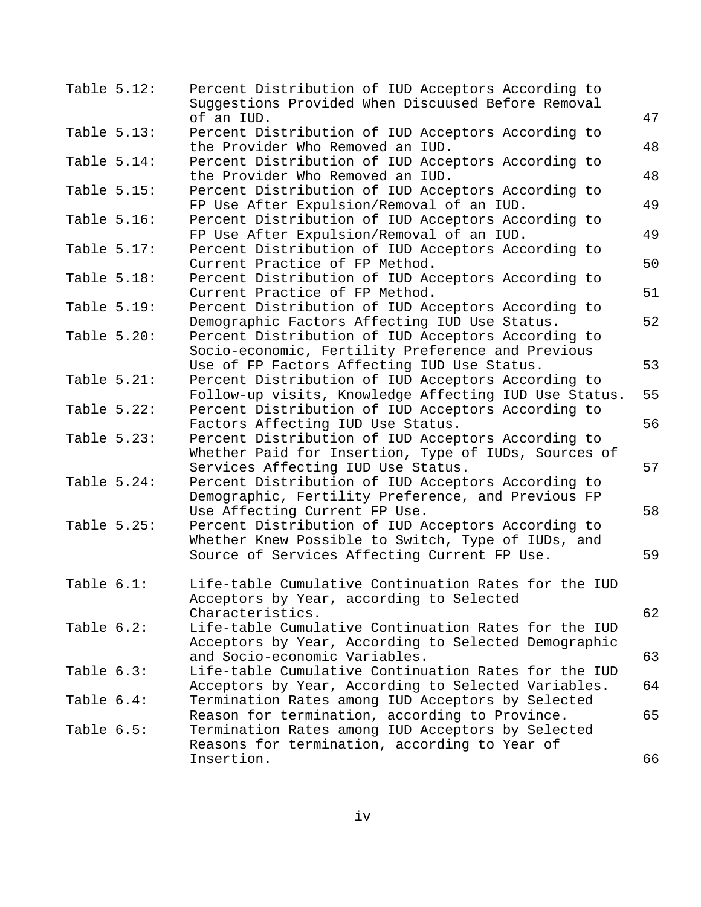| Table 5.12: | Percent Distribution of IUD Acceptors According to<br>Suggestions Provided When Discuused Before Removal     |    |
|-------------|--------------------------------------------------------------------------------------------------------------|----|
| Table 5.13: | of an IUD.<br>Percent Distribution of IUD Acceptors According to                                             | 47 |
| Table 5.14: | the Provider Who Removed an IUD.<br>Percent Distribution of IUD Acceptors According to                       | 48 |
|             | the Provider Who Removed an IUD.                                                                             | 48 |
| Table 5.15: | Percent Distribution of IUD Acceptors According to<br>FP Use After Expulsion/Removal of an IUD.              | 49 |
| Table 5.16: | Percent Distribution of IUD Acceptors According to<br>FP Use After Expulsion/Removal of an IUD.              | 49 |
| Table 5.17: | Percent Distribution of IUD Acceptors According to<br>Current Practice of FP Method.                         | 50 |
| Table 5.18: | Percent Distribution of IUD Acceptors According to<br>Current Practice of FP Method.                         | 51 |
| Table 5.19: | Percent Distribution of IUD Acceptors According to                                                           | 52 |
| Table 5.20: | Demographic Factors Affecting IUD Use Status.<br>Percent Distribution of IUD Acceptors According to          |    |
|             | Socio-economic, Fertility Preference and Previous<br>Use of FP Factors Affecting IUD Use Status.             | 53 |
| Table 5.21: | Percent Distribution of IUD Acceptors According to<br>Follow-up visits, Knowledge Affecting IUD Use Status.  | 55 |
| Table 5.22: | Percent Distribution of IUD Acceptors According to<br>Factors Affecting IUD Use Status.                      | 56 |
| Table 5.23: | Percent Distribution of IUD Acceptors According to<br>Whether Paid for Insertion, Type of IUDs, Sources of   |    |
| Table 5.24: | Services Affecting IUD Use Status.<br>Percent Distribution of IUD Acceptors According to                     | 57 |
|             | Demographic, Fertility Preference, and Previous FP<br>Use Affecting Current FP Use.                          | 58 |
| Table 5.25: | Percent Distribution of IUD Acceptors According to                                                           |    |
|             | Whether Knew Possible to Switch, Type of IUDs, and<br>Source of Services Affecting Current FP Use.           | 59 |
| Table 6.1:  | Life-table Cumulative Continuation Rates for the IUD                                                         |    |
|             | Acceptors by Year, according to Selected<br>Characteristics.                                                 | 62 |
| Table 6.2:  | Life-table Cumulative Continuation Rates for the IUD<br>Acceptors by Year, According to Selected Demographic |    |
| Table 6.3:  | and Socio-economic Variables.<br>Life-table Cumulative Continuation Rates for the IUD                        | 63 |
| Table 6.4:  | Acceptors by Year, According to Selected Variables.<br>Termination Rates among IUD Acceptors by Selected     | 64 |
| Table 6.5:  | Reason for termination, according to Province.                                                               | 65 |
|             | Termination Rates among IUD Acceptors by Selected<br>Reasons for termination, according to Year of           |    |
|             | Insertion.                                                                                                   | 66 |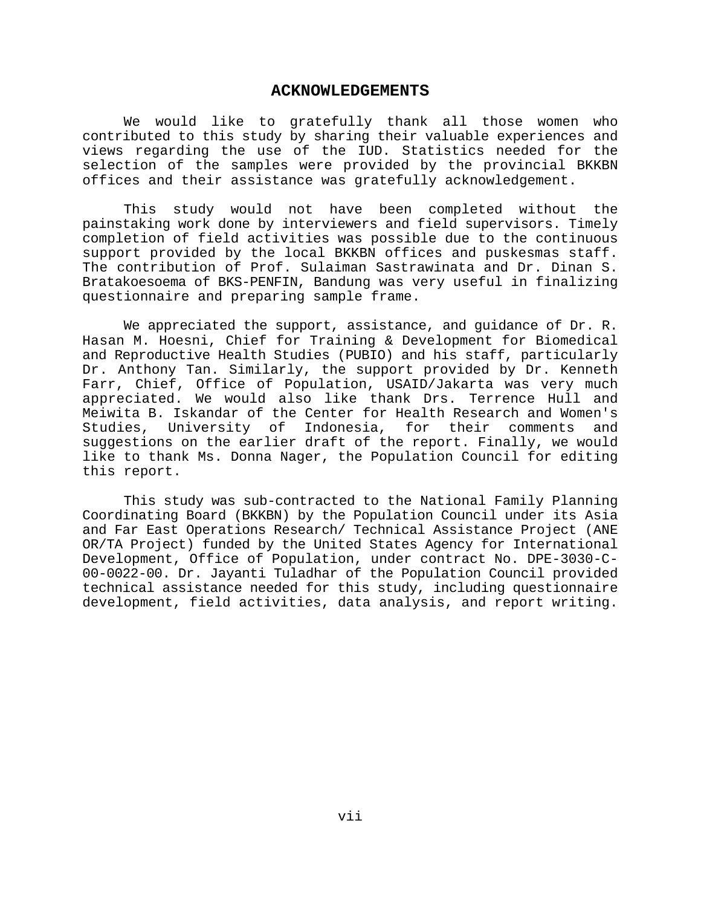#### **ACKNOWLEDGEMENTS**

We would like to gratefully thank all those women who contributed to this study by sharing their valuable experiences and views regarding the use of the IUD. Statistics needed for the selection of the samples were provided by the provincial BKKBN offices and their assistance was gratefully acknowledgement.

This study would not have been completed without the painstaking work done by interviewers and field supervisors. Timely completion of field activities was possible due to the continuous support provided by the local BKKBN offices and puskesmas staff. The contribution of Prof. Sulaiman Sastrawinata and Dr. Dinan S. Bratakoesoema of BKS-PENFIN, Bandung was very useful in finalizing questionnaire and preparing sample frame.

We appreciated the support, assistance, and guidance of Dr. R. Hasan M. Hoesni, Chief for Training & Development for Biomedical and Reproductive Health Studies (PUBIO) and his staff, particularly Dr. Anthony Tan. Similarly, the support provided by Dr. Kenneth Farr, Chief, Office of Population, USAID/Jakarta was very much appreciated. We would also like thank Drs. Terrence Hull and Meiwita B. Iskandar of the Center for Health Research and Women's Studies, University of Indonesia, for their comments and suggestions on the earlier draft of the report. Finally, we would like to thank Ms. Donna Nager, the Population Council for editing this report.

This study was sub-contracted to the National Family Planning Coordinating Board (BKKBN) by the Population Council under its Asia and Far East Operations Research/ Technical Assistance Project (ANE OR/TA Project) funded by the United States Agency for International Development, Office of Population, under contract No. DPE-3030-C-00-0022-00. Dr. Jayanti Tuladhar of the Population Council provided technical assistance needed for this study, including questionnaire development, field activities, data analysis, and report writing.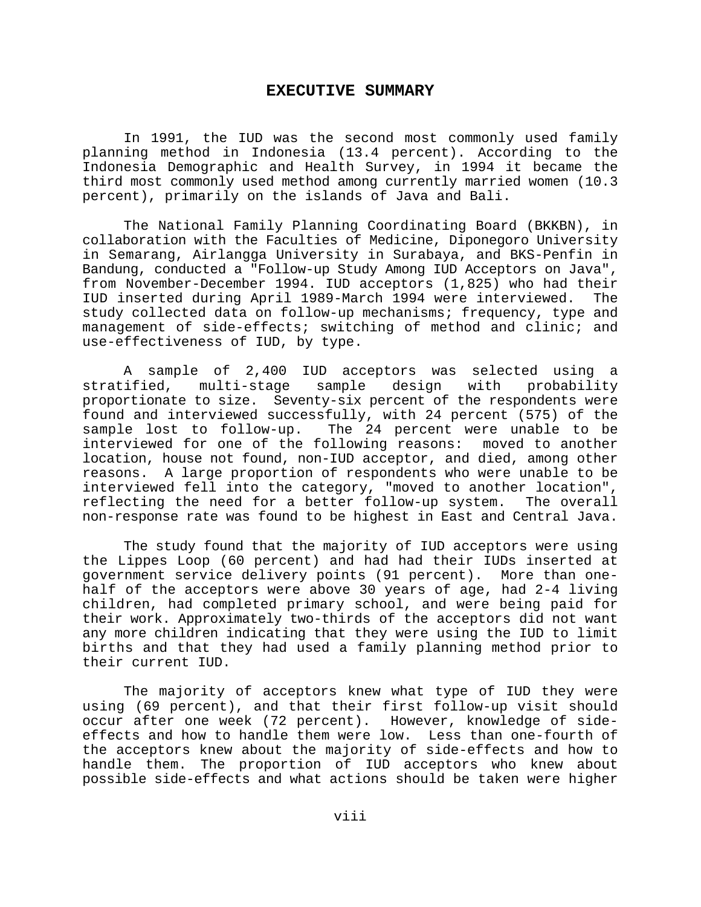#### **EXECUTIVE SUMMARY**

In 1991, the IUD was the second most commonly used family planning method in Indonesia (13.4 percent). According to the Indonesia Demographic and Health Survey, in 1994 it became the third most commonly used method among currently married women (10.3 percent), primarily on the islands of Java and Bali.

The National Family Planning Coordinating Board (BKKBN), in collaboration with the Faculties of Medicine, Diponegoro University in Semarang, Airlangga University in Surabaya, and BKS-Penfin in Bandung, conducted a "Follow-up Study Among IUD Acceptors on Java", from November-December 1994. IUD acceptors (1,825) who had their IUD inserted during April 1989-March 1994 were interviewed. The study collected data on follow-up mechanisms; frequency, type and management of side-effects; switching of method and clinic; and use-effectiveness of IUD, by type.

A sample of 2,400 IUD acceptors was selected using a stratified, multi-stage sample design with probability proportionate to size. Seventy-six percent of the respondents were found and interviewed successfully, with 24 percent (575) of the sample lost to follow-up. The 24 percent were unable to be interviewed for one of the following reasons: moved to another location, house not found, non-IUD acceptor, and died, among other reasons. A large proportion of respondents who were unable to be interviewed fell into the category, "moved to another location", reflecting the need for a better follow-up system. The overall non-response rate was found to be highest in East and Central Java.

The study found that the majority of IUD acceptors were using the Lippes Loop (60 percent) and had had their IUDs inserted at government service delivery points (91 percent). More than onehalf of the acceptors were above 30 years of age, had 2-4 living children, had completed primary school, and were being paid for their work. Approximately two-thirds of the acceptors did not want any more children indicating that they were using the IUD to limit births and that they had used a family planning method prior to their current IUD.

The majority of acceptors knew what type of IUD they were using (69 percent), and that their first follow-up visit should occur after one week (72 percent). However, knowledge of sideeffects and how to handle them were low. Less than one-fourth of the acceptors knew about the majority of side-effects and how to handle them. The proportion of IUD acceptors who knew about possible side-effects and what actions should be taken were higher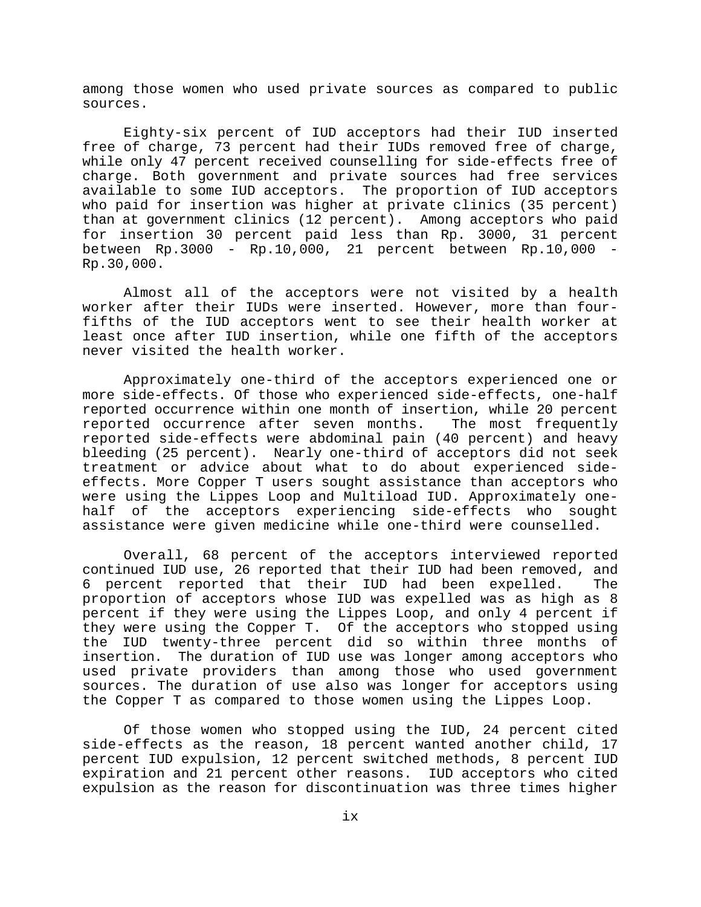among those women who used private sources as compared to public sources.

Eighty-six percent of IUD acceptors had their IUD inserted free of charge, 73 percent had their IUDs removed free of charge, while only 47 percent received counselling for side-effects free of charge. Both government and private sources had free services available to some IUD acceptors. The proportion of IUD acceptors who paid for insertion was higher at private clinics (35 percent) than at government clinics (12 percent). Among acceptors who paid for insertion 30 percent paid less than Rp. 3000, 31 percent between Rp.3000 - Rp.10,000, 21 percent between Rp.10,000 - Rp.30,000.

Almost all of the acceptors were not visited by a health worker after their IUDs were inserted. However, more than fourfifths of the IUD acceptors went to see their health worker at least once after IUD insertion, while one fifth of the acceptors never visited the health worker.

Approximately one-third of the acceptors experienced one or more side-effects. Of those who experienced side-effects, one-half reported occurrence within one month of insertion, while 20 percent reported occurrence after seven months. The most frequently reported side-effects were abdominal pain (40 percent) and heavy bleeding (25 percent). Nearly one-third of acceptors did not seek treatment or advice about what to do about experienced sideeffects. More Copper T users sought assistance than acceptors who were using the Lippes Loop and Multiload IUD. Approximately onehalf of the acceptors experiencing side-effects who sought assistance were given medicine while one-third were counselled.

Overall, 68 percent of the acceptors interviewed reported continued IUD use, 26 reported that their IUD had been removed, and 6 percent reported that their IUD had been expelled. The proportion of acceptors whose IUD was expelled was as high as 8 percent if they were using the Lippes Loop, and only 4 percent if they were using the Copper T. Of the acceptors who stopped using the IUD twenty-three percent did so within three months of insertion. The duration of IUD use was longer among acceptors who used private providers than among those who used government sources. The duration of use also was longer for acceptors using the Copper T as compared to those women using the Lippes Loop.

Of those women who stopped using the IUD, 24 percent cited side-effects as the reason, 18 percent wanted another child, 17 percent IUD expulsion, 12 percent switched methods, 8 percent IUD expiration and 21 percent other reasons. IUD acceptors who cited expulsion as the reason for discontinuation was three times higher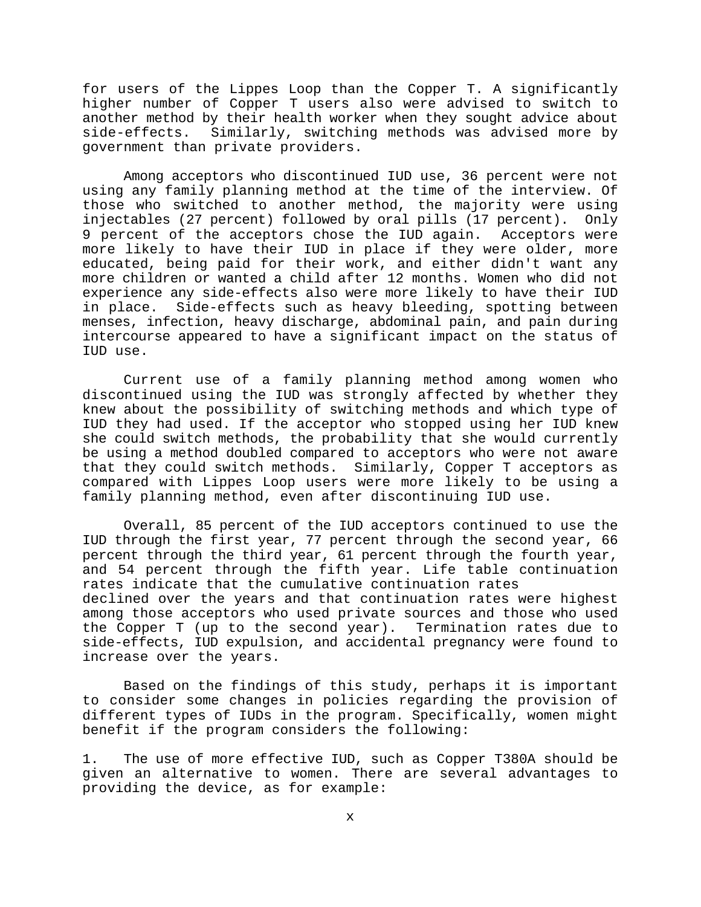for users of the Lippes Loop than the Copper T. A significantly higher number of Copper T users also were advised to switch to another method by their health worker when they sought advice about side-effects. Similarly, switching methods was advised more by government than private providers.

Among acceptors who discontinued IUD use, 36 percent were not using any family planning method at the time of the interview. Of those who switched to another method, the majority were using injectables (27 percent) followed by oral pills (17 percent). Only 9 percent of the acceptors chose the IUD again. Acceptors were more likely to have their IUD in place if they were older, more educated, being paid for their work, and either didn't want any more children or wanted a child after 12 months. Women who did not experience any side-effects also were more likely to have their IUD in place. Side-effects such as heavy bleeding, spotting between menses, infection, heavy discharge, abdominal pain, and pain during intercourse appeared to have a significant impact on the status of IUD use.

Current use of a family planning method among women who discontinued using the IUD was strongly affected by whether they knew about the possibility of switching methods and which type of IUD they had used. If the acceptor who stopped using her IUD knew she could switch methods, the probability that she would currently be using a method doubled compared to acceptors who were not aware that they could switch methods. Similarly, Copper T acceptors as compared with Lippes Loop users were more likely to be using a family planning method, even after discontinuing IUD use.

Overall, 85 percent of the IUD acceptors continued to use the IUD through the first year, 77 percent through the second year, 66 percent through the third year, 61 percent through the fourth year, and 54 percent through the fifth year. Life table continuation rates indicate that the cumulative continuation rates declined over the years and that continuation rates were highest among those acceptors who used private sources and those who used the Copper T (up to the second year). Termination rates due to side-effects, IUD expulsion, and accidental pregnancy were found to increase over the years.

Based on the findings of this study, perhaps it is important to consider some changes in policies regarding the provision of different types of IUDs in the program. Specifically, women might benefit if the program considers the following:

1. The use of more effective IUD, such as Copper T380A should be given an alternative to women. There are several advantages to providing the device, as for example: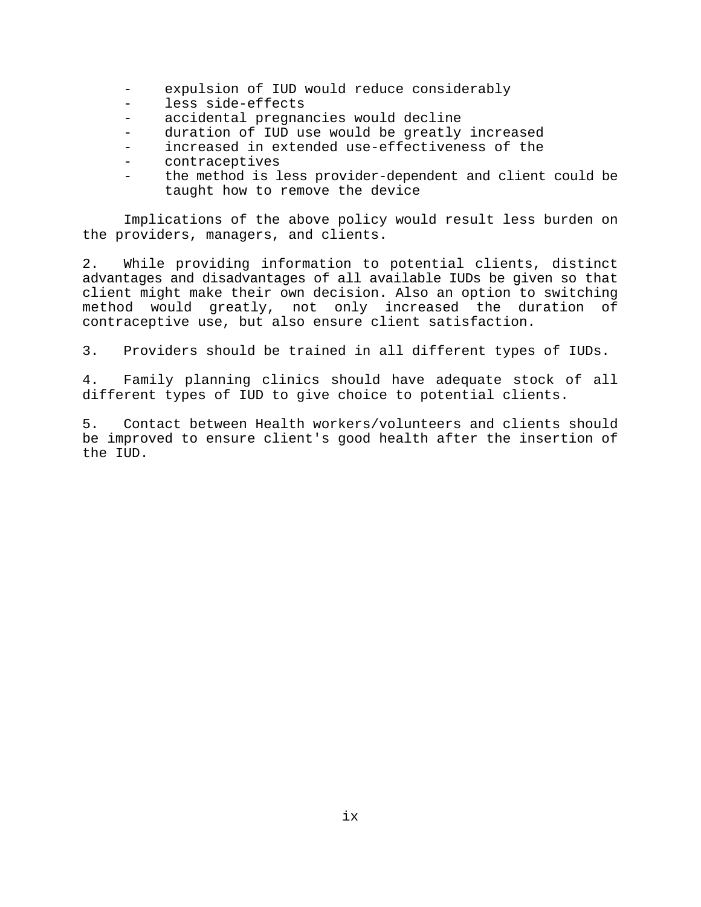- expulsion of IUD would reduce considerably
- less side-effects
- accidental pregnancies would decline
- duration of IUD use would be greatly increased
- increased in extended use-effectiveness of the
- contraceptives
- the method is less provider-dependent and client could be taught how to remove the device

Implications of the above policy would result less burden on the providers, managers, and clients.

2. While providing information to potential clients, distinct advantages and disadvantages of all available IUDs be given so that client might make their own decision. Also an option to switching method would greatly, not only increased the duration of contraceptive use, but also ensure client satisfaction.

3. Providers should be trained in all different types of IUDs.

4. Family planning clinics should have adequate stock of all different types of IUD to give choice to potential clients.

5. Contact between Health workers/volunteers and clients should be improved to ensure client's good health after the insertion of the IUD.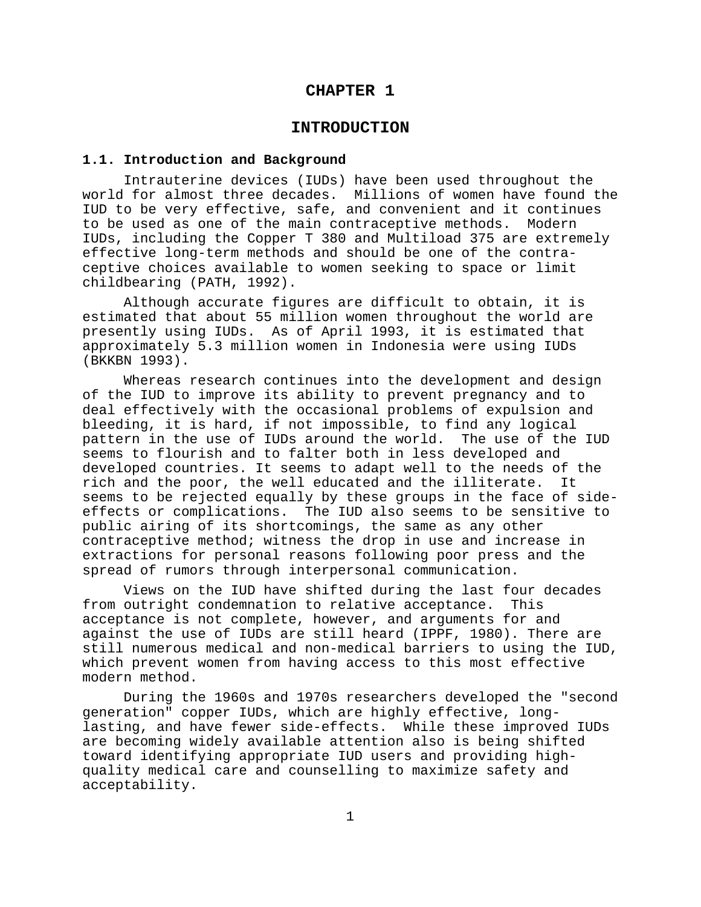#### **CHAPTER 1**

#### **INTRODUCTION**

#### **1.1. Introduction and Background**

 Intrauterine devices (IUDs) have been used throughout the world for almost three decades. Millions of women have found the IUD to be very effective, safe, and convenient and it continues to be used as one of the main contraceptive methods. Modern IUDs, including the Copper T 380 and Multiload 375 are extremely effective long-term methods and should be one of the contraceptive choices available to women seeking to space or limit childbearing (PATH, 1992).

Although accurate figures are difficult to obtain, it is estimated that about 55 million women throughout the world are presently using IUDs. As of April 1993, it is estimated that approximately 5.3 million women in Indonesia were using IUDs (BKKBN 1993).

 Whereas research continues into the development and design of the IUD to improve its ability to prevent pregnancy and to deal effectively with the occasional problems of expulsion and bleeding, it is hard, if not impossible, to find any logical pattern in the use of IUDs around the world. The use of the IUD seems to flourish and to falter both in less developed and developed countries. It seems to adapt well to the needs of the rich and the poor, the well educated and the illiterate. It seems to be rejected equally by these groups in the face of sideeffects or complications. The IUD also seems to be sensitive to public airing of its shortcomings, the same as any other contraceptive method; witness the drop in use and increase in extractions for personal reasons following poor press and the spread of rumors through interpersonal communication.

 Views on the IUD have shifted during the last four decades from outright condemnation to relative acceptance. This acceptance is not complete, however, and arguments for and against the use of IUDs are still heard (IPPF, 1980). There are still numerous medical and non-medical barriers to using the IUD, which prevent women from having access to this most effective modern method.

 During the 1960s and 1970s researchers developed the "second generation" copper IUDs, which are highly effective, longlasting, and have fewer side-effects. While these improved IUDs are becoming widely available attention also is being shifted toward identifying appropriate IUD users and providing highquality medical care and counselling to maximize safety and acceptability.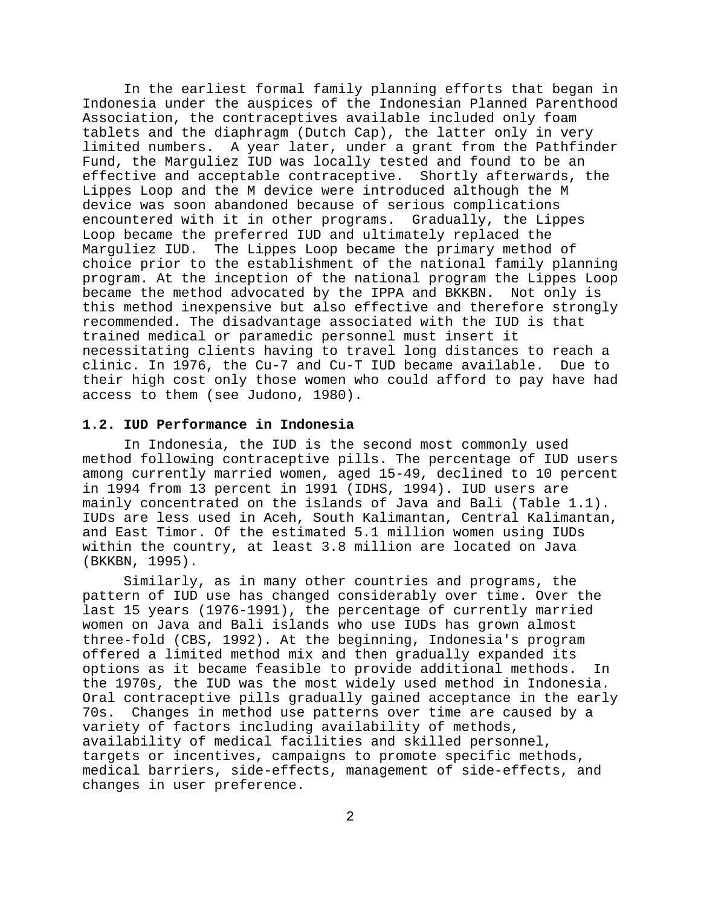In the earliest formal family planning efforts that began in Indonesia under the auspices of the Indonesian Planned Parenthood Association, the contraceptives available included only foam tablets and the diaphragm (Dutch Cap), the latter only in very limited numbers. A year later, under a grant from the Pathfinder Fund, the Marguliez IUD was locally tested and found to be an effective and acceptable contraceptive. Shortly afterwards, the Lippes Loop and the M device were introduced although the M device was soon abandoned because of serious complications encountered with it in other programs. Gradually, the Lippes Loop became the preferred IUD and ultimately replaced the Marguliez IUD. The Lippes Loop became the primary method of choice prior to the establishment of the national family planning program. At the inception of the national program the Lippes Loop became the method advocated by the IPPA and BKKBN. Not only is this method inexpensive but also effective and therefore strongly recommended. The disadvantage associated with the IUD is that trained medical or paramedic personnel must insert it necessitating clients having to travel long distances to reach a clinic. In 1976, the Cu-7 and Cu-T IUD became available. Due to their high cost only those women who could afford to pay have had access to them (see Judono, 1980).

#### **1.2. IUD Performance in Indonesia**

In Indonesia, the IUD is the second most commonly used method following contraceptive pills. The percentage of IUD users among currently married women, aged 15-49, declined to 10 percent in 1994 from 13 percent in 1991 (IDHS, 1994). IUD users are mainly concentrated on the islands of Java and Bali (Table 1.1). IUDs are less used in Aceh, South Kalimantan, Central Kalimantan, and East Timor. Of the estimated 5.1 million women using IUDs within the country, at least 3.8 million are located on Java (BKKBN, 1995).

 Similarly, as in many other countries and programs, the pattern of IUD use has changed considerably over time. Over the last 15 years (1976-1991), the percentage of currently married women on Java and Bali islands who use IUDs has grown almost three-fold (CBS, 1992). At the beginning, Indonesia's program offered a limited method mix and then gradually expanded its options as it became feasible to provide additional methods. In the 1970s, the IUD was the most widely used method in Indonesia. Oral contraceptive pills gradually gained acceptance in the early 70s. Changes in method use patterns over time are caused by a variety of factors including availability of methods, availability of medical facilities and skilled personnel, targets or incentives, campaigns to promote specific methods, medical barriers, side-effects, management of side-effects, and changes in user preference.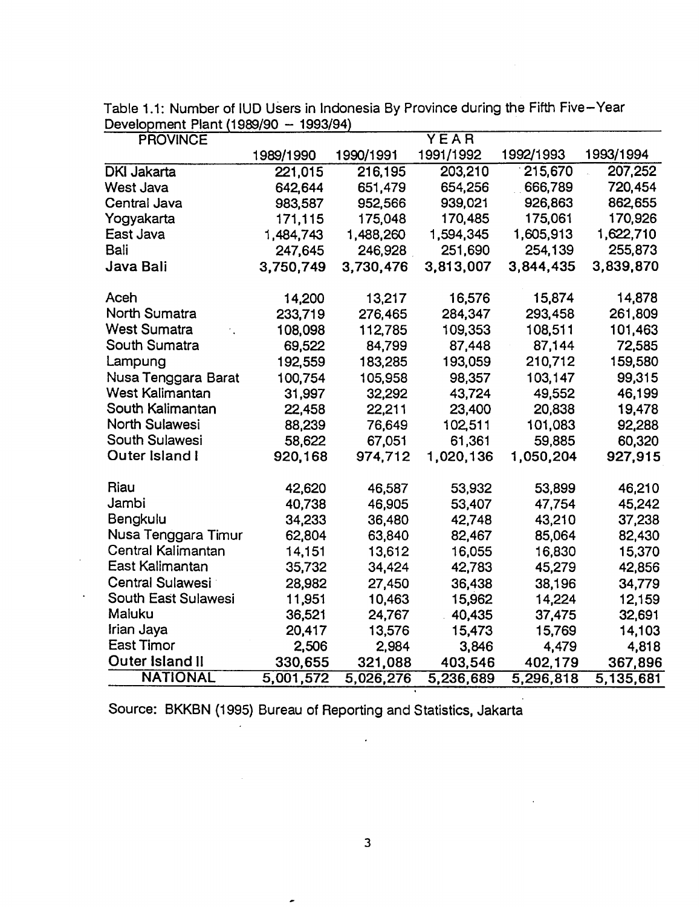| <b>PROVINCE</b>            |           |           | YEAR      |           |           |
|----------------------------|-----------|-----------|-----------|-----------|-----------|
|                            | 1989/1990 | 1990/1991 | 1991/1992 | 1992/1993 | 1993/1994 |
| <b>DKI Jakarta</b>         | 221,015   | 216,195   | 203,210   | 215,670   | 207,252   |
| West Java                  | 642,644   | 651,479   | 654,256   | 666,789   | 720,454   |
| Central Java               | 983,587   | 952,566   | 939,021   | 926,863   | 862,655   |
| Yogyakarta                 | 171,115   | 175,048   | 170,485   | 175,061   | 170,926   |
| East Java                  | 1,484,743 | 1,488,260 | 1,594,345 | 1,605,913 | 1,622,710 |
| <b>Bali</b>                | 247,645   | 246,928   | 251,690   | 254,139   | 255,873   |
| Java Bali                  | 3,750,749 | 3,730,476 | 3,813,007 | 3,844,435 | 3,839,870 |
| Aceh                       | 14,200    | 13,217    | 16,576    | 15,874    | 14,878    |
| North Sumatra              | 233,719   | 276,465   | 284,347   | 293,458   | 261,809   |
| <b>West Sumatra</b>        | 108,098   | 112,785   | 109,353   | 108,511   | 101,463   |
| South Sumatra              | 69,522    | 84,799    | 87,448    | 87,144    | 72,585    |
| Lampung                    | 192,559   | 183,285   | 193,059   | 210,712   | 159,580   |
| Nusa Tenggara Barat        | 100,754   | 105,958   | 98,357    | 103,147   | 99,315    |
| West Kalimantan            | 31,997    | 32,292    | 43,724    | 49,552    | 46,199    |
| South Kalimantan           | 22,458    | 22,211    | 23,400    | 20,838    | 19,478    |
| North Sulawesi             | 88,239    | 76,649    | 102,511   | 101,083   | 92,288    |
| <b>South Sulawesi</b>      | 58,622    | 67,051    | 61,361    | 59,885    | 60,320    |
| Outer Island I             | 920,168   | 974,712   | 1,020,136 | 1,050,204 | 927,915   |
| Riau                       | 42,620    | 46,587    | 53,932    | 53,899    | 46,210    |
| Jambi                      | 40,738    | 46,905    | 53,407    | 47,754    | 45,242    |
| Bengkulu                   | 34,233    | 36,480    | 42,748    | 43,210    | 37,238    |
| Nusa Tenggara Timur        | 62,804    | 63,840    | 82,467    | 85,064    | 82,430    |
| Central Kalimantan         | 14,151    | 13,612    | 16,055    | 16,830    | 15,370    |
| East Kalimantan            | 35,732    | 34,424    | 42,783    | 45,279    | 42,856    |
| <b>Central Sulawesi</b>    | 28,982    | 27,450    | 36,438    | 38,196    | 34,779    |
| <b>South East Sulawesi</b> | 11,951    | 10,463    | 15,962    | 14,224    | 12,159    |
| Maluku                     | 36,521    | 24,767    | 40,435    | 37,475    | 32,691    |
| Irian Jaya                 | 20,417    | 13,576    | 15,473    | 15,769    | 14,103    |
| East Timor                 | 2,506     | 2,984     | 3,846     | 4,479     | 4,818     |
| Outer Island II            | 330,655   | 321,088   | 403,546   | 402,179   | 367,896   |
| <b>NATIONAL</b>            | 5,001,572 | 5,026,276 | 5,236,689 | 5,296,818 | 5,135,681 |

Table 1.1: Number of IUD Users in Indonesia By Province during the Fifth Five-Year Development Plant (1989/90 - 1993/94)

Source: BKKBN (1995) Bureau of Reporting and Statistics, Jakarta

 $\overline{\phantom{a}}$ 

 $\mathcal{A}$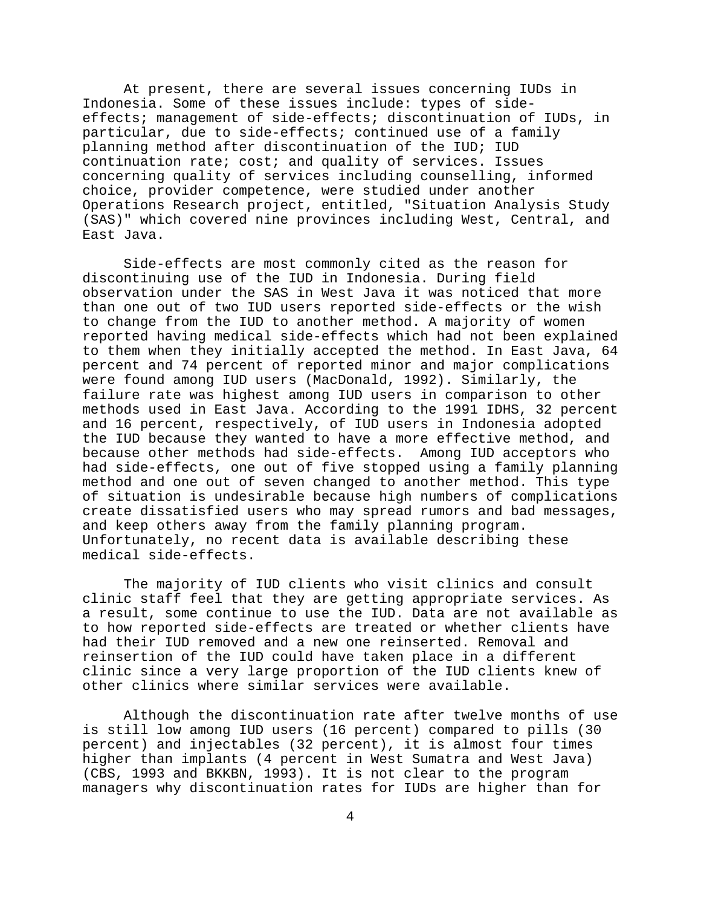At present, there are several issues concerning IUDs in Indonesia. Some of these issues include: types of sideeffects; management of side-effects; discontinuation of IUDs, in particular, due to side-effects; continued use of a family planning method after discontinuation of the IUD; IUD continuation rate; cost; and quality of services. Issues concerning quality of services including counselling, informed choice, provider competence, were studied under another Operations Research project, entitled, "Situation Analysis Study (SAS)" which covered nine provinces including West, Central, and East Java.

Side-effects are most commonly cited as the reason for discontinuing use of the IUD in Indonesia. During field observation under the SAS in West Java it was noticed that more than one out of two IUD users reported side-effects or the wish to change from the IUD to another method. A majority of women reported having medical side-effects which had not been explained to them when they initially accepted the method. In East Java, 64 percent and 74 percent of reported minor and major complications were found among IUD users (MacDonald, 1992). Similarly, the failure rate was highest among IUD users in comparison to other methods used in East Java. According to the 1991 IDHS, 32 percent and 16 percent, respectively, of IUD users in Indonesia adopted the IUD because they wanted to have a more effective method, and because other methods had side-effects. Among IUD acceptors who had side-effects, one out of five stopped using a family planning method and one out of seven changed to another method. This type of situation is undesirable because high numbers of complications create dissatisfied users who may spread rumors and bad messages, and keep others away from the family planning program. Unfortunately, no recent data is available describing these medical side-effects.

The majority of IUD clients who visit clinics and consult clinic staff feel that they are getting appropriate services. As a result, some continue to use the IUD. Data are not available as to how reported side-effects are treated or whether clients have had their IUD removed and a new one reinserted. Removal and reinsertion of the IUD could have taken place in a different clinic since a very large proportion of the IUD clients knew of other clinics where similar services were available.

Although the discontinuation rate after twelve months of use is still low among IUD users (16 percent) compared to pills (30 percent) and injectables (32 percent), it is almost four times higher than implants (4 percent in West Sumatra and West Java) (CBS, 1993 and BKKBN, 1993). It is not clear to the program managers why discontinuation rates for IUDs are higher than for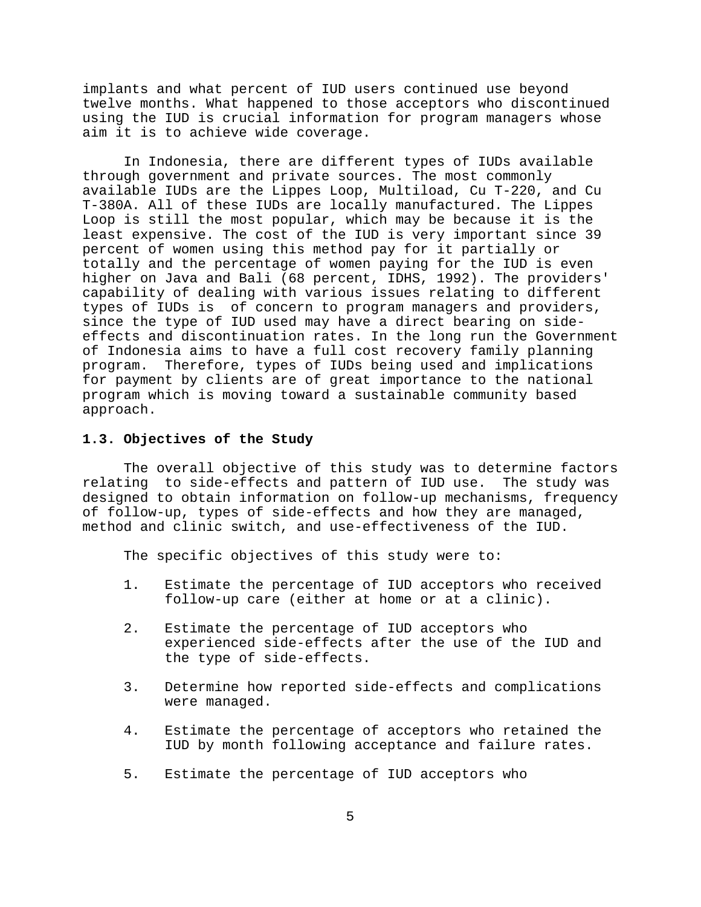implants and what percent of IUD users continued use beyond twelve months. What happened to those acceptors who discontinued using the IUD is crucial information for program managers whose aim it is to achieve wide coverage.

In Indonesia, there are different types of IUDs available through government and private sources. The most commonly available IUDs are the Lippes Loop, Multiload, Cu T-220, and Cu T-380A. All of these IUDs are locally manufactured. The Lippes Loop is still the most popular, which may be because it is the least expensive. The cost of the IUD is very important since 39 percent of women using this method pay for it partially or totally and the percentage of women paying for the IUD is even higher on Java and Bali (68 percent, IDHS, 1992). The providers' capability of dealing with various issues relating to different types of IUDs is of concern to program managers and providers, since the type of IUD used may have a direct bearing on sideeffects and discontinuation rates. In the long run the Government of Indonesia aims to have a full cost recovery family planning program. Therefore, types of IUDs being used and implications for payment by clients are of great importance to the national program which is moving toward a sustainable community based approach.

#### **1.3. Objectives of the Study**

 The overall objective of this study was to determine factors relating to side-effects and pattern of IUD use. The study was designed to obtain information on follow-up mechanisms, frequency of follow-up, types of side-effects and how they are managed, method and clinic switch, and use-effectiveness of the IUD.

The specific objectives of this study were to:

- 1. Estimate the percentage of IUD acceptors who received follow-up care (either at home or at a clinic).
- 2. Estimate the percentage of IUD acceptors who experienced side-effects after the use of the IUD and the type of side-effects.
- 3. Determine how reported side-effects and complications were managed.
- 4. Estimate the percentage of acceptors who retained the IUD by month following acceptance and failure rates.
- 5. Estimate the percentage of IUD acceptors who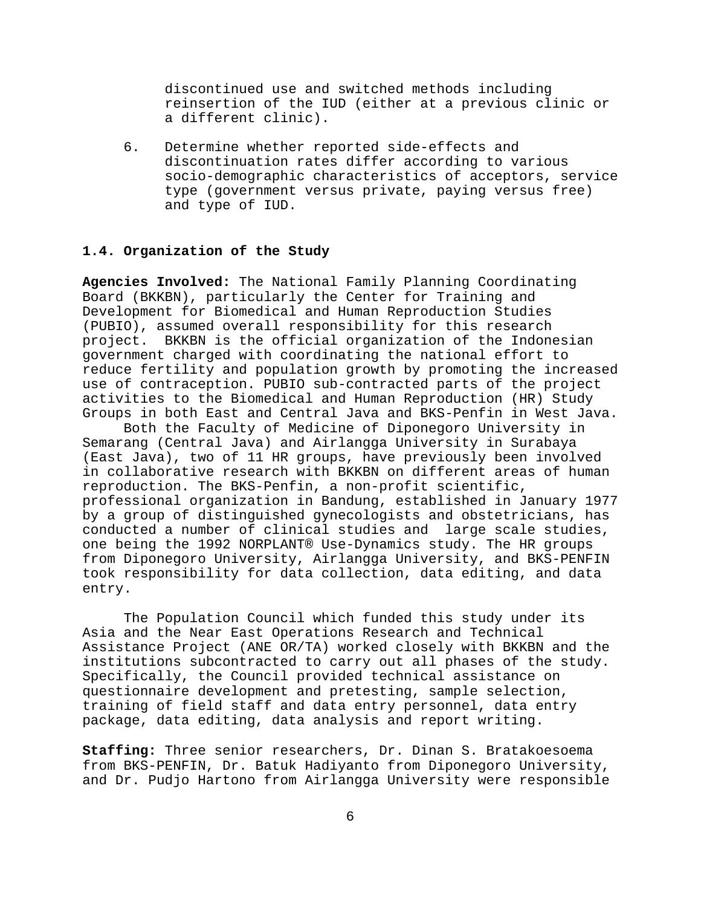discontinued use and switched methods including reinsertion of the IUD (either at a previous clinic or a different clinic).

6. Determine whether reported side-effects and discontinuation rates differ according to various socio-demographic characteristics of acceptors, service type (government versus private, paying versus free) and type of IUD.

#### **1.4. Organization of the Study**

**Agencies Involved:** The National Family Planning Coordinating Board (BKKBN), particularly the Center for Training and Development for Biomedical and Human Reproduction Studies (PUBIO), assumed overall responsibility for this research project. BKKBN is the official organization of the Indonesian government charged with coordinating the national effort to reduce fertility and population growth by promoting the increased use of contraception. PUBIO sub-contracted parts of the project activities to the Biomedical and Human Reproduction (HR) Study Groups in both East and Central Java and BKS-Penfin in West Java.

Both the Faculty of Medicine of Diponegoro University in Semarang (Central Java) and Airlangga University in Surabaya (East Java), two of 11 HR groups, have previously been involved in collaborative research with BKKBN on different areas of human reproduction. The BKS-Penfin, a non-profit scientific, professional organization in Bandung, established in January 1977 by a group of distinguished gynecologists and obstetricians, has conducted a number of clinical studies and large scale studies, one being the 1992 NORPLANT® Use-Dynamics study. The HR groups from Diponegoro University, Airlangga University, and BKS-PENFIN took responsibility for data collection, data editing, and data entry.

The Population Council which funded this study under its Asia and the Near East Operations Research and Technical Assistance Project (ANE OR/TA) worked closely with BKKBN and the institutions subcontracted to carry out all phases of the study. Specifically, the Council provided technical assistance on questionnaire development and pretesting, sample selection, training of field staff and data entry personnel, data entry package, data editing, data analysis and report writing.

**Staffing:** Three senior researchers, Dr. Dinan S. Bratakoesoema from BKS-PENFIN, Dr. Batuk Hadiyanto from Diponegoro University, and Dr. Pudjo Hartono from Airlangga University were responsible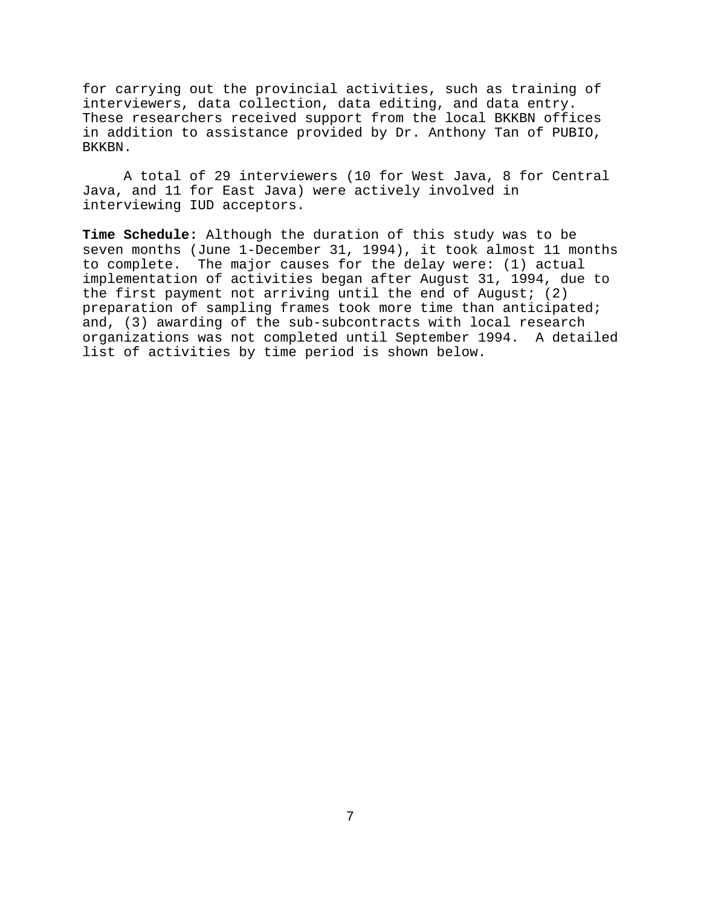for carrying out the provincial activities, such as training of interviewers, data collection, data editing, and data entry. These researchers received support from the local BKKBN offices in addition to assistance provided by Dr. Anthony Tan of PUBIO, BKKBN.

A total of 29 interviewers (10 for West Java, 8 for Central Java, and 11 for East Java) were actively involved in interviewing IUD acceptors.

**Time Schedule:** Although the duration of this study was to be seven months (June 1-December 31, 1994), it took almost 11 months to complete. The major causes for the delay were: (1) actual implementation of activities began after August 31, 1994, due to the first payment not arriving until the end of August; (2) preparation of sampling frames took more time than anticipated; and, (3) awarding of the sub-subcontracts with local research organizations was not completed until September 1994. A detailed list of activities by time period is shown below.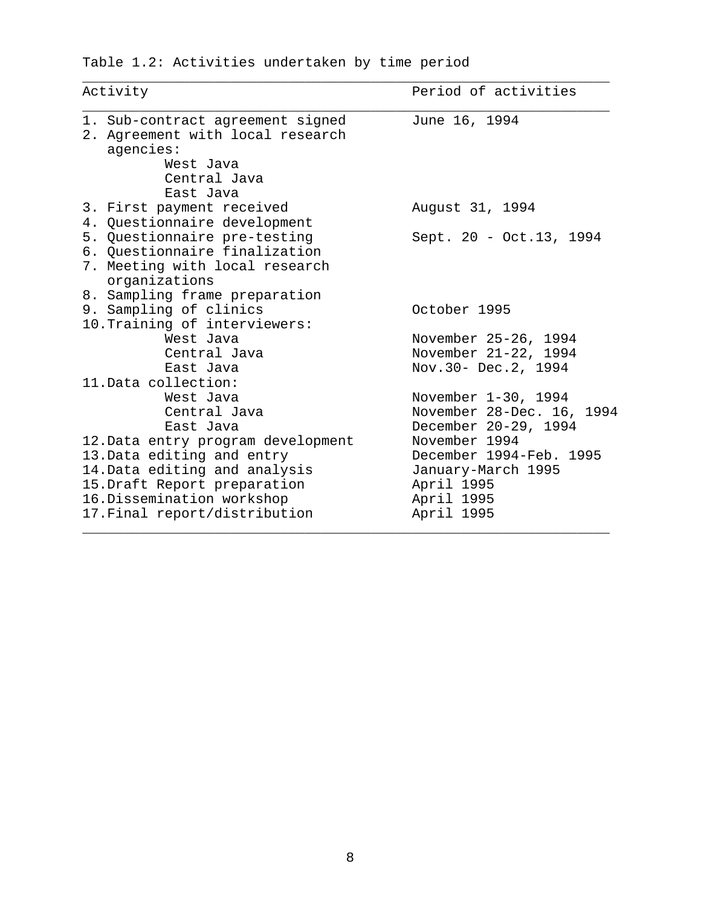| Activity                                                                                       | Period of activities                         |
|------------------------------------------------------------------------------------------------|----------------------------------------------|
| 1. Sub-contract agreement signed<br>2. Agreement with local research<br>agencies:<br>West Java | June 16, 1994                                |
| Central Java                                                                                   |                                              |
| East Java                                                                                      |                                              |
| 3. First payment received                                                                      | August 31, 1994                              |
| 4. Questionnaire development                                                                   |                                              |
| 5. Questionnaire pre-testing                                                                   | Sept. 20 - Oct.13, 1994                      |
| 6. Questionnaire finalization<br>7. Meeting with local research<br>organizations               |                                              |
| 8. Sampling frame preparation                                                                  |                                              |
| 9. Sampling of clinics                                                                         | October 1995                                 |
| 10. Training of interviewers:                                                                  |                                              |
| West Java<br>Central Java                                                                      | November 25-26, 1994<br>November 21-22, 1994 |
| East Java                                                                                      | Nov.30- Dec.2, 1994                          |
| 11. Data collection:                                                                           |                                              |
| West Java                                                                                      | November 1-30, 1994                          |
| Central Java                                                                                   | November 28-Dec. 16, 1994                    |
| East Java                                                                                      | December 20-29, 1994                         |
| 12. Data entry program development                                                             | November 1994                                |
| 13. Data editing and entry                                                                     | December 1994-Feb. 1995                      |
| 14. Data editing and analysis                                                                  | January-March 1995                           |
| 15. Draft Report preparation                                                                   | April 1995                                   |
| 16. Dissemination workshop                                                                     | April 1995                                   |
| 17. Final report/distribution                                                                  | April 1995                                   |

Table 1.2: Activities undertaken by time period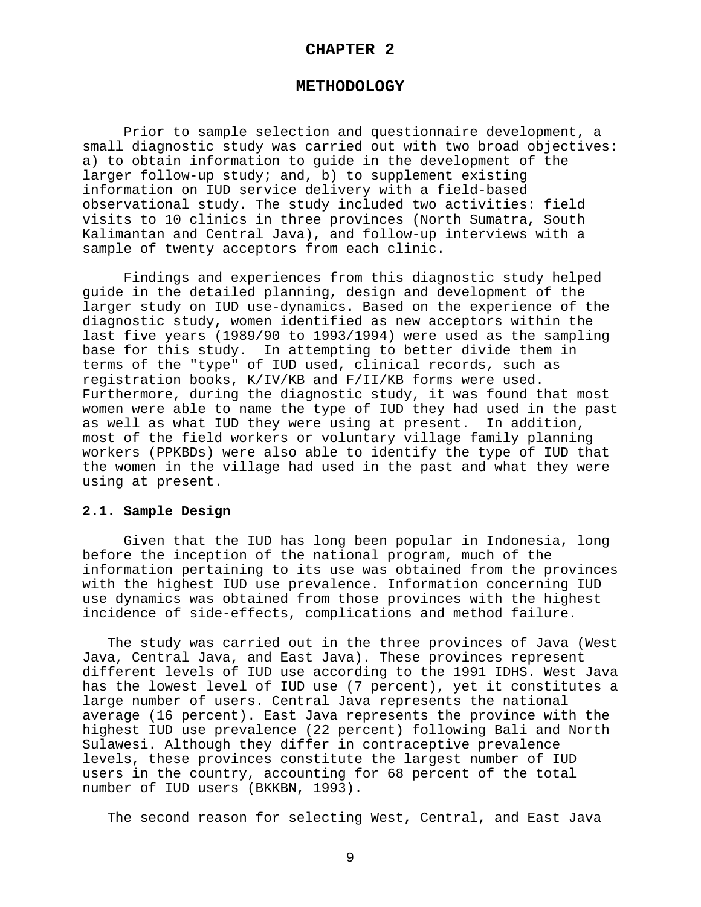#### **CHAPTER 2**

#### **METHODOLOGY**

 Prior to sample selection and questionnaire development, a small diagnostic study was carried out with two broad objectives: a) to obtain information to guide in the development of the larger follow-up study; and, b) to supplement existing information on IUD service delivery with a field-based observational study. The study included two activities: field visits to 10 clinics in three provinces (North Sumatra, South Kalimantan and Central Java), and follow-up interviews with a sample of twenty acceptors from each clinic.

 Findings and experiences from this diagnostic study helped guide in the detailed planning, design and development of the larger study on IUD use-dynamics. Based on the experience of the diagnostic study, women identified as new acceptors within the last five years (1989/90 to 1993/1994) were used as the sampling base for this study. In attempting to better divide them in terms of the "type" of IUD used, clinical records, such as registration books, K/IV/KB and F/II/KB forms were used. Furthermore, during the diagnostic study, it was found that most women were able to name the type of IUD they had used in the past as well as what IUD they were using at present. In addition, most of the field workers or voluntary village family planning workers (PPKBDs) were also able to identify the type of IUD that the women in the village had used in the past and what they were using at present.

#### **2.1. Sample Design**

Given that the IUD has long been popular in Indonesia, long before the inception of the national program, much of the information pertaining to its use was obtained from the provinces with the highest IUD use prevalence. Information concerning IUD use dynamics was obtained from those provinces with the highest incidence of side-effects, complications and method failure.

The study was carried out in the three provinces of Java (West Java, Central Java, and East Java). These provinces represent different levels of IUD use according to the 1991 IDHS. West Java has the lowest level of IUD use (7 percent), yet it constitutes a large number of users. Central Java represents the national average (16 percent). East Java represents the province with the highest IUD use prevalence (22 percent) following Bali and North Sulawesi. Although they differ in contraceptive prevalence levels, these provinces constitute the largest number of IUD users in the country, accounting for 68 percent of the total number of IUD users (BKKBN, 1993).

The second reason for selecting West, Central, and East Java

9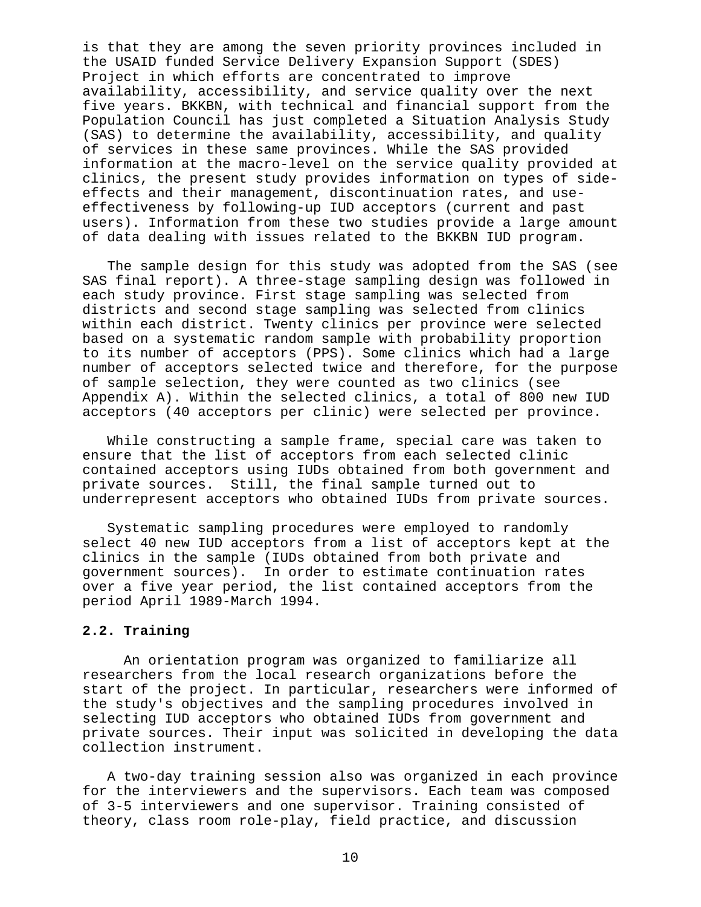is that they are among the seven priority provinces included in the USAID funded Service Delivery Expansion Support (SDES) Project in which efforts are concentrated to improve availability, accessibility, and service quality over the next five years. BKKBN, with technical and financial support from the Population Council has just completed a Situation Analysis Study (SAS) to determine the availability, accessibility, and quality of services in these same provinces. While the SAS provided information at the macro-level on the service quality provided at clinics, the present study provides information on types of sideeffects and their management, discontinuation rates, and useeffectiveness by following-up IUD acceptors (current and past users). Information from these two studies provide a large amount of data dealing with issues related to the BKKBN IUD program.

The sample design for this study was adopted from the SAS (see SAS final report). A three-stage sampling design was followed in each study province. First stage sampling was selected from districts and second stage sampling was selected from clinics within each district. Twenty clinics per province were selected based on a systematic random sample with probability proportion to its number of acceptors (PPS). Some clinics which had a large number of acceptors selected twice and therefore, for the purpose of sample selection, they were counted as two clinics (see Appendix A). Within the selected clinics, a total of 800 new IUD acceptors (40 acceptors per clinic) were selected per province.

While constructing a sample frame, special care was taken to ensure that the list of acceptors from each selected clinic contained acceptors using IUDs obtained from both government and private sources. Still, the final sample turned out to underrepresent acceptors who obtained IUDs from private sources.

Systematic sampling procedures were employed to randomly select 40 new IUD acceptors from a list of acceptors kept at the clinics in the sample (IUDs obtained from both private and government sources). In order to estimate continuation rates over a five year period, the list contained acceptors from the period April 1989-March 1994.

#### **2.2. Training**

An orientation program was organized to familiarize all researchers from the local research organizations before the start of the project. In particular, researchers were informed of the study's objectives and the sampling procedures involved in selecting IUD acceptors who obtained IUDs from government and private sources. Their input was solicited in developing the data collection instrument.

A two-day training session also was organized in each province for the interviewers and the supervisors. Each team was composed of 3-5 interviewers and one supervisor. Training consisted of theory, class room role-play, field practice, and discussion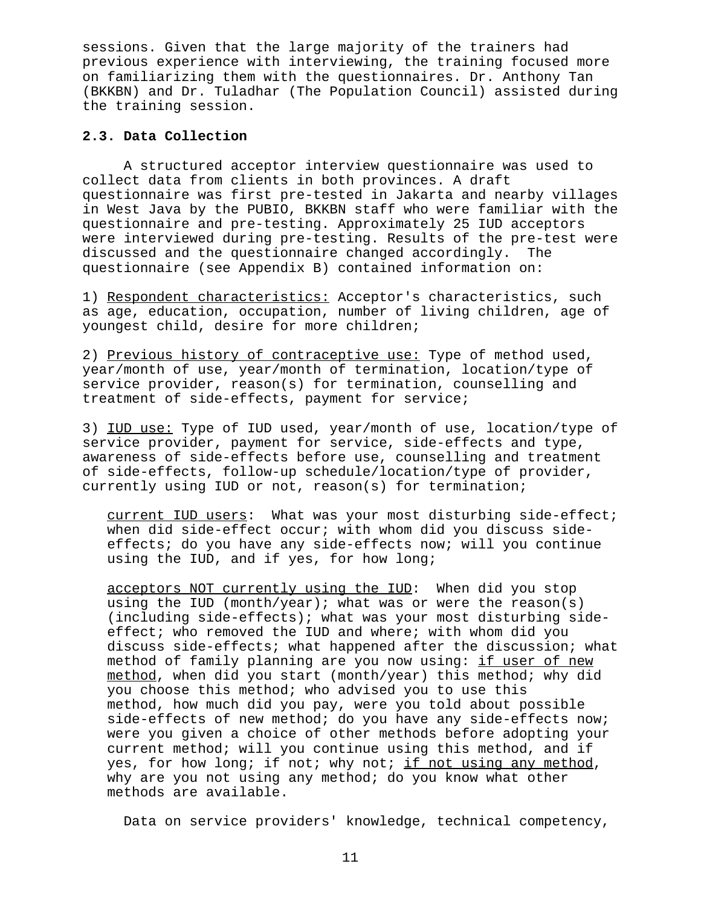sessions. Given that the large majority of the trainers had previous experience with interviewing, the training focused more on familiarizing them with the questionnaires. Dr. Anthony Tan (BKKBN) and Dr. Tuladhar (The Population Council) assisted during the training session.

#### **2.3. Data Collection**

 A structured acceptor interview questionnaire was used to collect data from clients in both provinces. A draft questionnaire was first pre-tested in Jakarta and nearby villages in West Java by the PUBIO, BKKBN staff who were familiar with the questionnaire and pre-testing. Approximately 25 IUD acceptors were interviewed during pre-testing. Results of the pre-test were discussed and the questionnaire changed accordingly. The questionnaire (see Appendix B) contained information on:

1) Respondent characteristics: Acceptor's characteristics, such as age, education, occupation, number of living children, age of youngest child, desire for more children;

2) Previous history of contraceptive use: Type of method used, year/month of use, year/month of termination, location/type of service provider, reason(s) for termination, counselling and treatment of side-effects, payment for service;

3) IUD use: Type of IUD used, year/month of use, location/type of service provider, payment for service, side-effects and type, awareness of side-effects before use, counselling and treatment of side-effects, follow-up schedule/location/type of provider, currently using IUD or not, reason(s) for termination;

current IUD users: What was your most disturbing side-effect; when did side-effect occur; with whom did you discuss sideeffects; do you have any side-effects now; will you continue using the IUD, and if yes, for how long;

acceptors NOT currently using the IUD: When did you stop using the IUD (month/year); what was or were the reason(s) (including side-effects); what was your most disturbing sideeffect; who removed the IUD and where; with whom did you discuss side-effects; what happened after the discussion; what method of family planning are you now using: if user of new method, when did you start (month/year) this method; why did you choose this method; who advised you to use this method, how much did you pay, were you told about possible side-effects of new method; do you have any side-effects now; were you given a choice of other methods before adopting your current method; will you continue using this method, and if yes, for how long; if not; why not; if not using any method, why are you not using any method; do you know what other methods are available.

Data on service providers' knowledge, technical competency,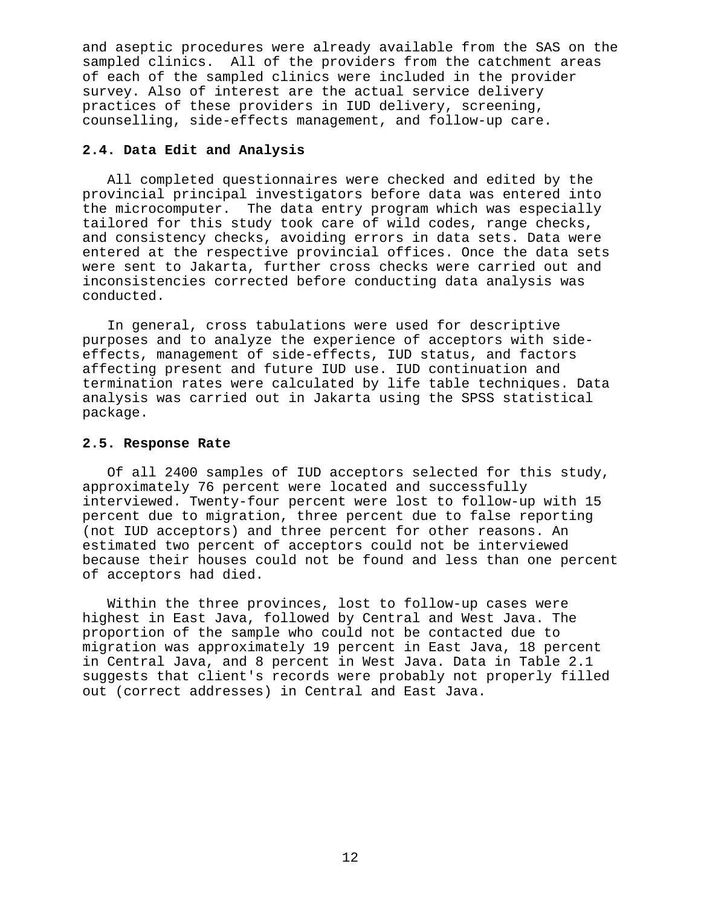and aseptic procedures were already available from the SAS on the sampled clinics. All of the providers from the catchment areas of each of the sampled clinics were included in the provider survey. Also of interest are the actual service delivery practices of these providers in IUD delivery, screening, counselling, side-effects management, and follow-up care.

#### **2.4. Data Edit and Analysis**

All completed questionnaires were checked and edited by the provincial principal investigators before data was entered into the microcomputer. The data entry program which was especially tailored for this study took care of wild codes, range checks, and consistency checks, avoiding errors in data sets. Data were entered at the respective provincial offices. Once the data sets were sent to Jakarta, further cross checks were carried out and inconsistencies corrected before conducting data analysis was conducted.

In general, cross tabulations were used for descriptive purposes and to analyze the experience of acceptors with sideeffects, management of side-effects, IUD status, and factors affecting present and future IUD use. IUD continuation and termination rates were calculated by life table techniques. Data analysis was carried out in Jakarta using the SPSS statistical package.

#### **2.5. Response Rate**

Of all 2400 samples of IUD acceptors selected for this study, approximately 76 percent were located and successfully interviewed. Twenty-four percent were lost to follow-up with 15 percent due to migration, three percent due to false reporting (not IUD acceptors) and three percent for other reasons. An estimated two percent of acceptors could not be interviewed because their houses could not be found and less than one percent of acceptors had died.

Within the three provinces, lost to follow-up cases were highest in East Java, followed by Central and West Java. The proportion of the sample who could not be contacted due to migration was approximately 19 percent in East Java, 18 percent in Central Java, and 8 percent in West Java. Data in Table 2.1 suggests that client's records were probably not properly filled out (correct addresses) in Central and East Java.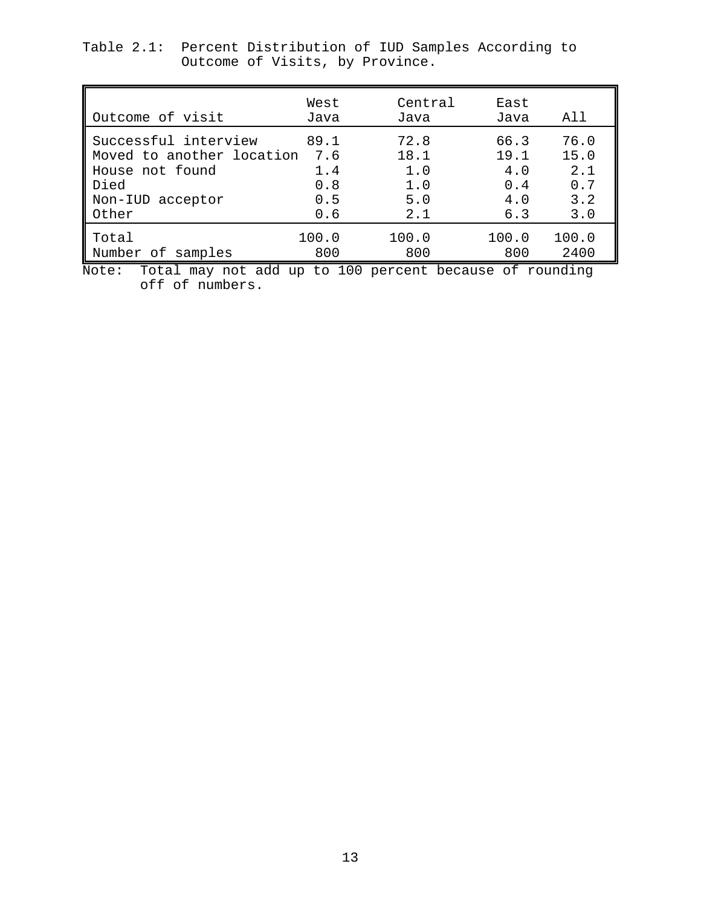| Outcome of visit          | West<br>Java | Central<br>Java | East<br>Java | All   |
|---------------------------|--------------|-----------------|--------------|-------|
| Successful interview      | 89.1         | 72.8            | 66.3         | 76.0  |
| Moved to another location | 7.6          | 18.1            | 19.1         | 15.0  |
| House not found           | 1.4          | 1.0             | 4.0          | 2.1   |
| Died                      | 0.8          | 1.0             | 0.4          | 0.7   |
| Non-IUD acceptor          | 0.5          | 5.0             | 4.0          | 3.2   |
| Other                     | 0.6          | 2.1             | 6.3          | 3.0   |
| Total                     | 100.0        | 100.0           | 100.0        | 100.0 |
| Number of samples         | 800          | 800             | 800          | 2400  |

Table 2.1: Percent Distribution of IUD Samples According to Outcome of Visits, by Province.

Note: Total may not add up to 100 percent because of rounding off of numbers.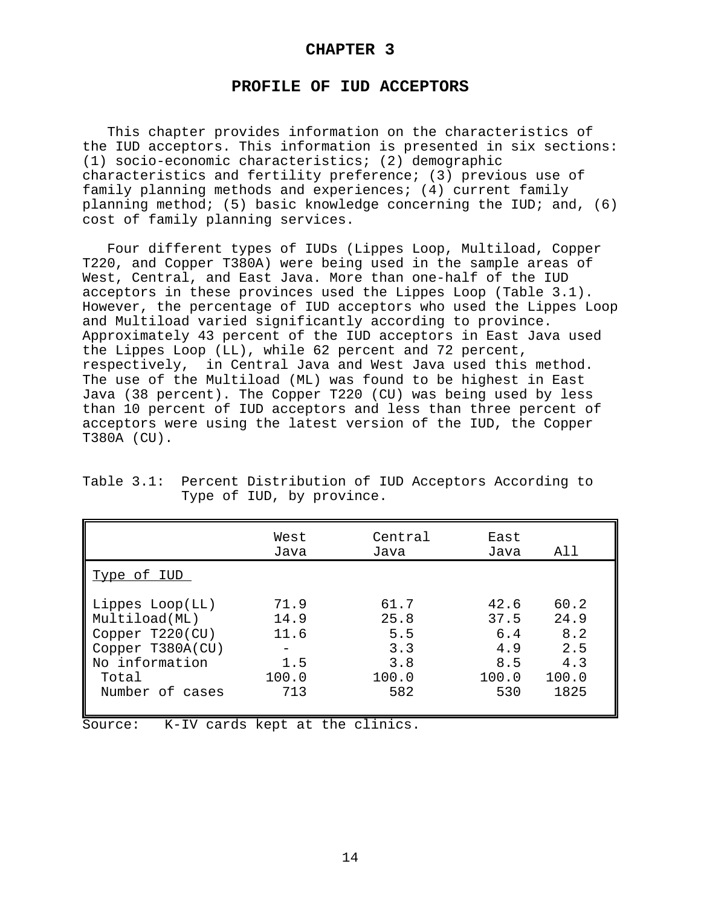## **CHAPTER 3**

#### **PROFILE OF IUD ACCEPTORS**

This chapter provides information on the characteristics of the IUD acceptors. This information is presented in six sections: (1) socio-economic characteristics; (2) demographic characteristics and fertility preference; (3) previous use of family planning methods and experiences; (4) current family planning method; (5) basic knowledge concerning the IUD; and, (6) cost of family planning services.

Four different types of IUDs (Lippes Loop, Multiload, Copper T220, and Copper T380A) were being used in the sample areas of West, Central, and East Java. More than one-half of the IUD acceptors in these provinces used the Lippes Loop (Table 3.1). However, the percentage of IUD acceptors who used the Lippes Loop and Multiload varied significantly according to province. Approximately 43 percent of the IUD acceptors in East Java used the Lippes Loop (LL), while 62 percent and 72 percent, respectively, in Central Java and West Java used this method. The use of the Multiload (ML) was found to be highest in East Java (38 percent). The Copper T220 (CU) was being used by less than 10 percent of IUD acceptors and less than three percent of acceptors were using the latest version of the IUD, the Copper T380A (CU).

|                                                                                                                         | West<br>Java                                | Central<br>Java                                   | East<br>Java                                      | All                                                |
|-------------------------------------------------------------------------------------------------------------------------|---------------------------------------------|---------------------------------------------------|---------------------------------------------------|----------------------------------------------------|
| Type of IUD                                                                                                             |                                             |                                                   |                                                   |                                                    |
| Lippes Loop(LL)<br>Multiload(ML)<br>Copper $T220(CU)$<br>Copper T380A(CU)<br>No information<br>Total<br>Number of cases | 71.9<br>14.9<br>11.6<br>1.5<br>100.0<br>713 | 61.7<br>25.8<br>5.5<br>3.3<br>3.8<br>100.0<br>582 | 42.6<br>37.5<br>6.4<br>4.9<br>8.5<br>100.0<br>530 | 60.2<br>24.9<br>8.2<br>2.5<br>4.3<br>100.0<br>1825 |

Table 3.1: Percent Distribution of IUD Acceptors According to Type of IUD, by province.

Source: K-IV cards kept at the clinics.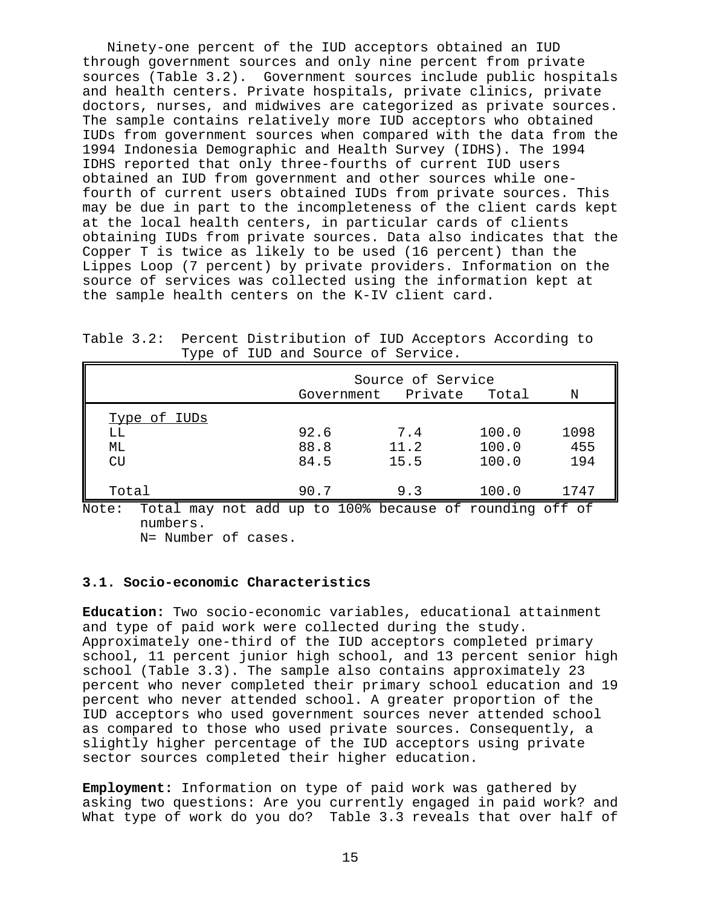Ninety-one percent of the IUD acceptors obtained an IUD through government sources and only nine percent from private sources (Table 3.2). Government sources include public hospitals and health centers. Private hospitals, private clinics, private doctors, nurses, and midwives are categorized as private sources. The sample contains relatively more IUD acceptors who obtained IUDs from government sources when compared with the data from the 1994 Indonesia Demographic and Health Survey (IDHS). The 1994 IDHS reported that only three-fourths of current IUD users obtained an IUD from government and other sources while onefourth of current users obtained IUDs from private sources. This may be due in part to the incompleteness of the client cards kept at the local health centers, in particular cards of clients obtaining IUDs from private sources. Data also indicates that the Copper T is twice as likely to be used (16 percent) than the Lippes Loop (7 percent) by private providers. Information on the source of services was collected using the information kept at the sample health centers on the K-IV client card.

|              | Government Private  | Source of Service | Total | N    |
|--------------|---------------------|-------------------|-------|------|
| Type of IUDs |                     |                   |       |      |
| LL           | 92.6                | 7.4               | 100.0 | 1098 |
| МL           | 88.8                | 11.2              | 100.0 | 455  |
| <b>CU</b>    | 84.5                | 15.5              | 100.0 | 194  |
| Total        | 90.7<br>- -<br>---- | 9.3               | 100.0 | 1747 |

Table 3.2: Percent Distribution of IUD Acceptors According to Type of IUD and Source of Service.

Note: Total may not add up to 100% because of rounding off of numbers.

N= Number of cases.

## **3.1. Socio-economic Characteristics**

**Education:** Two socio-economic variables, educational attainment and type of paid work were collected during the study. Approximately one-third of the IUD acceptors completed primary school, 11 percent junior high school, and 13 percent senior high school (Table 3.3). The sample also contains approximately 23 percent who never completed their primary school education and 19 percent who never attended school. A greater proportion of the IUD acceptors who used government sources never attended school as compared to those who used private sources. Consequently, a slightly higher percentage of the IUD acceptors using private sector sources completed their higher education.

**Employment:** Information on type of paid work was gathered by asking two questions: Are you currently engaged in paid work? and What type of work do you do? Table 3.3 reveals that over half of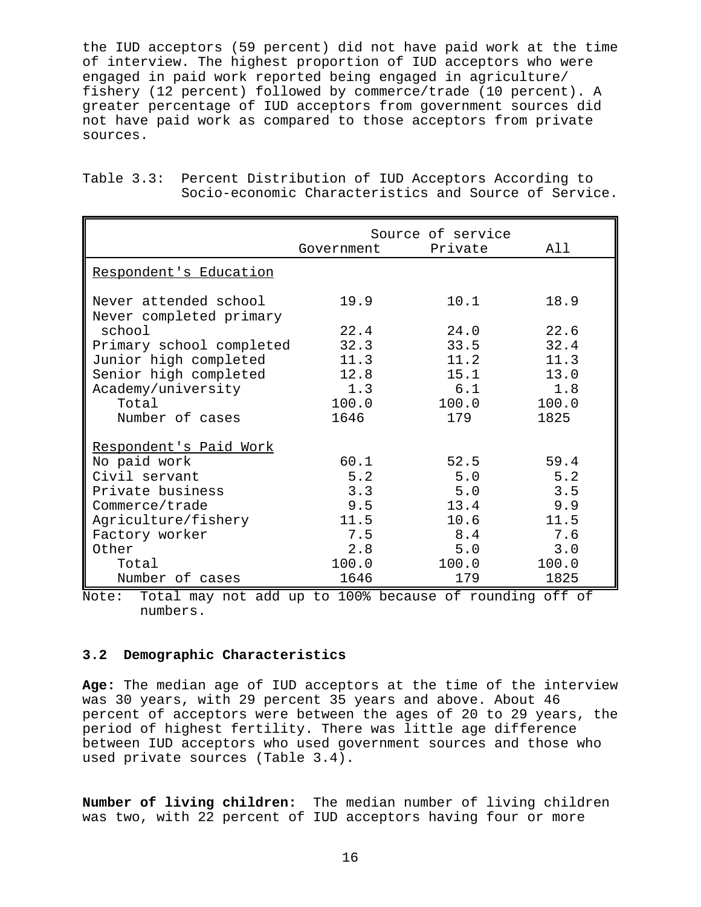the IUD acceptors (59 percent) did not have paid work at the time of interview. The highest proportion of IUD acceptors who were engaged in paid work reported being engaged in agriculture/ fishery (12 percent) followed by commerce/trade (10 percent). A greater percentage of IUD acceptors from government sources did not have paid work as compared to those acceptors from private sources.

|                          |            | Source of service |       |
|--------------------------|------------|-------------------|-------|
|                          | Government | Private           | All   |
| Respondent's Education   |            |                   |       |
| Never attended school    | 19.9       | 10.1              | 18.9  |
| Never completed primary  |            |                   |       |
| school                   | 22.4       | 24.0              | 22.6  |
| Primary school completed | 32.3       | 33.5              | 32.4  |
| Junior high completed    | 11.3       | 11.2              | 11.3  |
| Senior high completed    | 12.8       | 15.1              | 13.0  |
| Academy/university       | 1.3        | 6.1               | 1.8   |
| Total                    | 100.0      | 100.0             | 100.0 |
| Number of cases          | 1646       | 179               | 1825  |
| Respondent's Paid Work   |            |                   |       |
| No paid work             | 60.1       | 52.5              | 59.4  |
| Civil servant            | 5.2        | 5.0               | 5.2   |
| Private business         | 3.3        | 5.0               | 3.5   |
| Commerce/trade           | 9.5        | 13.4              | 9.9   |
| Agriculture/fishery      | 11.5       | 10.6              | 11.5  |
| Factory worker           | 7.5        | 8.4               | 7.6   |
| Other                    | 2.8        | 5.0               | 3.0   |
| Total                    | 100.0      | 100.0             | 100.0 |
| Number of cases          | 1646       | 179               | 1825  |

Table 3.3: Percent Distribution of IUD Acceptors According to Socio-economic Characteristics and Source of Service.

 $\circ$ te: Total may not add up to 100% because of rounding off  $\circ$ numbers.

#### **3.2 Demographic Characteristics**

**Age:** The median age of IUD acceptors at the time of the interview was 30 years, with 29 percent 35 years and above. About 46 percent of acceptors were between the ages of 20 to 29 years, the period of highest fertility. There was little age difference between IUD acceptors who used government sources and those who used private sources (Table 3.4).

**Number of living children:** The median number of living children was two, with 22 percent of IUD acceptors having four or more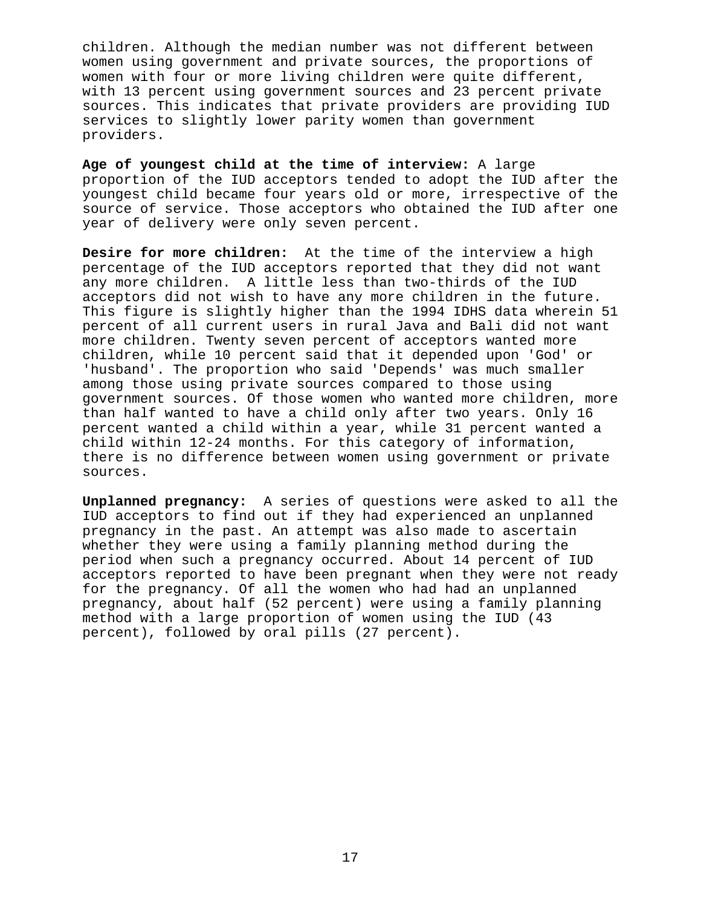children. Although the median number was not different between women using government and private sources, the proportions of women with four or more living children were quite different, with 13 percent using government sources and 23 percent private sources. This indicates that private providers are providing IUD services to slightly lower parity women than government providers.

**Age of youngest child at the time of interview:** A large proportion of the IUD acceptors tended to adopt the IUD after the youngest child became four years old or more, irrespective of the source of service. Those acceptors who obtained the IUD after one year of delivery were only seven percent.

**Desire for more children:** At the time of the interview a high percentage of the IUD acceptors reported that they did not want any more children. A little less than two-thirds of the IUD acceptors did not wish to have any more children in the future. This figure is slightly higher than the 1994 IDHS data wherein 51 percent of all current users in rural Java and Bali did not want more children. Twenty seven percent of acceptors wanted more children, while 10 percent said that it depended upon 'God' or 'husband'. The proportion who said 'Depends' was much smaller among those using private sources compared to those using government sources. Of those women who wanted more children, more than half wanted to have a child only after two years. Only 16 percent wanted a child within a year, while 31 percent wanted a child within 12-24 months. For this category of information, there is no difference between women using government or private sources.

**Unplanned pregnancy:** A series of questions were asked to all the IUD acceptors to find out if they had experienced an unplanned pregnancy in the past. An attempt was also made to ascertain whether they were using a family planning method during the period when such a pregnancy occurred. About 14 percent of IUD acceptors reported to have been pregnant when they were not ready for the pregnancy. Of all the women who had had an unplanned pregnancy, about half (52 percent) were using a family planning method with a large proportion of women using the IUD (43 percent), followed by oral pills (27 percent).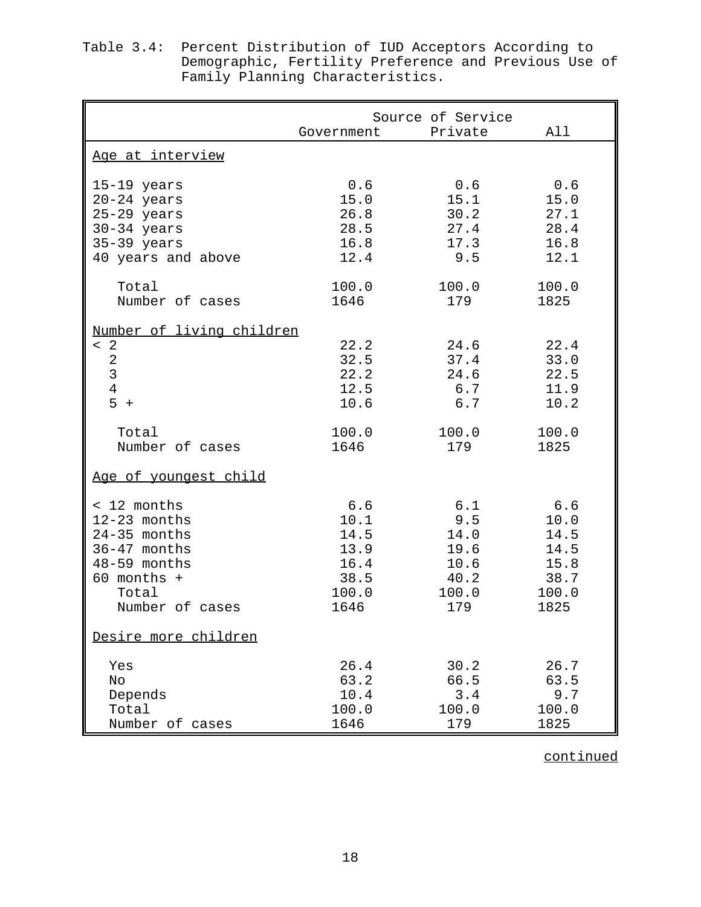|                                                                                                    | Government Private                   | Source of Service                                | All                  |
|----------------------------------------------------------------------------------------------------|--------------------------------------|--------------------------------------------------|----------------------|
| Age at interview                                                                                   |                                      |                                                  |                      |
| 15-19 years                                                                                        | 0.6                                  | 0.6                                              | 0.6                  |
| $20-24$ years                                                                                      | 15.0                                 | 15.1                                             | 15.0                 |
| $25-29$ years                                                                                      | 26.8                                 | 30.2                                             | 27.1                 |
| 30-34 years                                                                                        | 28.5                                 | 27.4                                             | 28.4                 |
| $35-39$ years                                                                                      | 16.8                                 | 17.3                                             | 16.8                 |
| 40 years and above                                                                                 | 12.4                                 | 9.5                                              | 12.1                 |
| Total                                                                                              | 100.0                                | 100.0                                            | 100.0                |
| Number of cases                                                                                    | 1646                                 | 179                                              | 1825                 |
| Number of living children<br>$\leq$ 2<br>$\overline{c}$<br>$\mathbf{3}$<br>$\overline{4}$<br>$5 +$ | 22.2<br>32.5<br>22.2<br>12.5<br>10.6 | 24.6<br>$37.4$ $33.0$<br>24.6 22.5<br>6.7<br>6.7 | 22.4<br>11.9<br>10.2 |
| Total                                                                                              | 100.0                                | 100.0                                            | 100.0                |
| Number of cases                                                                                    | 1646                                 | 179                                              | 1825                 |
| Age of youngest child                                                                              |                                      |                                                  |                      |
| < 12 months                                                                                        | 6.6                                  | 6.1                                              | 6.6                  |
| $12-23$ months                                                                                     | 10.1                                 | 9.5                                              | 10.0                 |
| $24-35$ months                                                                                     | 14.5                                 | 14.0                                             | 14.5                 |
| 36-47 months                                                                                       | 13.9                                 | 19.6                                             | 14.5                 |
| 48-59 months                                                                                       | 16.4                                 | 10.6                                             | 15.8                 |
| $60$ months +                                                                                      | 38.5                                 | 40.2                                             | 38.7                 |
| Total                                                                                              | 100.0                                | 100.0                                            | 100.0                |
| Number of cases                                                                                    | 1646                                 | 179                                              | 1825                 |
| Desire more children                                                                               |                                      |                                                  |                      |
| Yes                                                                                                | 26.4                                 | 30.2                                             | 26.7                 |
| No                                                                                                 | 63.2                                 | 66.5                                             | 63.5                 |
| Depends                                                                                            | 10.4                                 | 3.4                                              | 9.7                  |
| Total                                                                                              | 100.0                                | 100.0                                            | 100.0                |
| Number of cases                                                                                    | 1646                                 | 179                                              | 1825                 |

| Table 3.4: Percent Distribution of IUD Acceptors According to |
|---------------------------------------------------------------|
| Demographic, Fertility Preference and Previous Use of         |
| Family Planning Characteristics.                              |

continued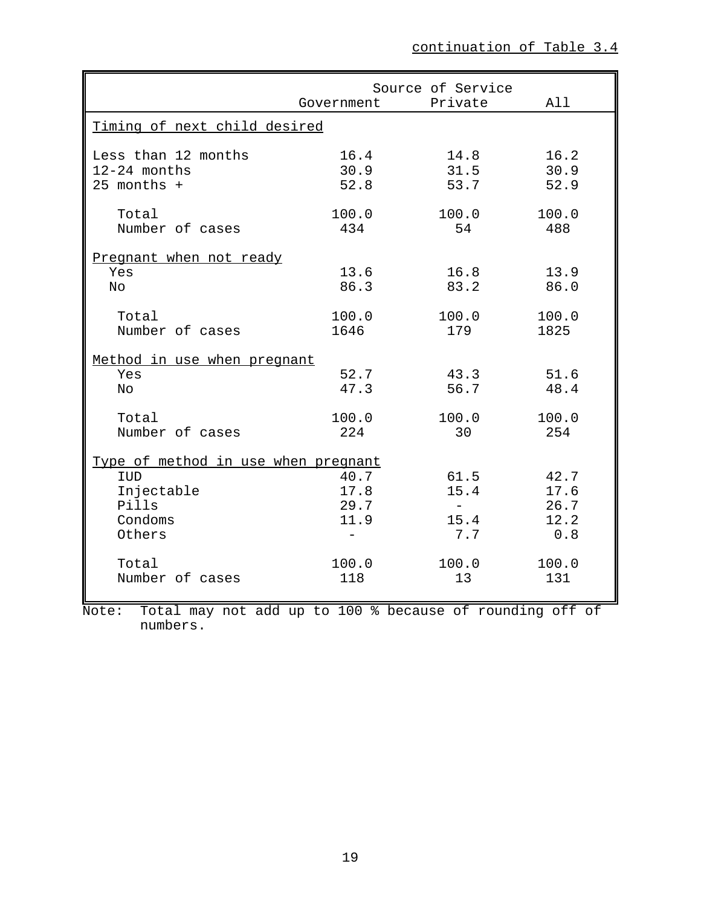|                                                                         | Government Private           | Source of Service                         | All                                              |
|-------------------------------------------------------------------------|------------------------------|-------------------------------------------|--------------------------------------------------|
| Timing of next child desired                                            |                              |                                           |                                                  |
| Less than 12 months<br>$12-24$ months<br>25 months +                    | 16.4<br>30.9<br>52.8         | 14.8<br>31.5<br>53.7                      | 16.2<br>30.9<br>52.9                             |
| Total<br>Number of cases                                                | 100.0<br>434                 | 100.0<br>54                               | 100.0<br>488                                     |
| Pregnant when not ready<br>Yes<br>No.                                   | 13.6<br>86.3                 | 16.8<br>83.2                              | 13.9<br>86.0                                     |
| Total<br>Number of cases                                                | 100.0<br>1646                | 100.0<br>179                              | 100.0<br>1825                                    |
| Method in use when pregnant                                             |                              |                                           |                                                  |
| Yes<br><b>No</b>                                                        | 52.7<br>47.3                 | 43.3<br>56.7                              | 51.6<br>48.4                                     |
| Total<br>Number of cases                                                | 100.0<br>224                 | 100.0<br>30                               | 100.0<br>254                                     |
| Type of method in use when pregnant                                     |                              |                                           |                                                  |
| IUD<br>Injectable<br>Pills<br>Condoms<br>Others                         | 40.7<br>17.8<br>29.7<br>11.9 | 61.5<br>15.4<br>$\sim$ $-$<br>15.4<br>7.7 | 42.7<br>17.6<br>26.7<br>12.2<br>0.8              |
| Total<br>Number of cases<br>الہ اسہ ہ<br>$N = + -$<br>$m \sim + \sim 1$ | 100.0<br>118<br>$100c$ b.    | 100.0<br>13<br>$\sim$ $\epsilon$          | 100.0<br>131<br>$nonm\lambda + n\alpha + f$<br>F |

Note: Total may not add up to 100 % because of rounding off of numbers.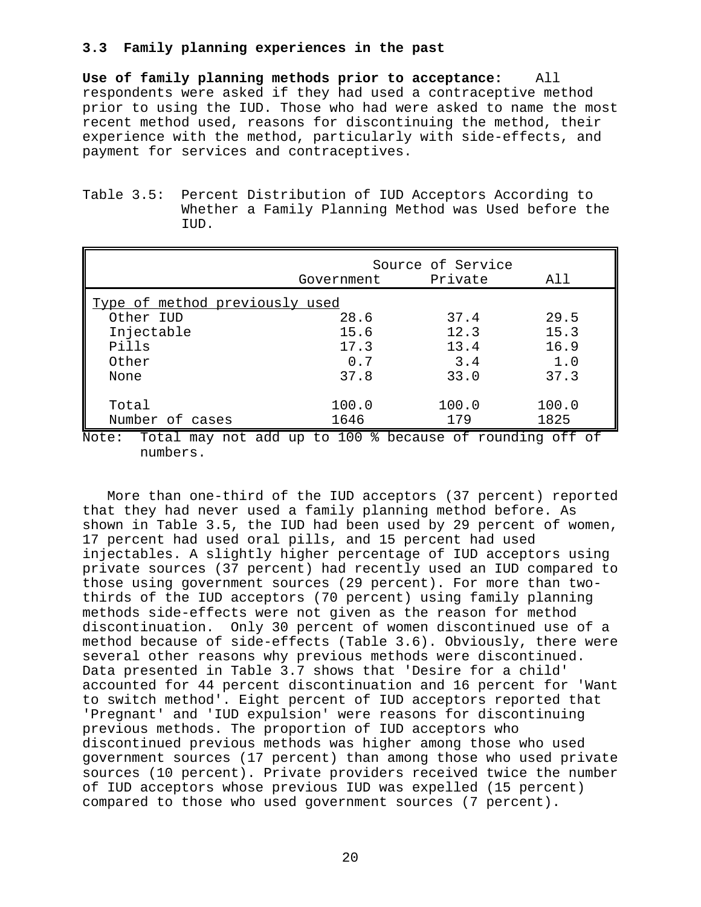#### **3.3 Family planning experiences in the past**

**Use of family planning methods prior to acceptance:** All respondents were asked if they had used a contraceptive method prior to using the IUD. Those who had were asked to name the most recent method used, reasons for discontinuing the method, their experience with the method, particularly with side-effects, and payment for services and contraceptives.

| Table 3.5: Percent Distribution of IUD Acceptors According to |      |                                                      |  |  |  |
|---------------------------------------------------------------|------|------------------------------------------------------|--|--|--|
|                                                               |      | Whether a Family Planning Method was Used before the |  |  |  |
|                                                               | IUD. |                                                      |  |  |  |

|                                | Source of Service |         |       |  |  |  |  |
|--------------------------------|-------------------|---------|-------|--|--|--|--|
|                                | Government        | Private | All   |  |  |  |  |
| Type of method previously used |                   |         |       |  |  |  |  |
| Other IUD                      | 28.6              | 37.4    | 29.5  |  |  |  |  |
| Injectable                     | 15.6              | 12.3    | 15.3  |  |  |  |  |
| Pills                          | 17.3              | 13.4    | 16.9  |  |  |  |  |
| Other                          | 0.7               | 3.4     | 1.0   |  |  |  |  |
| None                           | 37.8              | 33.0    | 37.3  |  |  |  |  |
|                                |                   |         |       |  |  |  |  |
| Total                          | 100.0             | 100.0   | 100.0 |  |  |  |  |
| Number of cases                | 1646              | 179     | 1825  |  |  |  |  |

Note: Total may not add up to 100 % because of rounding off of numbers.

More than one-third of the IUD acceptors (37 percent) reported that they had never used a family planning method before. As shown in Table 3.5, the IUD had been used by 29 percent of women, 17 percent had used oral pills, and 15 percent had used injectables. A slightly higher percentage of IUD acceptors using private sources (37 percent) had recently used an IUD compared to those using government sources (29 percent). For more than twothirds of the IUD acceptors (70 percent) using family planning methods side-effects were not given as the reason for method discontinuation. Only 30 percent of women discontinued use of a method because of side-effects (Table 3.6). Obviously, there were several other reasons why previous methods were discontinued. Data presented in Table 3.7 shows that 'Desire for a child' accounted for 44 percent discontinuation and 16 percent for 'Want to switch method'. Eight percent of IUD acceptors reported that 'Pregnant' and 'IUD expulsion' were reasons for discontinuing previous methods. The proportion of IUD acceptors who discontinued previous methods was higher among those who used government sources (17 percent) than among those who used private sources (10 percent). Private providers received twice the number of IUD acceptors whose previous IUD was expelled (15 percent) compared to those who used government sources (7 percent).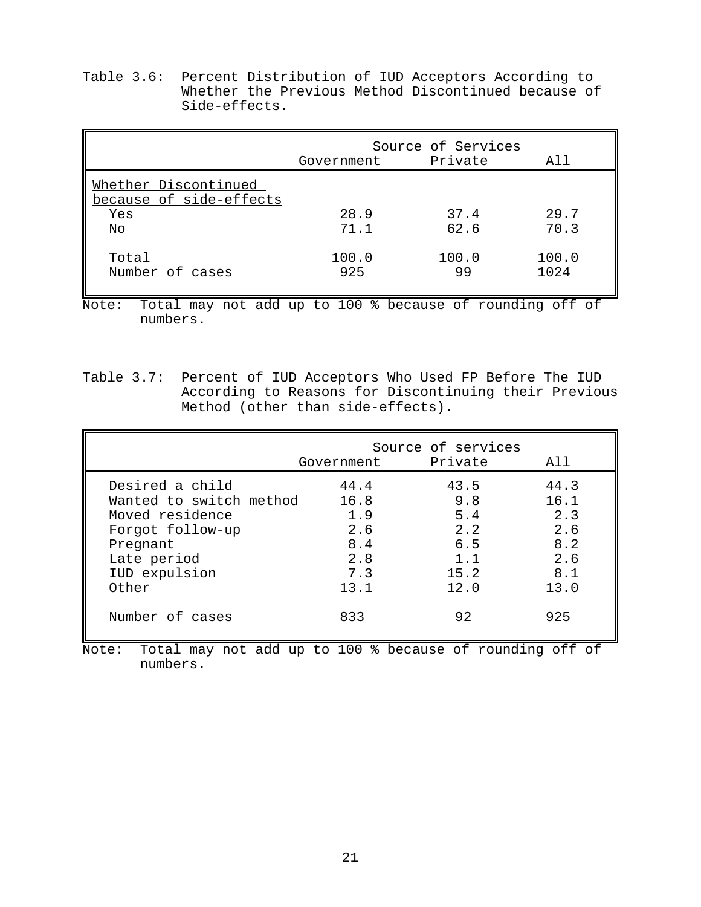Table 3.6: Percent Distribution of IUD Acceptors According to Whether the Previous Method Discontinued because of Side-effects.

|                                                 |              | Source of Services |               |
|-------------------------------------------------|--------------|--------------------|---------------|
|                                                 | Government   | Private            | A 1 1         |
| Whether Discontinued<br>because of side-effects |              |                    |               |
| Yes                                             | 28.9         | 37.4               | 29.7          |
| No                                              | 71.1         | 62.6               | 70.3          |
| Total<br>Number of cases                        | 100.0<br>925 | 100.0<br>99        | 100.0<br>1024 |

Note: Total may not add up to 100 % because of rounding off of numbers.

Table 3.7: Percent of IUD Acceptors Who Used FP Before The IUD According to Reasons for Discontinuing their Previous Method (other than side-effects).

|                                                                                                                                        | Government                                              | Source of services<br>Private                           | All                                                     |
|----------------------------------------------------------------------------------------------------------------------------------------|---------------------------------------------------------|---------------------------------------------------------|---------------------------------------------------------|
| Desired a child<br>Wanted to switch method<br>Moved residence<br>Forgot follow-up<br>Pregnant<br>Late period<br>IUD expulsion<br>Other | 44.4<br>16.8<br>1.9<br>2.6<br>8.4<br>2.8<br>7.3<br>13.1 | 43.5<br>9.8<br>5.4<br>2.2<br>6.5<br>1.1<br>15.2<br>12.0 | 44.3<br>16.1<br>2.3<br>2.6<br>8.2<br>2.6<br>8.1<br>13.0 |
| Number of cases                                                                                                                        | 833                                                     | 92                                                      | 925                                                     |

Note: Total may not add up to 100 % because of rounding off of numbers.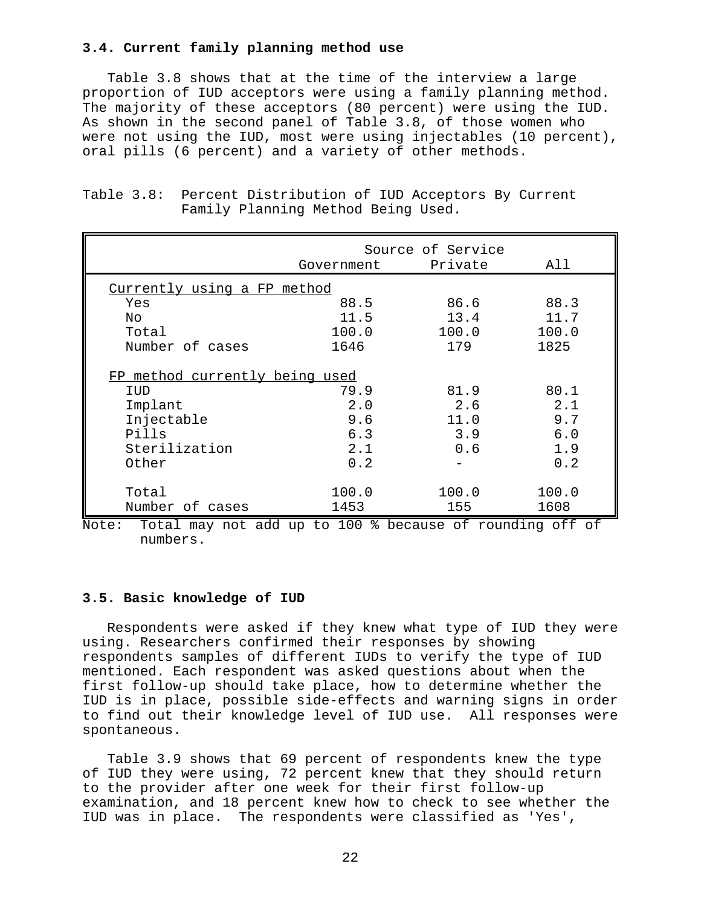#### **3.4. Current family planning method use**

Table 3.8 shows that at the time of the interview a large proportion of IUD acceptors were using a family planning method. The majority of these acceptors (80 percent) were using the IUD. As shown in the second panel of Table 3.8, of those women who were not using the IUD, most were using injectables (10 percent), oral pills (6 percent) and a variety of other methods.

|                                |            | Source of Service |       |
|--------------------------------|------------|-------------------|-------|
|                                | Government | Private           | All   |
| Currently using a FP method    |            |                   |       |
| Yes                            | 88.5       | 86.6              | 88.3  |
| No                             | 11.5       | 13.4              | 11.7  |
| Total                          | 100.0      | 100.0             | 100.0 |
| Number of cases                | 1646       | 179               | 1825  |
| FP method currently being used |            |                   |       |
| IUD                            | 79.9       | 81.9              | 80.1  |
| Implant                        | 2.0        | 2.6               | 2.1   |
| Injectable                     | 9.6        | 11.0              | 9.7   |
| Pills                          | 6.3        | 3.9               | 6.0   |
| Sterilization                  | 2.1        | 0.6               | 1.9   |
| Other                          | 0.2        |                   | 0.2   |
|                                |            |                   |       |
| Total                          | 100.0      | 100.0             | 100.0 |
| Number of cases                | 1453       | 155               | 1608  |

| Table 3.8: Percent Distribution of IUD Acceptors By Current |                                    |  |  |  |
|-------------------------------------------------------------|------------------------------------|--|--|--|
|                                                             | Family Planning Method Being Used. |  |  |  |

Note: Total may not add up to 100 % because of rounding off of numbers.

#### **3.5. Basic knowledge of IUD**

Respondents were asked if they knew what type of IUD they were using. Researchers confirmed their responses by showing respondents samples of different IUDs to verify the type of IUD mentioned. Each respondent was asked questions about when the first follow-up should take place, how to determine whether the IUD is in place, possible side-effects and warning signs in order to find out their knowledge level of IUD use. All responses were spontaneous.

Table 3.9 shows that 69 percent of respondents knew the type of IUD they were using, 72 percent knew that they should return to the provider after one week for their first follow-up examination, and 18 percent knew how to check to see whether the IUD was in place. The respondents were classified as 'Yes',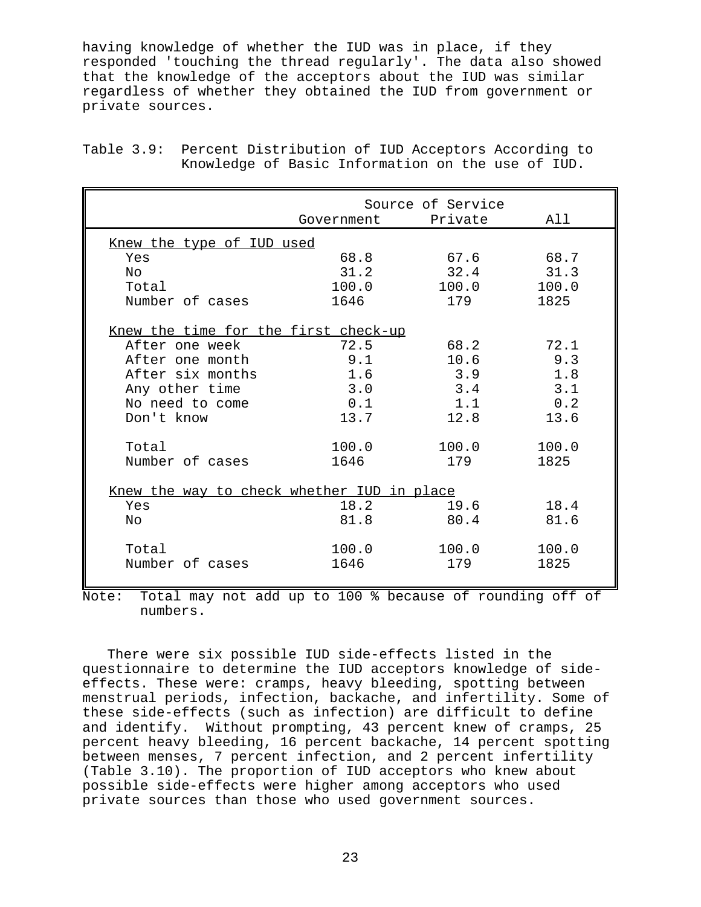having knowledge of whether the IUD was in place, if they responded 'touching the thread regularly'. The data also showed that the knowledge of the acceptors about the IUD was similar regardless of whether they obtained the IUD from government or private sources.

|       |                                                                                 | All                                                                                                                                                                           |
|-------|---------------------------------------------------------------------------------|-------------------------------------------------------------------------------------------------------------------------------------------------------------------------------|
|       |                                                                                 |                                                                                                                                                                               |
| 68.8  | 67.6 68.7                                                                       |                                                                                                                                                                               |
| 31.2  | 32.4                                                                            | 31.3                                                                                                                                                                          |
| 100.0 | 100.0                                                                           | 100.0                                                                                                                                                                         |
| 1646  | 179                                                                             | 1825                                                                                                                                                                          |
|       |                                                                                 |                                                                                                                                                                               |
|       |                                                                                 | 72.1                                                                                                                                                                          |
|       |                                                                                 | 9.3                                                                                                                                                                           |
| 1.6   | 3.9                                                                             | 1.8                                                                                                                                                                           |
|       | 3.4                                                                             | 3.1                                                                                                                                                                           |
| 0.1   | 1.1                                                                             | 0.2                                                                                                                                                                           |
| 13.7  | 12.8                                                                            | 13.6                                                                                                                                                                          |
|       |                                                                                 | 100.0                                                                                                                                                                         |
| 1646  | 179                                                                             | 1825                                                                                                                                                                          |
|       |                                                                                 |                                                                                                                                                                               |
|       |                                                                                 |                                                                                                                                                                               |
|       |                                                                                 | 18.4                                                                                                                                                                          |
|       |                                                                                 | 81.6                                                                                                                                                                          |
| 100.0 | 100.0                                                                           | 100.0                                                                                                                                                                         |
| 1646  | 179                                                                             | 1825                                                                                                                                                                          |
|       | <u>Knew the type of IUD used</u><br>72.5<br>9.1<br>3.0<br>100.0<br>18.2<br>81.8 | Source of Service<br>Government Private<br>Knew the time for the first check-up<br>68.2<br>10.6<br>100.0<br><u>Knew the way to check whether IUD in place</u><br>19.6<br>80.4 |

Table 3.9: Percent Distribution of IUD Acceptors According to Knowledge of Basic Information on the use of IUD.

Note: Total may not add up to 100 % because of rounding off of numbers.

There were six possible IUD side-effects listed in the questionnaire to determine the IUD acceptors knowledge of sideeffects. These were: cramps, heavy bleeding, spotting between menstrual periods, infection, backache, and infertility. Some of these side-effects (such as infection) are difficult to define and identify. Without prompting, 43 percent knew of cramps, 25 percent heavy bleeding, 16 percent backache, 14 percent spotting between menses, 7 percent infection, and 2 percent infertility (Table 3.10). The proportion of IUD acceptors who knew about possible side-effects were higher among acceptors who used private sources than those who used government sources.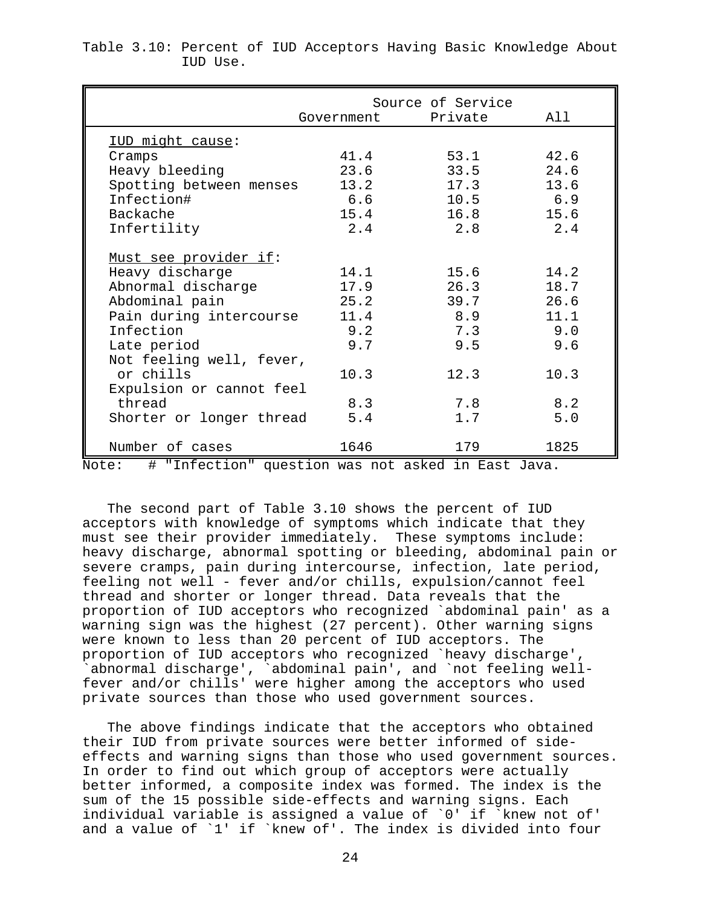|                          |                    | Source of Service |      |
|--------------------------|--------------------|-------------------|------|
|                          | Government Private |                   | All  |
| IUD might cause:         |                    |                   |      |
| Cramps                   | 41.4               | 53.1              | 42.6 |
| Heavy bleeding           | 23.6               | 33.5              | 24.6 |
| Spotting between menses  | 13.2               | 17.3              | 13.6 |
| Infection#               | 6.6                | 10.5              | 6.9  |
| Backache                 | 15.4               | 16.8              | 15.6 |
| Infertility              | 2.4                | 2.8               | 2.4  |
| Must see provider if:    |                    |                   |      |
| Heavy discharge          | 14.1               | 15.6              | 14.2 |
| Abnormal discharge       | 17.9               | 26.3              | 18.7 |
| Abdominal pain           | 25.2               | 39.7              | 26.6 |
| Pain during intercourse  | 11.4               | 8.9               | 11.1 |
| Infection                | 9.2                | 7.3               | 9.0  |
| Late period              | 9.7                | 9.5               | 9.6  |
| Not feeling well, fever, |                    |                   |      |
| or chills                | 10.3               | 12.3              | 10.3 |
| Expulsion or cannot feel |                    |                   |      |
| thread                   | 8.3                | 7.8               | 8.2  |
| Shorter or longer thread | 5.4                | 1.7               | 5.0  |
| Number of cases          | 1646               | 179               | 1825 |

|  |          |  |  | Table 3.10: Percent of IUD Acceptors Having Basic Knowledge About |  |
|--|----------|--|--|-------------------------------------------------------------------|--|
|  | IUD Use. |  |  |                                                                   |  |

Note: # "Infection" question was not asked in East Java.

The second part of Table 3.10 shows the percent of IUD acceptors with knowledge of symptoms which indicate that they must see their provider immediately. These symptoms include: heavy discharge, abnormal spotting or bleeding, abdominal pain or severe cramps, pain during intercourse, infection, late period, feeling not well - fever and/or chills, expulsion/cannot feel thread and shorter or longer thread. Data reveals that the proportion of IUD acceptors who recognized `abdominal pain' as a warning sign was the highest (27 percent). Other warning signs were known to less than 20 percent of IUD acceptors. The proportion of IUD acceptors who recognized `heavy discharge', `abnormal discharge', `abdominal pain', and `not feeling wellfever and/or chills' were higher among the acceptors who used private sources than those who used government sources.

The above findings indicate that the acceptors who obtained their IUD from private sources were better informed of sideeffects and warning signs than those who used government sources. In order to find out which group of acceptors were actually better informed, a composite index was formed. The index is the sum of the 15 possible side-effects and warning signs. Each individual variable is assigned a value of `0' if `knew not of' and a value of `1' if `knew of'. The index is divided into four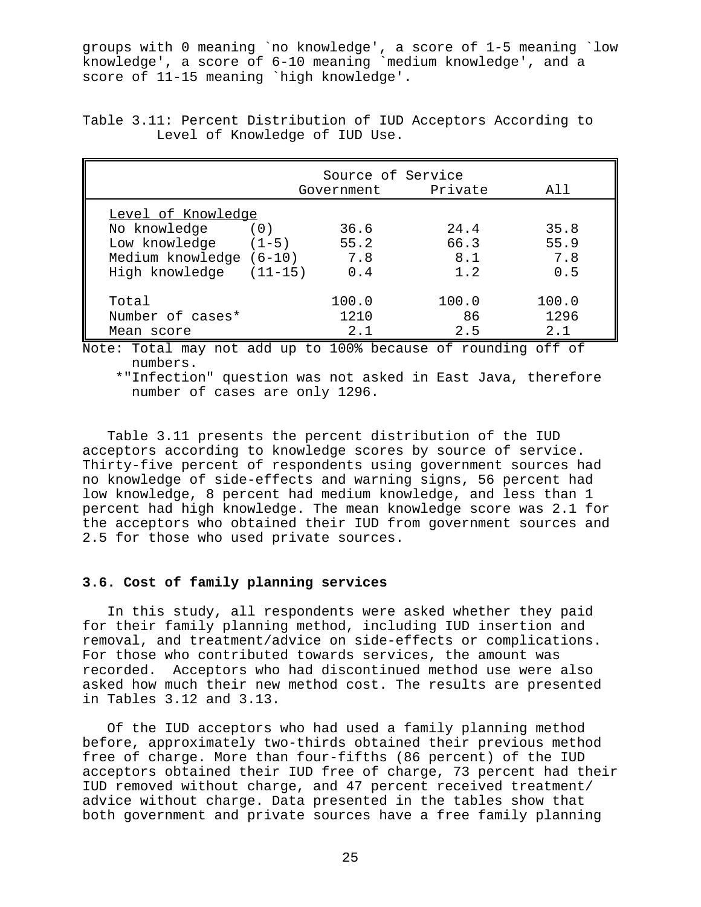groups with 0 meaning `no knowledge', a score of 1-5 meaning `low knowledge', a score of 6-10 meaning `medium knowledge', and a score of 11-15 meaning `high knowledge'.

|  |                                |  |  | Table 3.11: Percent Distribution of IUD Acceptors According to |  |
|--|--------------------------------|--|--|----------------------------------------------------------------|--|
|  | Level of Knowledge of IUD Use. |  |  |                                                                |  |
|  |                                |  |  |                                                                |  |

|                           | Source of Service  |       |       |
|---------------------------|--------------------|-------|-------|
|                           | Government Private |       | A 1 1 |
| Level of Knowledge        |                    |       |       |
| No knowledge (0)          | 36.6               | 24.4  | 35.8  |
| Low knowledge $(1-5)$     | 55.2               | 66.3  | 55.9  |
| Medium knowledge $(6-10)$ | 7.8                | 8.1   | 7.8   |
| High knowledge $(11-15)$  | 0.4                | 1.2   | 0.5   |
|                           |                    |       |       |
| Total                     | 100.0              | 100.0 | 100.0 |
| Number of cases*          | 1210               | 86    | 1296  |
| Mean score                | 2.1                | 2.5   | 2.1   |

Note: Total may not add up to 100% because of rounding off of numbers.

 \*"Infection" question was not asked in East Java, therefore number of cases are only 1296.

Table 3.11 presents the percent distribution of the IUD acceptors according to knowledge scores by source of service. Thirty-five percent of respondents using government sources had no knowledge of side-effects and warning signs, 56 percent had low knowledge, 8 percent had medium knowledge, and less than 1 percent had high knowledge. The mean knowledge score was 2.1 for the acceptors who obtained their IUD from government sources and 2.5 for those who used private sources.

## **3.6. Cost of family planning services**

In this study, all respondents were asked whether they paid for their family planning method, including IUD insertion and removal, and treatment/advice on side-effects or complications. For those who contributed towards services, the amount was recorded. Acceptors who had discontinued method use were also asked how much their new method cost. The results are presented in Tables 3.12 and 3.13.

Of the IUD acceptors who had used a family planning method before, approximately two-thirds obtained their previous method free of charge. More than four-fifths (86 percent) of the IUD acceptors obtained their IUD free of charge, 73 percent had their IUD removed without charge, and 47 percent received treatment/ advice without charge. Data presented in the tables show that both government and private sources have a free family planning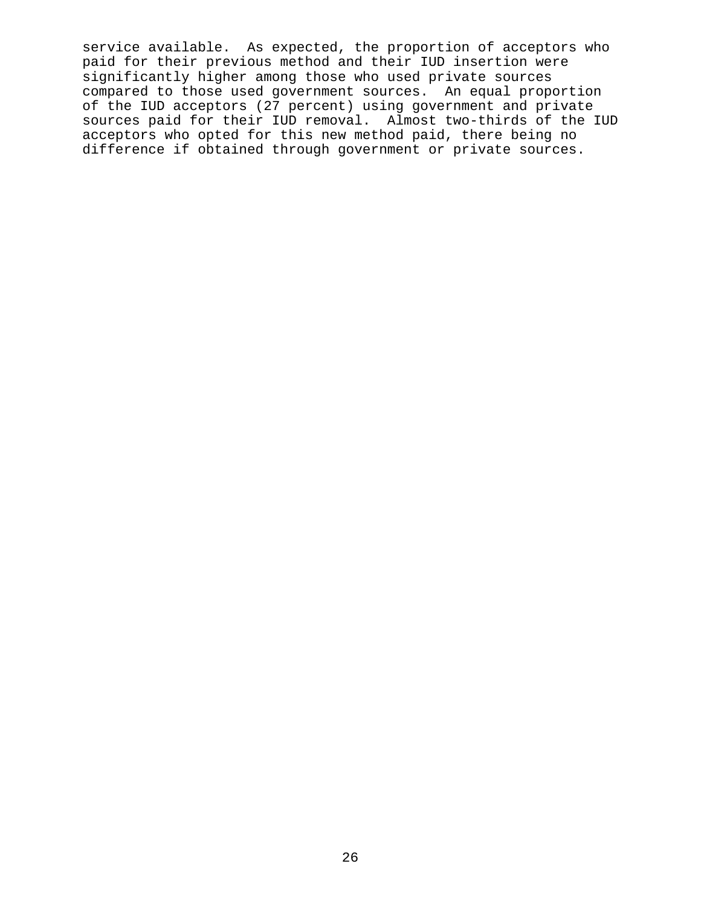service available. As expected, the proportion of acceptors who paid for their previous method and their IUD insertion were significantly higher among those who used private sources compared to those used government sources. An equal proportion of the IUD acceptors (27 percent) using government and private sources paid for their IUD removal. Almost two-thirds of the IUD acceptors who opted for this new method paid, there being no difference if obtained through government or private sources.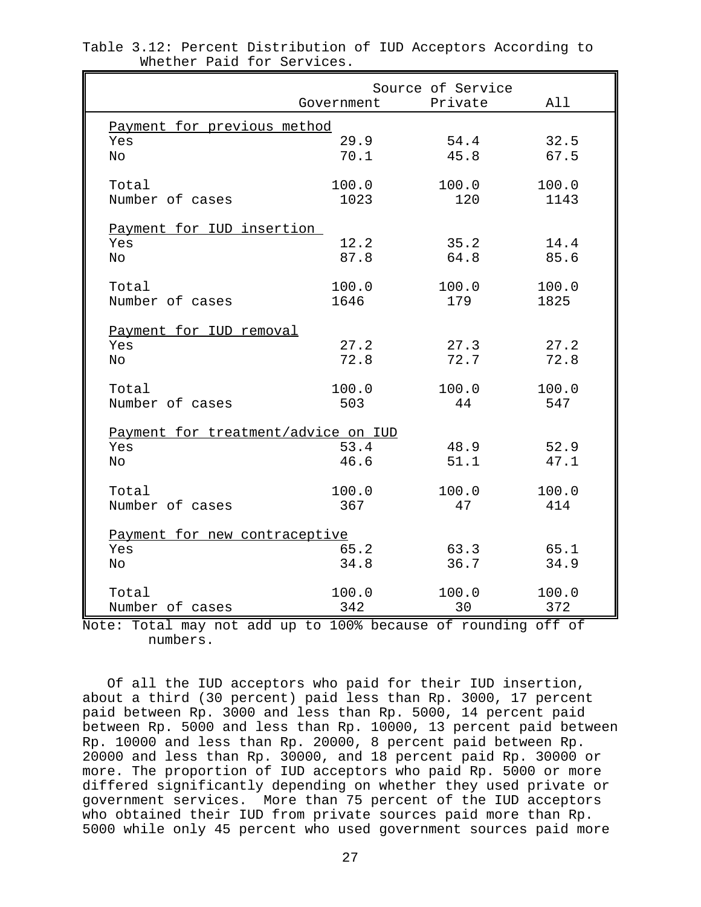|                                     | Government | Source of Service<br>Private | All   |
|-------------------------------------|------------|------------------------------|-------|
| Payment for previous method         |            |                              |       |
| Yes                                 | 29.9       | 54.4                         | 32.5  |
| No                                  | 70.1       | 45.8                         | 67.5  |
| Total                               | 100.0      | 100.0                        | 100.0 |
| Number of cases                     | 1023       | 120                          | 1143  |
| Payment for IUD insertion           |            |                              |       |
| Yes                                 | 12.2       | 35.2                         | 14.4  |
| No                                  | 87.8       | 64.8                         | 85.6  |
| Total                               | 100.0      | 100.0                        | 100.0 |
| Number of cases                     | 1646       | 179                          | 1825  |
| Payment for IUD removal             |            |                              |       |
| Yes                                 | 27.2       | 27.3                         | 27.2  |
| No                                  | 72.8       | 72.7                         | 72.8  |
| Total                               | 100.0      | 100.0                        | 100.0 |
| Number of cases                     | 503        | 44                           | 547   |
| Payment for treatment/advice on IUD |            |                              |       |
| Yes                                 | 53.4       | 48.9                         | 52.9  |
| No                                  | 46.6       | 51.1                         | 47.1  |
| Total                               | 100.0      | 100.0                        | 100.0 |
| Number of cases                     | 367        | 47                           | 414   |
| Payment for new contraceptive       |            |                              |       |
| Yes                                 | 65.2       | 63.3                         | 65.1  |
| No                                  | 34.8       | 36.7                         | 34.9  |
| Total                               | 100.0      | 100.0                        | 100.0 |
| Number of cases                     | 342        | 30                           | 372   |

|  |  |                            |  | Table 3.12: Percent Distribution of IUD Acceptors According to |  |
|--|--|----------------------------|--|----------------------------------------------------------------|--|
|  |  | Whether Paid for Services. |  |                                                                |  |

Note: Total may not add up to 100% because of rounding off of numbers.

Of all the IUD acceptors who paid for their IUD insertion, about a third (30 percent) paid less than Rp. 3000, 17 percent paid between Rp. 3000 and less than Rp. 5000, 14 percent paid between Rp. 5000 and less than Rp. 10000, 13 percent paid between Rp. 10000 and less than Rp. 20000, 8 percent paid between Rp. 20000 and less than Rp. 30000, and 18 percent paid Rp. 30000 or more. The proportion of IUD acceptors who paid Rp. 5000 or more differed significantly depending on whether they used private or government services. More than 75 percent of the IUD acceptors who obtained their IUD from private sources paid more than Rp. 5000 while only 45 percent who used government sources paid more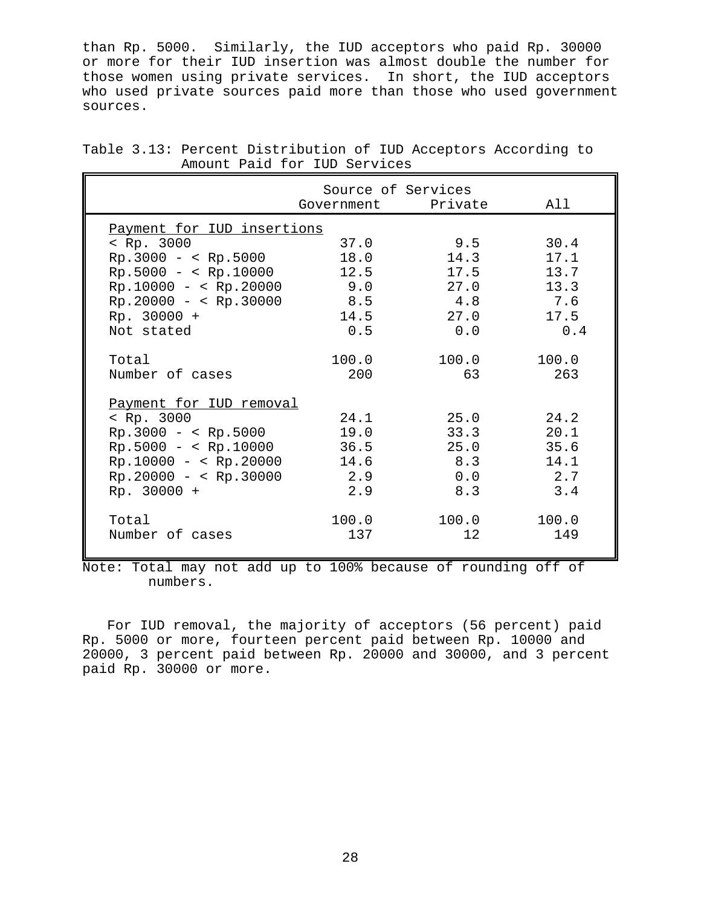than Rp. 5000. Similarly, the IUD acceptors who paid Rp. 30000 or more for their IUD insertion was almost double the number for those women using private services. In short, the IUD acceptors who used private sources paid more than those who used government sources.

|                            | Government Private | Source of Services | All   |
|----------------------------|--------------------|--------------------|-------|
|                            |                    |                    |       |
| Payment for IUD insertions |                    |                    |       |
| Rp. 3000                   | 37.0               | 9.5                | 30.4  |
| $Rp.3000 - < Rp.5000$      | 18.0               | 14.3               | 17.1  |
| $Rp.5000 - < Rp.10000$     | 12.5               | 17.5               | 13.7  |
| $Rp.10000 - < Rp.20000$    | 9.0                | 27.0               | 13.3  |
| $Rp.20000 - < Rp.30000$    | 8.5                | 4.8                | 7.6   |
| $Rp. 30000 +$              | 14.5               | 27.0               | 17.5  |
| Not stated                 | 0.5                | 0.0                | 0.4   |
|                            |                    |                    |       |
| Total                      | 100.0              | 100.0              | 100.0 |
| Number of cases            | 200                | 63                 | 263   |
| Payment for IUD removal    |                    |                    |       |
| Rp. 3000                   | 24.1               | 25.0               | 24.2  |
| $Rp.3000 - < Rp.5000$      | 19.0               | 33.3               | 20.1  |
| $Rp.5000 - < Rp.10000$     | 36.5               | 25.0               | 35.6  |
| $Rp.10000 - < Rp.20000$    | 14.6               | 8.3                | 14.1  |
| $Rp.20000 - < Rp.30000$    | 2.9                | 0.0                | 2.7   |
| Rp. 30000 +                | 2.9                | 8.3                | 3.4   |
|                            |                    |                    |       |
| Total                      | 100.0              | 100.0              | 100.0 |
| Number of cases            | 137                | 12                 | 149   |
|                            |                    |                    |       |

Table 3.13: Percent Distribution of IUD Acceptors According to Amount Paid for IUD Services

Note: Total may not add up to 100% because of rounding off of numbers.

For IUD removal, the majority of acceptors (56 percent) paid Rp. 5000 or more, fourteen percent paid between Rp. 10000 and 20000, 3 percent paid between Rp. 20000 and 30000, and 3 percent paid Rp. 30000 or more.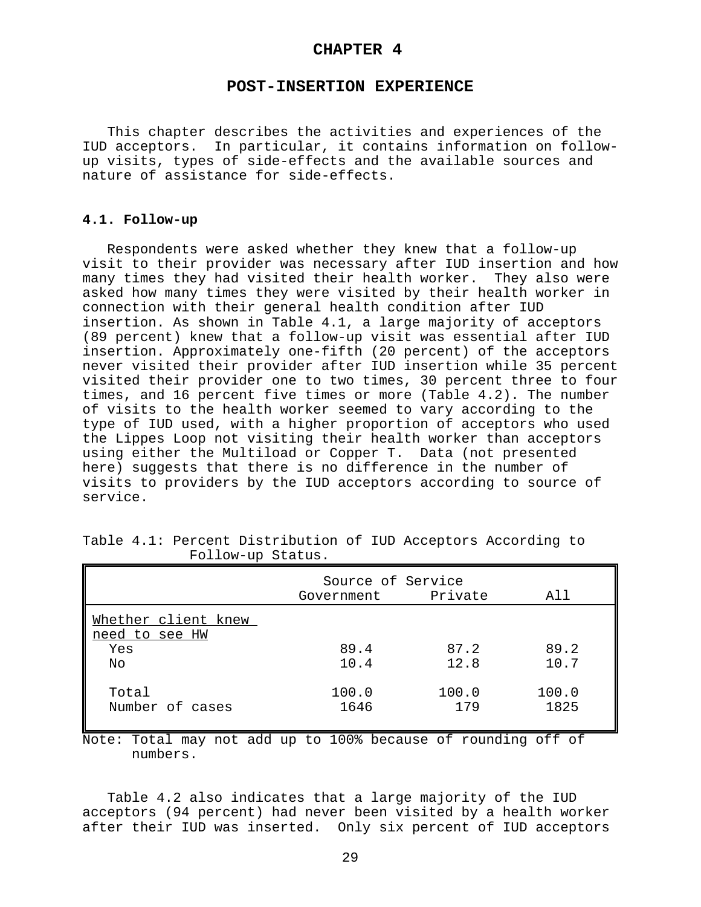### **CHAPTER 4**

#### **POST-INSERTION EXPERIENCE**

This chapter describes the activities and experiences of the IUD acceptors. In particular, it contains information on followup visits, types of side-effects and the available sources and nature of assistance for side-effects.

#### **4.1. Follow-up**

Respondents were asked whether they knew that a follow-up visit to their provider was necessary after IUD insertion and how many times they had visited their health worker. They also were asked how many times they were visited by their health worker in connection with their general health condition after IUD insertion. As shown in Table 4.1, a large majority of acceptors (89 percent) knew that a follow-up visit was essential after IUD insertion. Approximately one-fifth (20 percent) of the acceptors never visited their provider after IUD insertion while 35 percent visited their provider one to two times, 30 percent three to four times, and 16 percent five times or more (Table 4.2). The number of visits to the health worker seemed to vary according to the type of IUD used, with a higher proportion of acceptors who used the Lippes Loop not visiting their health worker than acceptors using either the Multiload or Copper T. Data (not presented here) suggests that there is no difference in the number of visits to providers by the IUD acceptors according to source of service.

|                                       | Source of Service |              |               |  |  |  |
|---------------------------------------|-------------------|--------------|---------------|--|--|--|
|                                       | Government        | Private      | All           |  |  |  |
| Whether client knew<br>need to see HW |                   |              |               |  |  |  |
| Yes                                   | 89.4              | 87.2         | 89.2          |  |  |  |
| No                                    | 10.4              | 12.8         | 10.7          |  |  |  |
| Total<br>Number of cases              | 100.0<br>1646     | 100.0<br>179 | 100.0<br>1825 |  |  |  |

Table 4.1: Percent Distribution of IUD Acceptors According to Follow-up Status.

Note: Total may not add up to 100% because of rounding off of numbers.

Table 4.2 also indicates that a large majority of the IUD acceptors (94 percent) had never been visited by a health worker after their IUD was inserted. Only six percent of IUD acceptors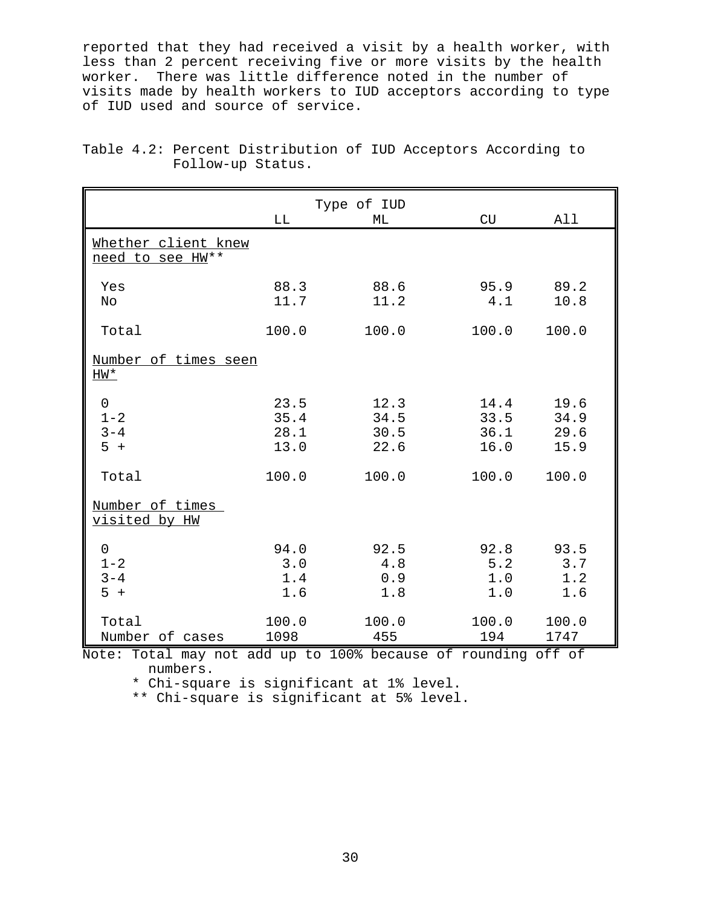reported that they had received a visit by a health worker, with less than 2 percent receiving five or more visits by the health worker. There was little difference noted in the number of visits made by health workers to IUD acceptors according to type of IUD used and source of service.

|                                         |                              | Type of IUD                  |                              |                              |
|-----------------------------------------|------------------------------|------------------------------|------------------------------|------------------------------|
|                                         | $\mathbf{L}\mathbf{L}$       | МL                           | CU                           | All                          |
| Whether client knew<br>need to see HW** |                              |                              |                              |                              |
| Yes<br>No                               | 88.3<br>11.7                 | 88.6<br>11.2                 | 95.9<br>4.1                  | 89.2<br>10.8                 |
| Total                                   | 100.0                        | 100.0                        | 100.0                        | 100.0                        |
| Number of times seen<br>$HW*$           |                              |                              |                              |                              |
| 0<br>$1 - 2$<br>$3 - 4$<br>$5 +$        | 23.5<br>35.4<br>28.1<br>13.0 | 12.3<br>34.5<br>30.5<br>22.6 | 14.4<br>33.5<br>36.1<br>16.0 | 19.6<br>34.9<br>29.6<br>15.9 |
| Total                                   | 100.0                        | 100.0                        | 100.0                        | 100.0                        |
| Number of times<br><u>visited by HW</u> |                              |                              |                              |                              |
| 0<br>$1 - 2$<br>$3 - 4$<br>$5 +$        | 94.0<br>3.0<br>1.4<br>1.6    | 92.5<br>4.8<br>0.9<br>1.8    | 92.8<br>5.2<br>1.0<br>1.0    | 93.5<br>3.7<br>1.2<br>1.6    |
| Total<br>Number of cases                | 100.0<br>1098                | 100.0<br>455                 | 100.0<br>194                 | 100.0<br>1747                |

Table 4.2: Percent Distribution of IUD Acceptors According to Follow-up Status.

Note: Total may not add up to 100% because of rounding off of numbers.

\* Chi-square is significant at 1% level.

\*\* Chi-square is significant at 5% level.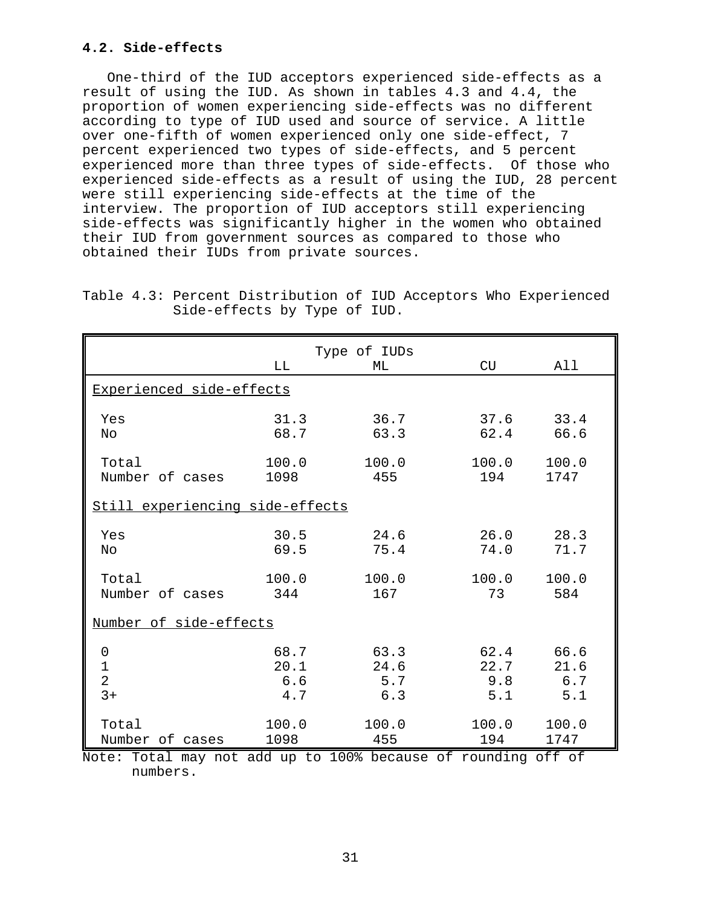# **4.2. Side-effects**

One-third of the IUD acceptors experienced side-effects as a result of using the IUD. As shown in tables 4.3 and 4.4, the proportion of women experiencing side-effects was no different according to type of IUD used and source of service. A little over one-fifth of women experienced only one side-effect, 7 percent experienced two types of side-effects, and 5 percent experienced more than three types of side-effects. Of those who experienced side-effects as a result of using the IUD, 28 percent were still experiencing side-effects at the time of the interview. The proportion of IUD acceptors still experiencing side-effects was significantly higher in the women who obtained their IUD from government sources as compared to those who obtained their IUDs from private sources.

|                                                                           | Type of IUDs |       |       |       |  |  |  |  |
|---------------------------------------------------------------------------|--------------|-------|-------|-------|--|--|--|--|
|                                                                           | LL           | ML    | CU    | All   |  |  |  |  |
| Experienced side-effects                                                  |              |       |       |       |  |  |  |  |
| Yes                                                                       | 31.3         | 36.7  | 37.6  | 33.4  |  |  |  |  |
| No                                                                        | 68.7         | 63.3  | 62.4  | 66.6  |  |  |  |  |
| Total                                                                     | 100.0        | 100.0 | 100.0 | 100.0 |  |  |  |  |
| Number of cases                                                           | 1098         | 455   | 194   | 1747  |  |  |  |  |
| Still experiencing side-effects                                           |              |       |       |       |  |  |  |  |
| Yes                                                                       | 30.5         | 24.6  | 26.0  | 28.3  |  |  |  |  |
| No                                                                        | 69.5         | 75.4  | 74.0  | 71.7  |  |  |  |  |
| Total                                                                     | 100.0        | 100.0 | 100.0 | 100.0 |  |  |  |  |
| Number of cases                                                           | 344          | 167   | 73    | 584   |  |  |  |  |
| Number of side-effects                                                    |              |       |       |       |  |  |  |  |
| $\overline{0}$                                                            | 68.7         | 63.3  | 62.4  | 66.6  |  |  |  |  |
| $\mathbf 1$                                                               | 20.1         | 24.6  | 22.7  | 21.6  |  |  |  |  |
| $\overline{2}$                                                            | 6.6          | 5.7   | 9.8   | 6.7   |  |  |  |  |
| $3+$                                                                      | 4.7          | 6.3   | 5.1   | 5.1   |  |  |  |  |
| Total                                                                     | 100.0        | 100.0 | 100.0 | 100.0 |  |  |  |  |
| Number of cases                                                           | 1098         | 455   | 194   | 1747  |  |  |  |  |
| Note: Total may not add up to 100% because of rounding off of<br>numbers. |              |       |       |       |  |  |  |  |

Table 4.3: Percent Distribution of IUD Acceptors Who Experienced Side-effects by Type of IUD.

31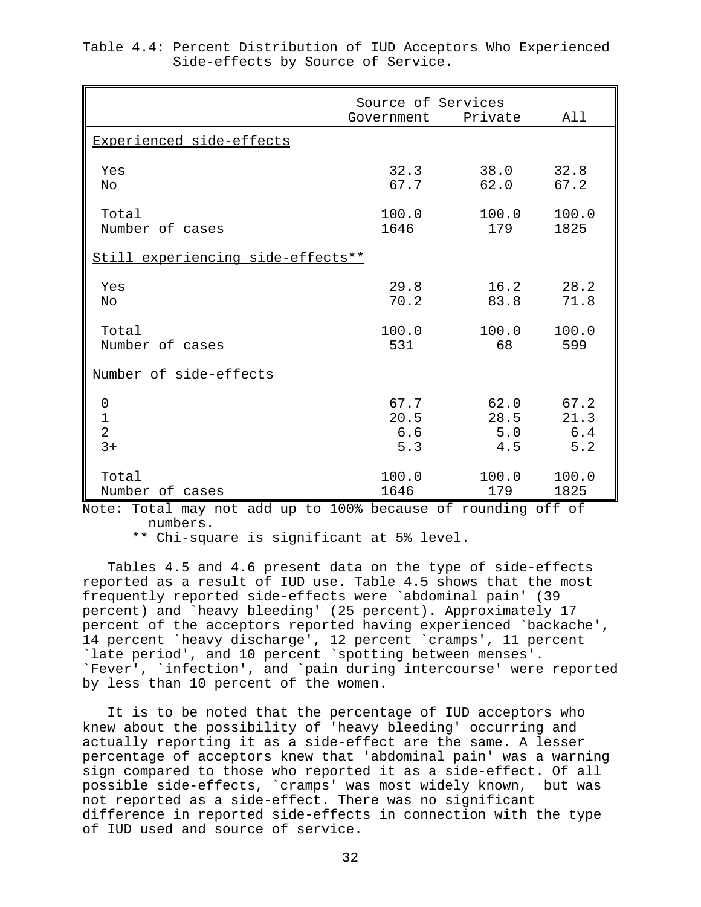|                                   | Source of Services<br>Government | Private | All       |
|-----------------------------------|----------------------------------|---------|-----------|
| Experienced side-effects          |                                  |         |           |
| Yes                               | 32.3                             | 38.0    | 32.8      |
| No                                | 67.7                             | 62.0    | 67.2      |
| Total                             | 100.0                            | 100.0   | 100.0     |
| Number of cases                   | 1646                             | 179     | 1825      |
| Still experiencing side-effects** |                                  |         |           |
| Yes                               | 29.8                             | 83.8    | 16.2 28.2 |
| No                                | 70.2                             |         | 71.8      |
| Total                             | 100.0                            | 100.0   | 100.0     |
| Number of cases                   | 531                              | 68      | 599       |
| Number of side-effects            |                                  |         |           |
| $\Omega$                          | 67.7                             | 62.0    | 67.2      |
| $\mathbf 1$                       | 20.5                             | 28.5    | 21.3      |
| $\overline{a}$                    | 6.6                              | 5.0     | 6.4       |
| $3+$                              | 5.3                              | 4.5     | $5.2$     |
| Total                             | 100.0                            | 100.0   | 100.0     |
| Number of cases                   | 1646                             | 179     | 1825      |

|  |                                    |  |  | Table 4.4: Percent Distribution of IUD Acceptors Who Experienced |
|--|------------------------------------|--|--|------------------------------------------------------------------|
|  | Side-effects by Source of Service. |  |  |                                                                  |

Note: Total may not add up to 100% because of rounding off of numbers.

\*\* Chi-square is significant at 5% level.

Tables 4.5 and 4.6 present data on the type of side-effects reported as a result of IUD use. Table 4.5 shows that the most frequently reported side-effects were `abdominal pain' (39 percent) and `heavy bleeding' (25 percent). Approximately 17 percent of the acceptors reported having experienced `backache', 14 percent `heavy discharge', 12 percent `cramps', 11 percent `late period', and 10 percent `spotting between menses'. `Fever', `infection', and `pain during intercourse' were reported by less than 10 percent of the women.

It is to be noted that the percentage of IUD acceptors who knew about the possibility of 'heavy bleeding' occurring and actually reporting it as a side-effect are the same. A lesser percentage of acceptors knew that 'abdominal pain' was a warning sign compared to those who reported it as a side-effect. Of all possible side-effects, `cramps' was most widely known, but was not reported as a side-effect. There was no significant difference in reported side-effects in connection with the type of IUD used and source of service.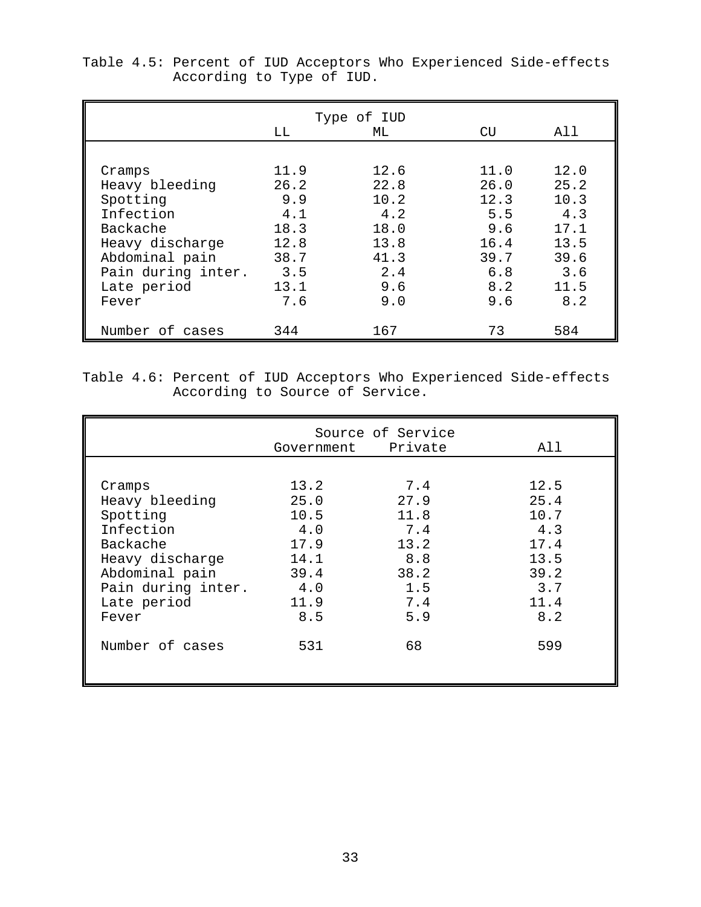|                    |      | Type of IUD |      |      |
|--------------------|------|-------------|------|------|
|                    | LL   | МL          | CU   | All  |
|                    |      |             |      |      |
| Cramps             | 11.9 | 12.6        | 11.0 | 12.0 |
| Heavy bleeding     | 26.2 | 22.8        | 26.0 | 25.2 |
| Spotting           | 9.9  | 10.2        | 12.3 | 10.3 |
| Infection          | 4.1  | 4.2         | 5.5  | 4.3  |
| Backache           | 18.3 | 18.0        | 9.6  | 17.1 |
| Heavy discharge    | 12.8 | 13.8        | 16.4 | 13.5 |
| Abdominal pain     | 38.7 | 41.3        | 39.7 | 39.6 |
| Pain during inter. | 3.5  | 2.4         | 6.8  | 3.6  |
| Late period        | 13.1 | 9.6         | 8.2  | 11.5 |
| Fever              | 7.6  | 9.0         | 9.6  | 8.2  |
| Number of cases    | 344  | 167         | 73   | 584  |

Table 4.5: Percent of IUD Acceptors Who Experienced Side-effects According to Type of IUD.

Table 4.6: Percent of IUD Acceptors Who Experienced Side-effects According to Source of Service.

|                    | Source of Service  |      |      |  |  |  |
|--------------------|--------------------|------|------|--|--|--|
|                    | Government Private |      | All  |  |  |  |
|                    |                    |      |      |  |  |  |
| Cramps             | 13.2               | 7.4  | 12.5 |  |  |  |
| Heavy bleeding     | 25.0               | 27.9 | 25.4 |  |  |  |
| Spotting           | 10.5               | 11.8 | 10.7 |  |  |  |
| Infection          | 4.0                | 7.4  | 4.3  |  |  |  |
| Backache           | 17.9               | 13.2 | 17.4 |  |  |  |
| Heavy discharge    | 14.1               | 8.8  | 13.5 |  |  |  |
| Abdominal pain     | 39.4               | 38.2 | 39.2 |  |  |  |
| Pain during inter. | 4.0                | 1.5  | 3.7  |  |  |  |
| Late period        | 11.9               | 7.4  | 11.4 |  |  |  |
| Fever              | 8.5                | 5.9  | 8.2  |  |  |  |
| Number of cases    | 531                | 68   | 599  |  |  |  |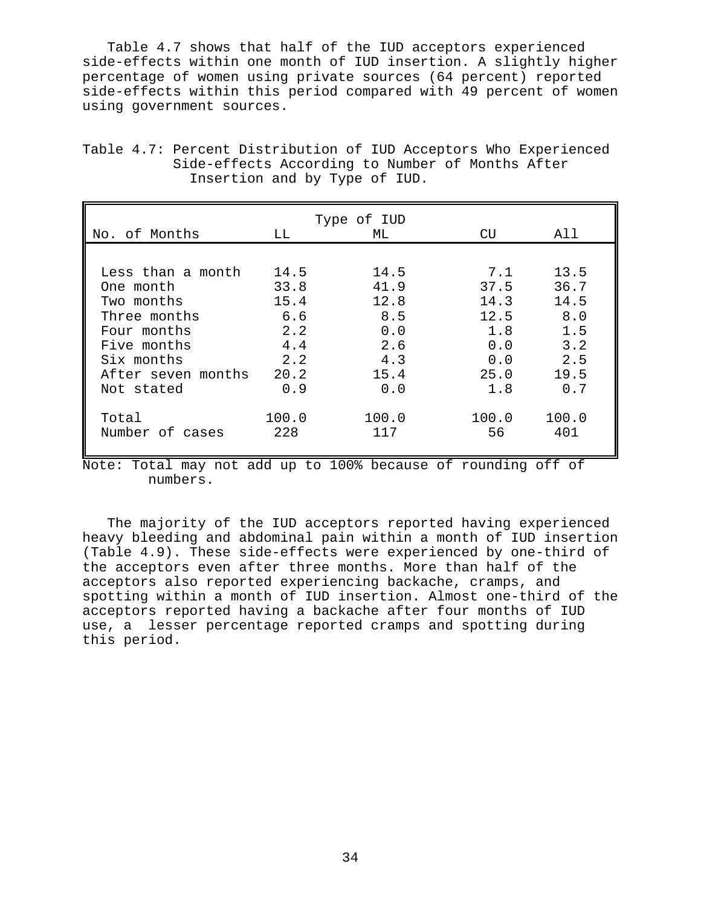Table 4.7 shows that half of the IUD acceptors experienced side-effects within one month of IUD insertion. A slightly higher percentage of women using private sources (64 percent) reported side-effects within this period compared with 49 percent of women using government sources.

| Type of IUD        |       |       |       |       |  |  |  |  |  |  |
|--------------------|-------|-------|-------|-------|--|--|--|--|--|--|
| No. of Months      | LL.   | ML    | CU    | All   |  |  |  |  |  |  |
|                    |       |       |       |       |  |  |  |  |  |  |
| Less than a month  | 14.5  | 14.5  | 7.1   | 13.5  |  |  |  |  |  |  |
| One month          | 33.8  | 41.9  | 37.5  | 36.7  |  |  |  |  |  |  |
| Two months         | 15.4  | 12.8  | 14.3  | 14.5  |  |  |  |  |  |  |
| Three months       | 6.6   | 8.5   | 12.5  | 8.0   |  |  |  |  |  |  |
| Four months        | 2.2   | 0.0   | 1.8   | 1.5   |  |  |  |  |  |  |
| Five months        | 4.4   | 2.6   | 0.0   | 3.2   |  |  |  |  |  |  |
| Six months         | 2.2   | 4.3   | 0.0   | 2.5   |  |  |  |  |  |  |
| After seven months | 20.2  | 15.4  | 25.0  | 19.5  |  |  |  |  |  |  |
| Not stated         | 0.9   | 0.0   | 1.8   | 0.7   |  |  |  |  |  |  |
|                    |       |       |       |       |  |  |  |  |  |  |
| Total              | 100.0 | 100.0 | 100.0 | 100.0 |  |  |  |  |  |  |
| Number of cases    | 228   | 117   | 56    | 401   |  |  |  |  |  |  |

Table 4.7: Percent Distribution of IUD Acceptors Who Experienced Side-effects According to Number of Months After Insertion and by Type of IUD.

Note: Total may not add up to 100% because of rounding off of numbers.

The majority of the IUD acceptors reported having experienced heavy bleeding and abdominal pain within a month of IUD insertion (Table 4.9). These side-effects were experienced by one-third of the acceptors even after three months. More than half of the acceptors also reported experiencing backache, cramps, and spotting within a month of IUD insertion. Almost one-third of the acceptors reported having a backache after four months of IUD use, a lesser percentage reported cramps and spotting during this period.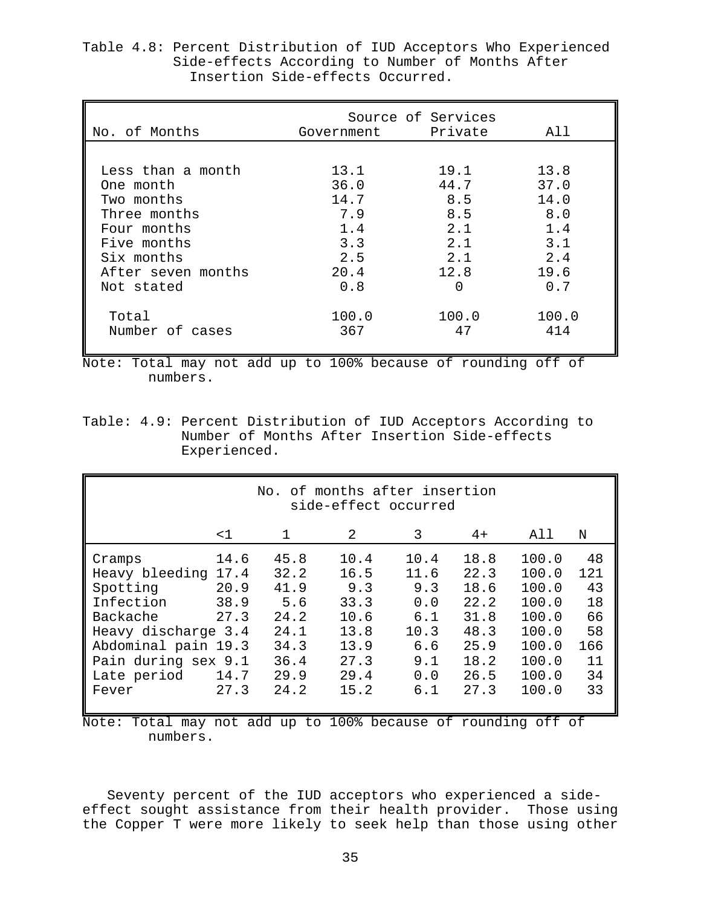| No. of Months                                | Government Private   | Source of Services  | All                  |
|----------------------------------------------|----------------------|---------------------|----------------------|
|                                              |                      |                     |                      |
| Less than a month<br>One month<br>Two months | 13.1<br>36.0<br>14.7 | 19.1<br>44.7<br>8.5 | 13.8<br>37.0<br>14.0 |
| Three months                                 | 7.9                  | 8.5                 | 8.0                  |
| Four months                                  | 1.4                  | 2.1                 | 1.4                  |
| Five months                                  | 3.3                  | 2.1                 | 3.1                  |
| Six months                                   | 2.5                  | 2.1                 | 2.4                  |
| After seven months                           | 20.4                 | 12.8                | 19.6                 |
| Not stated                                   | 0.8                  | $\Omega$            | 0.7                  |
| Total<br>Number of cases                     | 100.0<br>367         | 100.0<br>47         | 100.0<br>414         |

Table 4.8: Percent Distribution of IUD Acceptors Who Experienced Side-effects According to Number of Months After Insertion Side-effects Occurred.

Note: Total may not add up to 100% because of rounding off of numbers.

Table: 4.9: Percent Distribution of IUD Acceptors According to Number of Months After Insertion Side-effects Experienced.

| No. of months after insertion<br>side-effect occurred |      |      |                        |      |                                                             |       |     |  |
|-------------------------------------------------------|------|------|------------------------|------|-------------------------------------------------------------|-------|-----|--|
|                                                       | <1   | 1    | 2                      | 3    | $4+$                                                        | All   | N   |  |
| Cramps                                                | 14.6 | 45.8 | 10.4                   | 10.4 | 18.8                                                        | 100.0 | 48  |  |
| Heavy bleeding                                        | 17.4 | 32.2 | 16.5                   | 11.6 | 22.3                                                        | 100.0 | 121 |  |
| Spotting                                              | 20.9 | 41.9 | 9.3                    | 9.3  | 18.6                                                        | 100.0 | 43  |  |
| Infection                                             | 38.9 | 5.6  | 33.3                   | 0.0  | 22.2                                                        | 100.0 | 18  |  |
| Backache                                              | 27.3 | 24.2 | 10.6                   | 6.1  | 31.8                                                        | 100.0 | 66  |  |
| Heavy discharge 3.4                                   |      | 24.1 | 13.8                   | 10.3 | 48.3                                                        | 100.0 | 58  |  |
| Abdominal pain 19.3                                   |      | 34.3 | 13.9                   | 6.6  | 25.9                                                        | 100.0 | 166 |  |
| Pain during sex 9.1                                   |      | 36.4 | 27.3                   | 9.1  | 18.2                                                        | 100.0 | 11  |  |
| Late period                                           | 14.7 | 29.9 | 29.4                   | 0.0  | 26.5                                                        | 100.0 | 34  |  |
| Fever                                                 | 27.3 | 24.2 | 15.2                   | 6.1  | 27.3                                                        | 100.0 | 33  |  |
| 77 – L                                                |      |      | $-2$ $-2$ $-1000$ $-1$ |      | $\overline{z}$ $\overline{z}$ $\overline{z}$ $\overline{z}$ |       |     |  |

Note: Total may not add up to 100% because of rounding off of numbers.

Seventy percent of the IUD acceptors who experienced a sideeffect sought assistance from their health provider. Those using the Copper T were more likely to seek help than those using other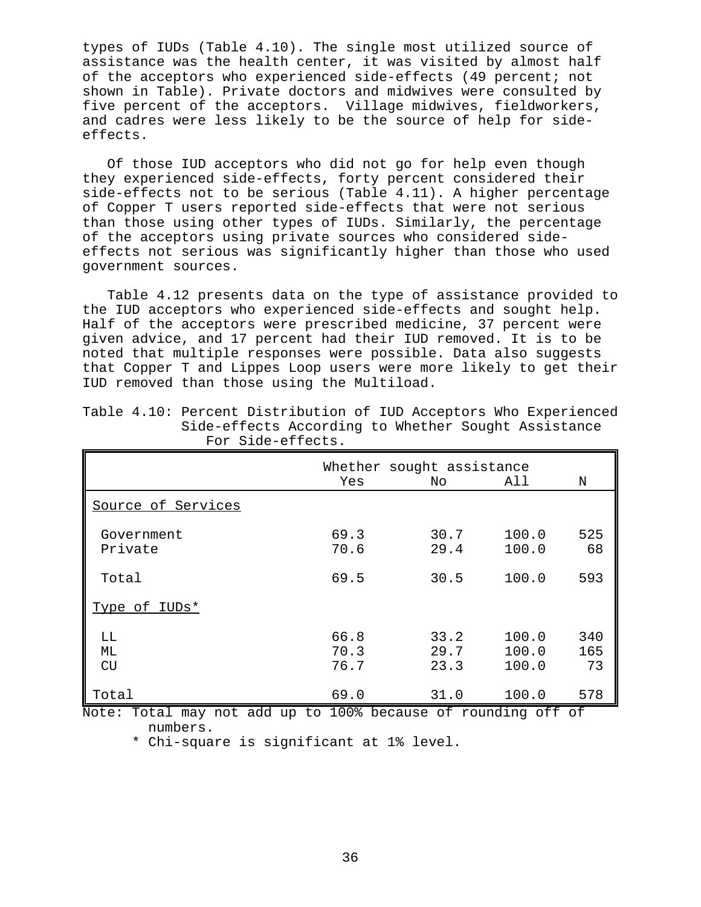types of IUDs (Table 4.10). The single most utilized source of assistance was the health center, it was visited by almost half of the acceptors who experienced side-effects (49 percent; not shown in Table). Private doctors and midwives were consulted by five percent of the acceptors. Village midwives, fieldworkers, and cadres were less likely to be the source of help for sideeffects.

Of those IUD acceptors who did not go for help even though they experienced side-effects, forty percent considered their side-effects not to be serious (Table 4.11). A higher percentage of Copper T users reported side-effects that were not serious than those using other types of IUDs. Similarly, the percentage of the acceptors using private sources who considered sideeffects not serious was significantly higher than those who used government sources.

Table 4.12 presents data on the type of assistance provided to the IUD acceptors who experienced side-effects and sought help. Half of the acceptors were prescribed medicine, 37 percent were given advice, and 17 percent had their IUD removed. It is to be noted that multiple responses were possible. Data also suggests that Copper T and Lippes Loop users were more likely to get their IUD removed than those using the Multiload.

| ∸ ∪<br>UTAL CITCLA.   |                      |                                  |                         |                  |  |  |  |  |
|-----------------------|----------------------|----------------------------------|-------------------------|------------------|--|--|--|--|
|                       | Yes                  | Whether sought assistance<br>No. | All                     | N                |  |  |  |  |
| Source of Services    |                      |                                  |                         |                  |  |  |  |  |
| Government<br>Private | 69.3<br>70.6         | 30.7<br>29.4                     | 100.0<br>100.0          | 525<br>68        |  |  |  |  |
| Total                 | 69.5                 | 30.5                             | 100.0                   | 593              |  |  |  |  |
| Type of IUDs*         |                      |                                  |                         |                  |  |  |  |  |
| LL<br>МL<br>CU        | 66.8<br>70.3<br>76.7 | 33.2<br>29.7<br>23.3             | 100.0<br>100.0<br>100.0 | 340<br>165<br>73 |  |  |  |  |
| Total                 | 69.0                 | 31.0                             | 100.0                   | 578              |  |  |  |  |

Table 4.10: Percent Distribution of IUD Acceptors Who Experienced Side-effects According to Whether Sought Assistance For Side-effects.

Note: Total may not add up to 100% because of rounding off of numbers.

\* Chi-square is significant at 1% level.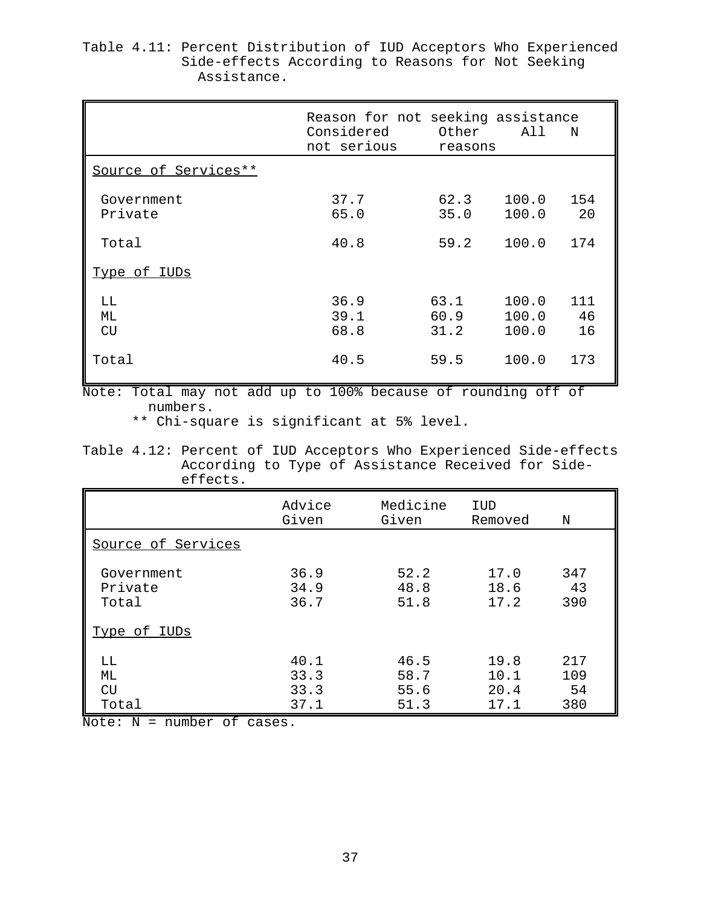# Table 4.11: Percent Distribution of IUD Acceptors Who Experienced Side-effects According to Reasons for Not Seeking Assistance.

|                       | Reason for not seeking assistance<br>Considered<br>not serious | Other<br>reasons     | All                     | N               |
|-----------------------|----------------------------------------------------------------|----------------------|-------------------------|-----------------|
| Source of Services**  |                                                                |                      |                         |                 |
| Government<br>Private | 37.7<br>65.0                                                   | 62.3<br>35.0         | 100.0<br>100.0          | 154<br>20       |
| Total                 | 40.8                                                           | 59.2                 | 100.0                   | 174             |
| Type of IUDs          |                                                                |                      |                         |                 |
| LL<br>МL<br>CU        | 36.9<br>39.1<br>68.8                                           | 63.1<br>60.9<br>31.2 | 100.0<br>100.0<br>100.0 | 111<br>46<br>16 |
| Total                 | 40.5                                                           | 59.5                 | 100.0                   | 173             |

Note: Total may not add up to 100% because of rounding off of numbers.

\*\* Chi-square is significant at 5% level.

### Table 4.12: Percent of IUD Acceptors Who Experienced Side-effects According to Type of Assistance Received for Side effects.

|                                                       | Advice<br>Given              | Medicine<br>Given            | IUD<br>Removed               | N                       |
|-------------------------------------------------------|------------------------------|------------------------------|------------------------------|-------------------------|
| Source of Services                                    |                              |                              |                              |                         |
| Government<br>Private<br>Total<br><u>Type of IUDs</u> | 36.9<br>34.9<br>36.7         | 52.2<br>48.8<br>51.8         | 17.0<br>18.6<br>17.2         | 347<br>43<br>390        |
| LL<br>ML<br>CU<br>Total                               | 40.1<br>33.3<br>33.3<br>37.1 | 46.5<br>58.7<br>55.6<br>51.3 | 19.8<br>10.1<br>20.4<br>17.1 | 217<br>109<br>54<br>380 |

Note: N = number of cases.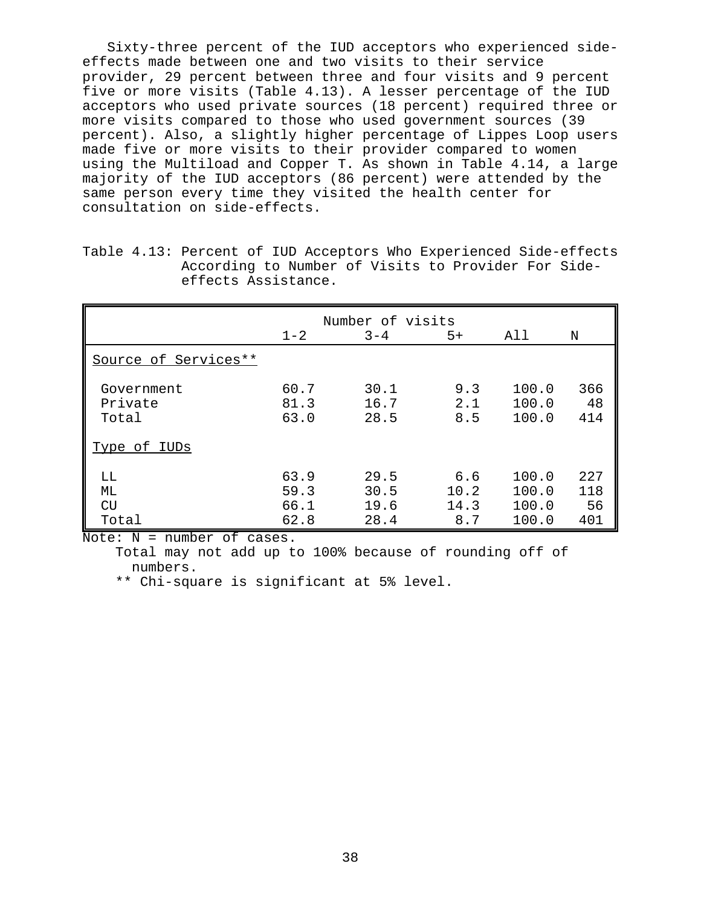Sixty-three percent of the IUD acceptors who experienced sideeffects made between one and two visits to their service provider, 29 percent between three and four visits and 9 percent five or more visits (Table 4.13). A lesser percentage of the IUD acceptors who used private sources (18 percent) required three or more visits compared to those who used government sources (39 percent). Also, a slightly higher percentage of Lippes Loop users made five or more visits to their provider compared to women using the Multiload and Copper T. As shown in Table 4.14, a large majority of the IUD acceptors (86 percent) were attended by the same person every time they visited the health center for consultation on side-effects.

Table 4.13: Percent of IUD Acceptors Who Experienced Side-effects According to Number of Visits to Provider For Side effects Assistance.

|                                | Number of visits     |                      |                     |                         |                  |  |  |  |
|--------------------------------|----------------------|----------------------|---------------------|-------------------------|------------------|--|--|--|
|                                | $1 - 2$              | $3 - 4$              | $5+$                | All                     | N                |  |  |  |
| Source of Services**           |                      |                      |                     |                         |                  |  |  |  |
| Government<br>Private<br>Total | 60.7<br>81.3<br>63.0 | 30.1<br>16.7<br>28.5 | 9.3<br>2.1<br>8.5   | 100.0<br>100.0<br>100.0 | 366<br>48<br>414 |  |  |  |
| <u>Type of IUDs</u>            |                      |                      |                     |                         |                  |  |  |  |
| LL<br>ML<br>CU                 | 63.9<br>59.3<br>66.1 | 29.5<br>30.5<br>19.6 | 6.6<br>10.2<br>14.3 | 100.0<br>100.0<br>100.0 | 227<br>118<br>56 |  |  |  |
| Total                          | 62.8                 | 28.4                 | 8.7                 | 100.0                   | 401              |  |  |  |

Note: N = number of cases.

 Total may not add up to 100% because of rounding off of numbers.

\*\* Chi-square is significant at 5% level.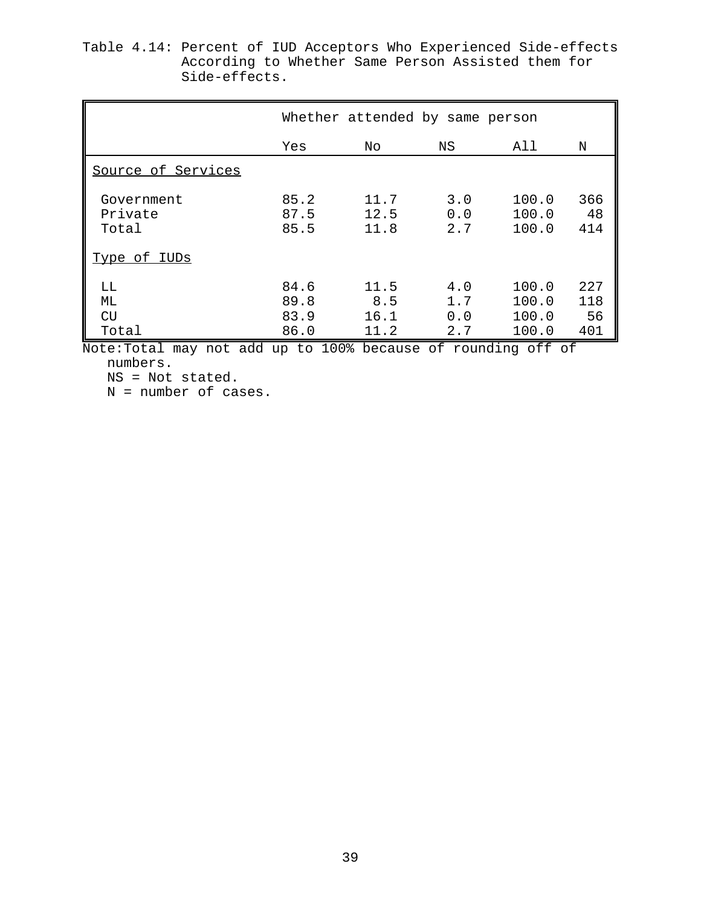Table 4.14: Percent of IUD Acceptors Who Experienced Side-effects According to Whether Same Person Assisted them for Side-effects.

|                                                       | Whether attended by same person |                             |                          |                                  |                         |  |  |
|-------------------------------------------------------|---------------------------------|-----------------------------|--------------------------|----------------------------------|-------------------------|--|--|
|                                                       | Yes                             | No.                         | ΝS                       | All                              | N                       |  |  |
| Source of Services                                    |                                 |                             |                          |                                  |                         |  |  |
| Government<br>Private<br>Total<br><u>Type of IUDs</u> | 85.2<br>87.5<br>85.5            | 11.7<br>12.5<br>11.8        | 3.0<br>0.0<br>2.7        | 100.0<br>100.0<br>100.0          | 366<br>48<br>414        |  |  |
| LL<br>МL<br>CU<br>Total                               | 84.6<br>89.8<br>83.9<br>86.0    | 11.5<br>8.5<br>16.1<br>11.2 | 4.0<br>1.7<br>0.0<br>2.7 | 100.0<br>100.0<br>100.0<br>100.0 | 227<br>118<br>56<br>401 |  |  |

Note:Total may not add up to 100% because of rounding off of numbers.

NS = Not stated.

N = number of cases.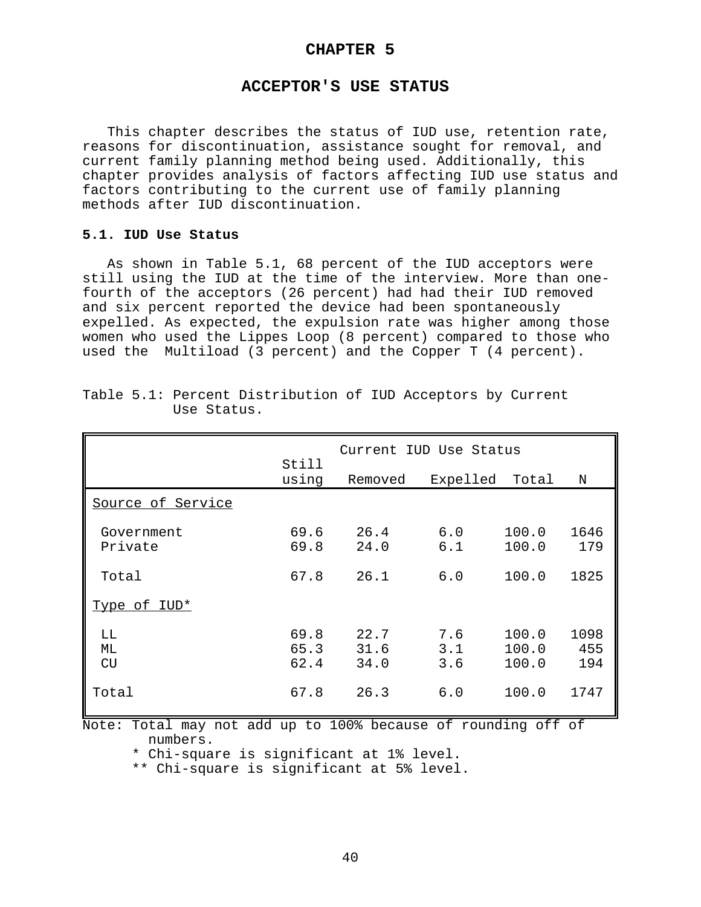# **CHAPTER 5**

### **ACCEPTOR'S USE STATUS**

This chapter describes the status of IUD use, retention rate, reasons for discontinuation, assistance sought for removal, and current family planning method being used. Additionally, this chapter provides analysis of factors affecting IUD use status and factors contributing to the current use of family planning methods after IUD discontinuation.

### **5.1. IUD Use Status**

As shown in Table 5.1, 68 percent of the IUD acceptors were still using the IUD at the time of the interview. More than onefourth of the acceptors (26 percent) had had their IUD removed and six percent reported the device had been spontaneously expelled. As expected, the expulsion rate was higher among those women who used the Lippes Loop (8 percent) compared to those who used the Multiload (3 percent) and the Copper T (4 percent).

|                       |                      | Current IUD Use Status |                   |                         |                    |
|-----------------------|----------------------|------------------------|-------------------|-------------------------|--------------------|
|                       | Still<br>using       | Removed                | Expelled          | Total                   | N                  |
| Source of Service     |                      |                        |                   |                         |                    |
| Government<br>Private | 69.6<br>69.8         | 26.4<br>24.0           | 6.0<br>6.1        | 100.0<br>100.0          | 1646<br>179        |
| Total                 | 67.8                 | 26.1                   | 6.0               | 100.0                   | 1825               |
| Type of IUD*          |                      |                        |                   |                         |                    |
| LL<br>МL<br>CU        | 69.8<br>65.3<br>62.4 | 22.7<br>31.6<br>34.0   | 7.6<br>3.1<br>3.6 | 100.0<br>100.0<br>100.0 | 1098<br>455<br>194 |
| Total                 | 67.8                 | 26.3                   | 6.0               | 100.0                   | 1747               |

Table 5.1: Percent Distribution of IUD Acceptors by Current Use Status.

Note: Total may not add up to 100% because of rounding off of numbers.

\* Chi-square is significant at 1% level.

\*\* Chi-square is significant at 5% level.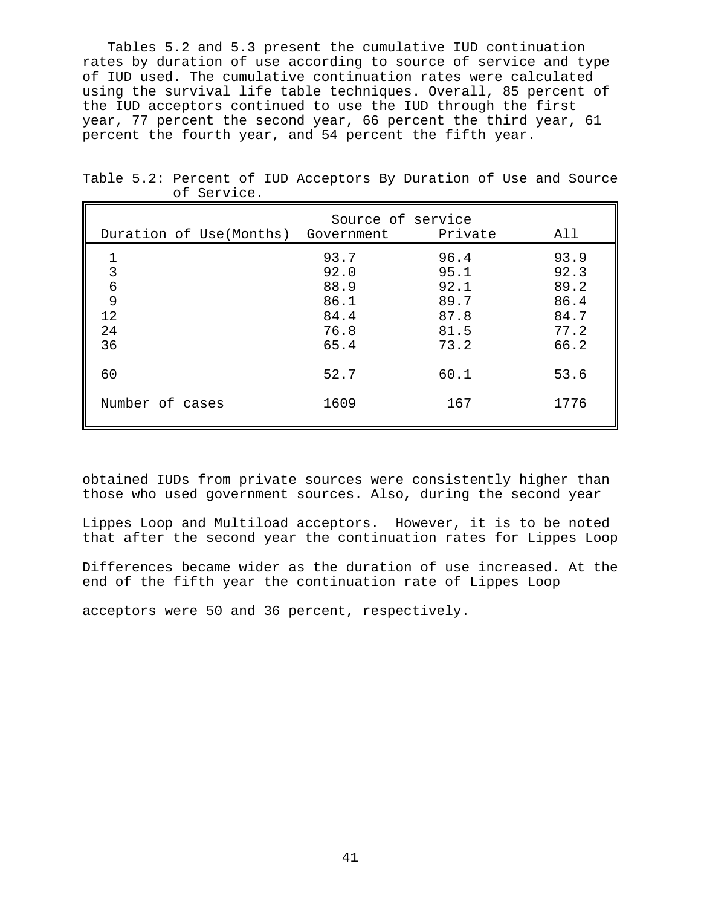Tables 5.2 and 5.3 present the cumulative IUD continuation rates by duration of use according to source of service and type of IUD used. The cumulative continuation rates were calculated using the survival life table techniques. Overall, 85 percent of the IUD acceptors continued to use the IUD through the first year, 77 percent the second year, 66 percent the third year, 61 percent the fourth year, and 54 percent the fifth year.

| Source of service<br>Private<br>Duration of Use(Months) Government<br>All |      |      |      |  |  |  |  |  |
|---------------------------------------------------------------------------|------|------|------|--|--|--|--|--|
|                                                                           |      |      |      |  |  |  |  |  |
|                                                                           | 93.7 | 96.4 | 93.9 |  |  |  |  |  |
| $\overline{3}$                                                            | 92.0 | 95.1 | 92.3 |  |  |  |  |  |
| 6                                                                         | 88.9 | 92.1 | 89.2 |  |  |  |  |  |
| 9                                                                         | 86.1 | 89.7 | 86.4 |  |  |  |  |  |
| 12                                                                        | 84.4 | 87.8 | 84.7 |  |  |  |  |  |
| 24                                                                        | 76.8 | 81.5 | 77.2 |  |  |  |  |  |
| 36                                                                        | 65.4 | 73.2 | 66.2 |  |  |  |  |  |
|                                                                           |      |      |      |  |  |  |  |  |
| 60                                                                        | 52.7 | 60.1 | 53.6 |  |  |  |  |  |
|                                                                           |      |      |      |  |  |  |  |  |
| Number of cases                                                           | 1609 | 167  | 1776 |  |  |  |  |  |
|                                                                           |      |      |      |  |  |  |  |  |

Table 5.2: Percent of IUD Acceptors By Duration of Use and Source of Service.

obtained IUDs from private sources were consistently higher than those who used government sources. Also, during the second year

Lippes Loop and Multiload acceptors. However, it is to be noted that after the second year the continuation rates for Lippes Loop

Differences became wider as the duration of use increased. At the end of the fifth year the continuation rate of Lippes Loop

acceptors were 50 and 36 percent, respectively.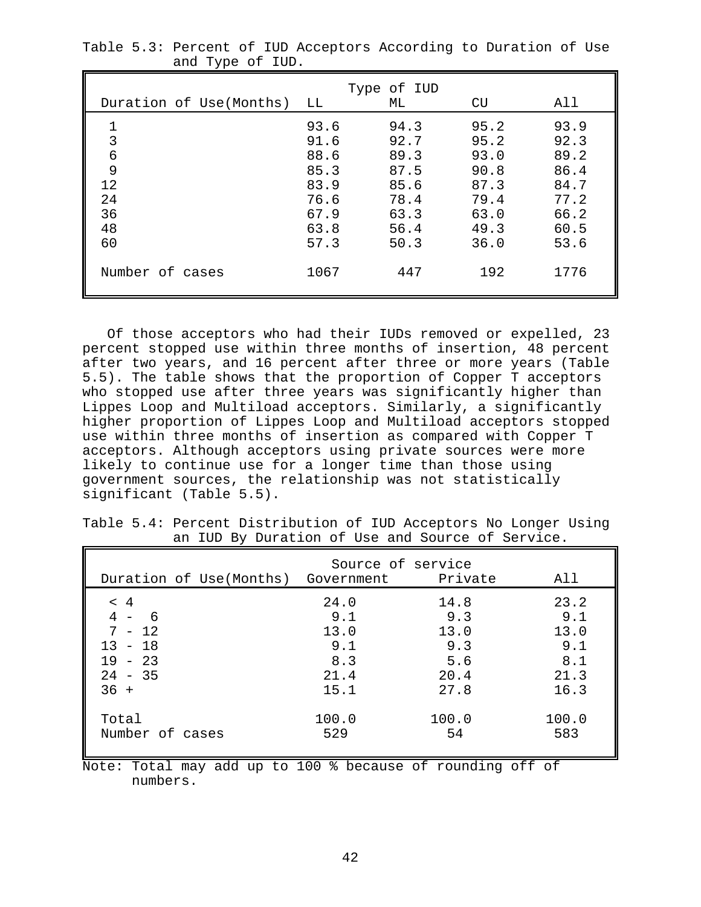| Duration of Use(Months)                   | LL                                                                   | Type of IUD<br>ML                                                    | CU                                                                   | All                                                                  |
|-------------------------------------------|----------------------------------------------------------------------|----------------------------------------------------------------------|----------------------------------------------------------------------|----------------------------------------------------------------------|
| 3<br>6<br>9<br>12<br>24<br>36<br>48<br>60 | 93.6<br>91.6<br>88.6<br>85.3<br>83.9<br>76.6<br>67.9<br>63.8<br>57.3 | 94.3<br>92.7<br>89.3<br>87.5<br>85.6<br>78.4<br>63.3<br>56.4<br>50.3 | 95.2<br>95.2<br>93.0<br>90.8<br>87.3<br>79.4<br>63.0<br>49.3<br>36.0 | 93.9<br>92.3<br>89.2<br>86.4<br>84.7<br>77.2<br>66.2<br>60.5<br>53.6 |
| Number of cases                           | 1067                                                                 | 447                                                                  | 192                                                                  | 1776                                                                 |

Table 5.3: Percent of IUD Acceptors According to Duration of Use and Type of IUD.

Of those acceptors who had their IUDs removed or expelled, 23 percent stopped use within three months of insertion, 48 percent after two years, and 16 percent after three or more years (Table 5.5). The table shows that the proportion of Copper T acceptors who stopped use after three years was significantly higher than Lippes Loop and Multiload acceptors. Similarly, a significantly higher proportion of Lippes Loop and Multiload acceptors stopped use within three months of insertion as compared with Copper T acceptors. Although acceptors using private sources were more likely to continue use for a longer time than those using government sources, the relationship was not statistically significant (Table 5.5).

|  |  | Table 5.4: Percent Distribution of IUD Acceptors No Longer Using |  |  |  |  |
|--|--|------------------------------------------------------------------|--|--|--|--|
|  |  | an IUD By Duration of Use and Source of Service.                 |  |  |  |  |

| Duration of Use(Months) Government                                               | Source of service                                 | Private                                           | A 1 1                                             |
|----------------------------------------------------------------------------------|---------------------------------------------------|---------------------------------------------------|---------------------------------------------------|
| < 4<br>$4 -$<br>- 6<br>$7 - 12$<br>$13 - 18$<br>$19 - 23$<br>$24 - 35$<br>$36 +$ | 24.0<br>9.1<br>13.0<br>9.1<br>8.3<br>21.4<br>15.1 | 14.8<br>9.3<br>13.0<br>9.3<br>5.6<br>20.4<br>27.8 | 23.2<br>9.1<br>13.0<br>9.1<br>8.1<br>21.3<br>16.3 |
| Total<br>Number of cases                                                         | 100.0<br>529                                      | 100.0<br>54                                       | 100.0<br>583                                      |

Note: Total may add up to 100 % because of rounding off of numbers.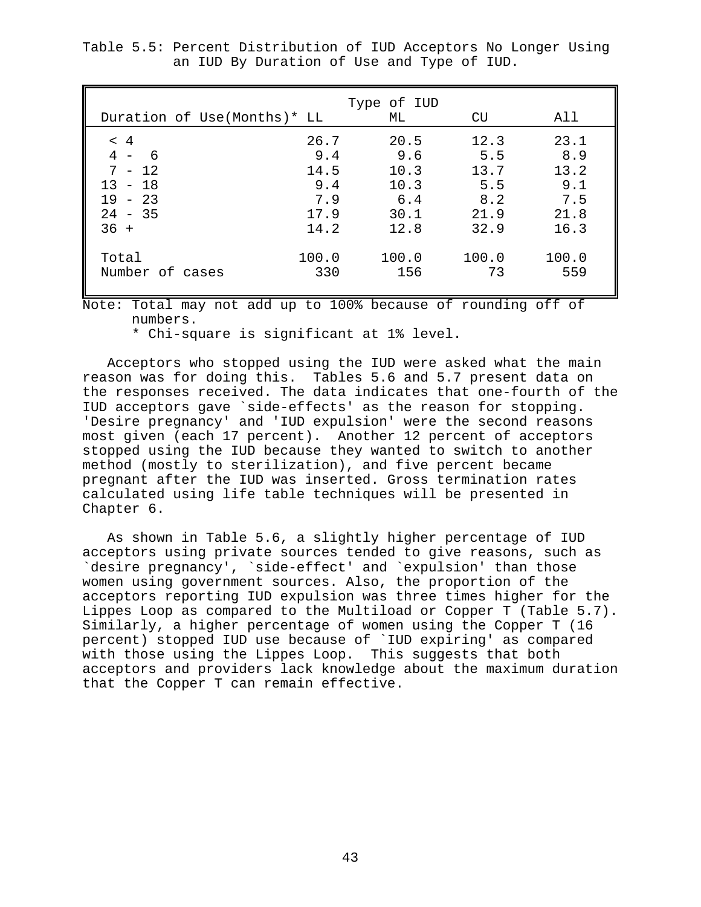| Duration of Use(Months)* LL                                                        |                                                   | Type of IUD<br>ML                                  | CU                                                | All                                               |
|------------------------------------------------------------------------------------|---------------------------------------------------|----------------------------------------------------|---------------------------------------------------|---------------------------------------------------|
| < 4<br>$4 -$<br>- 6<br>7<br>$-12$<br>$13 - 18$<br>$19 - 23$<br>$24 - 35$<br>$36 +$ | 26.7<br>9.4<br>14.5<br>9.4<br>7.9<br>17.9<br>14.2 | 20.5<br>9.6<br>10.3<br>10.3<br>6.4<br>30.1<br>12.8 | 12.3<br>5.5<br>13.7<br>5.5<br>8.2<br>21.9<br>32.9 | 23.1<br>8.9<br>13.2<br>9.1<br>7.5<br>21.8<br>16.3 |
| Total<br>Number of cases                                                           | 100.0<br>330                                      | 100.0<br>156                                       | 100.0<br>73                                       | 100.0<br>559                                      |

Table 5.5: Percent Distribution of IUD Acceptors No Longer Using an IUD By Duration of Use and Type of IUD.

Note: Total may not add up to 100% because of rounding off of numbers.

\* Chi-square is significant at 1% level.

Acceptors who stopped using the IUD were asked what the main reason was for doing this. Tables 5.6 and 5.7 present data on the responses received. The data indicates that one-fourth of the IUD acceptors gave `side-effects' as the reason for stopping. 'Desire pregnancy' and 'IUD expulsion' were the second reasons most given (each 17 percent). Another 12 percent of acceptors stopped using the IUD because they wanted to switch to another method (mostly to sterilization), and five percent became pregnant after the IUD was inserted. Gross termination rates calculated using life table techniques will be presented in Chapter 6.

As shown in Table 5.6, a slightly higher percentage of IUD acceptors using private sources tended to give reasons, such as `desire pregnancy', `side-effect' and `expulsion' than those women using government sources. Also, the proportion of the acceptors reporting IUD expulsion was three times higher for the Lippes Loop as compared to the Multiload or Copper T (Table 5.7). Similarly, a higher percentage of women using the Copper T (16 percent) stopped IUD use because of `IUD expiring' as compared with those using the Lippes Loop. This suggests that both acceptors and providers lack knowledge about the maximum duration that the Copper T can remain effective.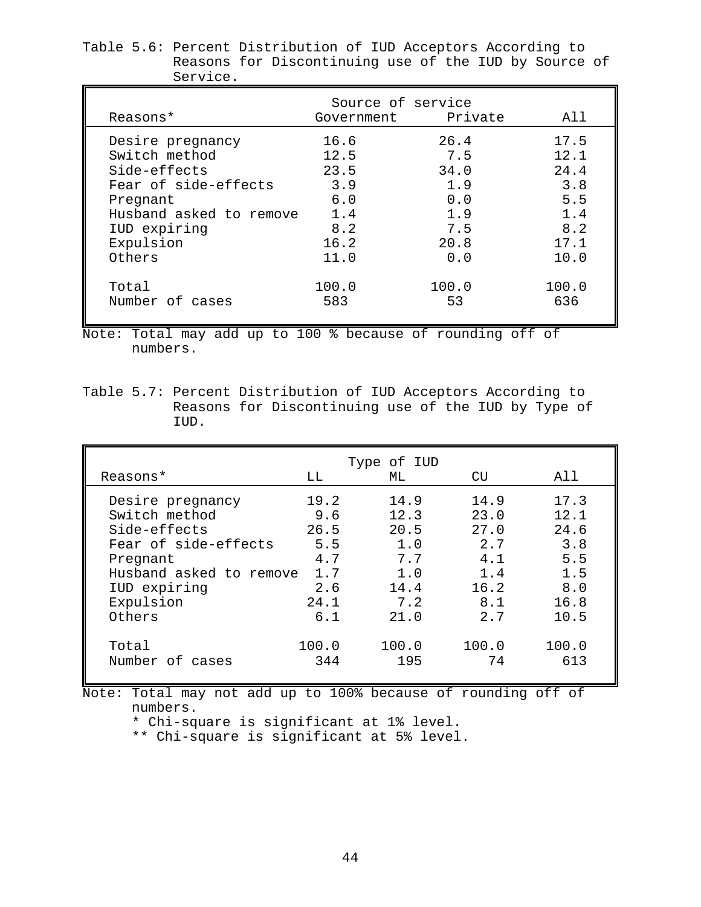| Reasons*                | Source of service | Government Private | All   |
|-------------------------|-------------------|--------------------|-------|
| Desire pregnancy        | 16.6              | 26.4               | 17.5  |
| Switch method           | 12.5              | 7.5                | 12.1  |
| Side-effects            | 23.5              | 34.0               | 24.4  |
| Fear of side-effects    | 3.9               | 1.9                | 3.8   |
| Pregnant                | 6.0               | 0.0                | 5.5   |
| Husband asked to remove | 1.4               | 1.9                | 1.4   |
| IUD expiring            | 8.2               | 7.5                | 8.2   |
| Expulsion               | 16.2              | 20.8               | 17.1  |
| Others                  | 11.0              | 0.0                | 10.0  |
| Total                   | 100.0             | 100.0              | 100.0 |
| Number of cases         | 583               | 53                 | 636   |

Table 5.6: Percent Distribution of IUD Acceptors According to Reasons for Discontinuing use of the IUD by Source of Service.

Note: Total may add up to 100 % because of rounding off of numbers.

Table 5.7: Percent Distribution of IUD Acceptors According to Reasons for Discontinuing use of the IUD by Type of IUD.

|                                | Type of IUD  |             | All          |
|--------------------------------|--------------|-------------|--------------|
|                                |              |             |              |
| 19.2                           | 14.9         | 14.9        | 17.3         |
| 9.6                            | 12.3         | 23.0        | 12.1         |
| 26.5                           | 20.5         | 27.0        | 24.6         |
| 5.5                            | 1.0          | 2.7         | 3.8          |
| 4.7                            | 7.7          | 4.1         | 5.5          |
| Husband asked to remove<br>1.7 | 1.0          | 1.4         | 1.5          |
| 2.6                            | 14.4         | 16.2        | 8.0          |
| 24.1                           | 7.2          | 8.1         | 16.8         |
| 6.1                            | 21.0         | 2.7         | 10.5         |
| 100.0<br>344                   | 100.0<br>195 | 100.0<br>74 | 100.0<br>613 |
|                                | LL.          | МL          | CU           |

Note: Total may not add up to 100% because of rounding off of numbers.

\* Chi-square is significant at 1% level.

\*\* Chi-square is significant at 5% level.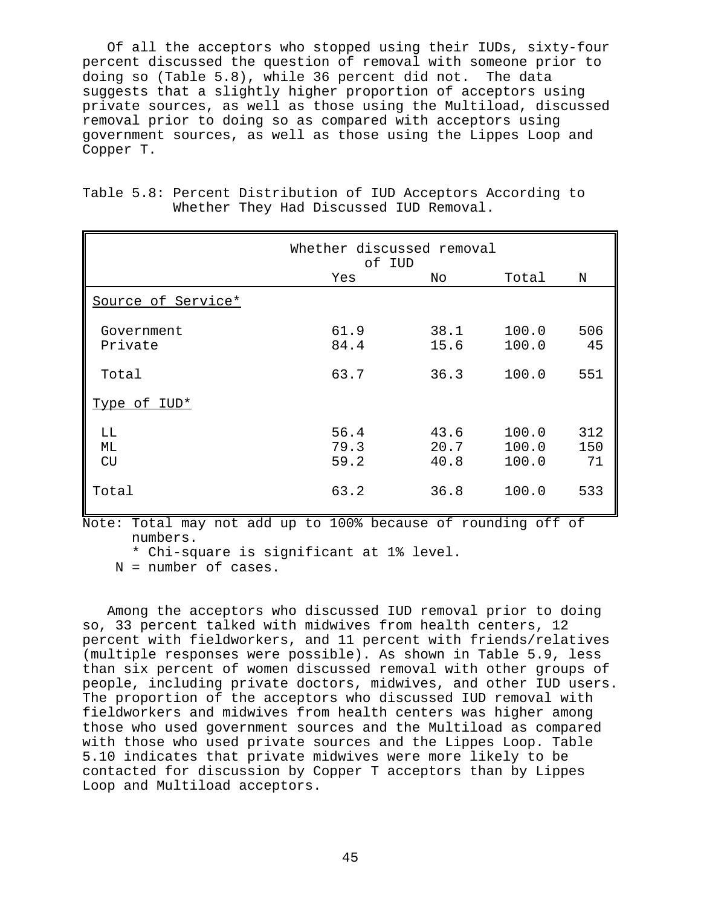Of all the acceptors who stopped using their IUDs, sixty-four percent discussed the question of removal with someone prior to doing so (Table 5.8), while 36 percent did not. The data suggests that a slightly higher proportion of acceptors using private sources, as well as those using the Multiload, discussed removal prior to doing so as compared with acceptors using government sources, as well as those using the Lippes Loop and Copper T.

|                       | Whether discussed removal<br>of IUD |                      |                         |                  |
|-----------------------|-------------------------------------|----------------------|-------------------------|------------------|
|                       | Yes                                 | No.                  | Total                   | N                |
| Source of Service*    |                                     |                      |                         |                  |
| Government<br>Private | 61.9<br>84.4                        | 38.1<br>15.6         | 100.0<br>100.0          | 506<br>45        |
| Total                 | 63.7                                | 36.3                 | 100.0                   | 551              |
| Type of IUD*          |                                     |                      |                         |                  |
| LL<br>МL<br>CU        | 56.4<br>79.3<br>59.2                | 43.6<br>20.7<br>40.8 | 100.0<br>100.0<br>100.0 | 312<br>150<br>71 |
| Total                 | 63.2                                | 36.8                 | 100.0                   | 533              |

Table 5.8: Percent Distribution of IUD Acceptors According to Whether They Had Discussed IUD Removal.

Note: Total may not add up to 100% because of rounding off of numbers.

\* Chi-square is significant at 1% level.

N = number of cases.

Among the acceptors who discussed IUD removal prior to doing so, 33 percent talked with midwives from health centers, 12 percent with fieldworkers, and 11 percent with friends/relatives (multiple responses were possible). As shown in Table 5.9, less than six percent of women discussed removal with other groups of people, including private doctors, midwives, and other IUD users. The proportion of the acceptors who discussed IUD removal with fieldworkers and midwives from health centers was higher among those who used government sources and the Multiload as compared with those who used private sources and the Lippes Loop. Table 5.10 indicates that private midwives were more likely to be contacted for discussion by Copper T acceptors than by Lippes Loop and Multiload acceptors.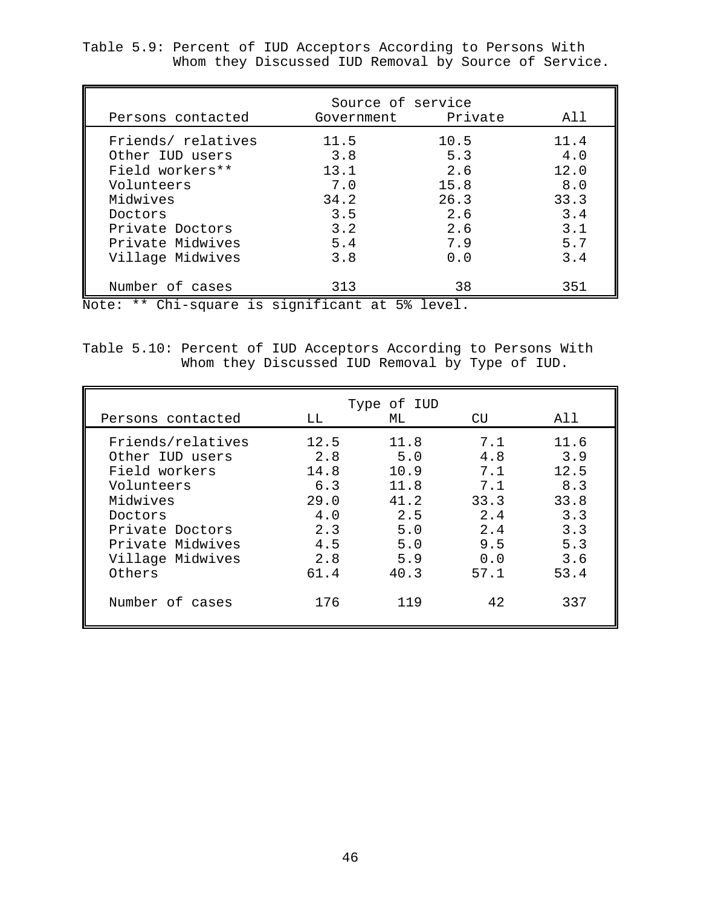| Persons contacted                                                                                                                                        | Source of service                                              | Government Private                                             | All                                                            |
|----------------------------------------------------------------------------------------------------------------------------------------------------------|----------------------------------------------------------------|----------------------------------------------------------------|----------------------------------------------------------------|
| Friends/ relatives<br>Other IUD users<br>Field workers**<br>Volunteers<br>Midwives<br>Doctors<br>Private Doctors<br>Private Midwives<br>Village Midwives | 11.5<br>3.8<br>13.1<br>7.0<br>34.2<br>3.5<br>3.2<br>5.4<br>3.8 | 10.5<br>5.3<br>2.6<br>15.8<br>26.3<br>2.6<br>2.6<br>7.9<br>0.0 | 11.4<br>4.0<br>12.0<br>8.0<br>33.3<br>3.4<br>3.1<br>5.7<br>3.4 |
| Number of cases                                                                                                                                          | 313                                                            | 38                                                             | 351                                                            |

Table 5.9: Percent of IUD Acceptors According to Persons With Whom they Discussed IUD Removal by Source of Service.

Note: \*\* Chi-square is significant at 5% level.

Table 5.10: Percent of IUD Acceptors According to Persons With Whom they Discussed IUD Removal by Type of IUD.

| Persons contacted | LL.  | Type of IUD<br>МL | CU   | All  |
|-------------------|------|-------------------|------|------|
| Friends/relatives | 12.5 | 11.8              | 7.1  | 11.6 |
| Other IUD users   | 2.8  | 5.0               | 4.8  | 3.9  |
| Field workers     | 14.8 | 10.9              | 7.1  | 12.5 |
| Volunteers        | 6.3  | 11.8              | 7.1  | 8.3  |
| Midwives          | 29.0 | 41.2              | 33.3 | 33.8 |
| Doctors           | 4.0  | 2.5               | 2.4  | 3.3  |
| Private Doctors   | 2.3  | 5.0               | 2.4  | 3.3  |
| Private Midwives  | 4.5  | 5.0               | 9.5  | 5.3  |
| Village Midwives  | 2.8  | 5.9               | 0.0  | 3.6  |
| Others            | 61.4 | 40.3              | 57.1 | 53.4 |
| Number of cases   | 176  | 119               | 42   | 337  |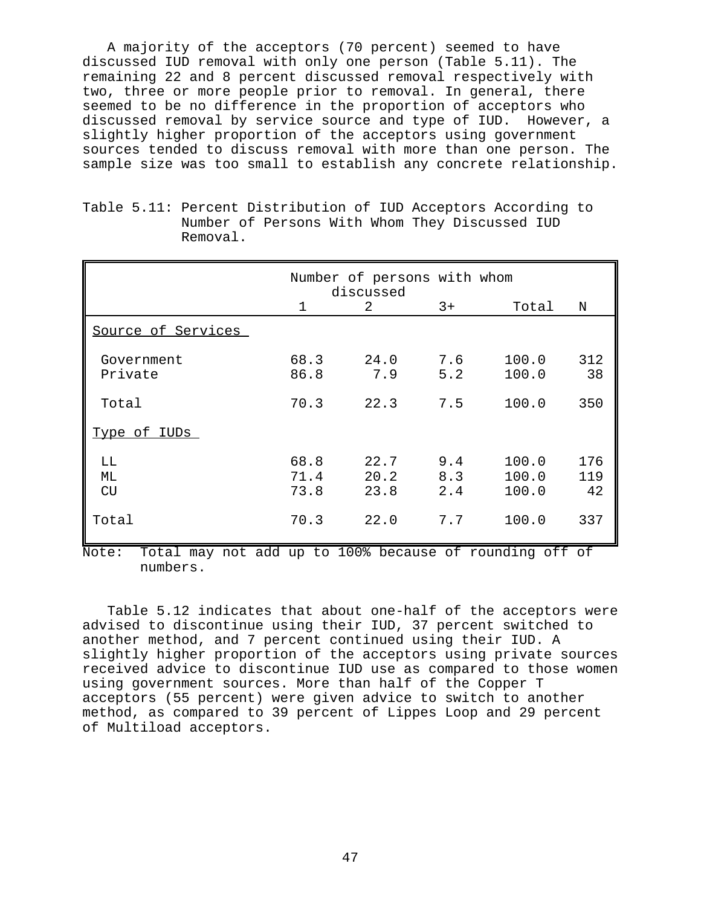A majority of the acceptors (70 percent) seemed to have discussed IUD removal with only one person (Table 5.11). The remaining 22 and 8 percent discussed removal respectively with two, three or more people prior to removal. In general, there seemed to be no difference in the proportion of acceptors who discussed removal by service source and type of IUD. However, a slightly higher proportion of the acceptors using government sources tended to discuss removal with more than one person. The sample size was too small to establish any concrete relationship.

|                       |                      | Number of persons with whom<br>discussed |                   |                         |                  |
|-----------------------|----------------------|------------------------------------------|-------------------|-------------------------|------------------|
|                       | $\mathbf{1}$         | 2                                        | $3+$              | Total                   | N                |
| Source of Services    |                      |                                          |                   |                         |                  |
| Government<br>Private | 68.3<br>86.8         | 24.0<br>7.9                              | 7.6<br>5.2        | 100.0<br>100.0          | 312<br>38        |
| Total                 | 70.3                 | 22.3                                     | 7.5               | 100.0                   | 350              |
| Type of IUDs          |                      |                                          |                   |                         |                  |
| LL<br>МL<br>CU        | 68.8<br>71.4<br>73.8 | 22.7<br>20.2<br>23.8                     | 9.4<br>8.3<br>2.4 | 100.0<br>100.0<br>100.0 | 176<br>119<br>42 |
| Total                 | 70.3                 | 22.0                                     | 7.7               | 100.0                   | 337              |

Table 5.11: Percent Distribution of IUD Acceptors According to Number of Persons With Whom They Discussed IUD Removal.

Note: Total may not add up to 100% because of rounding off of numbers.

Table 5.12 indicates that about one-half of the acceptors were advised to discontinue using their IUD, 37 percent switched to another method, and 7 percent continued using their IUD. A slightly higher proportion of the acceptors using private sources received advice to discontinue IUD use as compared to those women using government sources. More than half of the Copper T acceptors (55 percent) were given advice to switch to another method, as compared to 39 percent of Lippes Loop and 29 percent of Multiload acceptors.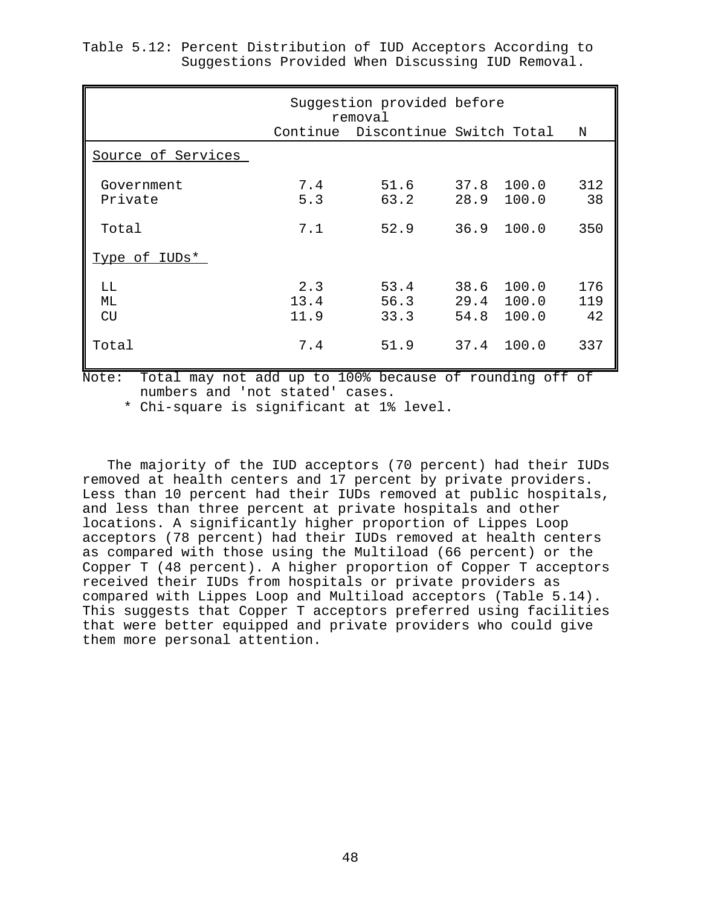|                                                                  |                     | Suggestion provided before<br>removal |              |                              |                  |
|------------------------------------------------------------------|---------------------|---------------------------------------|--------------|------------------------------|------------------|
|                                                                  |                     | Continue Discontinue Switch Total     |              |                              | N                |
| Source of Services                                               |                     |                                       |              |                              |                  |
| Government<br>Private                                            | 7.4<br>5.3          | 51.6<br>63.2                          | 37.8<br>28.9 | 100.0<br>100.0               | 312<br>38        |
| Total                                                            | 7.1                 | 52.9                                  | 36.9         | 100.0                        | 350              |
| Type of IUDs*                                                    |                     |                                       |              |                              |                  |
| LL<br>МL<br>CU                                                   | 2.3<br>13.4<br>11.9 | 53.4<br>56.3<br>33.3                  | 38.6<br>54.8 | 100.0<br>29.4 100.0<br>100.0 | 176<br>119<br>42 |
| Total                                                            | 7.4                 | 51.9                                  | 37.4         | 100.0                        | 337              |
| Total may not add up to 100% because of rounding off of<br>Note: |                     |                                       |              |                              |                  |

Table 5.12: Percent Distribution of IUD Acceptors According to Suggestions Provided When Discussing IUD Removal.

numbers and 'not stated' cases.

\* Chi-square is significant at 1% level.

The majority of the IUD acceptors (70 percent) had their IUDs removed at health centers and 17 percent by private providers. Less than 10 percent had their IUDs removed at public hospitals, and less than three percent at private hospitals and other locations. A significantly higher proportion of Lippes Loop acceptors (78 percent) had their IUDs removed at health centers as compared with those using the Multiload (66 percent) or the Copper T (48 percent). A higher proportion of Copper T acceptors received their IUDs from hospitals or private providers as compared with Lippes Loop and Multiload acceptors (Table 5.14). This suggests that Copper T acceptors preferred using facilities that were better equipped and private providers who could give them more personal attention.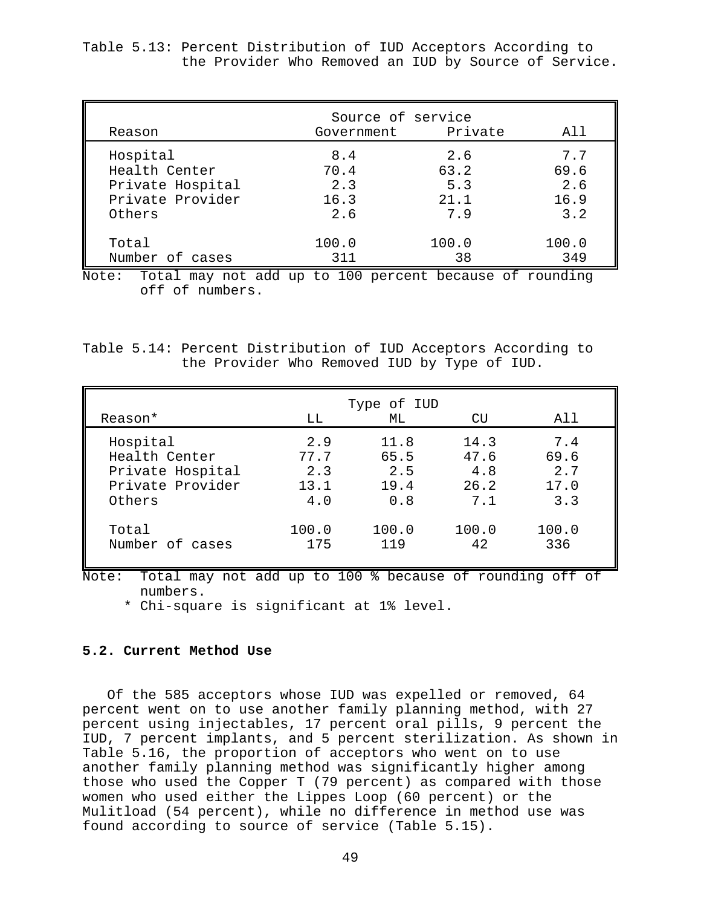|                  | Source of service |         |       |
|------------------|-------------------|---------|-------|
| Reason           | Government        | Private | All   |
| Hospital         | 8.4               | 2.6     | 7.7   |
| Health Center    | 70.4              | 63.2    | 69.6  |
| Private Hospital | 2.3               | 5.3     | 2.6   |
| Private Provider | 16.3              | 21.1    | 16.9  |
| Others           | 2.6               | 7.9     | 3.2   |
| Total            | 100.0             | 100.0   | 100.0 |
| Number of cases  | 311               | 38      | 349   |

Table 5.13: Percent Distribution of IUD Acceptors According to the Provider Who Removed an IUD by Source of Service.

Note: Total may not add up to 100 percent because of rounding off of numbers.

Table 5.14: Percent Distribution of IUD Acceptors According to the Provider Who Removed IUD by Type of IUD.

|                                   |              | Type of IUD |             |              |
|-----------------------------------|--------------|-------------|-------------|--------------|
| Reason*                           | LL           | МL          | CU          | All          |
| Hospital                          | 2.9          | 11.8        | 14.3        | 7.4          |
| Health Center<br>Private Hospital | 77.7<br>2.3  | 65.5<br>2.5 | 47.6<br>4.8 | 69.6<br>2.7  |
| Private Provider<br>Others        | 13.1<br>4.0  | 19.4<br>0.8 | 26.2<br>7.1 | 17.0<br>3.3  |
|                                   |              | 100.0       |             |              |
| Total<br>Number of cases          | 100.0<br>175 | 119         | 100.0<br>42 | 100.0<br>336 |

Note: Total may not add up to 100 % because of rounding off of numbers.

\* Chi-square is significant at 1% level.

## **5.2. Current Method Use**

Of the 585 acceptors whose IUD was expelled or removed, 64 percent went on to use another family planning method, with 27 percent using injectables, 17 percent oral pills, 9 percent the IUD, 7 percent implants, and 5 percent sterilization. As shown in Table 5.16, the proportion of acceptors who went on to use another family planning method was significantly higher among those who used the Copper T (79 percent) as compared with those women who used either the Lippes Loop (60 percent) or the Mulitload (54 percent), while no difference in method use was found according to source of service (Table 5.15).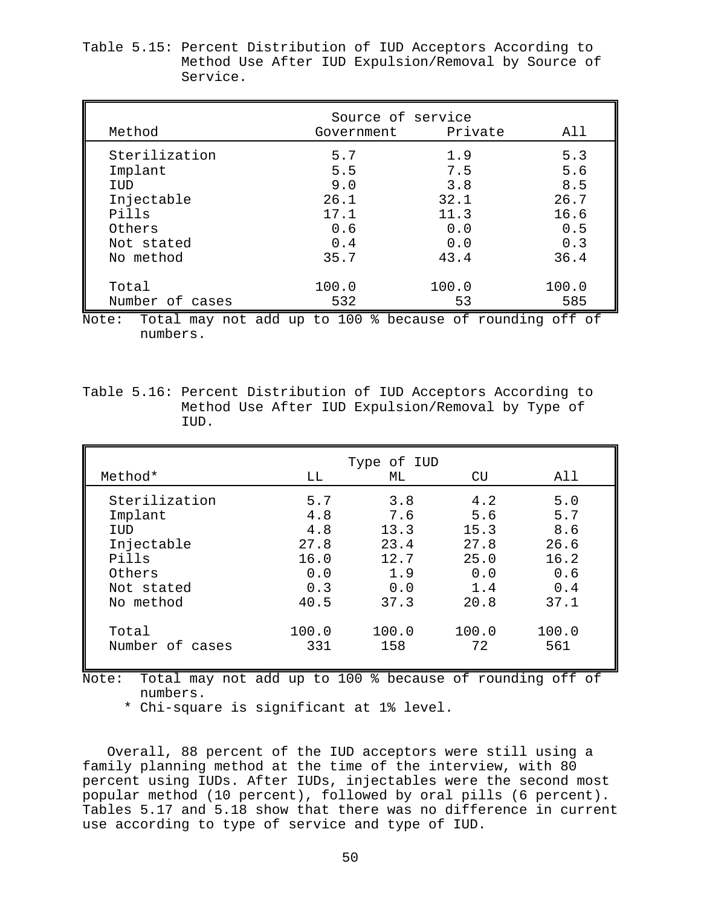| Method                 | Source of service<br>Government    | Private            | All                  |
|------------------------|------------------------------------|--------------------|----------------------|
| Sterilization          | 5.7                                | 1.9                | 5.3                  |
| Implant                | 5.5                                | 7.5                | 5.6                  |
| IUD                    | 9.0                                | 3.8                | 8.5                  |
| Injectable             | 26.1                               | 32.1               | 26.7                 |
| Pills                  | 17.1                               | 11.3               | 16.6                 |
| Others                 | 0.6                                | 0.0                | 0.5                  |
| Not stated             | 0.4                                | 0.0                | 0.3                  |
| No method              | 35.7                               | 43.4               | 36.4                 |
| Total                  | 100.0                              | 100.0              | 100.0                |
| Number of cases<br>7.7 | 532<br>$\sim$ $\sim$<br>$^{\circ}$ | 53<br>$\mathbf{u}$ | 585<br>$\sim$ $\sim$ |

Table 5.15: Percent Distribution of IUD Acceptors According to Method Use After IUD Expulsion/Removal by Source of Service.

Note: Total may not add up to 100 % because of rounding off of numbers.

Table 5.16: Percent Distribution of IUD Acceptors According to Method Use After IUD Expulsion/Removal by Type of IUD.

| Method*         | LL    | Type of IUD<br>МL | CU    | All   |
|-----------------|-------|-------------------|-------|-------|
| Sterilization   | 5.7   | 3.8               | 4.2   | 5.0   |
| Implant         | 4.8   | 7.6               | 5.6   | 5.7   |
| IUD             | 4.8   | 13.3              | 15.3  | 8.6   |
| Injectable      | 27.8  | 23.4              | 27.8  | 26.6  |
| Pills           | 16.0  | 12.7              | 25.0  | 16.2  |
| Others          | 0.0   | 1.9               | 0.0   | 0.6   |
| Not stated      | 0.3   | 0.0               | 1.4   | 0.4   |
| No method       | 40.5  | 37.3              | 20.8  | 37.1  |
| Total           | 100.0 | 100.0             | 100.0 | 100.0 |
| Number of cases | 331   | 158               | 72    | 561   |

Note: Total may not add up to 100 % because of rounding off of numbers.

\* Chi-square is significant at 1% level.

Overall, 88 percent of the IUD acceptors were still using a family planning method at the time of the interview, with 80 percent using IUDs. After IUDs, injectables were the second most popular method (10 percent), followed by oral pills (6 percent). Tables 5.17 and 5.18 show that there was no difference in current use according to type of service and type of IUD.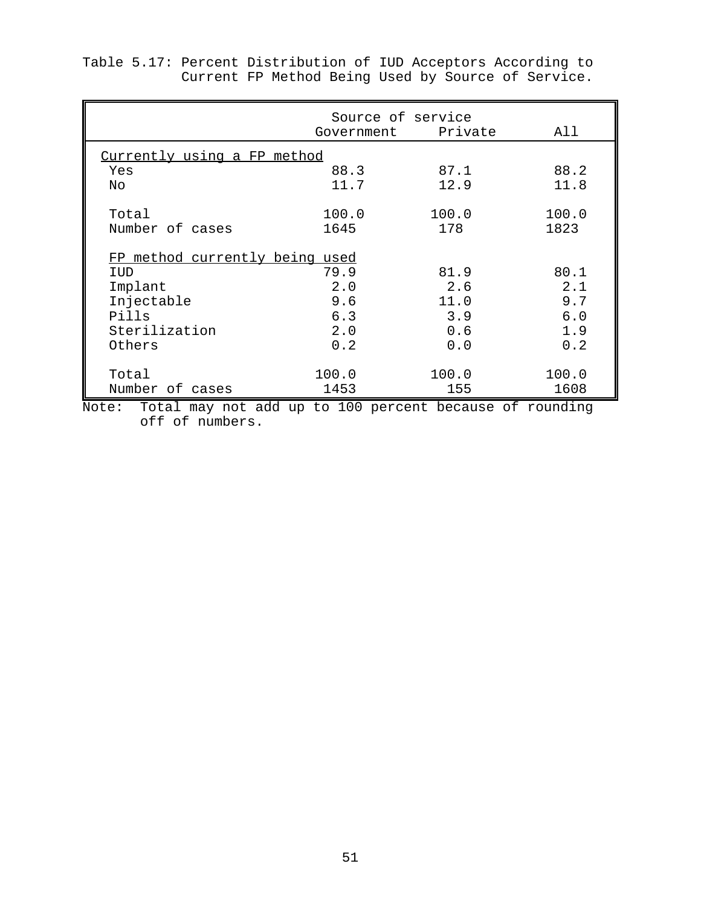|                                                                  | Source of service<br>Government | All   |       |
|------------------------------------------------------------------|---------------------------------|-------|-------|
| <u>Currently using a FP method</u>                               |                                 |       |       |
| Yes                                                              | 88.3                            | 87.1  | 88.2  |
| No                                                               | 11.7                            | 12.9  | 11.8  |
| Total                                                            | 100.0                           | 100.0 | 100.0 |
| Number of cases                                                  | 1645                            | 178   | 1823  |
| FP method currently being used                                   |                                 |       |       |
| IUD                                                              | 79.9                            | 81.9  | 80.1  |
| Implant                                                          | 2.0                             | 2.6   | 2.1   |
| Injectable                                                       | 9.6                             | 11.0  | 9.7   |
| Pills                                                            | 6.3                             | 3.9   | 6.0   |
| Sterilization                                                    | 2.0                             | 0.6   | 1.9   |
| Others                                                           | 0.2                             | 0.0   | 0.2   |
| Total                                                            | 100.0                           | 100.0 | 100.0 |
| Number of cases                                                  | 1453                            | 155   | 1608  |
| Total may not add up to 100 percent because of rounding<br>Note: |                                 |       |       |

off of numbers.

Table 5.17: Percent Distribution of IUD Acceptors According to Current FP Method Being Used by Source of Service.

51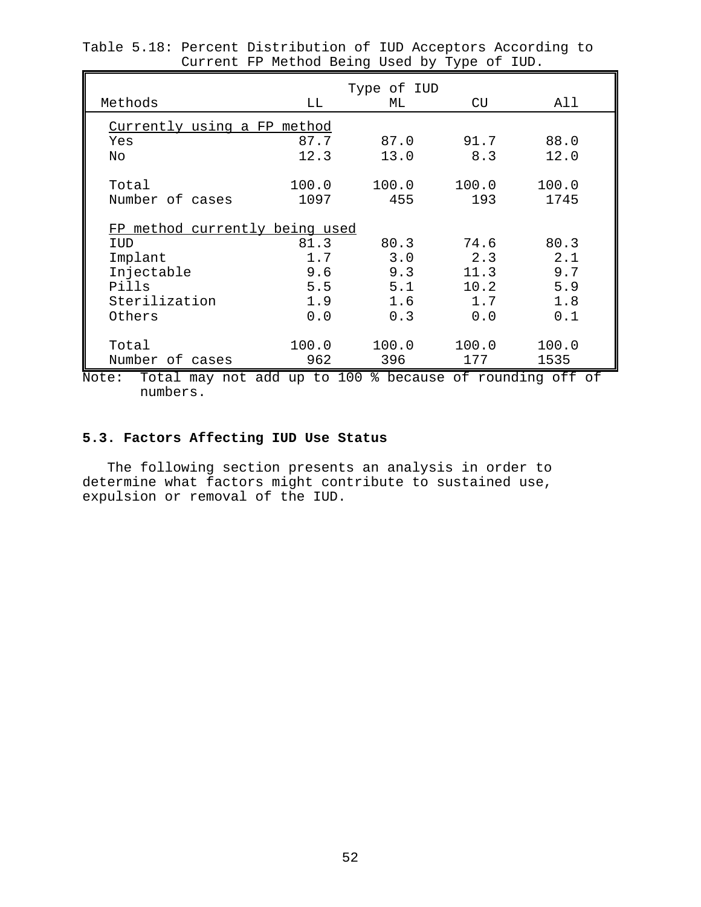|                                |       | Type of IUD |       |       |
|--------------------------------|-------|-------------|-------|-------|
| Methods                        | LL    | МL          | CU    | All   |
| Currently using a FP method    |       |             |       |       |
| Yes                            | 87.7  | 87.0        | 91.7  | 88.0  |
| No                             | 12.3  | 13.0        | 8.3   | 12.0  |
|                                |       |             |       |       |
| Total                          | 100.0 | 100.0       | 100.0 | 100.0 |
| Number of cases                | 1097  | 455         | 193   | 1745  |
|                                |       |             |       |       |
| FP method currently being used |       |             |       |       |
| IUD                            | 81.3  | 80.3        | 74.6  | 80.3  |
| Implant                        | 1.7   | 3.0         | 2.3   | 2.1   |
| Injectable                     | 9.6   | 9.3         | 11.3  | 9.7   |
| Pills                          | 5.5   | 5.1         | 10.2  | 5.9   |
| Sterilization                  | 1.9   | 1.6         | 1.7   | 1.8   |
| Others                         | 0.0   | 0.3         | 0.0   | 0.1   |
|                                |       |             |       |       |
| Total                          | 100.0 | 100.0       | 100.0 | 100.0 |
| Number of cases                | 962   | 396         | 177   | 1535  |

Table 5.18: Percent Distribution of IUD Acceptors According to Current FP Method Being Used by Type of IUD.

Note: Total may not add up to 100 % because of rounding off of numbers.

# **5.3. Factors Affecting IUD Use Status**

The following section presents an analysis in order to determine what factors might contribute to sustained use, expulsion or removal of the IUD.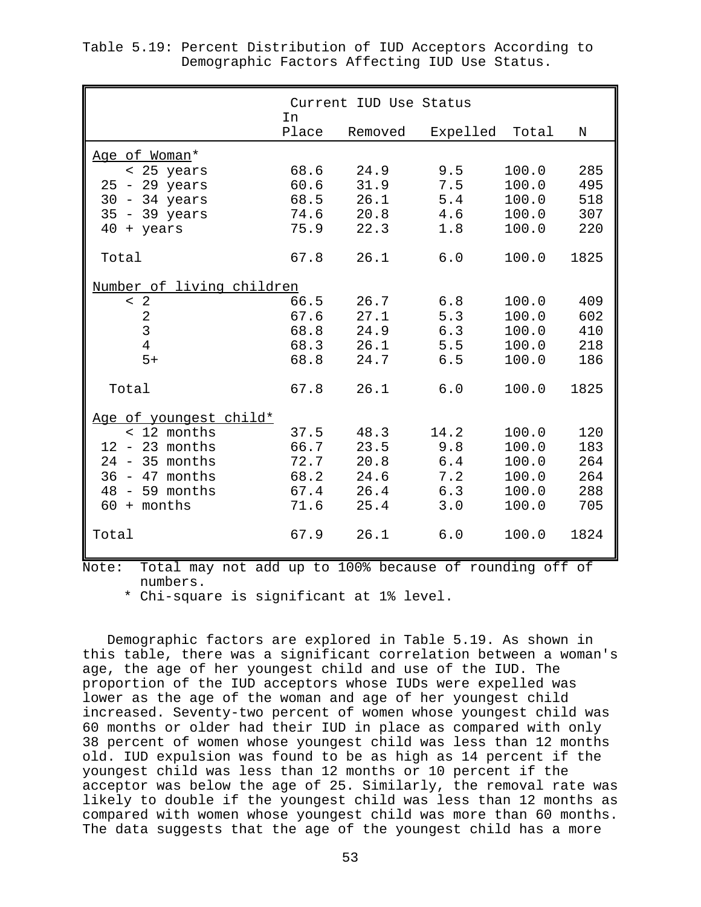|                           | Current IUD Use Status |         |          |       |           |  |
|---------------------------|------------------------|---------|----------|-------|-----------|--|
|                           | In<br>Place            | Removed | Expelled | Total | ${\rm N}$ |  |
| Age of Woman*             |                        |         |          |       |           |  |
| < 25 years                | 68.6                   | 24.9    | 9.5      | 100.0 | 285       |  |
| $25 - 29$ years           | 60.6                   | 31.9    | 7.5      | 100.0 | 495       |  |
| - 34 years<br>30          | 68.5                   | 26.1    | 5.4      | 100.0 | 518       |  |
| - 39 years<br>35          | 74.6                   | 20.8    | 4.6      | 100.0 | 307       |  |
| 40<br>+ years             | 75.9                   | 22.3    | 1.8      | 100.0 | 220       |  |
| Total                     | 67.8                   | 26.1    | 6.0      | 100.0 | 1825      |  |
| Number of living children |                        |         |          |       |           |  |
| $<$ 2                     | 66.5                   | 26.7    | 6.8      | 100.0 | 409       |  |
| $\overline{2}$            | 67.6                   | 27.1    | 5.3      | 100.0 | 602       |  |
| $\overline{3}$            | 68.8                   | 24.9    | 6.3      | 100.0 | 410       |  |
| $\overline{4}$            | 68.3                   | 26.1    | 5.5      | 100.0 | 218       |  |
| $5+$                      | 68.8                   | 24.7    | 6.5      | 100.0 | 186       |  |
| Total                     | 67.8                   | 26.1    | 6.0      | 100.0 | 1825      |  |
| Age of youngest child*    |                        |         |          |       |           |  |
| < 12 months               | 37.5                   | 48.3    | 14.2     | 100.0 | 120       |  |
| - 23 months<br>12.        | 66.7                   | 23.5    | 9.8      | 100.0 | 183       |  |
| $24 - 35$ months          | 72.7                   | 20.8    | 6.4      | 100.0 | 264       |  |
| $36 - 47$ months          | 68.2                   | 24.6    | 7.2      | 100.0 | 264       |  |
| $48 - 59$ months          | 67.4                   | 26.4    | 6.3      | 100.0 | 288       |  |
| $60 + months$             | 71.6                   | 25.4    | 3.0      | 100.0 | 705       |  |
| Total                     | 67.9                   | 26.1    | 6.0      | 100.0 | 1824      |  |
|                           |                        |         |          |       |           |  |

Table 5.19: Percent Distribution of IUD Acceptors According to Demographic Factors Affecting IUD Use Status.

Note: Total may not add up to 100% because of rounding off of numbers.

\* Chi-square is significant at 1% level.

Demographic factors are explored in Table 5.19. As shown in this table, there was a significant correlation between a woman's age, the age of her youngest child and use of the IUD. The proportion of the IUD acceptors whose IUDs were expelled was lower as the age of the woman and age of her youngest child increased. Seventy-two percent of women whose youngest child was 60 months or older had their IUD in place as compared with only 38 percent of women whose youngest child was less than 12 months old. IUD expulsion was found to be as high as 14 percent if the youngest child was less than 12 months or 10 percent if the acceptor was below the age of 25. Similarly, the removal rate was likely to double if the youngest child was less than 12 months as compared with women whose youngest child was more than 60 months. The data suggests that the age of the youngest child has a more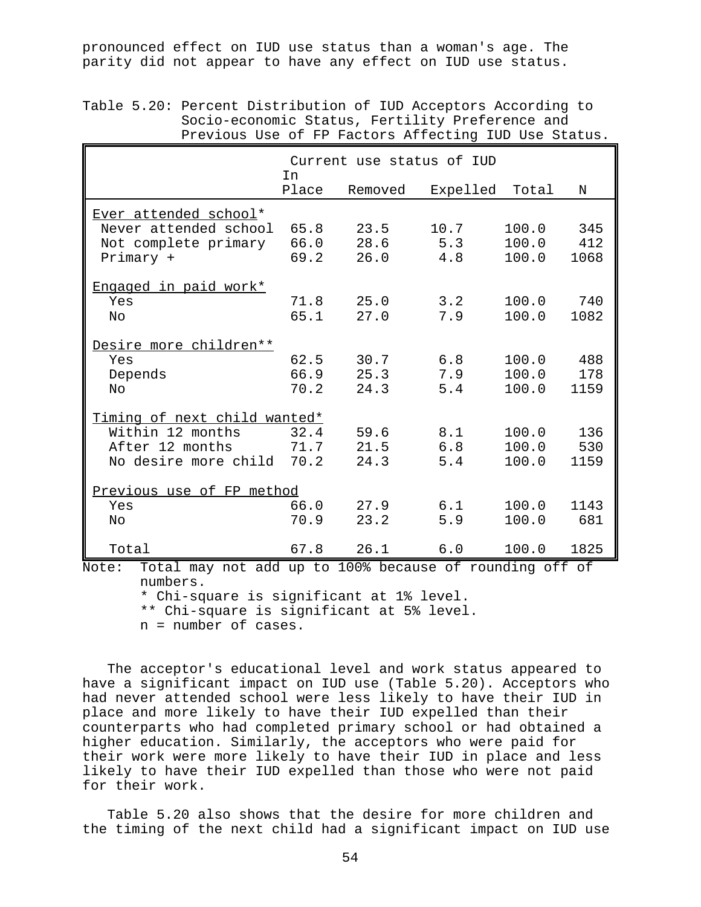pronounced effect on IUD use status than a woman's age. The parity did not appear to have any effect on IUD use status.

Table 5.20: Percent Distribution of IUD Acceptors According to Socio-economic Status, Fertility Preference and Previous Use of FP Factors Affecting IUD Use Status.

|                                                               | Current use status of IUD<br>In |           |          |       |      |  |
|---------------------------------------------------------------|---------------------------------|-----------|----------|-------|------|--|
|                                                               | Place                           | Removed   | Expelled | Total | N    |  |
| Ever attended school*                                         |                                 |           |          |       |      |  |
| Never attended school                                         | 65.8                            | 23.5      | 10.7     | 100.0 | 345  |  |
| Not complete primary 66.0                                     |                                 | 28.6      | 5.3      | 100.0 | 412  |  |
| Primary +                                                     | 69.2                            | 26.0      | 4.8      | 100.0 | 1068 |  |
| Engaged in paid work*                                         |                                 |           |          |       |      |  |
| Yes                                                           |                                 | 71.8 25.0 | 3.2      | 100.0 | 740  |  |
| No                                                            | 65.1                            | 27.0      | 7.9      | 100.0 | 1082 |  |
| Desire more children**                                        |                                 |           |          |       |      |  |
| Yes                                                           | 62.5                            | 30.7      | 6.8      | 100.0 | 488  |  |
| Depends                                                       | 66.9                            | 25.3      | 7.9      | 100.0 | 178  |  |
| No                                                            | 70.2                            | 24.3      | 5.4      | 100.0 | 1159 |  |
| Timing of next child wanted*                                  |                                 |           |          |       |      |  |
| Within 12 months                                              | 32.4                            | 59.6      | 8.1      | 100.0 | 136  |  |
| After 12 months                                               | 71.7                            | 21.5      | 6.8      | 100.0 | 530  |  |
| No desire more child 70.2                                     |                                 | 24.3      | 5.4      | 100.0 | 1159 |  |
| Previous use of FP method                                     |                                 |           |          |       |      |  |
| Yes                                                           |                                 | 66.0 27.9 | 6.1      | 100.0 | 1143 |  |
| No                                                            | 70.9                            | 23.2      | 5.9      | 100.0 | 681  |  |
| Total                                                         | 67.8                            | 26.1      | 6.0      | 100.0 | 1825 |  |
| Note: Total may not add up to 100% because of rounding off of |                                 |           |          |       |      |  |

Note: Total may not add up to 100% because of rounding off of numbers. \* Chi-square is significant at 1% level.

\*\* Chi-square is significant at 5% level.

n = number of cases.

The acceptor's educational level and work status appeared to have a significant impact on IUD use (Table 5.20). Acceptors who had never attended school were less likely to have their IUD in place and more likely to have their IUD expelled than their counterparts who had completed primary school or had obtained a higher education. Similarly, the acceptors who were paid for their work were more likely to have their IUD in place and less likely to have their IUD expelled than those who were not paid for their work.

Table 5.20 also shows that the desire for more children and the timing of the next child had a significant impact on IUD use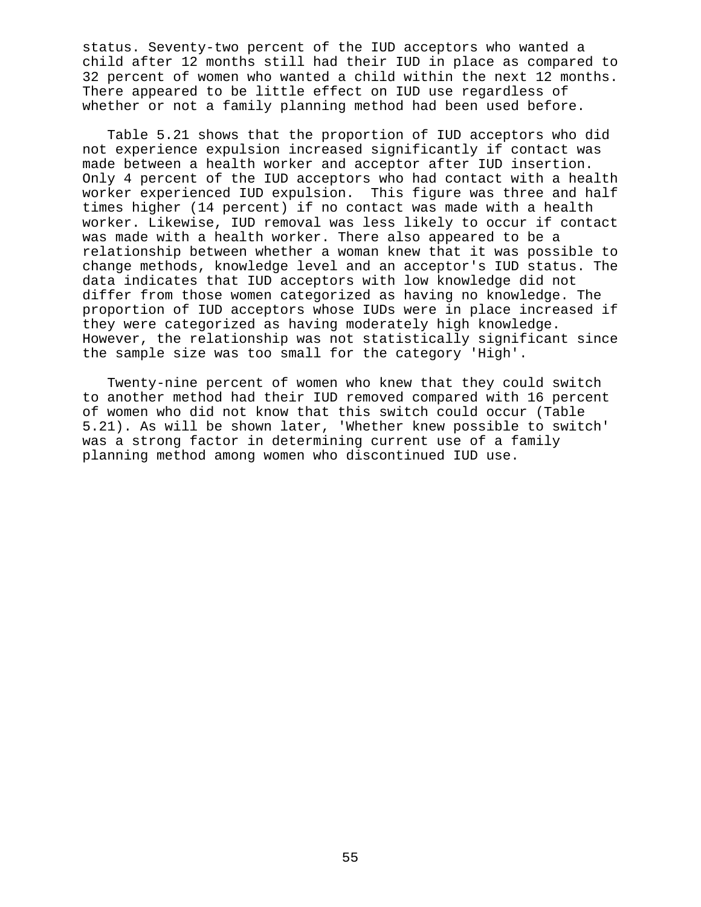status. Seventy-two percent of the IUD acceptors who wanted a child after 12 months still had their IUD in place as compared to 32 percent of women who wanted a child within the next 12 months. There appeared to be little effect on IUD use regardless of whether or not a family planning method had been used before.

Table 5.21 shows that the proportion of IUD acceptors who did not experience expulsion increased significantly if contact was made between a health worker and acceptor after IUD insertion. Only 4 percent of the IUD acceptors who had contact with a health worker experienced IUD expulsion. This figure was three and half times higher (14 percent) if no contact was made with a health worker. Likewise, IUD removal was less likely to occur if contact was made with a health worker. There also appeared to be a relationship between whether a woman knew that it was possible to change methods, knowledge level and an acceptor's IUD status. The data indicates that IUD acceptors with low knowledge did not differ from those women categorized as having no knowledge. The proportion of IUD acceptors whose IUDs were in place increased if they were categorized as having moderately high knowledge. However, the relationship was not statistically significant since the sample size was too small for the category 'High'.

Twenty-nine percent of women who knew that they could switch to another method had their IUD removed compared with 16 percent of women who did not know that this switch could occur (Table 5.21). As will be shown later, 'Whether knew possible to switch' was a strong factor in determining current use of a family planning method among women who discontinued IUD use.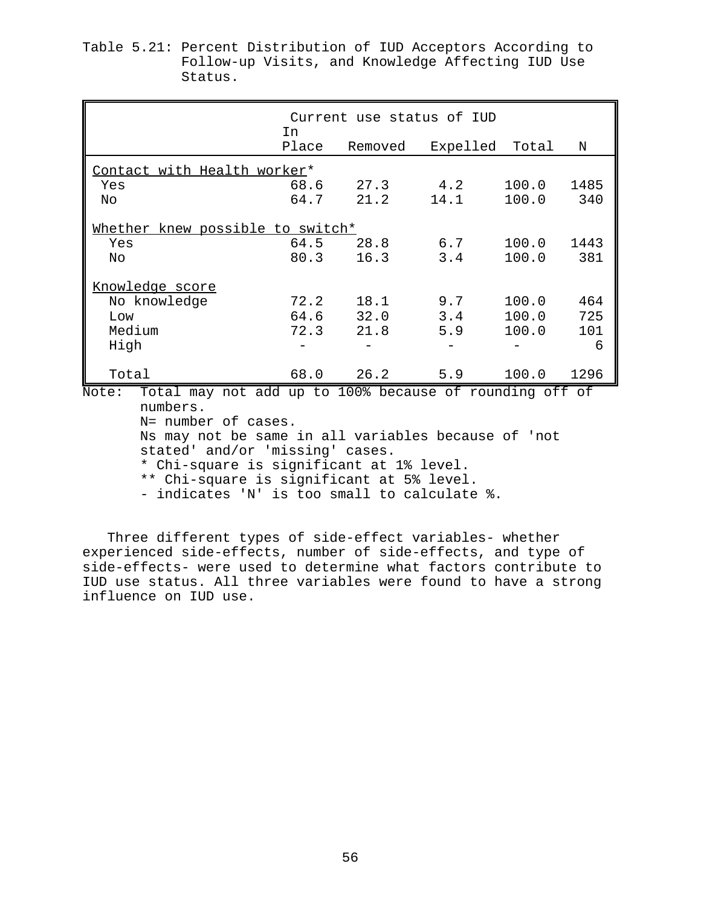# Table 5.21: Percent Distribution of IUD Acceptors According to Follow-up Visits, and Knowledge Affecting IUD Use Status.

| Current use status of IUD<br>In                                              |       |         |          |       |      |
|------------------------------------------------------------------------------|-------|---------|----------|-------|------|
|                                                                              | Place | Removed | Expelled | Total | N    |
| Contact with Health worker*                                                  |       |         |          |       |      |
| Yes                                                                          | 68.6  | 27.3    | 4.2      | 100.0 | 1485 |
| No                                                                           | 64.7  | 21.2    | 14.1     | 100.0 | 340  |
| Whether knew possible to switch*                                             |       |         |          |       |      |
| Yes                                                                          | 64.5  | 28.8    | 6.7      | 100.0 | 1443 |
| No                                                                           | 80.3  | 16.3    | 3.4      | 100.0 | 381  |
| Knowledge score                                                              |       |         |          |       |      |
| No knowledge                                                                 | 72.2  | 18.1    | 9.7      | 100.0 | 464  |
| Low                                                                          | 64.6  | 32.0    | 3.4      | 100.0 | 725  |
| Medium                                                                       | 72.3  | 21.8    | 5.9      | 100.0 | 101  |
| High                                                                         |       |         |          |       | 6    |
| Total                                                                        | 68.0  | 26.2    | 5.9      | 100.0 | 1296 |
| Total may not add up to 100% because of rounding off of<br>Note:<br>numbers. |       |         |          |       |      |

N= number of cases.

Ns may not be same in all variables because of 'not stated' and/or 'missing' cases.

\* Chi-square is significant at 1% level.

\*\* Chi-square is significant at 5% level.

- indicates 'N' is too small to calculate %.

Three different types of side-effect variables- whether experienced side-effects, number of side-effects, and type of side-effects- were used to determine what factors contribute to IUD use status. All three variables were found to have a strong influence on IUD use.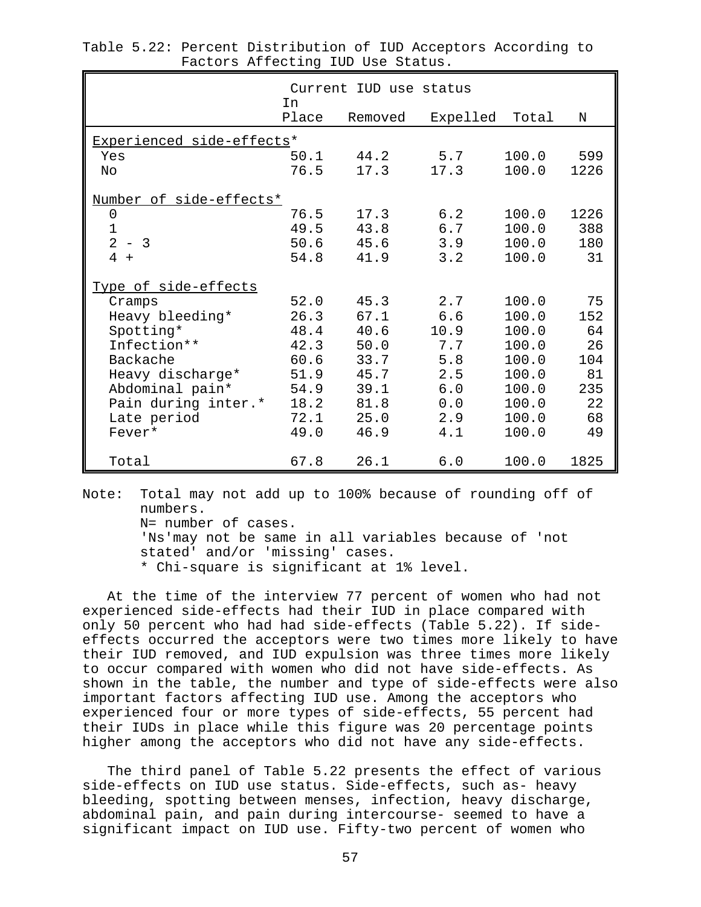|                           | Current IUD use status<br>In |         |          |       |      |  |  |
|---------------------------|------------------------------|---------|----------|-------|------|--|--|
|                           | Place                        | Removed | Expelled | Total | Ν    |  |  |
| Experienced side-effects* |                              |         |          |       |      |  |  |
| Yes                       | 50.1                         | 44.2    | 5.7      | 100.0 | 599  |  |  |
| Νo                        | 76.5                         | 17.3    | 17.3     | 100.0 | 1226 |  |  |
| Number of side-effects*   |                              |         |          |       |      |  |  |
| 0                         | 76.5                         | 17.3    | 6.2      | 100.0 | 1226 |  |  |
| $\mathbf 1$               | 49.5                         | 43.8    | 6.7      | 100.0 | 388  |  |  |
| $\overline{2}$<br>$-3$    | 50.6                         | 45.6    | 3.9      | 100.0 | 180  |  |  |
| $4 +$                     | 54.8                         | 41.9    | 3.2      | 100.0 | 31   |  |  |
| Type of side-effects      |                              |         |          |       |      |  |  |
| Cramps                    | 52.0                         | 45.3    | 2.7      | 100.0 | 75   |  |  |
| Heavy bleeding*           | 26.3                         | 67.1    | 6.6      | 100.0 | 152  |  |  |
| Spotting*                 | 48.4                         | 40.6    | 10.9     | 100.0 | 64   |  |  |
| Infection**               | 42.3                         | 50.0    | 7.7      | 100.0 | 26   |  |  |
| Backache                  | 60.6                         | 33.7    | 5.8      | 100.0 | 104  |  |  |
| Heavy discharge*          | 51.9                         | 45.7    | 2.5      | 100.0 | 81   |  |  |
| Abdominal pain*           | 54.9                         | 39.1    | 6.0      | 100.0 | 235  |  |  |
| Pain during inter.*       | 18.2                         | 81.8    | 0.0      | 100.0 | 22   |  |  |
| Late period               | 72.1                         | 25.0    | 2.9      | 100.0 | 68   |  |  |
| Fever*                    | 49.0                         | 46.9    | 4.1      | 100.0 | 49   |  |  |
| Total                     | 67.8                         | 26.1    | 6.0      | 100.0 | 1825 |  |  |

Table 5.22: Percent Distribution of IUD Acceptors According to Factors Affecting IUD Use Status.

Note: Total may not add up to 100% because of rounding off of numbers.

N= number of cases.

 'Ns'may not be same in all variables because of 'not stated' and/or 'missing' cases. \* Chi-square is significant at 1% level.

At the time of the interview 77 percent of women who had not experienced side-effects had their IUD in place compared with only 50 percent who had had side-effects (Table 5.22). If sideeffects occurred the acceptors were two times more likely to have their IUD removed, and IUD expulsion was three times more likely to occur compared with women who did not have side-effects. As shown in the table, the number and type of side-effects were also important factors affecting IUD use. Among the acceptors who experienced four or more types of side-effects, 55 percent had their IUDs in place while this figure was 20 percentage points higher among the acceptors who did not have any side-effects.

The third panel of Table 5.22 presents the effect of various side-effects on IUD use status. Side-effects, such as- heavy bleeding, spotting between menses, infection, heavy discharge, abdominal pain, and pain during intercourse- seemed to have a significant impact on IUD use. Fifty-two percent of women who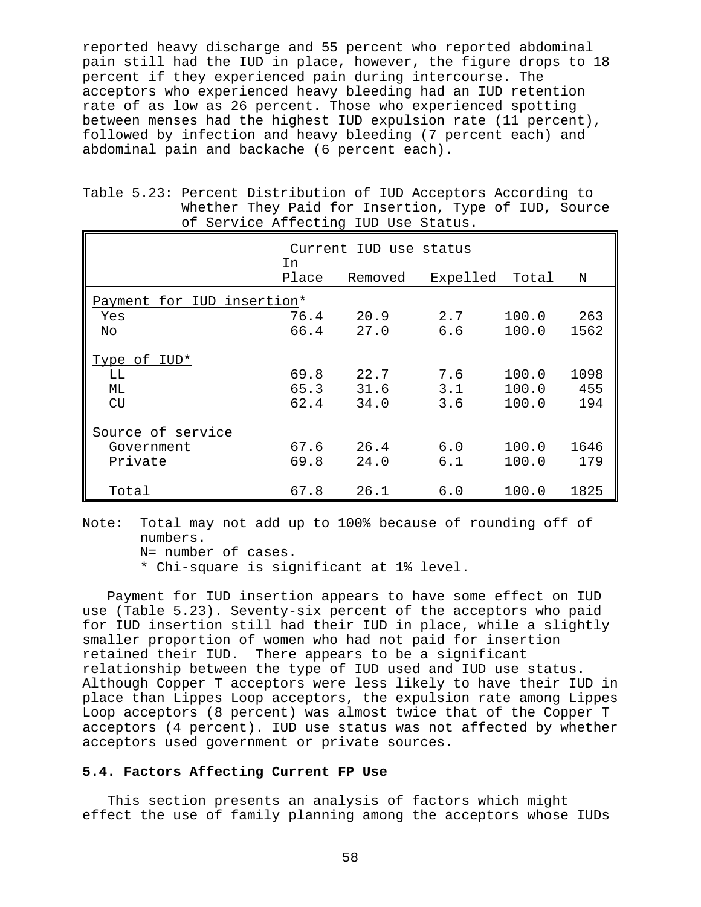reported heavy discharge and 55 percent who reported abdominal pain still had the IUD in place, however, the figure drops to 18 percent if they experienced pain during intercourse. The acceptors who experienced heavy bleeding had an IUD retention rate of as low as 26 percent. Those who experienced spotting between menses had the highest IUD expulsion rate (11 percent), followed by infection and heavy bleeding (7 percent each) and abdominal pain and backache (6 percent each).

|                            | Current IUD use status |         |          |       |      |
|----------------------------|------------------------|---------|----------|-------|------|
|                            | In<br>Place            | Removed | Expelled | Total | N    |
| Payment for IUD insertion* |                        |         |          |       |      |
| Yes                        | 76.4                   | 20.9    | 2.7      | 100.0 | 263  |
| No                         | 66.4                   | 27.0    | 6.6      | 100.0 | 1562 |
| Type of IUD*               |                        |         |          |       |      |
| LL                         | 69.8                   | 22.7    | 7.6      | 100.0 | 1098 |
| МL                         | 65.3                   | 31.6    | 3.1      | 100.0 | 455  |
| CU                         | 62.4                   | 34.0    | 3.6      | 100.0 | 194  |
| Source of service          |                        |         |          |       |      |
| Government                 | 67.6                   | 26.4    | 6.0      | 100.0 | 1646 |
| Private                    | 69.8                   | 24.0    | 6.1      | 100.0 | 179  |
| Total                      | 67.8                   | 26.1    | 6.0      | 100.0 | 1825 |

Table 5.23: Percent Distribution of IUD Acceptors According to Whether They Paid for Insertion, Type of IUD, Source of Service Affecting IUD Use Status.

Note: Total may not add up to 100% because of rounding off of numbers.

N= number of cases.

\* Chi-square is significant at 1% level.

Payment for IUD insertion appears to have some effect on IUD use (Table 5.23). Seventy-six percent of the acceptors who paid for IUD insertion still had their IUD in place, while a slightly smaller proportion of women who had not paid for insertion retained their IUD. There appears to be a significant relationship between the type of IUD used and IUD use status. Although Copper T acceptors were less likely to have their IUD in place than Lippes Loop acceptors, the expulsion rate among Lippes Loop acceptors (8 percent) was almost twice that of the Copper T acceptors (4 percent). IUD use status was not affected by whether acceptors used government or private sources.

# **5.4. Factors Affecting Current FP Use**

This section presents an analysis of factors which might effect the use of family planning among the acceptors whose IUDs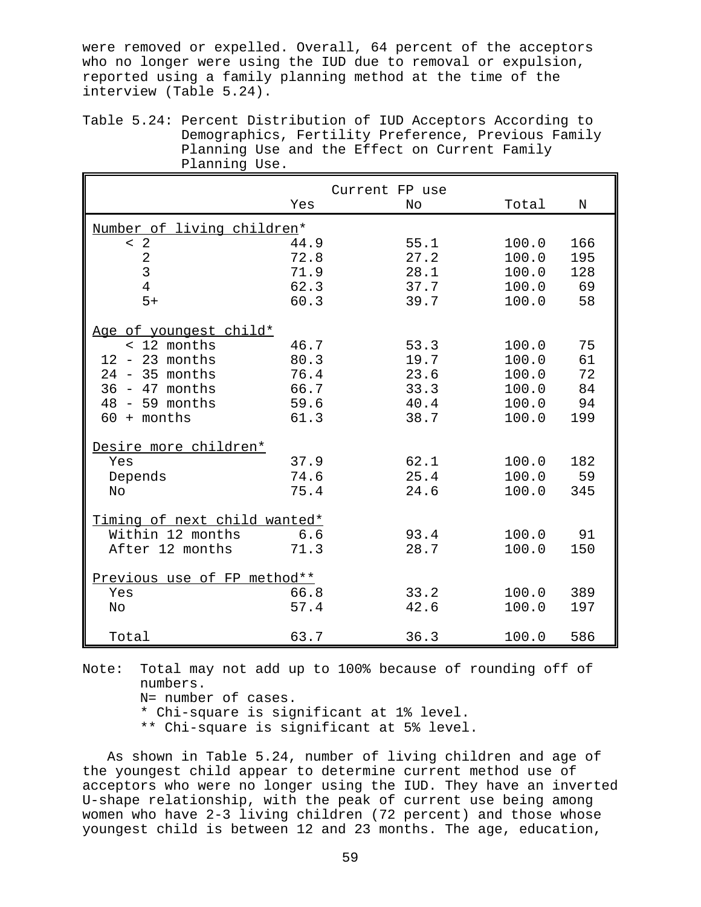were removed or expelled. Overall, 64 percent of the acceptors who no longer were using the IUD due to removal or expulsion, reported using a family planning method at the time of the interview (Table 5.24).

Table 5.24: Percent Distribution of IUD Acceptors According to Demographics, Fertility Preference, Previous Family Planning Use and the Effect on Current Family Planning Use.

|                              | Current FP use |      |       |     |  |  |  |
|------------------------------|----------------|------|-------|-----|--|--|--|
|                              | Yes            | Nο   | Total | N   |  |  |  |
| Number of living children*   |                |      |       |     |  |  |  |
| $\langle 2$                  | 44.9           | 55.1 | 100.0 | 166 |  |  |  |
| $\overline{2}$               | 72.8           | 27.2 | 100.0 | 195 |  |  |  |
| $\overline{3}$               | 71.9           | 28.1 | 100.0 | 128 |  |  |  |
| $\overline{4}$               | 62.3           | 37.7 | 100.0 | 69  |  |  |  |
| $5+$                         | 60.3           | 39.7 | 100.0 | 58  |  |  |  |
| Age of youngest child*       |                |      |       |     |  |  |  |
| < 12 months                  | 46.7           | 53.3 | 100.0 | 75  |  |  |  |
| $12 - 23$ months             | 80.3           | 19.7 | 100.0 | 61  |  |  |  |
| $24 - 35$ months             | 76.4           | 23.6 | 100.0 | 72  |  |  |  |
| $36 - 47$ months             | 66.7           | 33.3 | 100.0 | 84  |  |  |  |
| $48 - 59$ months             | 59.6           | 40.4 | 100.0 | 94  |  |  |  |
| $60 + months$                | 61.3           | 38.7 | 100.0 | 199 |  |  |  |
| Desire more children*        |                |      |       |     |  |  |  |
| Yes                          | 37.9           | 62.1 | 100.0 | 182 |  |  |  |
| Depends                      | 74.6           | 25.4 | 100.0 | 59  |  |  |  |
| No                           | 75.4           | 24.6 | 100.0 | 345 |  |  |  |
| Timing of next child wanted* |                |      |       |     |  |  |  |
| Within 12 months             | 6.6            | 93.4 | 100.0 | 91  |  |  |  |
| After 12 months              | 71.3           | 28.7 | 100.0 | 150 |  |  |  |
| Previous use of FP method**  |                |      |       |     |  |  |  |
| Yes                          | 66.8           | 33.2 | 100.0 | 389 |  |  |  |
| No                           | 57.4           | 42.6 | 100.0 | 197 |  |  |  |
|                              |                |      |       |     |  |  |  |
| Total                        | 63.7           | 36.3 | 100.0 | 586 |  |  |  |

Note: Total may not add up to 100% because of rounding off of numbers.

N= number of cases.

\* Chi-square is significant at 1% level.

\*\* Chi-square is significant at 5% level.

As shown in Table 5.24, number of living children and age of the youngest child appear to determine current method use of acceptors who were no longer using the IUD. They have an inverted U-shape relationship, with the peak of current use being among women who have 2-3 living children (72 percent) and those whose youngest child is between 12 and 23 months. The age, education,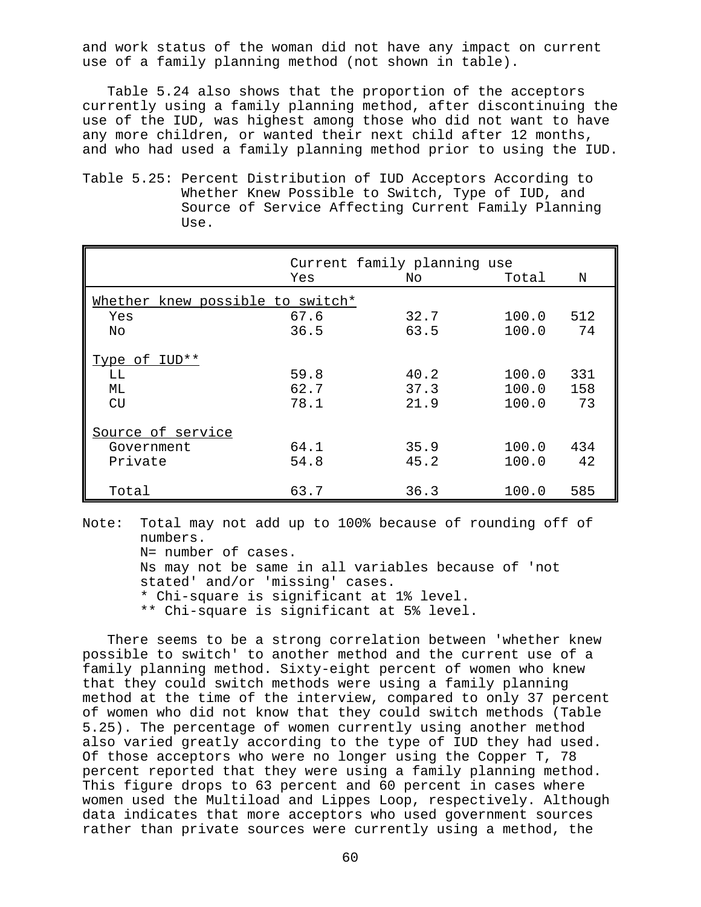and work status of the woman did not have any impact on current use of a family planning method (not shown in table).

Table 5.24 also shows that the proportion of the acceptors currently using a family planning method, after discontinuing the use of the IUD, was highest among those who did not want to have any more children, or wanted their next child after 12 months, and who had used a family planning method prior to using the IUD.

Table 5.25: Percent Distribution of IUD Acceptors According to Whether Knew Possible to Switch, Type of IUD, and Source of Service Affecting Current Family Planning Use.

|                                  |      | Current family planning use |       |     |
|----------------------------------|------|-----------------------------|-------|-----|
|                                  | Yes  | No.                         | Total | N   |
| Whether knew possible to switch* |      |                             |       |     |
| Yes                              | 67.6 | 32.7                        | 100.0 | 512 |
| No                               | 36.5 | 63.5                        | 100.0 | 74  |
| Type of IUD**                    |      |                             |       |     |
| LЬ                               | 59.8 | 40.2                        | 100.0 | 331 |
| МL                               | 62.7 | 37.3                        | 100.0 | 158 |
| CU                               | 78.1 | 21.9                        | 100.0 | 73  |
| Source of service                |      |                             |       |     |
| Government                       | 64.1 | 35.9                        | 100.0 | 434 |
| Private                          | 54.8 | 45.2                        | 100.0 | 42  |
| Total                            | 63.7 | 36.3                        | 100.0 | 585 |

Note: Total may not add up to 100% because of rounding off of numbers. N= number of cases. Ns may not be same in all variables because of 'not stated' and/or 'missing' cases. \* Chi-square is significant at 1% level. \*\* Chi-square is significant at 5% level.

There seems to be a strong correlation between 'whether knew possible to switch' to another method and the current use of a family planning method. Sixty-eight percent of women who knew that they could switch methods were using a family planning method at the time of the interview, compared to only 37 percent of women who did not know that they could switch methods (Table 5.25). The percentage of women currently using another method also varied greatly according to the type of IUD they had used. Of those acceptors who were no longer using the Copper T, 78 percent reported that they were using a family planning method. This figure drops to 63 percent and 60 percent in cases where women used the Multiload and Lippes Loop, respectively. Although data indicates that more acceptors who used government sources rather than private sources were currently using a method, the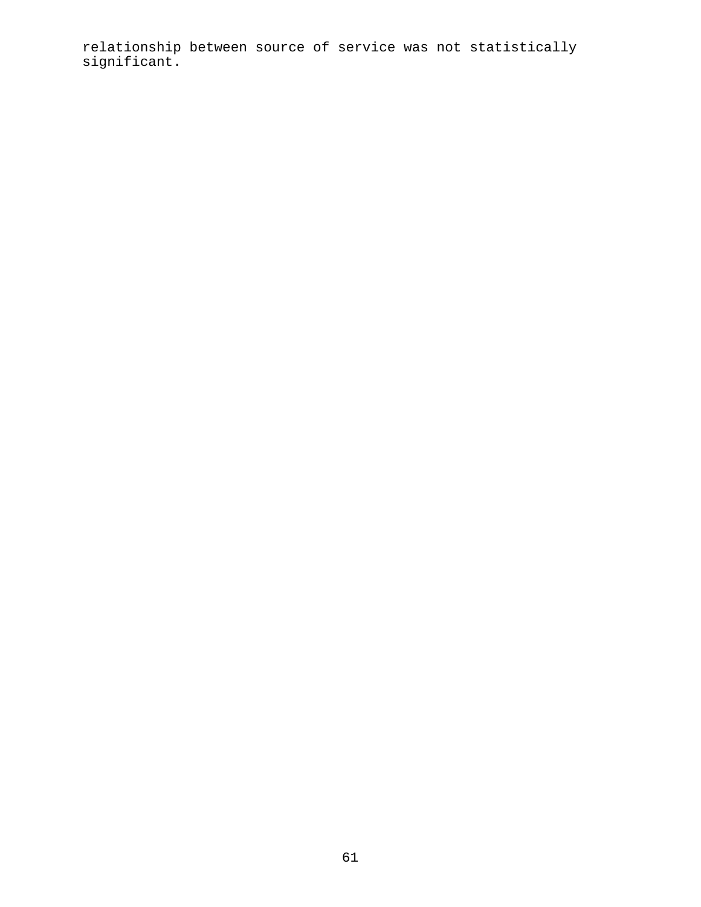relationship between source of service was not statistically significant.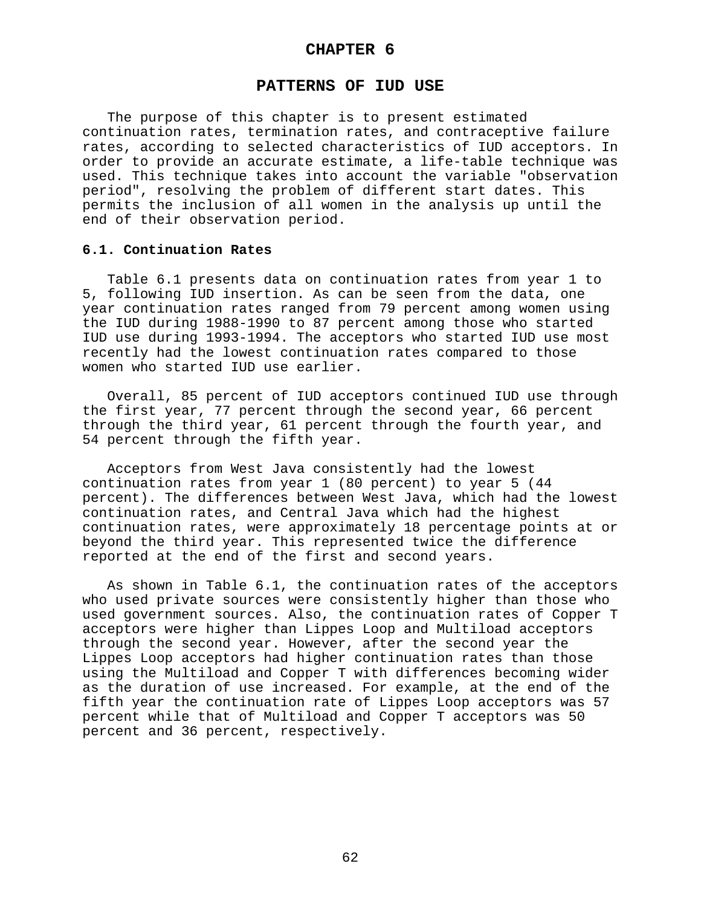## **CHAPTER 6**

# **PATTERNS OF IUD USE**

The purpose of this chapter is to present estimated continuation rates, termination rates, and contraceptive failure rates, according to selected characteristics of IUD acceptors. In order to provide an accurate estimate, a life-table technique was used. This technique takes into account the variable "observation period", resolving the problem of different start dates. This permits the inclusion of all women in the analysis up until the end of their observation period.

### **6.1. Continuation Rates**

Table 6.1 presents data on continuation rates from year 1 to 5, following IUD insertion. As can be seen from the data, one year continuation rates ranged from 79 percent among women using the IUD during 1988-1990 to 87 percent among those who started IUD use during 1993-1994. The acceptors who started IUD use most recently had the lowest continuation rates compared to those women who started IUD use earlier.

Overall, 85 percent of IUD acceptors continued IUD use through the first year, 77 percent through the second year, 66 percent through the third year, 61 percent through the fourth year, and 54 percent through the fifth year.

Acceptors from West Java consistently had the lowest continuation rates from year 1 (80 percent) to year 5 (44 percent). The differences between West Java, which had the lowest continuation rates, and Central Java which had the highest continuation rates, were approximately 18 percentage points at or beyond the third year. This represented twice the difference reported at the end of the first and second years.

As shown in Table 6.1, the continuation rates of the acceptors who used private sources were consistently higher than those who used government sources. Also, the continuation rates of Copper T acceptors were higher than Lippes Loop and Multiload acceptors through the second year. However, after the second year the Lippes Loop acceptors had higher continuation rates than those using the Multiload and Copper T with differences becoming wider as the duration of use increased. For example, at the end of the fifth year the continuation rate of Lippes Loop acceptors was 57 percent while that of Multiload and Copper T acceptors was 50 percent and 36 percent, respectively.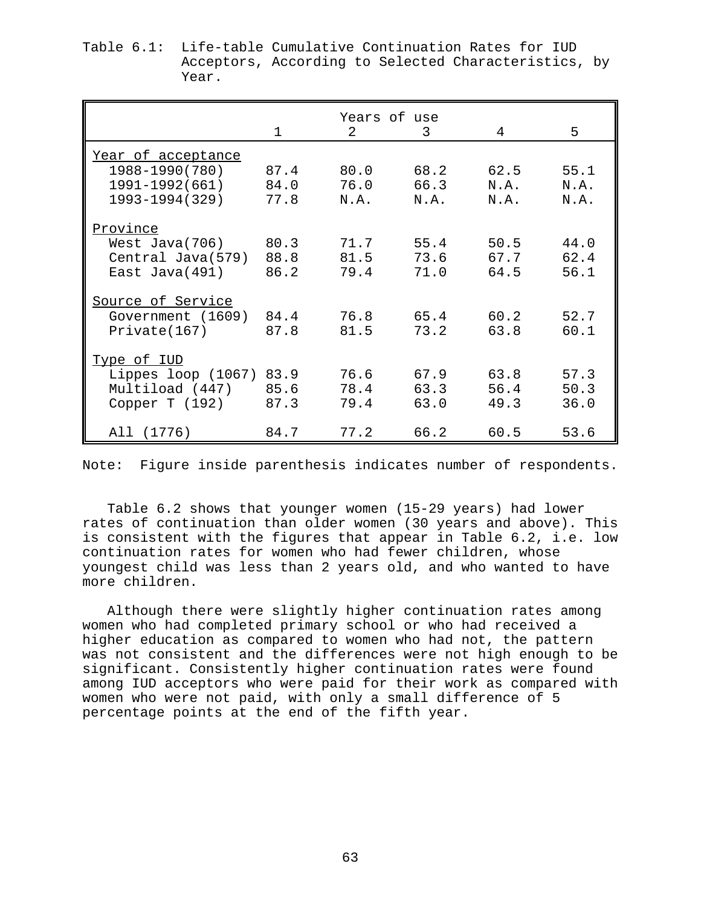|                         |              | Years of use  |                |      |      |
|-------------------------|--------------|---------------|----------------|------|------|
|                         | $\mathbf{1}$ | $\mathcal{L}$ | 3              | 4    | 5    |
| Year of acceptance      |              |               |                |      |      |
| 1988-1990(780) 87.4     |              | 80.0          | 68.2           | 62.5 | 55.1 |
| 1991-1992(661) 84.0     |              | 76.0          | 66.3           | N.A. | N.A. |
| 1993-1994(329) 77.8     |              | N.A.          | N.A.           | N.A. | N.A. |
|                         |              |               |                |      |      |
| Province                |              |               |                |      |      |
| West $Java(706)$ 80.3   |              | 71.7          | 55.4           | 50.5 | 44.0 |
| Central Java(579) 88.8  |              | 81.5          | 73.6           | 67.7 | 62.4 |
| East Java(491) 86.2     |              | 79.4          | 71.0           | 64.5 | 56.1 |
|                         |              |               |                |      |      |
| Source of Service       |              |               |                |      |      |
| Government (1609) 84.4  |              |               | 76.8 65.4 60.2 |      | 52.7 |
| $Private(167)$ 87.8     |              | 81.5          | 73.2           | 63.8 | 60.1 |
|                         |              |               |                |      |      |
| Type of IUD             |              |               |                |      |      |
| Lippes loop (1067) 83.9 |              | 76.6          | 67.9           | 63.8 | 57.3 |
| Multiload (447) 85.6    |              | 78.4          | 63.3           | 56.4 | 50.3 |
| Copper T (192) 87.3     |              | 79.4          | 63.0           | 49.3 | 36.0 |
|                         |              |               |                |      |      |
| All (1776)              | 84.7         | 77.2          | 66.2           | 60.5 | 53.6 |

Table 6.1: Life-table Cumulative Continuation Rates for IUD Acceptors, According to Selected Characteristics, by Year.

Note: Figure inside parenthesis indicates number of respondents.

Table 6.2 shows that younger women (15-29 years) had lower rates of continuation than older women (30 years and above). This is consistent with the figures that appear in Table 6.2, i.e. low continuation rates for women who had fewer children, whose youngest child was less than 2 years old, and who wanted to have more children.

Although there were slightly higher continuation rates among women who had completed primary school or who had received a higher education as compared to women who had not, the pattern was not consistent and the differences were not high enough to be significant. Consistently higher continuation rates were found among IUD acceptors who were paid for their work as compared with women who were not paid, with only a small difference of 5 percentage points at the end of the fifth year.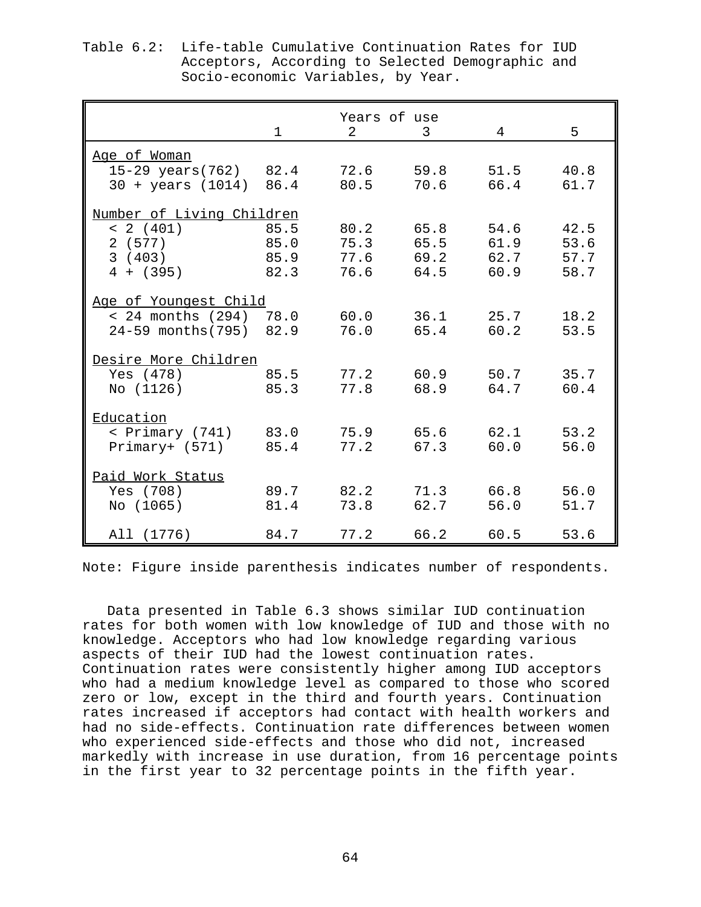|                                   | $\mathbf{1}$ | Years of use<br>$\mathcal{L}$ | 3    | $\overline{4}$ | 5    |
|-----------------------------------|--------------|-------------------------------|------|----------------|------|
| Age of Woman                      |              |                               |      |                |      |
| 15-29 years(762) 82.4             |              | 72.6                          | 59.8 | 51.5           | 40.8 |
| $30 + \text{years}$ (1014) $86.4$ |              | 80.5                          | 70.6 | 66.4           | 61.7 |
| Number of Living Children         |              |                               |      |                |      |
| < 2 (401)                         | 85.5         | 80.2                          | 65.8 | 54.6           | 42.5 |
| 2(577)                            | 85.0         | 75.3                          | 65.5 | 61.9           | 53.6 |
| 3(403)                            | 85.9         | 77.6                          | 69.2 | 62.7           | 57.7 |
| $4 + (395)$                       | 82.3         | 76.6                          | 64.5 | 60.9           | 58.7 |
| Age of Youngest Child             |              |                               |      |                |      |
| < 24 months (294) 78.0            |              | 60.0                          |      | 36.1 25.7      | 18.2 |
| 24-59 months(795) 82.9            |              | 76.0                          | 65.4 | 60.2           | 53.5 |
| Desire More Children              |              |                               |      |                |      |
| Yes (478)                         | 85.5         | 77.2                          | 60.9 | 50.7           | 35.7 |
| No (1126)                         | 85.3         | 77.8                          | 68.9 | 64.7           | 60.4 |
| Education                         |              |                               |      |                |      |
| $\epsilon$ Primary (741)          | 83.0         | 75.9                          | 65.6 | 62.1           | 53.2 |
| $Primary+ (571)$ 85.4             |              | 77.2                          | 67.3 | 60.0           | 56.0 |
|                                   |              |                               |      |                |      |
| Paid Work Status<br>Yes (708)     | 89.7         | 82.2                          | 71.3 | 66.8           | 56.0 |
| No (1065)                         | 81.4         | 73.8                          | 62.7 | 56.0           | 51.7 |
|                                   |              |                               |      |                |      |
| All (1776)                        | 84.7         | 77.2                          | 66.2 | 60.5           | 53.6 |

Table 6.2: Life-table Cumulative Continuation Rates for IUD Acceptors, According to Selected Demographic and Socio-economic Variables, by Year.

Note: Figure inside parenthesis indicates number of respondents.

Data presented in Table 6.3 shows similar IUD continuation rates for both women with low knowledge of IUD and those with no knowledge. Acceptors who had low knowledge regarding various aspects of their IUD had the lowest continuation rates. Continuation rates were consistently higher among IUD acceptors who had a medium knowledge level as compared to those who scored zero or low, except in the third and fourth years. Continuation rates increased if acceptors had contact with health workers and had no side-effects. Continuation rate differences between women who experienced side-effects and those who did not, increased markedly with increase in use duration, from 16 percentage points in the first year to 32 percentage points in the fifth year.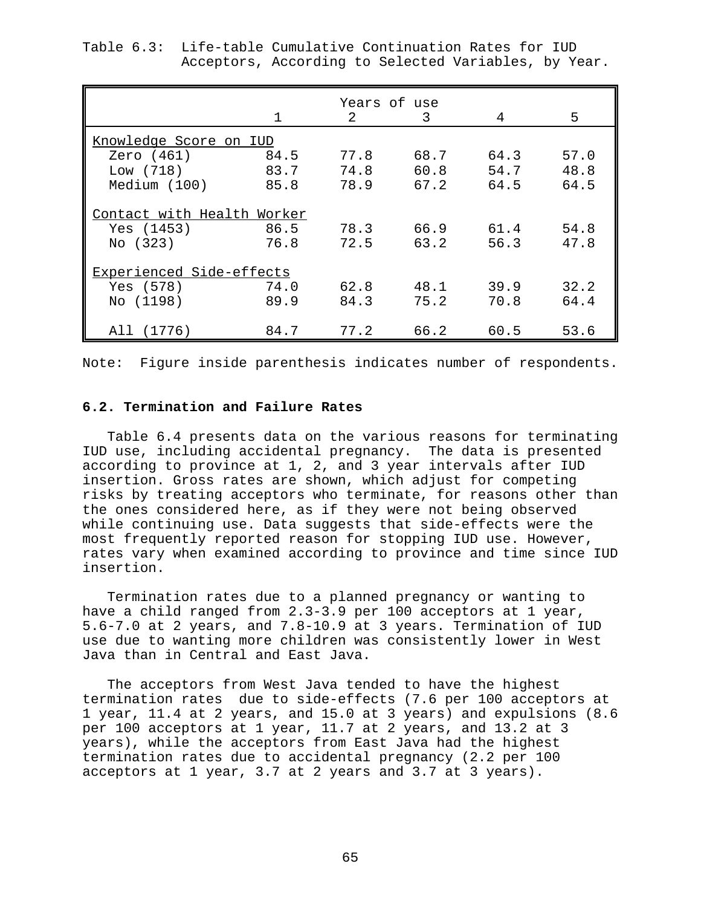|                                                      |              | Years of use |              |              |              |
|------------------------------------------------------|--------------|--------------|--------------|--------------|--------------|
|                                                      | $\mathbf{1}$ | $2^{\circ}$  | 3            | 4            | 5            |
| Knowledge Score on IUD                               |              |              |              |              |              |
| Zero (461) 84.5                                      |              | 77.8         | 68.7         | 64.3         | 57.0         |
| Low (718)                                            | 83.7         | 74.8         | 60.8         | 54.7         | 48.8         |
| Medium (100)                                         | 85.8         | 78.9         | 67.2         | 64.5         | 64.5         |
| Contact with Health Worker<br>Yes (1453)<br>No (323) | 86.5<br>76.8 | 78.3<br>72.5 | 66.9<br>63.2 | 61.4<br>56.3 | 54.8<br>47.8 |
| Experienced Side-effects                             |              |              |              |              |              |
| Yes (578)                                            | 74.0         | 62.8         | 48.1         | 39.9         | 32.2         |
| No (1198)                                            | 89.9         | 84.3         | 75.2         | 70.8         | 64.4         |
| All (1776)                                           | 84.7         | 77.2         | 66.2         | 60.5         | 53.6         |

Table 6.3: Life-table Cumulative Continuation Rates for IUD Acceptors, According to Selected Variables, by Year.

Note: Figure inside parenthesis indicates number of respondents.

## **6.2. Termination and Failure Rates**

Table 6.4 presents data on the various reasons for terminating IUD use, including accidental pregnancy. The data is presented according to province at 1, 2, and 3 year intervals after IUD insertion. Gross rates are shown, which adjust for competing risks by treating acceptors who terminate, for reasons other than the ones considered here, as if they were not being observed while continuing use. Data suggests that side-effects were the most frequently reported reason for stopping IUD use. However, rates vary when examined according to province and time since IUD insertion.

Termination rates due to a planned pregnancy or wanting to have a child ranged from 2.3-3.9 per 100 acceptors at 1 year, 5.6-7.0 at 2 years, and 7.8-10.9 at 3 years. Termination of IUD use due to wanting more children was consistently lower in West Java than in Central and East Java.

The acceptors from West Java tended to have the highest termination rates due to side-effects (7.6 per 100 acceptors at 1 year, 11.4 at 2 years, and 15.0 at 3 years) and expulsions (8.6 per 100 acceptors at 1 year, 11.7 at 2 years, and 13.2 at 3 years), while the acceptors from East Java had the highest termination rates due to accidental pregnancy (2.2 per 100 acceptors at 1 year, 3.7 at 2 years and 3.7 at 3 years).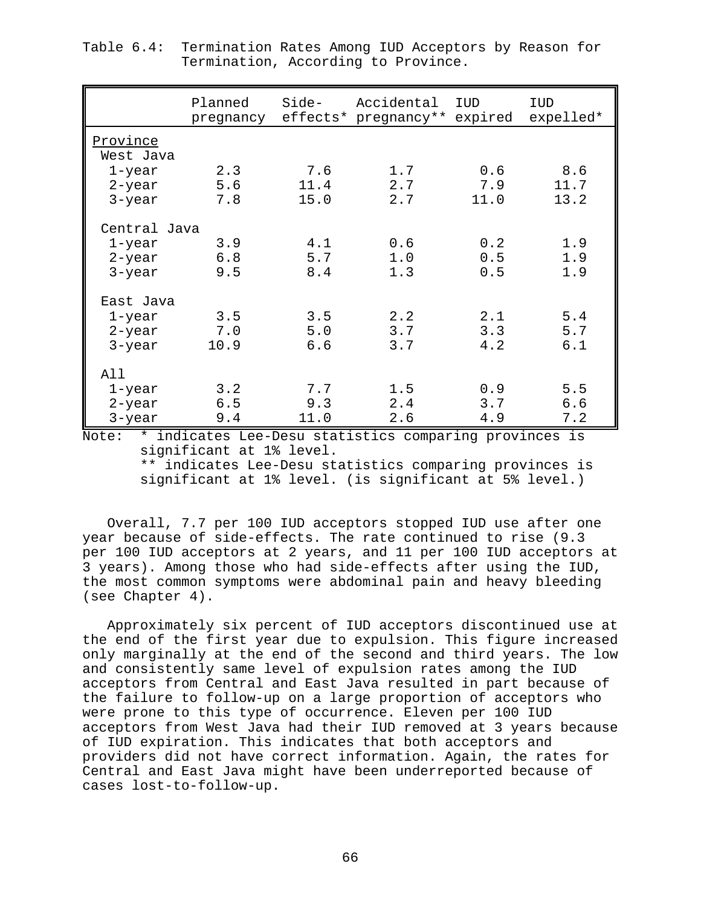|                       | Planned<br>pregnancy | Side- | Accidental<br>effects* pregnancy** expired | IUD  | IUD<br>expelled* |
|-----------------------|----------------------|-------|--------------------------------------------|------|------------------|
| Province<br>West Java |                      |       |                                            |      |                  |
| $1$ -year             | 2.3                  | 7.6   | 1.7                                        | 0.6  | 8.6              |
| $2$ -year             | 5.6                  | 11.4  | 2.7                                        | 7.9  | 11.7             |
| $3$ -year             | 7.8                  | 15.0  | 2.7                                        | 11.0 | 13.2             |
| Central Java          |                      |       |                                            |      |                  |
| $1$ -year             | 3.9                  | 4.1   | 0.6                                        | 0.2  | 1.9              |
| $2$ -year             | 6.8                  | 5.7   | 1.0                                        | 0.5  | 1.9              |
| $3$ -year             | 9.5                  | 8.4   | 1.3                                        | 0.5  | 1.9              |
| East Java             |                      |       |                                            |      |                  |
| $1$ -year             | 3.5                  | 3.5   | 2.2                                        | 2.1  | 5.4              |
| $2$ -year             | 7.0                  | 5.0   | 3.7                                        | 3.3  | 5.7              |
| $3$ -year             | 10.9                 | 6.6   | 3.7                                        | 4.2  | 6.1              |
| All                   |                      |       |                                            |      |                  |
| $1$ -year             | 3.2                  | 7.7   | 1.5                                        | 0.9  | 5.5              |
| $2$ -year             | 6.5                  | 9.3   | 2.4                                        | 3.7  | 6.6              |
| $3$ -year             | 9.4                  | 11.0  | 2.6                                        | 4.9  | 7.2              |

Table 6.4: Termination Rates Among IUD Acceptors by Reason for Termination, According to Province.

Note: \* indicates Lee-Desu statistics comparing provinces is significant at 1% level.

> \*\* indicates Lee-Desu statistics comparing provinces is significant at 1% level. (is significant at 5% level.)

Overall, 7.7 per 100 IUD acceptors stopped IUD use after one year because of side-effects. The rate continued to rise (9.3 per 100 IUD acceptors at 2 years, and 11 per 100 IUD acceptors at 3 years). Among those who had side-effects after using the IUD, the most common symptoms were abdominal pain and heavy bleeding (see Chapter 4).

Approximately six percent of IUD acceptors discontinued use at the end of the first year due to expulsion. This figure increased only marginally at the end of the second and third years. The low and consistently same level of expulsion rates among the IUD acceptors from Central and East Java resulted in part because of the failure to follow-up on a large proportion of acceptors who were prone to this type of occurrence. Eleven per 100 IUD acceptors from West Java had their IUD removed at 3 years because of IUD expiration. This indicates that both acceptors and providers did not have correct information. Again, the rates for Central and East Java might have been underreported because of cases lost-to-follow-up.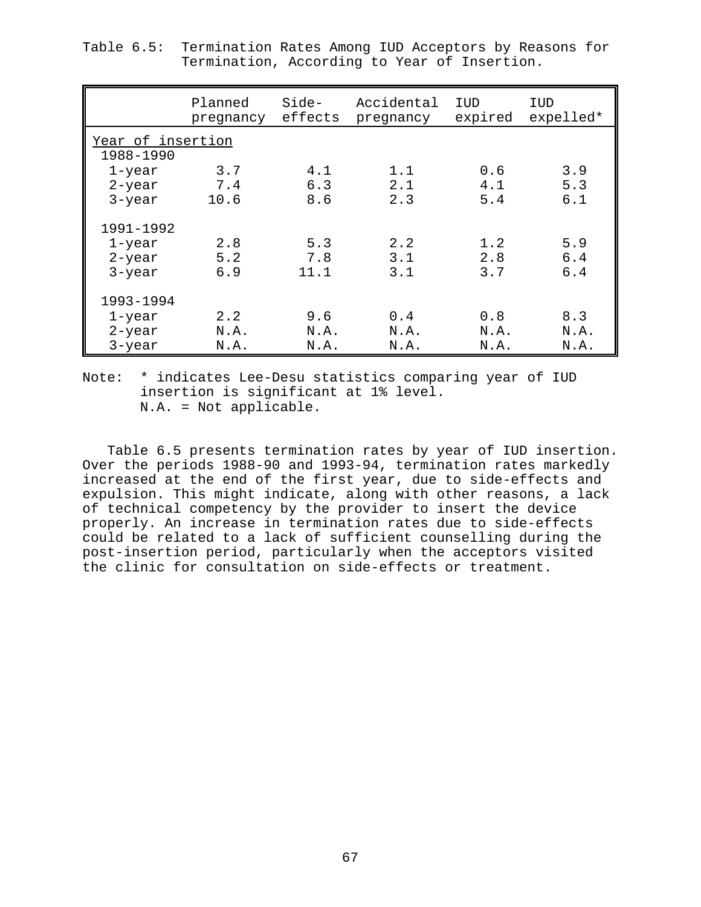|                                                  | Planned<br>pregnancy | Side-<br>effects    | Accidental<br>pregnancy | IUD<br>expired      | IUD<br>expelled*    |
|--------------------------------------------------|----------------------|---------------------|-------------------------|---------------------|---------------------|
| Year of insertion<br>1988-1990                   |                      |                     |                         |                     |                     |
| $1$ -year<br>$2$ -year<br>$3$ -year              | 3.7<br>7.4<br>10.6   | 4.1<br>6.3<br>8.6   | 1.1<br>2.1<br>2.3       | 0.6<br>4.1<br>5.4   | 3.9<br>5.3<br>6.1   |
| 1991-1992<br>1-year<br>$2$ -year<br>$3$ -year    | 2.8<br>5.2<br>6.9    | 5.3<br>7.8<br>11.1  | 2.2<br>3.1<br>3.1       | 1.2<br>2.8<br>3.7   | 5.9<br>6.4<br>6.4   |
| 1993-1994<br>$1$ -year<br>$2$ -year<br>$3$ -year | 2.2<br>N.A.<br>N.A.  | 9.6<br>N.A.<br>N.A. | 0.4<br>N.A.<br>N.A.     | 0.8<br>N.A.<br>N.A. | 8.3<br>N.A.<br>N.A. |

Table 6.5: Termination Rates Among IUD Acceptors by Reasons for Termination, According to Year of Insertion.

Note: \* indicates Lee-Desu statistics comparing year of IUD insertion is significant at 1% level. N.A. = Not applicable.

Table 6.5 presents termination rates by year of IUD insertion. Over the periods 1988-90 and 1993-94, termination rates markedly increased at the end of the first year, due to side-effects and expulsion. This might indicate, along with other reasons, a lack of technical competency by the provider to insert the device properly. An increase in termination rates due to side-effects could be related to a lack of sufficient counselling during the post-insertion period, particularly when the acceptors visited the clinic for consultation on side-effects or treatment.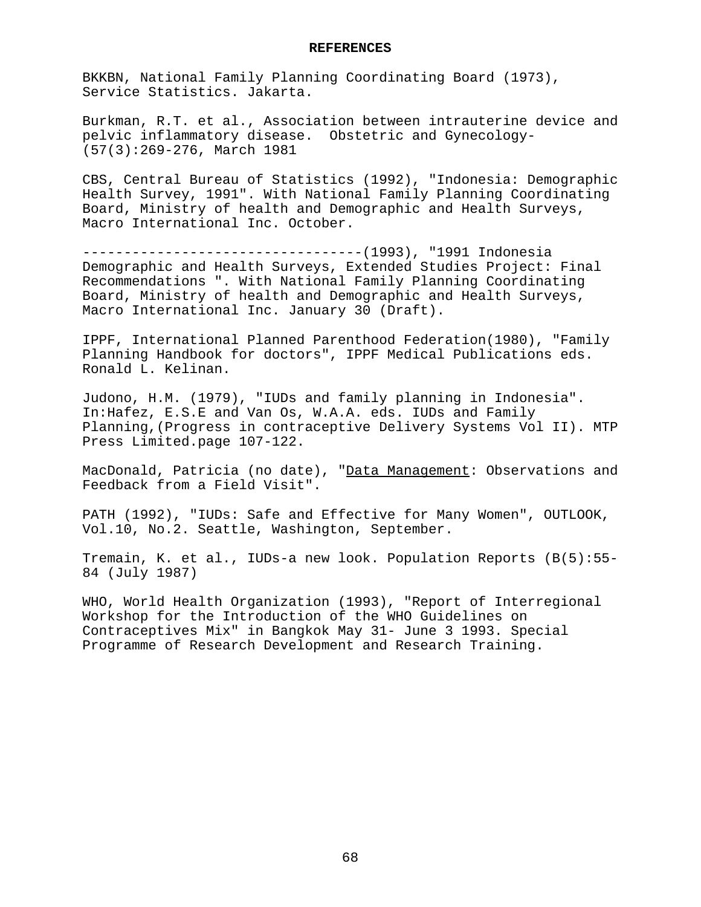#### **REFERENCES**

BKKBN, National Family Planning Coordinating Board (1973), Service Statistics. Jakarta.

Burkman, R.T. et al., Association between intrauterine device and pelvic inflammatory disease. Obstetric and Gynecology- (57(3):269-276, March 1981

CBS, Central Bureau of Statistics (1992), "Indonesia: Demographic Health Survey, 1991". With National Family Planning Coordinating Board, Ministry of health and Demographic and Health Surveys, Macro International Inc. October.

----------------------------------(1993), "1991 Indonesia Demographic and Health Surveys, Extended Studies Project: Final Recommendations ". With National Family Planning Coordinating Board, Ministry of health and Demographic and Health Surveys, Macro International Inc. January 30 (Draft).

IPPF, International Planned Parenthood Federation(1980), "Family Planning Handbook for doctors", IPPF Medical Publications eds. Ronald L. Kelinan.

Judono, H.M. (1979), "IUDs and family planning in Indonesia". In:Hafez, E.S.E and Van Os, W.A.A. eds. IUDs and Family Planning,(Progress in contraceptive Delivery Systems Vol II). MTP Press Limited.page 107-122.

MacDonald, Patricia (no date), "Data Management: Observations and Feedback from a Field Visit".

PATH (1992), "IUDs: Safe and Effective for Many Women", OUTLOOK, Vol.10, No.2. Seattle, Washington, September.

Tremain, K. et al., IUDs-a new look. Population Reports (B(5):55- 84 (July 1987)

WHO, World Health Organization (1993), "Report of Interregional Workshop for the Introduction of the WHO Guidelines on Contraceptives Mix" in Bangkok May 31- June 3 1993. Special Programme of Research Development and Research Training.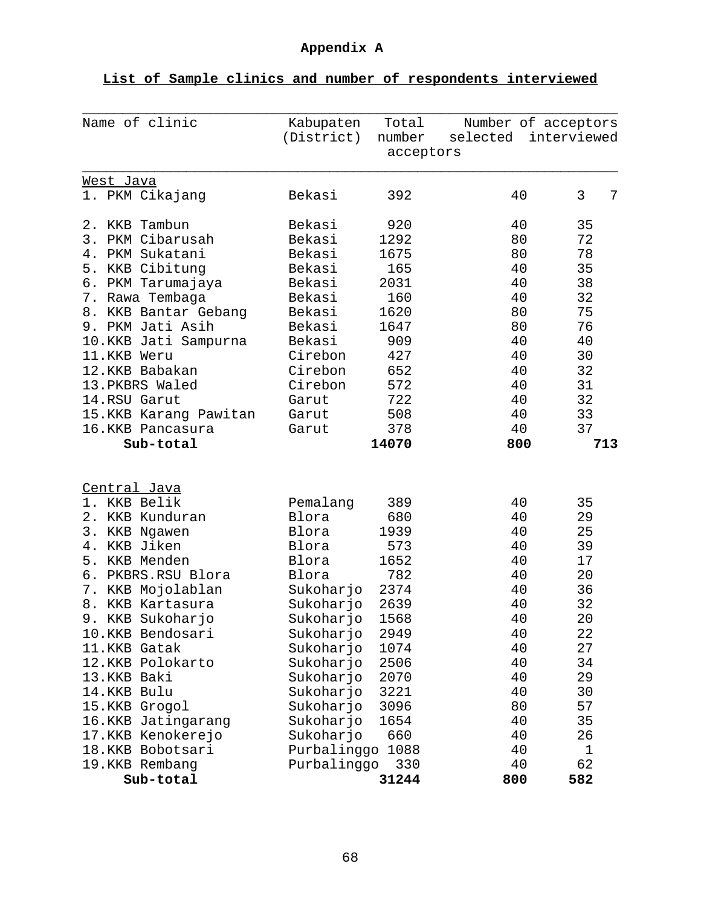| Name of clinic        | Kabupaten<br>(District) | Total<br>number | selected | Number of acceptors<br>interviewed |
|-----------------------|-------------------------|-----------------|----------|------------------------------------|
|                       |                         | acceptors       |          |                                    |
| West Java             |                         |                 |          |                                    |
| 1. PKM Cikajang       | Bekasi                  | 392             | 40       | 3<br>7                             |
| 2. KKB Tambun         | Bekasi                  | 920             | 40       | 35                                 |
| PKM Cibarusah<br>3.   | Bekasi                  | 1292            | 80       | 72                                 |
| 4. PKM Sukatani       | Bekasi                  | 1675            | 80       | 78                                 |
| 5.<br>KKB Cibitung    | Bekasi                  | 165             | 40       | 35                                 |
| 6. PKM Tarumajaya     | Bekasi                  | 2031            | 40       | 38                                 |
| 7. Rawa Tembaga       | Bekasi                  | 160             | 40       | 32                                 |
| 8. KKB Bantar Gebang  | Bekasi                  | 1620            | 80       | 75                                 |
| 9. PKM Jati Asih      | Bekasi                  | 1647            | 80       | 76                                 |
| 10.KKB Jati Sampurna  | Bekasi                  | 909             | 40       | 40                                 |
| 11.KKB Weru           | Cirebon                 | 427             | 40       | 30                                 |
| 12.KKB Babakan        | Cirebon                 | 652             | 40       | 32                                 |
| 13. PKBRS Waled       | Cirebon                 | 572             | 40       | 31                                 |
| 14.RSU Garut          | Garut                   | 722             | 40       | 32                                 |
| 15.KKB Karang Pawitan | Garut                   | 508             | 40       | 33                                 |
| 16.KKB Pancasura      | Garut                   | 378             | 40       | 37                                 |
| Sub-total             |                         | 14070           | 800      | 713                                |
|                       |                         |                 |          |                                    |
| Central Java          |                         |                 |          |                                    |
| KKB Belik<br>1.       | Pemalang                | 389             | 40       | 35                                 |
| KKB Kunduran<br>2.    | Blora                   | 680             | 40       | 29                                 |
| 3.<br>KKB Ngawen      | Blora                   | 1939            | 40       | 25                                 |
| 4.<br>KKB Jiken       | Blora                   | 573             | 40       | 39                                 |
| 5.<br>KKB Menden      | Blora                   | 1652            | 40       | 17                                 |
| 6. PKBRS.RSU Blora    | Blora                   | 782             | 40       | 20                                 |
| 7. KKB Mojolablan     | Sukoharjo               | 2374            | 40       | 36                                 |
| 8. KKB Kartasura      | Sukoharjo               | 2639            | 40       | 32                                 |
| 9. KKB Sukoharjo      | Sukoharjo               | 1568            | 40       | 20                                 |
| 10.KKB Bendosari      | Sukoharjo               | 2949            | 40       | 22                                 |
| 11.KKB Gatak          | Sukoharjo               | 1074            | 40       | 27                                 |
| 12.KKB Polokarto      | Sukoharjo               | 2506            | 40       | 34                                 |
| 13.KKB Baki           | Sukoharjo               | 2070            | 40       | 29                                 |
| 14.KKB Bulu           | Sukoharjo               | 3221            | 40       | 30                                 |
| 15.KKB Grogol         | Sukoharjo               | 3096            | 80       | 57                                 |
| 16.KKB Jatingarang    | Sukoharjo               | 1654            | 40       | 35                                 |
| 17.KKB Kenokerejo     | Sukoharjo               | 660             | 40       | 26                                 |
| 18.KKB Bobotsari      | Purbalinggo             | 1088            | 40       | $\mathbf 1$                        |
| 19.KKB Rembang        | Purbalinggo             | 330             | 40       | 62                                 |
| Sub-total             |                         | 31244           | 800      | 582                                |

# **List of Sample clinics and number of respondents interviewed**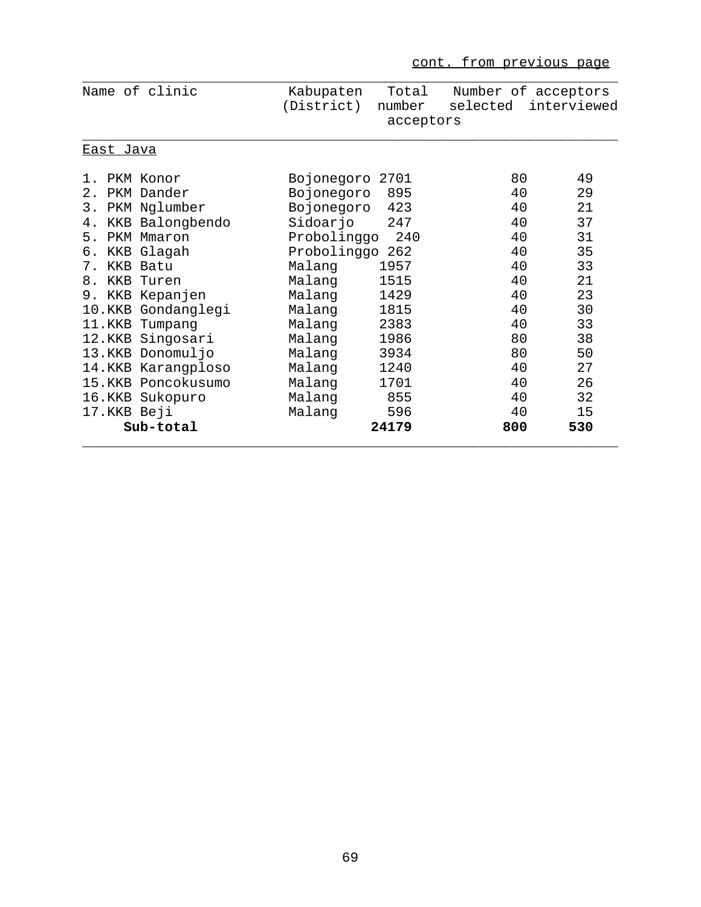cont. from previous page

| Name of clinic        | Kabupaten       | Total     | Number of acceptors |             |
|-----------------------|-----------------|-----------|---------------------|-------------|
|                       | (District)      | number    | selected            | interviewed |
|                       |                 | acceptors |                     |             |
| East Java             |                 |           |                     |             |
| PKM Konor<br>1.       | Bojonegoro 2701 |           | 80                  | 49          |
| 2.<br>PKM Dander      | Bojonegoro      | 895       | 40                  | 29          |
| 3.<br>PKM Nglumber    | Bojonegoro      | 423       | 40                  | 21          |
| KKB Balongbendo<br>4. | Sidoarjo        | 247       | 40                  | 37          |
| 5.<br>PKM Mmaron      | Probolinggo     | 240       | 40                  | 31          |
| KKB Glagah<br>б.      | Probolinggo     | 262       | 40                  | 35          |
| 7.<br>KKB Batu        | Malang          | 1957      | 40                  | 33          |
| 8.<br>KKB Turen       | Malang          | 1515      | 40                  | 21          |
| KKB Kepanjen<br>9.    | Malang          | 1429      | 40                  | 23          |
| 10.KKB Gondanglegi    | Malang          | 1815      | 40                  | 30          |
| 11.KKB<br>Tumpang     | Malang          | 2383      | 40                  | 33          |
| 12.KKB Singosari      | Malang          | 1986      | 80                  | 38          |
| 13.KKB Donomuljo      | Malang          | 3934      | 80                  | 50          |
| 14.KKB Karangploso    | Malang          | 1240      | 40                  | 2.7         |
| 15.KKB Poncokusumo    | Malang          | 1701      | 40                  | 26          |
| 16.KKB Sukopuro       | Malang          | 855       | 40                  | 32          |
| 17.KKB Beji           | Malang          | 596       | 40                  | 15          |
| Sub-total             |                 | 24179     | 800                 | 530         |
|                       |                 |           |                     |             |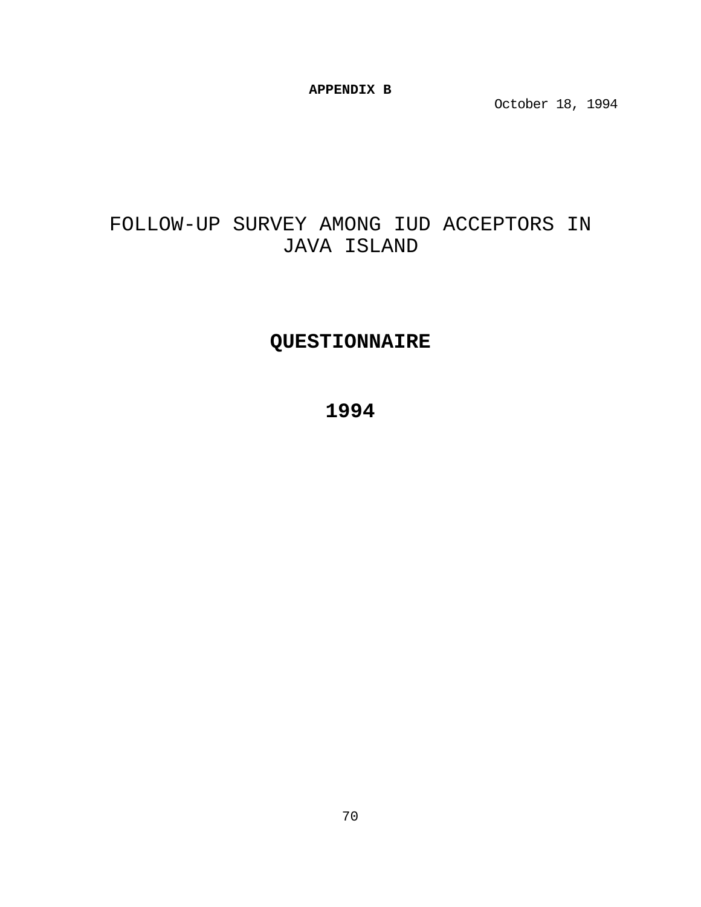**APPENDIX B**

October 18, 1994

# FOLLOW-UP SURVEY AMONG IUD ACCEPTORS IN JAVA ISLAND

# **QUESTIONNAIRE**

**1994**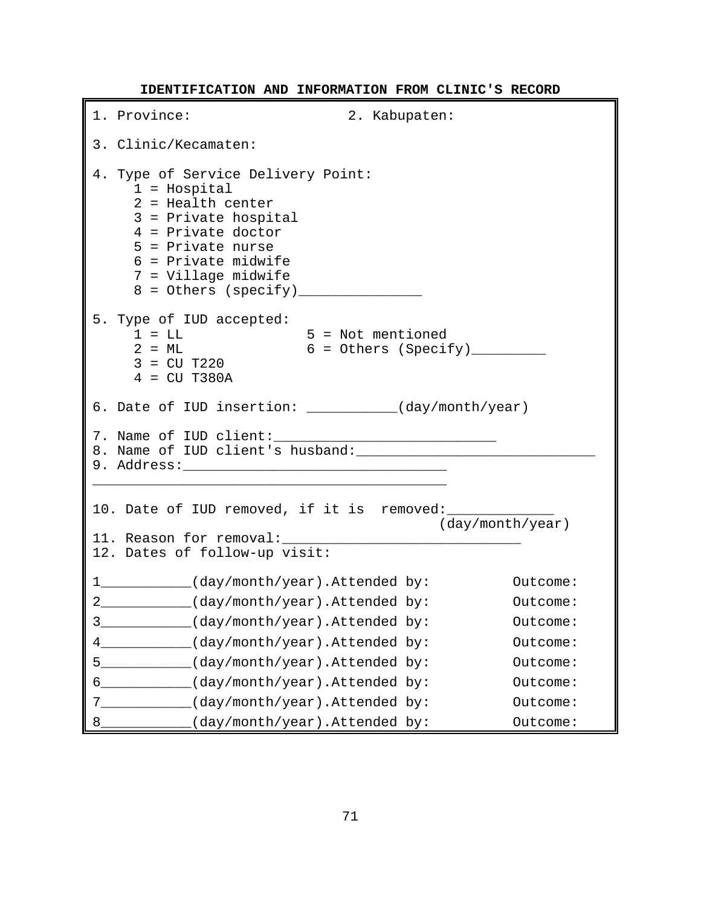**IDENTIFICATION AND INFORMATION FROM CLINIC'S RECORD**

```
1. Province: 2. Kabupaten:
3. Clinic/Kecamaten:
4. Type of Service Delivery Point: 
    1 = Hospital 
    2 = Health center
    3 = Private hospital
    4 = Private doctor
    5 = Private nurse
    6 = Private midwife
    7 = Village midwife
     8 = Others (specify)_______________
5. Type of IUD accepted:<br>1 = LL
                       5 = Not mentioned
    2 = ML 6 = Others (Specify)
    3 = CU T220
    4 = CU T380A
6. Date of IUD insertion: ___________(day/month/year)
7. Name of IUD client:
8. Name of IUD client's husband:
9. Address:________________________________
___________________________________________
10. Date of IUD removed, if it is removed:
                                  (day/month/year)
11. Reason for removal:
12. Dates of follow-up visit:
1___________(day/month/year).Attended by: 0utcome:
2__________(day/month/year).Attended by: 0utcome:
3___________(day/month/year).Attended by: Outcome:
4___________(day/month/year).Attended by: Outcome:
5___________(day/month/year).Attended by: Outcome:
6___________(day/month/year).Attended by: Outcome:
7___________(day/month/year).Attended by: Outcome:
8__________(day/month/year).Attended by: 0utcome:
```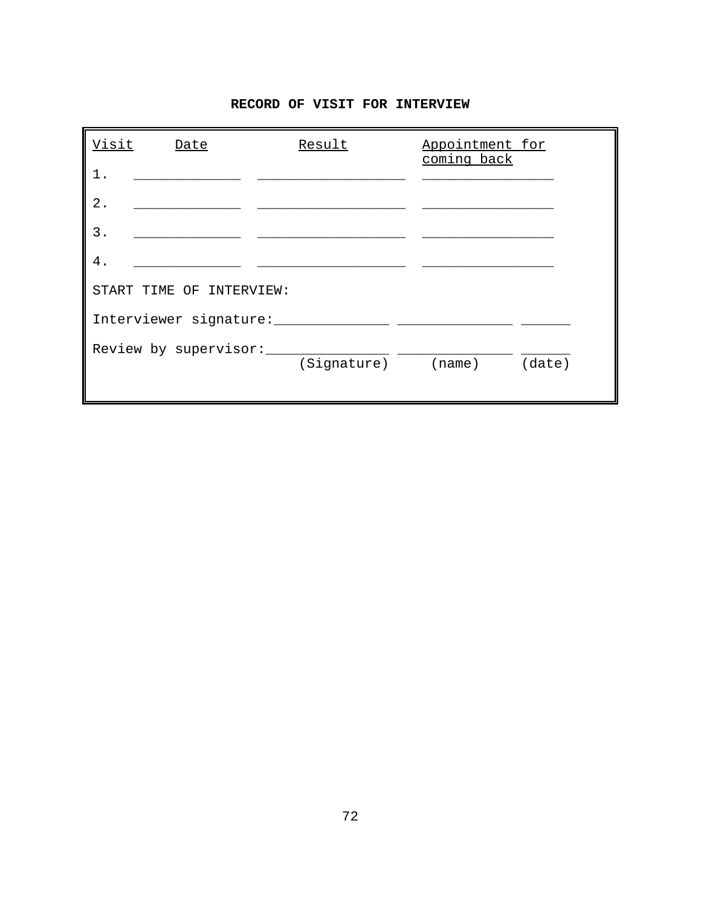| Visit | Date                     | Result | Appointment for<br>coming back |        |
|-------|--------------------------|--------|--------------------------------|--------|
| $1$ . |                          |        |                                |        |
| $2$ . |                          |        |                                |        |
| 3.    |                          |        |                                |        |
| 4.    |                          |        |                                |        |
|       | START TIME OF INTERVIEW: |        |                                |        |
|       | Interviewer signature:   |        |                                |        |
|       | Review by supervisor:    |        |                                |        |
|       |                          |        | (Signature) (name)             | (date) |
|       |                          |        |                                |        |

### **RECORD OF VISIT FOR INTERVIEW**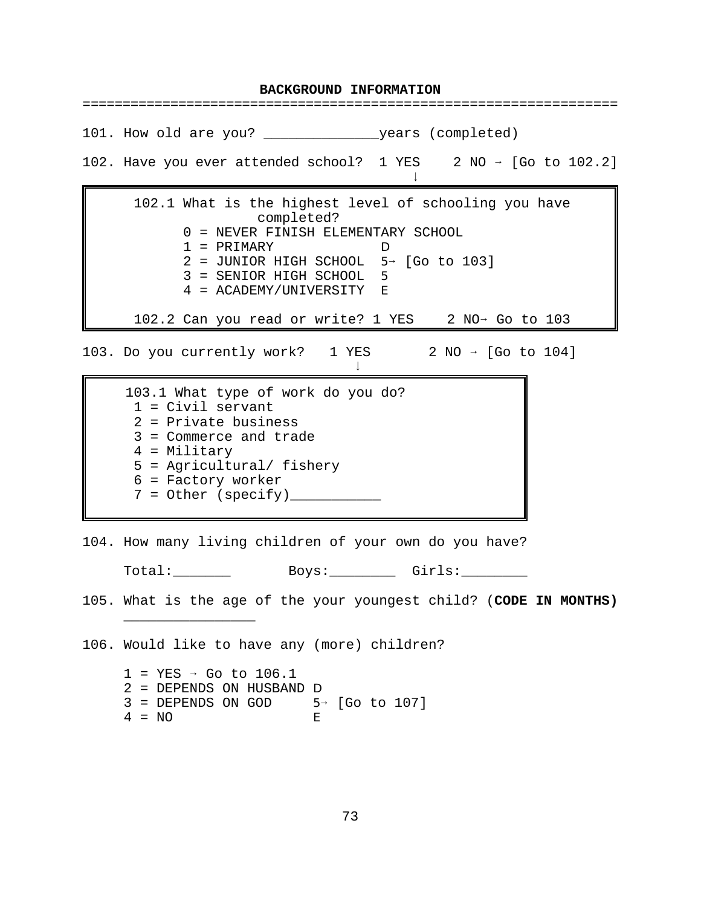**BACKGROUND INFORMATION** ================================================================== 101. How old are you? \_\_\_\_\_\_\_\_\_\_\_\_\_\_years (completed) 102. Have you ever attended school? 1 YES  $2 \text{ NO } \rightarrow \text{ [Go to 102.2]}$ 9 102.1 What is the highest level of schooling you have completed? 0 = NEVER FINISH ELEMENTARY SCHOOL 1 = PRIMARY D  $2$  = JUNIOR HIGH SCHOOL  $5 \rightarrow$  [Go to 103] 3 = SENIOR HIGH SCHOOL 5 4 = ACADEMY/UNIVERSITY E 102.2 Can you read or write? 1 YES  $2$  NO $\rightarrow$  Go to 103

103. Do you currently work?  $1$  YES  $2$  NO  $\rightarrow$  [Go to 104]  $\downarrow$ 

 103.1 What type of work do you do? 1 = Civil servant 2 = Private business 3 = Commerce and trade 4 = Military 5 = Agricultural/ fishery 6 = Factory worker  $7 =$  Other (specify)\_

104. How many living children of your own do you have?

Total:\_\_\_\_\_\_\_\_\_ Boys:\_\_\_\_\_\_\_\_ Girls:\_\_\_\_\_\_\_\_

105. What is the age of the your youngest child? (**CODE IN MONTHS)**

106. Would like to have any (more) children?

\_\_\_\_\_\_\_\_\_\_\_\_\_\_\_\_

 $1 = YES \rightarrow Go to 106.1$ 2 = DEPENDS ON HUSBAND D  $3$  = DEPENDS ON GOD  $5 \rightarrow$  [Go to 107]  $4 = NO$  E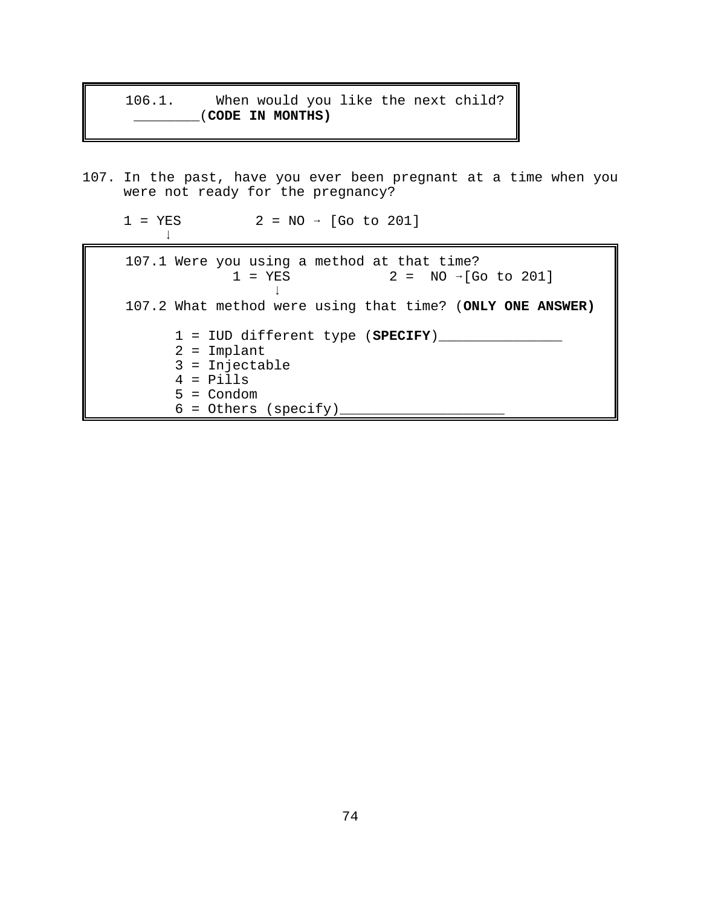| 106.1. |                  |  |  | When would you like the next child? |
|--------|------------------|--|--|-------------------------------------|
|        | (CODE IN MONTHS) |  |  |                                     |

107. In the past, have you ever been pregnant at a time when you were not ready for the pregnancy?

 $1 = YES$  2 = NO  $\rightarrow$  [Go to 201]  $\downarrow$  107.1 Were you using a method at that time?  $1 = YES$  2 = NO  $\rightarrow$  [Go to 201]  $\downarrow$ 

107.2 What method were using that time? (**ONLY ONE ANSWER)**

1 = IUD different type (**SPECIFY**)\_\_\_\_\_\_\_\_\_\_\_\_\_\_\_

- 2 = Implant
- 3 = Injectable

 $4$  = Pills

- 5 = Condom
- $6 = 0$ thers  $(specify)$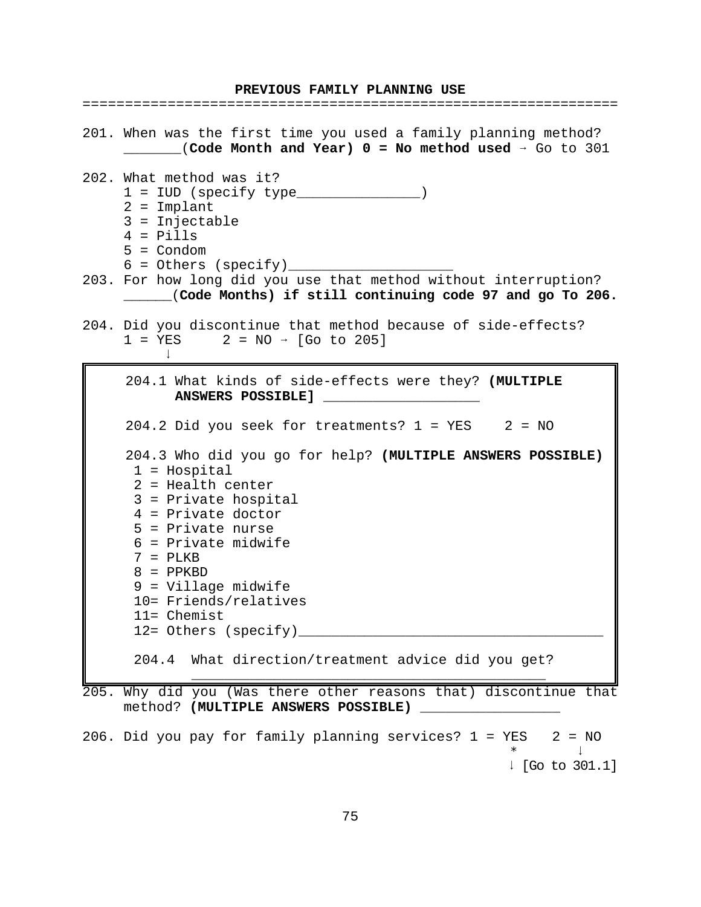#### **PREVIOUS FAMILY PLANNING USE**

================================================================ 201. When was the first time you used a family planning method? **\_\_\_\_\_\_\_(Code Month and Year) 0 = No method used**  $\rightarrow$  Go to 301 202. What method was it? 1 = IUD (specify type\_\_\_\_\_\_\_\_\_\_\_\_\_\_\_) 2 = Implant 3 = Injectable  $4$  = Pills 5 = Condom  $6 = 0$ thers (specify) 203. For how long did you use that method without interruption? \_\_\_\_\_\_(**Code Months) if still continuing code 97 and go To 206.** 204. Did you discontinue that method because of side-effects?  $1 = YES$  2 = NO  $\rightarrow$  [Go to 205]  $\downarrow$  204.1 What kinds of side-effects were they? **(MULTIPLE ANSWERS POSSIBLE]**  $204.2$  Did you seek for treatments?  $1 = YES$  2 = NO 204.3 Who did you go for help? **(MULTIPLE ANSWERS POSSIBLE)** 1 = Hospital 2 = Health center 3 = Private hospital 4 = Private doctor 5 = Private nurse 6 = Private midwife 7 = PLKB  $8 = PPKBD$ 9 = Village midwife 10= Friends/relatives 11= Chemist 12= Others (specify) 204.4 What direction/treatment advice did you get?  $\frac{1}{\sqrt{2}}$  ,  $\frac{1}{\sqrt{2}}$  ,  $\frac{1}{\sqrt{2}}$  ,  $\frac{1}{\sqrt{2}}$  ,  $\frac{1}{\sqrt{2}}$  ,  $\frac{1}{\sqrt{2}}$  ,  $\frac{1}{\sqrt{2}}$  ,  $\frac{1}{\sqrt{2}}$  ,  $\frac{1}{\sqrt{2}}$  ,  $\frac{1}{\sqrt{2}}$  ,  $\frac{1}{\sqrt{2}}$  ,  $\frac{1}{\sqrt{2}}$  ,  $\frac{1}{\sqrt{2}}$  ,  $\frac{1}{\sqrt{2}}$  ,  $\frac{1}{\sqrt{2}}$ 

205. Why did you (Was there other reasons that) discontinue that method? **(MULTIPLE ANSWERS POSSIBLE)** \_\_\_\_\_\_\_\_\_\_\_\_\_\_\_\_\_

206. Did you pay for family planning services?  $1 = YES$  2 = NO \*  $\downarrow$  $\downarrow$  [Go to 301.1]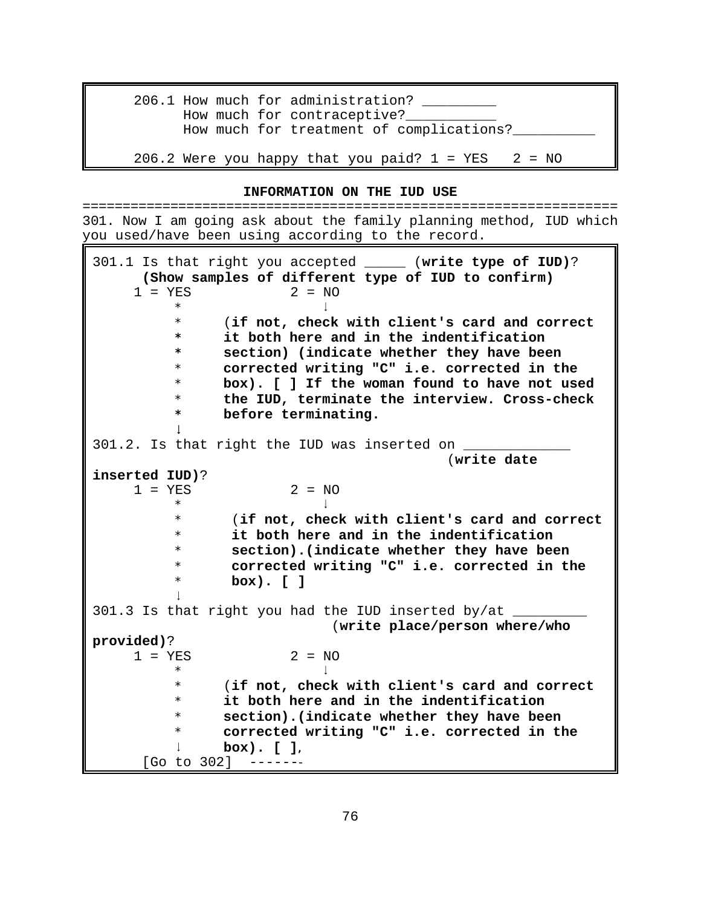206.1 How much for administration? \_\_\_\_\_\_\_\_ How much for contraceptive? How much for treatment of complications?\_ 206.2 Were you happy that you paid?  $1 = YES$  2 = NO

### **INFORMATION ON THE IUD USE**

================================================================== 301. Now I am going ask about the family planning method, IUD which you used/have been using according to the record.

| 301.1 Is that right you accepted ______ (write type of IUD)?<br>(Show samples of different type of IUD to confirm)<br>$1 = YES$<br>$2 = MO$<br>$\ast$ |
|-------------------------------------------------------------------------------------------------------------------------------------------------------|
| $\ast$<br>(if not, check with client's card and correct                                                                                               |
| $\ast$<br>it both here and in the indentification                                                                                                     |
| $\ast$<br>section) (indicate whether they have been                                                                                                   |
| corrected writing "C" i.e. corrected in the<br>$\ast$                                                                                                 |
| $\ast$<br>box). [ ] If the woman found to have not used                                                                                               |
| the IUD, terminate the interview. Cross-check<br>$\ast$                                                                                               |
| $\ast$<br>before terminating.                                                                                                                         |
|                                                                                                                                                       |
| 301.2. Is that right the IUD was inserted on _____                                                                                                    |
| (write date                                                                                                                                           |
| inserted IUD)?                                                                                                                                        |
| $1 = YES$<br>$2 = NO$                                                                                                                                 |
| $\ast$                                                                                                                                                |
| $\ast$<br>(if not, check with client's card and correct                                                                                               |
| $\ast$<br>it both here and in the indentification                                                                                                     |
| $\ast$<br>section). (indicate whether they have been                                                                                                  |
| corrected writing "C" i.e. corrected in the<br>$\ast$                                                                                                 |
| $\ast$<br>$box).$ [ ]                                                                                                                                 |
|                                                                                                                                                       |
| 301.3 Is that right you had the IUD inserted by/at $\overline{\phantom{a}}$                                                                           |
| (write place/person where/who                                                                                                                         |
| provided)?<br>$2 = NO$<br>$1 = YES$                                                                                                                   |
| $\ast$                                                                                                                                                |
| $\ast$<br>(if not, check with client's card and correct                                                                                               |
| $\ast$<br>it both here and in the indentification                                                                                                     |
| $\ast$<br>section). (indicate whether they have been                                                                                                  |
| $\ast$<br>corrected writing "C" i.e. corrected in the                                                                                                 |
| $box)$ . [ ].                                                                                                                                         |
| $[Go to 302]$ -------                                                                                                                                 |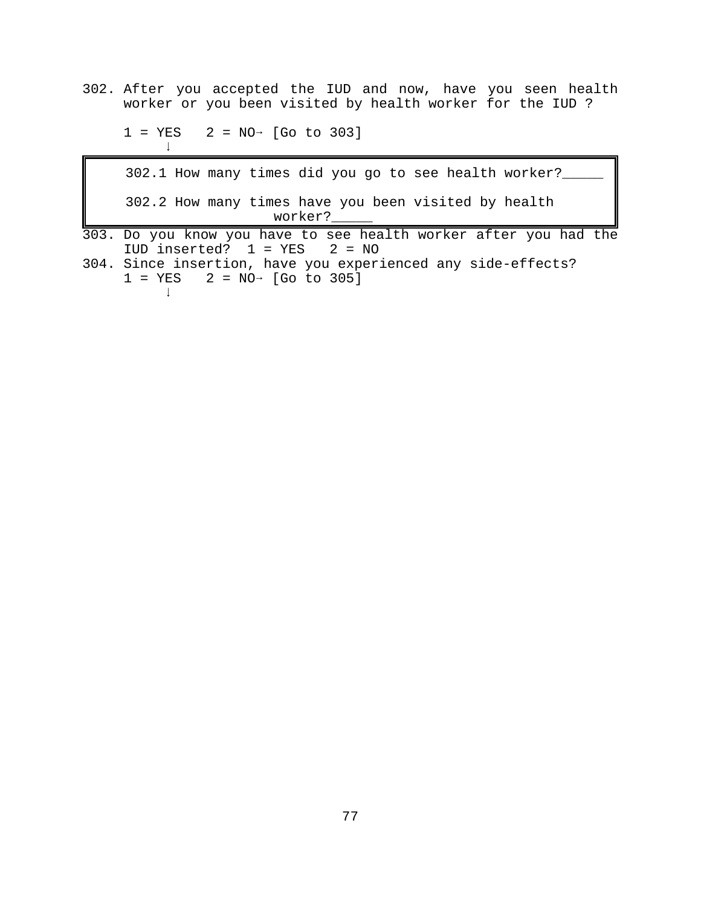302. After you accepted the IUD and now, have you seen health worker or you been visited by health worker for the IUD ?

 $1 = YES$  2 = NO $\rightarrow$  [Go to 303]

 $\downarrow$ 

 302.1 How many times did you go to see health worker?\_\_\_\_\_ 302.2 How many times have you been visited by health worker?\_\_\_\_\_

- 303. Do you know you have to see health worker after you had the IUD inserted? 1 = YES 2 = NO
- 304. Since insertion, have you experienced any side-effects?  $1 = YES$  2 = NO $\rightarrow$  [Go to 305]  $\downarrow$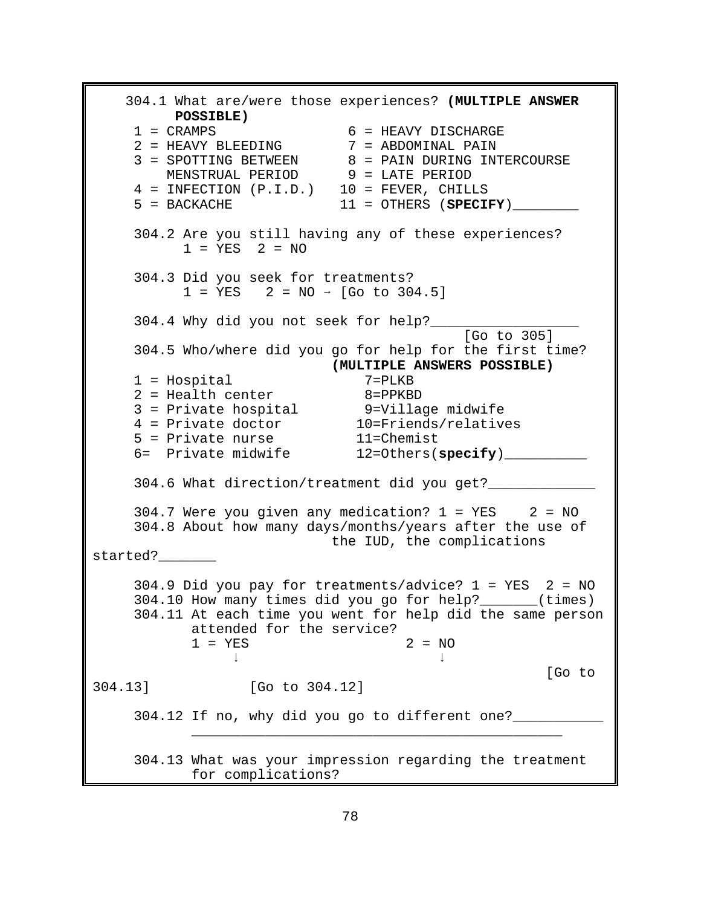304.1 What are/were those experiences? **(MULTIPLE ANSWER POSSIBLE)**  $1 = \text{CRAMPS}$  6 = HEAVY DISCHARGE 2 = HEAVY BLEEDING 7 = ABDOMINAL PAIN 3 = SPOTTING BETWEEN 8 = PAIN DURING INTERCOURSE MENSTRUAL PERIOD 9 = LATE PERIOD 4 = INFECTION (P.I.D.) 10 = FEVER, CHILLS 5 = BACKACHE 11 = OTHERS (**SPECIFY**) 304.2 Are you still having any of these experiences?  $1 = YES$   $2 = NO$ 304.3 Did you seek for treatments?  $1 = YES$  2 = NO  $\rightarrow$  [Go to 304.5] 304.4 Why did you not seek for help? [Go to 305] 304.5 Who/where did you go for help for the first time?  **(MULTIPLE ANSWERS POSSIBLE)** 1 = Hospital 7=PLKB 2 = Health center 8=PPKBD 3 = Private hospital 9=Village midwife 4 = Private doctor 10=Friends/relatives 5 = Private nurse 11=Chemist 6= Private midwife 12=Others(**specify**)\_\_\_\_\_\_\_\_\_\_ 304.6 What direction/treatment did you get?\_\_\_\_\_\_\_\_\_\_\_\_\_  $304.7$  Were you given any medication?  $1 = YES$  2 = NO 304.8 About how many days/months/years after the use of the IUD, the complications started?\_\_\_\_\_\_\_ 304.9 Did you pay for treatments/advice?  $1 = YES$  2 = NO 304.10 How many times did you go for help?\_\_\_\_\_\_\_(times) 304.11 At each time you went for help did the same person attended for the service?  $1 = YES$  2 = NO  $\downarrow$  [Go to 304.13] [Go to 304.12] 304.12 If no, why did you go to different one?\_\_\_\_\_\_\_\_\_\_\_\_\_\_\_\_\_\_\_\_\_\_\_\_\_\_\_\_\_\_\_\_\_\_ \_\_\_\_\_\_\_\_\_\_\_\_\_\_\_\_\_\_\_\_\_\_\_\_\_\_\_\_\_\_\_\_\_\_\_\_\_\_\_\_\_\_\_\_\_ 304.13 What was your impression regarding the treatment for complications?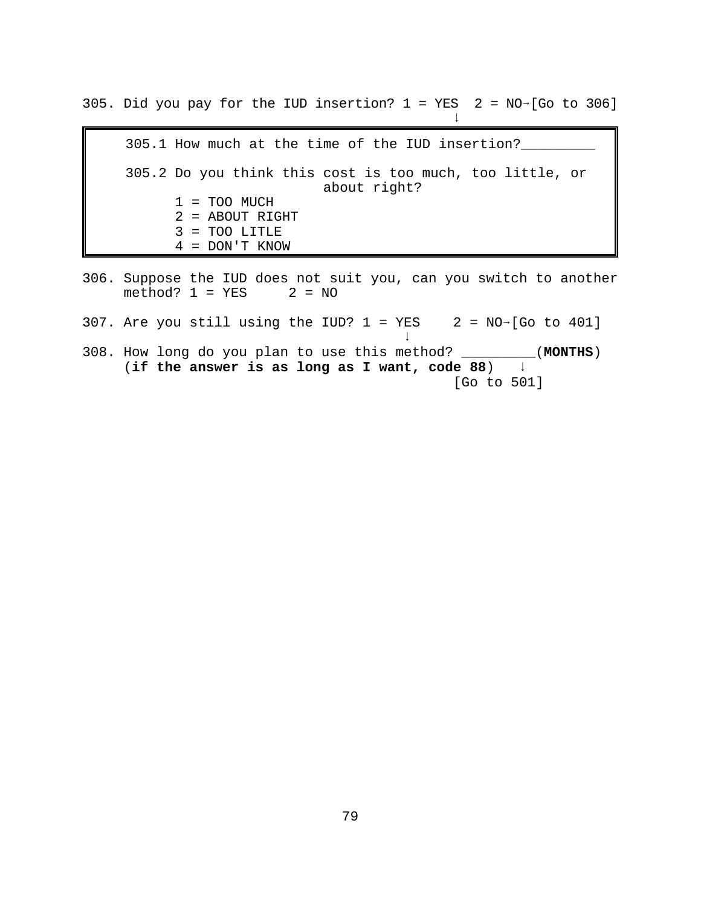305. Did you pay for the IUD insertion?  $1 = YES$  2 = NO-[Go to 306]

 $\mathfrak{p}_1$  and  $\mathfrak{p}_2$  and  $\mathfrak{p}_3$  and  $\mathfrak{p}_4$  and  $\mathfrak{p}_5$  and  $\mathfrak{p}_6$  and  $\mathfrak{p}_7$ 

 $\mathcal{L}_{\text{max}}$ 

 305.1 How much at the time of the IUD insertion?\_\_\_\_\_\_\_\_\_ 305.2 Do you think this cost is too much, too little, or about right?  $1 = TOO$  MUCH 2 = ABOUT RIGHT 3 = TOO LITLE 4 = DON'T KNOW

306. Suppose the IUD does not suit you, can you switch to another method?  $1 = YES$  2 = NO

307. Are you still using the IUD?  $1 = YES$  2 = NO-[Go to 401]

308. How long do you plan to use this method? \_\_\_\_\_\_\_\_\_(**MONTHS**) (if the answer is as long as I want, code 88)  $\downarrow$ [Go to 501]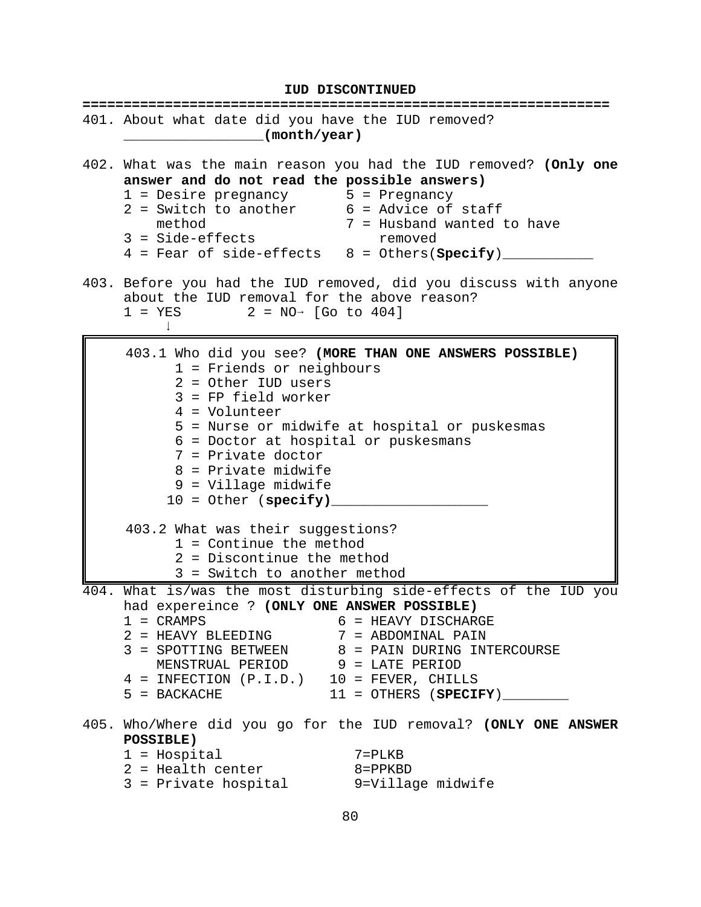**IUD DISCONTINUED ================================================================** 401. About what date did you have the IUD removed?  $(month/year)$ 402. What was the main reason you had the IUD removed? **(Only one** answer and do not read the possible answers)<br>1 = Desire pregnancy<br>5 = Pregnancy 1 = Desire pregnancy  $2$  = Switch to another  $6$  = Advice of staff method 7 = Husband wanted to have 3 = Side-effects removed  $4$  = Fear of side-effects  $8$  = Others(Specify) 403. Before you had the IUD removed, did you discuss with anyone about the IUD removal for the above reason?  $1 = YES$  2 = NO $\rightarrow$  [Go to 404]  $\downarrow$  403.1 Who did you see? **(MORE THAN ONE ANSWERS POSSIBLE)** 1 = Friends or neighbours 2 = Other IUD users 3 = FP field worker 4 = Volunteer 5 = Nurse or midwife at hospital or puskesmas 6 = Doctor at hospital or puskesmans 7 = Private doctor 8 = Private midwife 9 = Village midwife 10 = Other (specify) 403.2 What was their suggestions? 1 = Continue the method 2 = Discontinue the method 3 = Switch to another method 404. What is/was the most disturbing side-effects of the IUD you had expereince ? **(ONLY ONE ANSWER POSSIBLE)**  $1 = \text{CRAMPS}$  6 = HEAVY DISCHARGE 2 = HEAVY BLEEDING 7 = ABDOMINAL PAIN 3 = SPOTTING BETWEEN 8 = PAIN DURING INTERCOURSE MENSTRUAL PERIOD 9 = LATE PERIOD 4 = INFECTION (P.I.D.) 10 = FEVER, CHILLS 5 = BACKACHE 11 = OTHERS (**SPECIFY**) 405. Who/Where did you go for the IUD removal? **(ONLY ONE ANSWER POSSIBLE)** 1 = Hospital 7=PLKB 2 = Health center 8=PPKBD 3 = Private hospital 9=Village midwife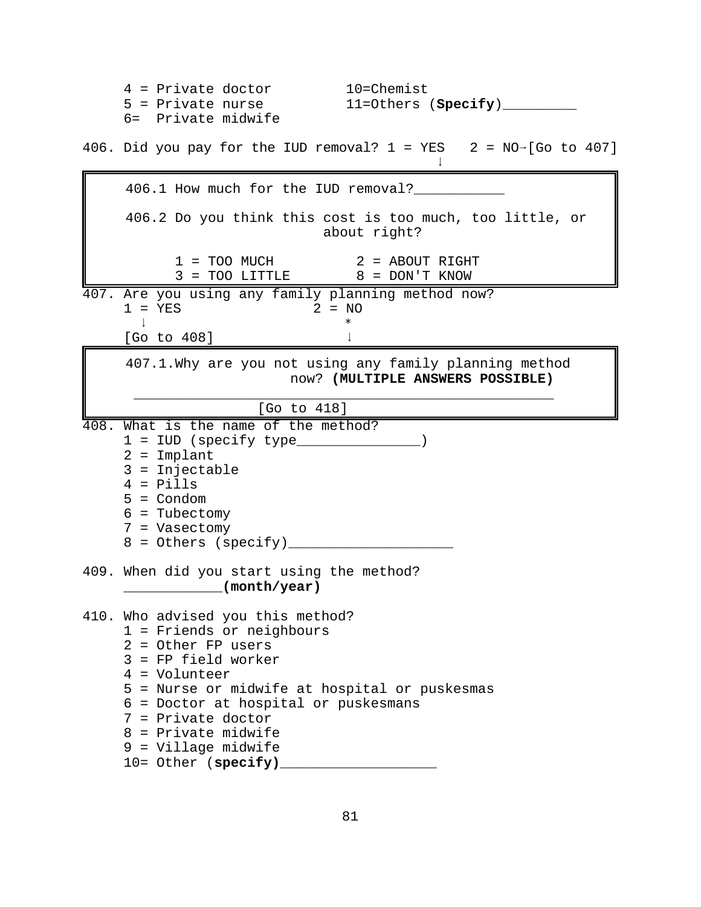| $4$ = Private doctor $10$ =Chemist<br>5 = Private nurse 11=Others (Specify)_____<br>6= Private midwife                                                                                                                                                                                                                                                                                                |
|-------------------------------------------------------------------------------------------------------------------------------------------------------------------------------------------------------------------------------------------------------------------------------------------------------------------------------------------------------------------------------------------------------|
| 406. Did you pay for the IUD removal? $1 = YES$ 2 = NO $\rightarrow$ [Go to 407]                                                                                                                                                                                                                                                                                                                      |
| 406.1 How much for the IUD removal?                                                                                                                                                                                                                                                                                                                                                                   |
| 406.2 Do you think this cost is too much, too little, or<br>about right?                                                                                                                                                                                                                                                                                                                              |
| $1 = TOO$ MUCH $2 = ABOUT$ RIGHT<br>$3 = TOO$ LITTLE $8 = DON'T$ KNOW                                                                                                                                                                                                                                                                                                                                 |
| 407. Are you using any family planning method now?<br>$1 = YES$<br>$2 = NO$<br>$\ast$<br>J.                                                                                                                                                                                                                                                                                                           |
| [Go to 408]                                                                                                                                                                                                                                                                                                                                                                                           |
| 407.1. Why are you not using any family planning method<br>now? (MULTIPLE ANSWERS POSSIBLE)                                                                                                                                                                                                                                                                                                           |
| [Go to 418]                                                                                                                                                                                                                                                                                                                                                                                           |
| 408. What is the name of the method?<br>1 = IUD (specify type_______________)<br>$2 = Implant$<br>$3 = Injectable$<br>$4$ = Pills<br>$5 =$ Condom<br>$6 =$ Tubectomy<br>7 = Vasectomy                                                                                                                                                                                                                 |
| 409. When did you start using the method?<br>$\begin{picture}(150,10) \put(0,0){\line(1,0){10}} \put(0,0){\line(1,0){10}} \put(0,0){\line(1,0){10}} \put(0,0){\line(1,0){10}} \put(0,0){\line(1,0){10}} \put(0,0){\line(1,0){10}} \put(0,0){\line(1,0){10}} \put(0,0){\line(1,0){10}} \put(0,0){\line(1,0){10}} \put(0,0){\line(1,0){10}} \put(0,0){\line(1,0){10}} \put(0,0){\line(1,0){10}} \put(0$ |
| 410. Who advised you this method?<br>1 = Friends or neighbours<br>$2 = 0$ ther FP users<br>$3$ = FP field worker<br>$4$ = Volunteer<br>5 = Nurse or midwife at hospital or puskesmas<br>6 = Doctor at hospital or puskesmans<br>7 = Private doctor<br>8 = Private midwife<br>9 = Village midwife<br>10= Other (specify)________________                                                               |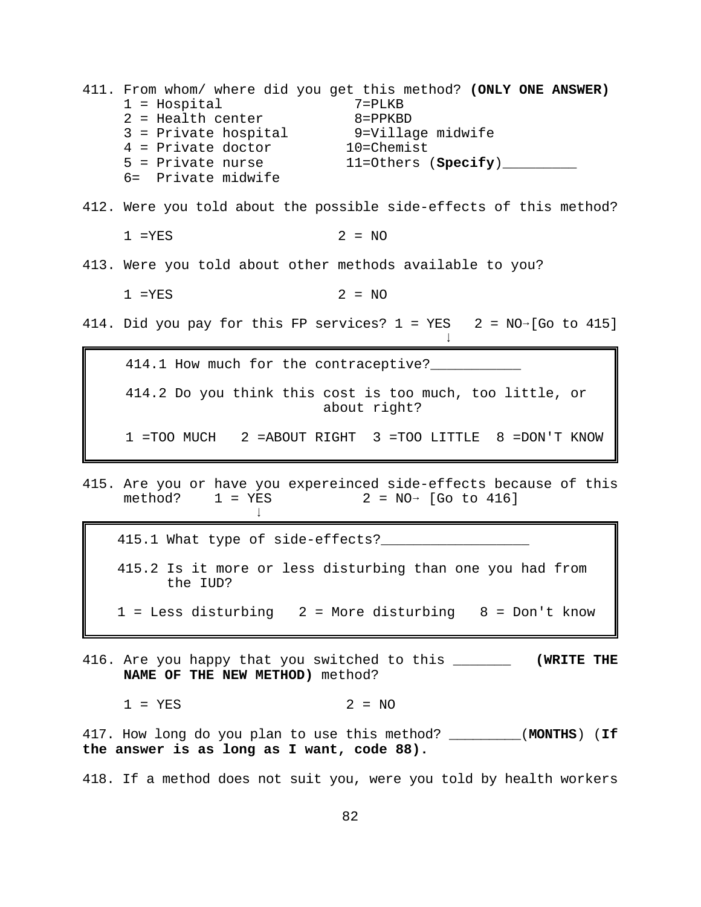411. From whom/ where did you get this method? **(ONLY ONE ANSWER)** 1 = Hospital 7=PLKB 2 = Health center 8=PPKBD 3 = Private hospital 9=Village midwife 4 = Private doctor 10=Chemist 5 = Private nurse 11=Others (**Specify**)\_\_\_\_\_\_\_\_\_ 6= Private midwife 412. Were you told about the possible side-effects of this method?  $1 = YES$  2 = NO 413. Were you told about other methods available to you?  $1 = YES$  2 = NO 414. Did you pay for this FP services?  $1 = YES$  2 = NO-[Go to 415] <u>999 - Johann Barn, amerikan pendadaran pendadaran pendadaran pendadaran pendadaran pendadaran pendadaran pen</u> 414.1 How much for the contraceptive?\_\_\_\_\_\_\_\_\_\_\_

 414.2 Do you think this cost is too much, too little, or about right?

1 =TOO MUCH 2 =ABOUT RIGHT 3 =TOO LITTLE 8 =DON'T KNOW

415. Are you or have you expereinced side-effects because of this method?  $1 = YES$  2 = NO $\rightarrow$  [Go to 416]  $\downarrow$ 

415.1 What type of side-effects?\_\_\_\_\_\_\_\_\_\_\_\_\_\_\_\_\_\_

- 415.2 Is it more or less disturbing than one you had from the IUD?
- 1 = Less disturbing 2 = More disturbing 8 = Don't know
- 416. Are you happy that you switched to this \_\_\_\_\_\_\_ **(WRITE THE NAME OF THE NEW METHOD)** method?

 $1 = YES$  2 = NO

417. How long do you plan to use this method? \_\_\_\_\_\_\_\_\_(**MONTHS**) (**If the answer is as long as I want, code 88).**

418. If a method does not suit you, were you told by health workers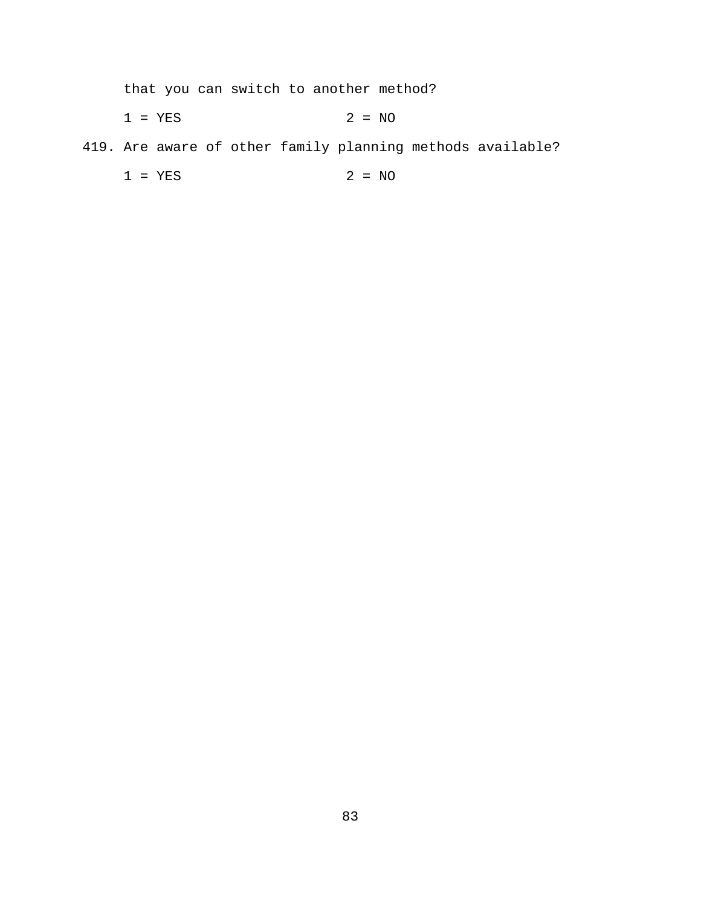that you can switch to another method?

 $1 = YES$  2 = NO

419. Are aware of other family planning methods available?

 $1 = YES$  2 = NO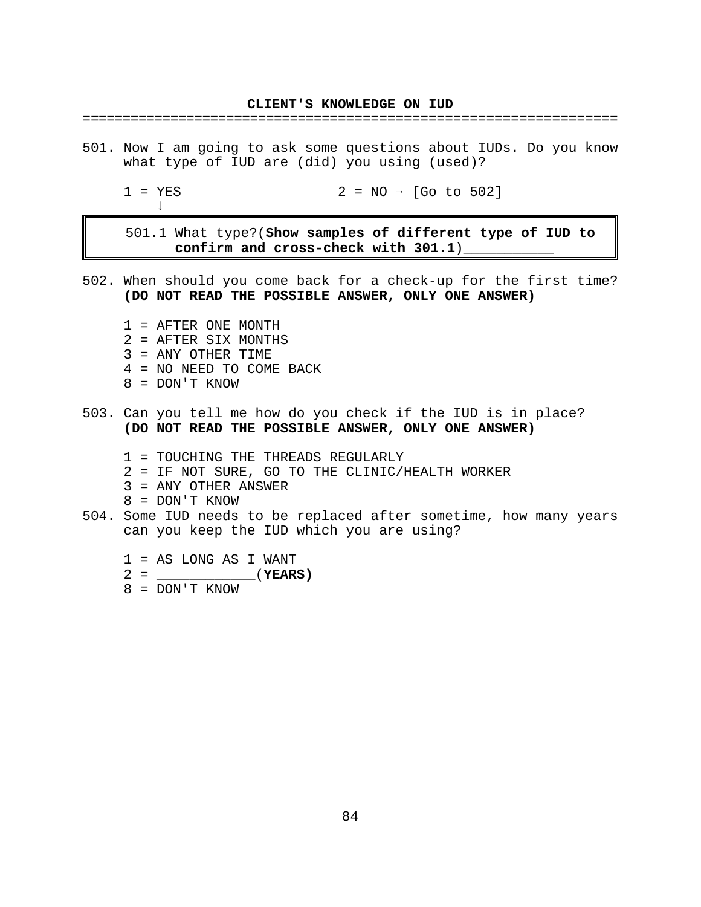### **CLIENT'S KNOWLEDGE ON IUD**

#### ==================================================================

501. Now I am going to ask some questions about IUDs. Do you know what type of IUD are (did) you using (used)?

 $1 = YES$  2 = NO  $\rightarrow$  [Go to 502]  $\downarrow$ 

 501.1 What type?(**Show samples of different type of IUD to confirm and cross-check with 301.1**)\_\_\_\_\_\_\_\_\_\_\_

- 502. When should you come back for a check-up for the first time? **(DO NOT READ THE POSSIBLE ANSWER, ONLY ONE ANSWER)**
	- 1 = AFTER ONE MONTH 2 = AFTER SIX MONTHS 3 = ANY OTHER TIME 4 = NO NEED TO COME BACK 8 = DON'T KNOW
- 503. Can you tell me how do you check if the IUD is in place? **(DO NOT READ THE POSSIBLE ANSWER, ONLY ONE ANSWER)**
	- 1 = TOUCHING THE THREADS REGULARLY
	- 2 = IF NOT SURE, GO TO THE CLINIC/HEALTH WORKER
	- 3 = ANY OTHER ANSWER
	- 8 = DON'T KNOW
- 504. Some IUD needs to be replaced after sometime, how many years can you keep the IUD which you are using?
	- 1 = AS LONG AS I WANT
	- 2 = \_\_\_\_\_\_\_\_\_\_\_\_(**YEARS)**
	- 8 = DON'T KNOW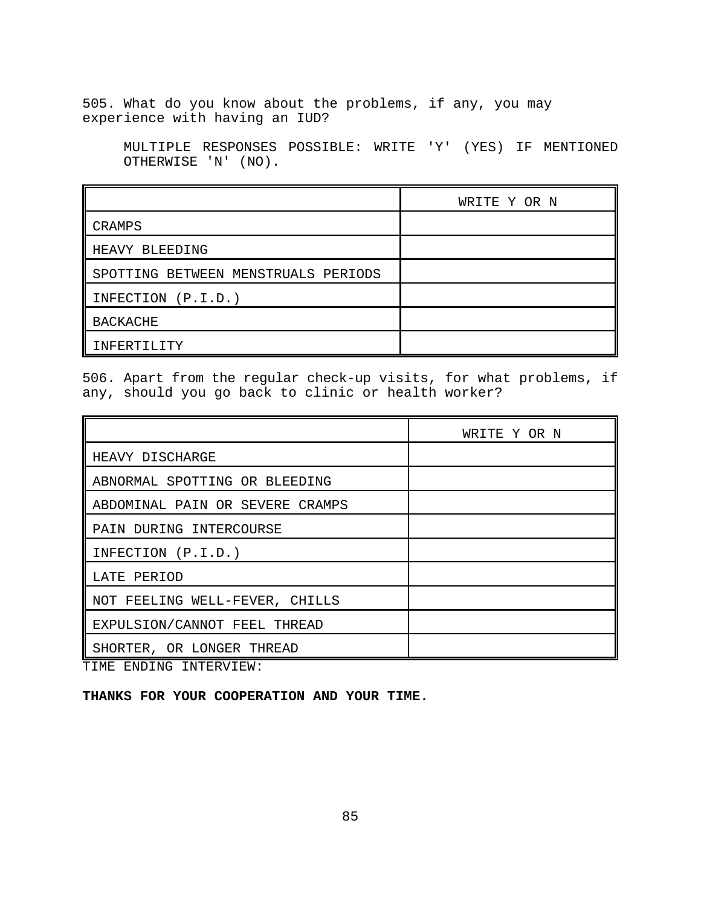505. What do you know about the problems, if any, you may experience with having an IUD?

MULTIPLE RESPONSES POSSIBLE: WRITE 'Y' (YES) IF MENTIONED OTHERWISE 'N' (NO).

|                                     | WRITE Y OR N |
|-------------------------------------|--------------|
| CRAMPS                              |              |
| HEAVY BLEEDING                      |              |
| SPOTTING BETWEEN MENSTRUALS PERIODS |              |
| INFECTION (P.I.D.)                  |              |
| <b>BACKACHE</b>                     |              |
| INFERTILITY                         |              |

506. Apart from the regular check-up visits, for what problems, if any, should you go back to clinic or health worker?

|                                 | WRITE Y OR N |
|---------------------------------|--------------|
| HEAVY DISCHARGE                 |              |
| ABNORMAL SPOTTING OR BLEEDING   |              |
| ABDOMINAL PAIN OR SEVERE CRAMPS |              |
| PAIN DURING INTERCOURSE         |              |
| INFECTION (P.I.D.)              |              |
| LATE PERIOD                     |              |
| NOT FEELING WELL-FEVER, CHILLS  |              |
| EXPULSION/CANNOT FEEL THREAD    |              |
| SHORTER, OR LONGER THREAD       |              |

TIME ENDING INTERVIEW:

**THANKS FOR YOUR COOPERATION AND YOUR TIME.**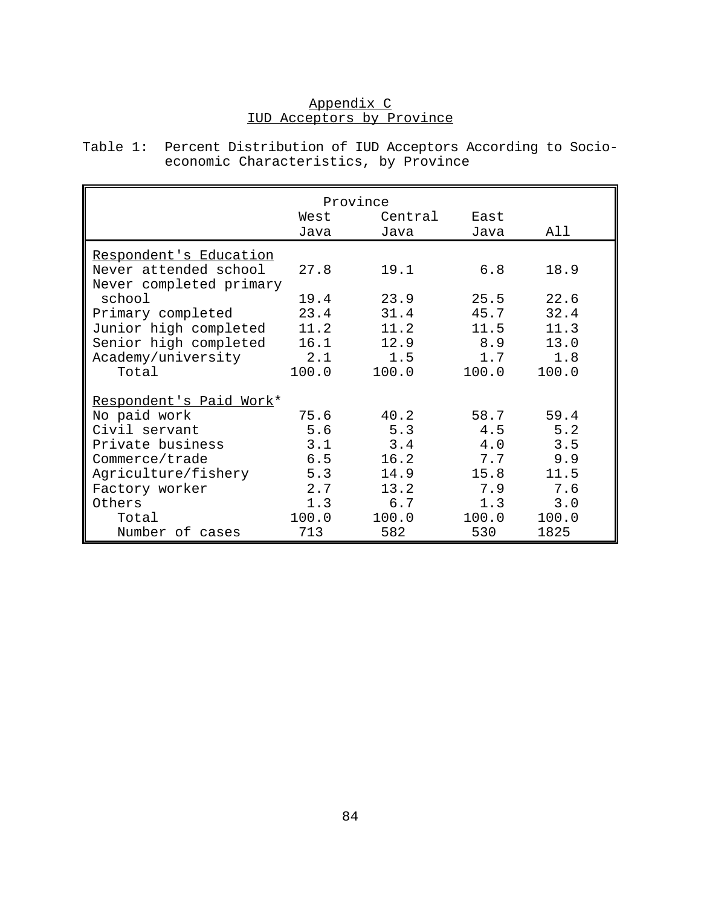# Appendix C IUD Acceptors by Province

| Table 1: Percent Distribution of IUD Acceptors According to Socio- |  |
|--------------------------------------------------------------------|--|
| economic Characteristics, by Province                              |  |

|                         |       | Province |       |       |
|-------------------------|-------|----------|-------|-------|
|                         | West  | Central  | East  |       |
|                         | Java  | Java     | Java  | All   |
| Respondent's Education  |       |          |       |       |
| Never attended school   | 27.8  | 19.1     | 6.8   | 18.9  |
| Never completed primary |       |          |       |       |
| school                  | 19.4  | 23.9     | 25.5  | 22.6  |
| Primary completed       | 23.4  | 31.4     | 45.7  | 32.4  |
| Junior high completed   | 11.2  | 11.2     | 11.5  | 11.3  |
| Senior high completed   | 16.1  | 12.9     | 8.9   | 13.0  |
| Academy/university      | 2.1   | 1.5      | 1.7   | 1.8   |
| Total                   | 100.0 | 100.0    | 100.0 | 100.0 |
| Respondent's Paid Work* |       |          |       |       |
| No paid work            | 75.6  | 40.2     | 58.7  | 59.4  |
| Civil servant           | 5.6   | 5.3      | 4.5   | 5.2   |
| Private business        | 3.1   | 3.4      | 4.0   | 3.5   |
| Commerce/trade          | 6.5   | 16.2     | 7.7   | 9.9   |
| Agriculture/fishery     | 5.3   | 14.9     | 15.8  | 11.5  |
| Factory worker          | 2.7   | 13.2     | 7.9   | 7.6   |
| Others                  | 1.3   | 6.7      | 1.3   | 3.0   |
| Total                   | 100.0 | 100.0    | 100.0 | 100.0 |
| Number of cases         | 713   | 582      | 530   | 1825  |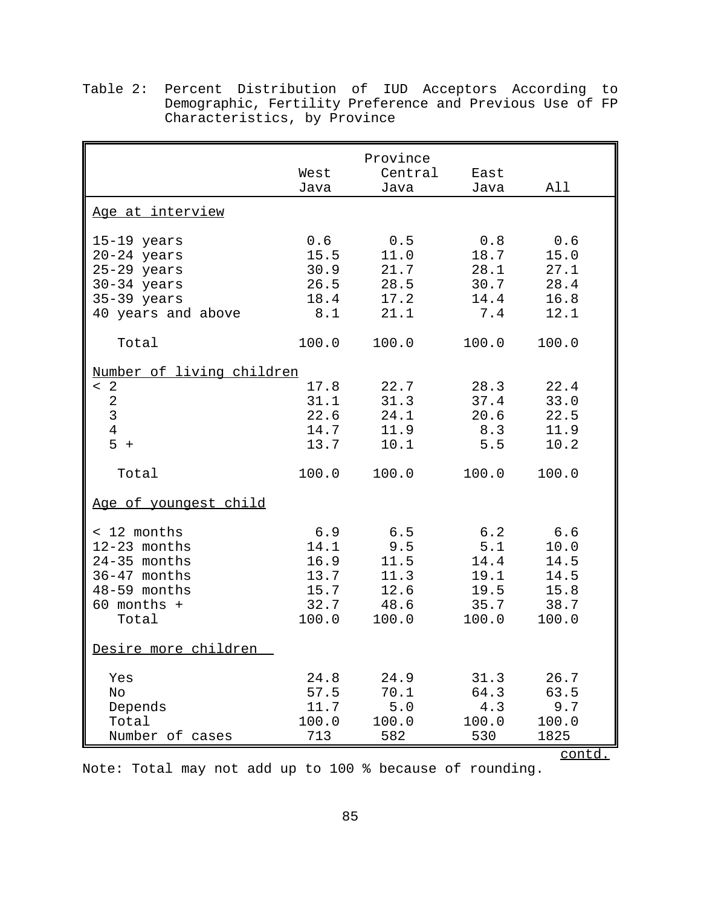|                                                                                                           | West<br>Java                                         | Province<br>Central<br>Java                         | East<br>Java                                 | All                                                          |
|-----------------------------------------------------------------------------------------------------------|------------------------------------------------------|-----------------------------------------------------|----------------------------------------------|--------------------------------------------------------------|
| Age at interview                                                                                          |                                                      |                                                     |                                              |                                                              |
| $15-19$ years<br>$20 - 24$ years<br>$25-29$ years<br>$30-34$ years<br>$35-39$ years<br>40 years and above | 0.6<br>15.5<br>30.9<br>26.5<br>18.4<br>8.1           | 0.5<br>11.0<br>21.7<br>28.5<br>17.2<br>21.1         | 0.8<br>18.7<br>28.1<br>14.4<br>7.4           | 0.6<br>15.0<br>27.1<br>30.7 28.4<br>16.8<br>12.1             |
| Total                                                                                                     | 100.0                                                | 100.0                                               | 100.0                                        | 100.0                                                        |
| Number of living children<br>$\leq$ 2<br>$\begin{array}{c}\n2 \\ 3 \\ 4 \\ 5\n\end{array}$<br>$+$         | 17.8<br>31.1<br>22.6<br>14.7<br>13.7                 | 22.7<br>31.3<br>24.1<br>11.9<br>10.1                | 28.3<br>8.3<br>5.5                           | 22.4<br>$37.4$ $33.0$<br>20.6 22.5<br>11.9<br>10.2           |
| Total                                                                                                     | 100.0                                                | 100.0                                               | 100.0                                        | 100.0                                                        |
| Age of youngest child                                                                                     |                                                      |                                                     |                                              |                                                              |
| < 12 months<br>$12-23$ months<br>$24-35$ months<br>36-47 months<br>48-59 months<br>60 months +<br>Total   | 6.9<br>14.1<br>16.9<br>13.7<br>15.7<br>32.7<br>100.0 | 6.5<br>9.5<br>11.5<br>11.3<br>12.6<br>48.6<br>100.0 | 5.1<br>14.4<br>19.1<br>19.5<br>35.7<br>100.0 | $6.2$ $6.6$<br>10.0<br>14.5<br>14.5<br>15.8<br>38.7<br>100.0 |
| Desire more children                                                                                      |                                                      |                                                     |                                              |                                                              |
| Yes<br>No<br>Depends<br>Total<br>Number of cases                                                          | 24.8<br>57.5<br>11.7<br>100.0<br>713                 | 24.9<br>70.1<br>5.0<br>100.0<br>582                 | 31.3<br>64.3<br>4.3<br>100.0<br>530          | 26.7<br>63.5<br>9.7<br>100.0<br>1825<br><u>contd.</u>        |

Table 2: Percent Distribution of IUD Acceptors According to Demographic, Fertility Preference and Previous Use of FP Characteristics, by Province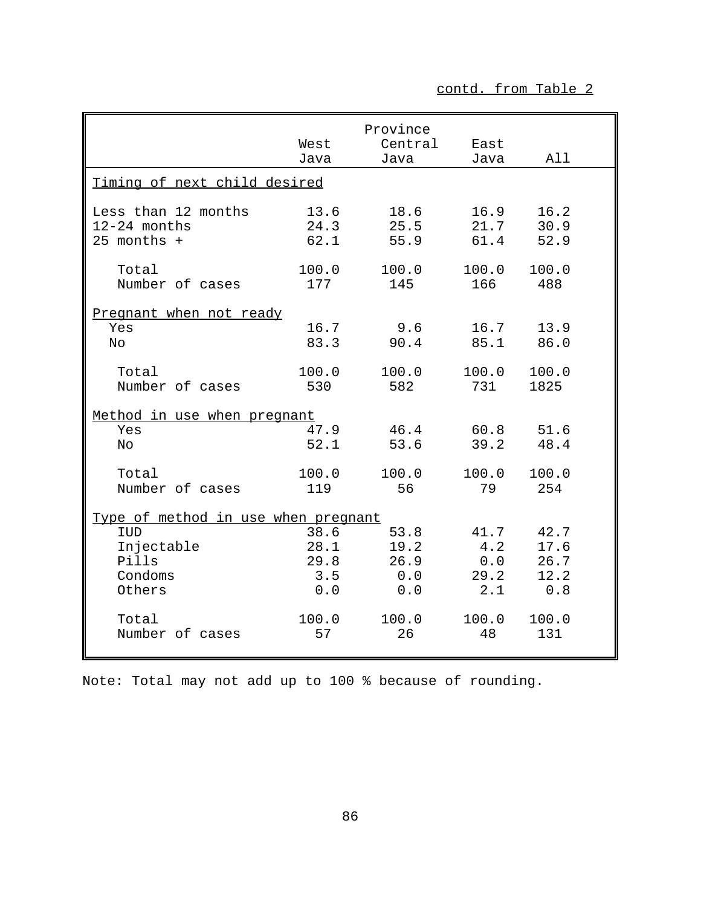|                                     | West                         | Province<br>Central | East  |       |  |  |  |
|-------------------------------------|------------------------------|---------------------|-------|-------|--|--|--|
|                                     | Java                         | Java                | Java  | All   |  |  |  |
|                                     | Timing of next child desired |                     |       |       |  |  |  |
| Less than 12 months                 | 13.6                         | 18.6                | 16.9  | 16.2  |  |  |  |
| $12-24$ months                      | 24.3                         | 25.5                | 21.7  | 30.9  |  |  |  |
| $25$ months +                       | 62.1                         | 55.9                | 61.4  | 52.9  |  |  |  |
| Total                               | 100.0                        | 100.0               | 100.0 | 100.0 |  |  |  |
| Number of cases                     | 177                          | 145                 | 166   | 488   |  |  |  |
| Pregnant when not ready             |                              |                     |       |       |  |  |  |
| Yes                                 | 16.7                         | 9.6                 | 16.7  | 13.9  |  |  |  |
| No                                  | 83.3                         | 90.4                | 85.1  | 86.0  |  |  |  |
| Total                               | 100.0                        | 100.0               | 100.0 | 100.0 |  |  |  |
| Number of cases                     | 530                          | 582                 | 731   | 1825  |  |  |  |
| Method in use when pregnant         |                              |                     |       |       |  |  |  |
| Yes                                 | 47.9                         | 46.4                | 60.8  | 51.6  |  |  |  |
| No                                  | 52.1                         | 53.6                | 39.2  | 48.4  |  |  |  |
| Total                               | 100.0                        | 100.0               | 100.0 | 100.0 |  |  |  |
| Number of cases                     | 119                          | 56                  | 79    | 254   |  |  |  |
| Type of method in use when pregnant |                              |                     |       |       |  |  |  |
| IUD                                 | 38.6                         | 53.8                | 41.7  | 42.7  |  |  |  |
| Injectable                          | 28.1                         | 19.2                | 4.2   | 17.6  |  |  |  |
| Pills                               | 29.8                         | 26.9                | 0.0   | 26.7  |  |  |  |
| Condoms                             | 3.5                          | 0.0                 | 29.2  | 12.2  |  |  |  |
| Others                              | 0.0                          | 0.0                 | 2.1   | 0.8   |  |  |  |
| Total                               | 100.0                        | 100.0               | 100.0 | 100.0 |  |  |  |
| Number of cases                     | 57                           | 26                  | 48    | 131   |  |  |  |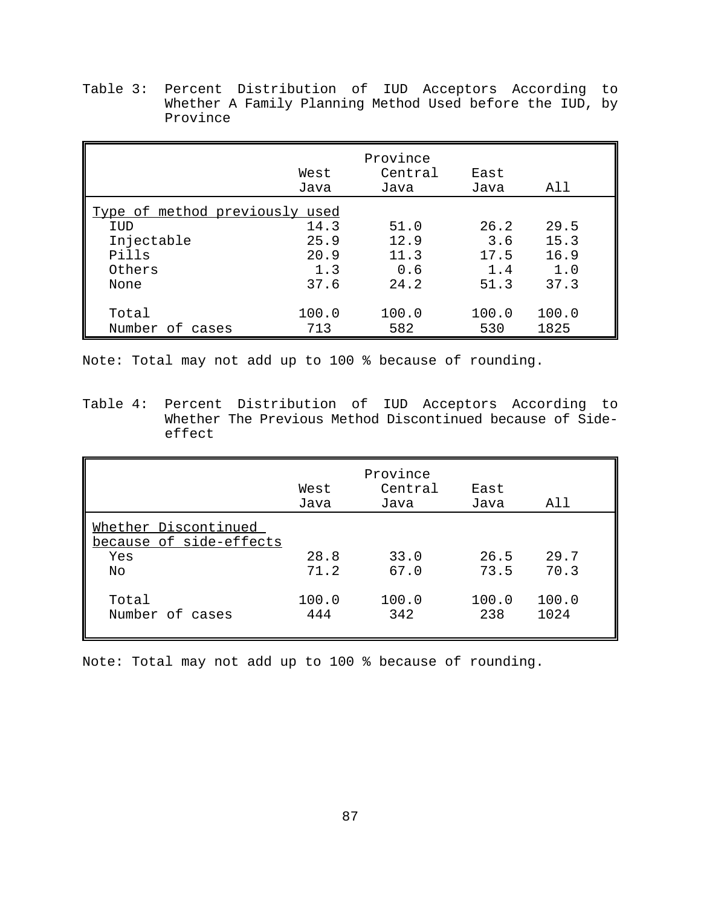Table 3: Percent Distribution of IUD Acceptors According to Whether A Family Planning Method Used before the IUD, by Province

|                                | West<br>Java | Province<br>Central<br>Java | East<br>Java | All   |  |  |
|--------------------------------|--------------|-----------------------------|--------------|-------|--|--|
| Type of method previously used |              |                             |              |       |  |  |
| IUD                            | 14.3         | 51.0                        | 26.2         | 29.5  |  |  |
| Injectable                     | 25.9         | 12.9                        | 3.6          | 15.3  |  |  |
| Pills                          | 20.9         | 11.3                        | 17.5         | 16.9  |  |  |
| Others                         | 1.3          | 0.6                         | 1.4          | 1.0   |  |  |
| None                           | 37.6         | 24.2                        | 51.3         | 37.3  |  |  |
| Total                          | 100.0        | 100.0                       | 100.0        | 100.0 |  |  |
| Number of cases                | 713          | 582                         | 530          | 1825  |  |  |

Note: Total may not add up to 100 % because of rounding.

Table 4: Percent Distribution of IUD Acceptors According to Whether The Previous Method Discontinued because of Sideeffect

|                                                 | West<br>Java | Province<br>Central<br>Java | East<br>Java | All           |
|-------------------------------------------------|--------------|-----------------------------|--------------|---------------|
| Whether Discontinued<br>because of side-effects |              |                             |              |               |
| Yes                                             | 28.8         | 33.0                        | 26.5         | 29.7          |
| No                                              | 71.2         | 67.0                        | 73.5         | 70.3          |
| Total<br>Number of cases                        | 100.0<br>444 | 100.0<br>342                | 100.0<br>238 | 100.0<br>1024 |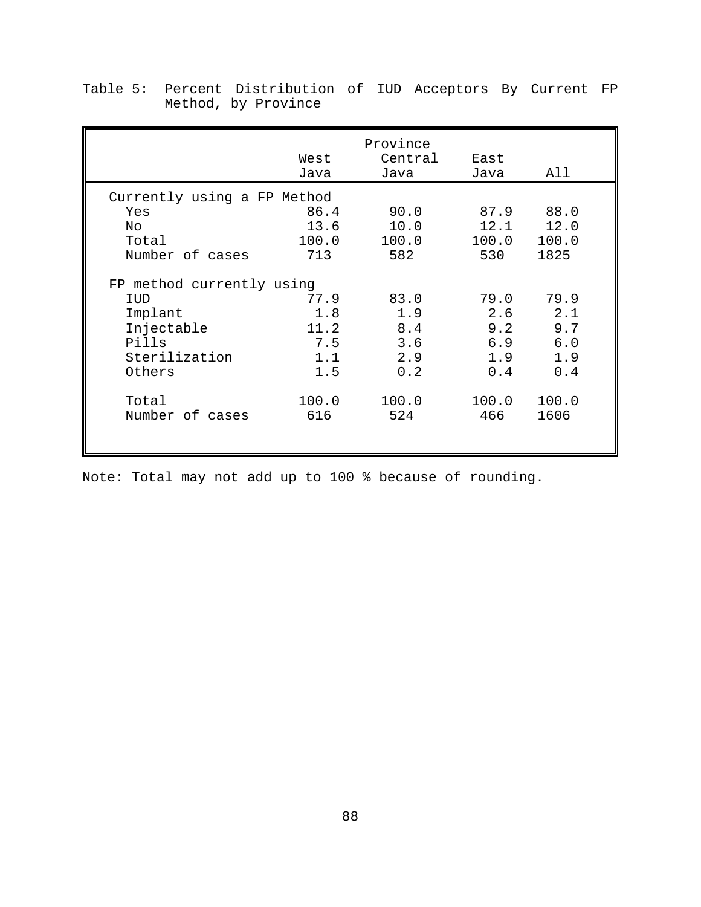|                                                                                                                           | West<br>Java                                             | Province<br>Central<br>Java                             | East<br>Java                                            | All                                                      |  |  |  |
|---------------------------------------------------------------------------------------------------------------------------|----------------------------------------------------------|---------------------------------------------------------|---------------------------------------------------------|----------------------------------------------------------|--|--|--|
| Currently using a FP Method                                                                                               |                                                          |                                                         |                                                         |                                                          |  |  |  |
| Yes<br>No.<br>Total<br>Number of cases                                                                                    | 86.4<br>13.6<br>100.0<br>713                             | 90.0<br>10.0<br>100.0<br>582                            | 87.9<br>12.1<br>100.0<br>530                            | 88.0<br>12.0<br>100.0<br>1825                            |  |  |  |
| FP method currently using<br>IUD<br>Implant<br>Injectable<br>Pills<br>Sterilization<br>Others<br>Total<br>Number of cases | 77.9<br>1.8<br>11.2<br>7.5<br>1.1<br>1.5<br>100.0<br>616 | 83.0<br>1.9<br>8.4<br>3.6<br>2.9<br>0.2<br>100.0<br>524 | 79.0<br>2.6<br>9.2<br>6.9<br>1.9<br>0.4<br>100.0<br>466 | 79.9<br>2.1<br>9.7<br>6.0<br>1.9<br>0.4<br>100.0<br>1606 |  |  |  |
|                                                                                                                           |                                                          |                                                         |                                                         |                                                          |  |  |  |

Table 5: Percent Distribution of IUD Acceptors By Current FP Method, by Province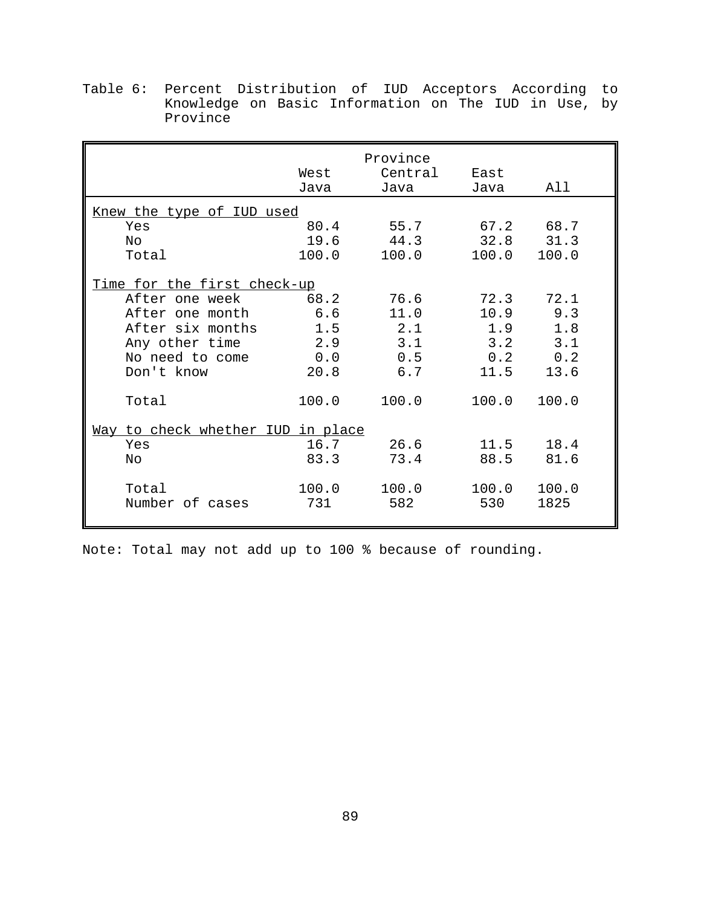| West<br>Java | Province<br>Central<br>Java                                                           | East<br>Java                                    | All         |
|--------------|---------------------------------------------------------------------------------------|-------------------------------------------------|-------------|
|              |                                                                                       |                                                 |             |
| 80.4         | 55.7                                                                                  | 67.2                                            | 68.7        |
| 19.6         | 44.3                                                                                  | 32.8                                            | 31.3        |
| 100.0        | 100.0                                                                                 | 100.0                                           | 100.0       |
|              |                                                                                       |                                                 |             |
| 68.2         | 76.6                                                                                  | 72.3                                            | 72.1        |
| 6.6          | 11.0                                                                                  | 10.9                                            | 9.3         |
| 1.5          | 2.1                                                                                   | 1.9                                             | 1.8         |
|              |                                                                                       |                                                 | 3.1         |
|              |                                                                                       | 0.2                                             | 0.2         |
|              | 6.7                                                                                   |                                                 | 13.6        |
| 100.0        | 100.0                                                                                 | 100.0                                           | 100.0       |
|              |                                                                                       |                                                 |             |
| 16.7         | 26.6                                                                                  | 11.5                                            | 18.4        |
| 83.3         | 73.4                                                                                  | 88.5                                            | 81.6        |
| 100.0        | 100.0                                                                                 | 100.0                                           | 100.0       |
| 731          | 582                                                                                   | 530                                             | 1825        |
|              | <u>Knew the type of IUD used</u><br>Time for the first check-up<br>2.9<br>0.0<br>20.8 | 3.1<br>0.5<br>Way to check whether IUD in place | 3.2<br>11.5 |

Table 6: Percent Distribution of IUD Acceptors According to Knowledge on Basic Information on The IUD in Use, by Province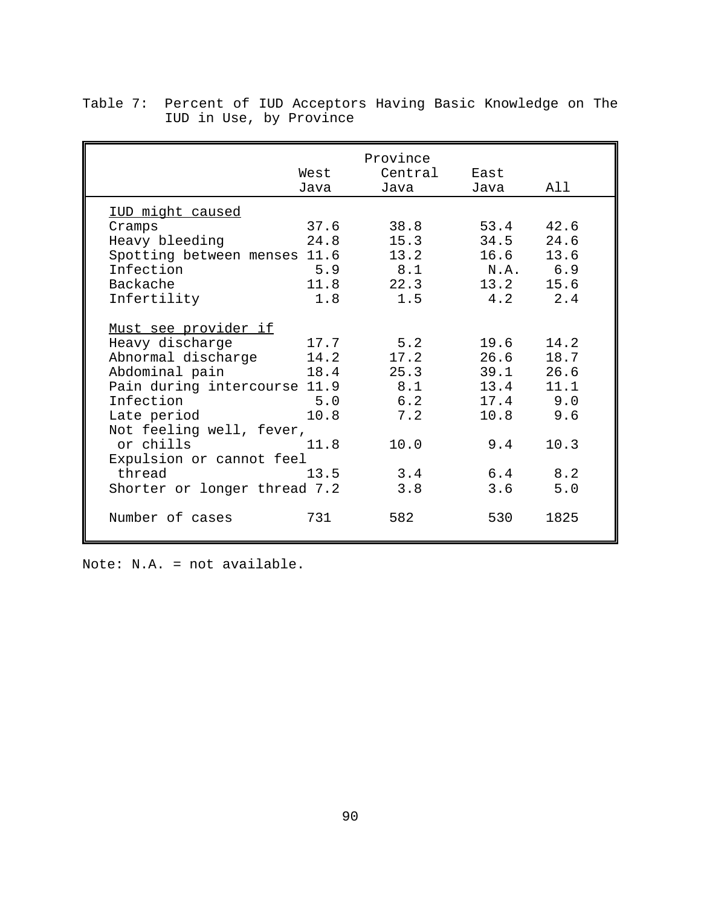|                                                                                                                                                                                                                                                            | West<br>Java                                        | Province<br>Central<br>Java                                    | East<br>Java                                                            | All                                                       |
|------------------------------------------------------------------------------------------------------------------------------------------------------------------------------------------------------------------------------------------------------------|-----------------------------------------------------|----------------------------------------------------------------|-------------------------------------------------------------------------|-----------------------------------------------------------|
| IUD might caused                                                                                                                                                                                                                                           |                                                     |                                                                |                                                                         |                                                           |
| Cramps                                                                                                                                                                                                                                                     | 37.6                                                | 38.8                                                           | 53.4                                                                    | 42.6                                                      |
| Heavy bleeding                                                                                                                                                                                                                                             | 24.8                                                | 15.3                                                           | 34.5                                                                    | 24.6                                                      |
| Spotting between menses 11.6                                                                                                                                                                                                                               |                                                     | 13.2                                                           | 16.6                                                                    | 13.6                                                      |
| Infection                                                                                                                                                                                                                                                  | 5.9                                                 | 8.1                                                            | N.A. 6.9                                                                |                                                           |
| Backache                                                                                                                                                                                                                                                   | 11.8                                                | 22.3                                                           | 13.2                                                                    | 15.6                                                      |
| Infertility                                                                                                                                                                                                                                                | 1.8                                                 | 1.5                                                            | 4.2 2.4                                                                 |                                                           |
| Must see provider if<br>Heavy discharge<br>Abnormal discharge<br>Abdominal pain<br>Pain during intercourse 11.9<br>Infection<br>Late period<br>Not feeling well, fever,<br>or chills<br>Expulsion or cannot feel<br>thread<br>Shorter or longer thread 7.2 | 17.7<br>14.2<br>18.4<br>5.0<br>10.8<br>11.8<br>13.5 | 5.2<br>17.2<br>25.3<br>8.1<br>6.2<br>7.2<br>10.0<br>3.4<br>3.8 | 19.6<br>26.6<br>39.1<br>13.4<br>$17.4$ 9.0<br>10.8<br>9.4<br>6.4<br>3.6 | 14.2<br>18.7<br>26.6<br>11.1<br>9.6<br>10.3<br>8.2<br>5.0 |
| Number of cases                                                                                                                                                                                                                                            | 731                                                 | 582                                                            | 530                                                                     | 1825                                                      |

Table 7: Percent of IUD Acceptors Having Basic Knowledge on The IUD in Use, by Province

Note: N.A. = not available.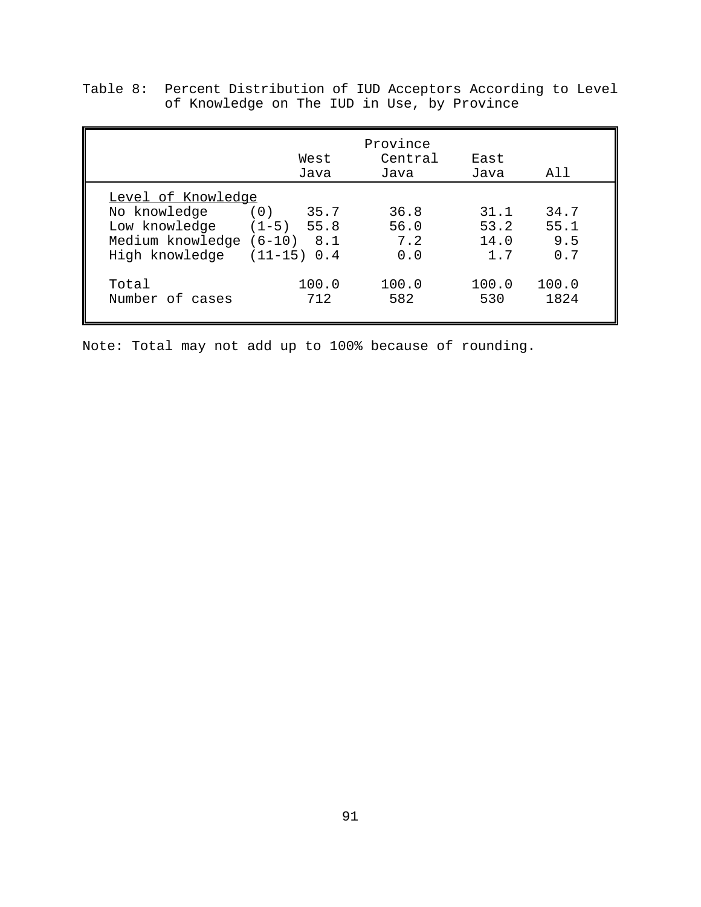|                                                                                                                                        | West<br>Java | Province<br>Central<br>Java | East<br>Java                | All                        |
|----------------------------------------------------------------------------------------------------------------------------------------|--------------|-----------------------------|-----------------------------|----------------------------|
| Level of Knowledge<br>No knowledge<br>(0)<br>Low knowledge $(1-5)$ 55.8<br>Medium knowledge (6-10) 8.1<br>High knowledge $(11-15)$ 0.4 | 35.7         | 36.8<br>56.0<br>7.2<br>0.0  | 31.1<br>53.2<br>14.0<br>1.7 | 34.7<br>55.1<br>9.5<br>0.7 |
| Total<br>Number of cases                                                                                                               | 100.0<br>712 | 100.0<br>582                | 100.0<br>530                | 100.0<br>1824              |

Table 8: Percent Distribution of IUD Acceptors According to Level of Knowledge on The IUD in Use, by Province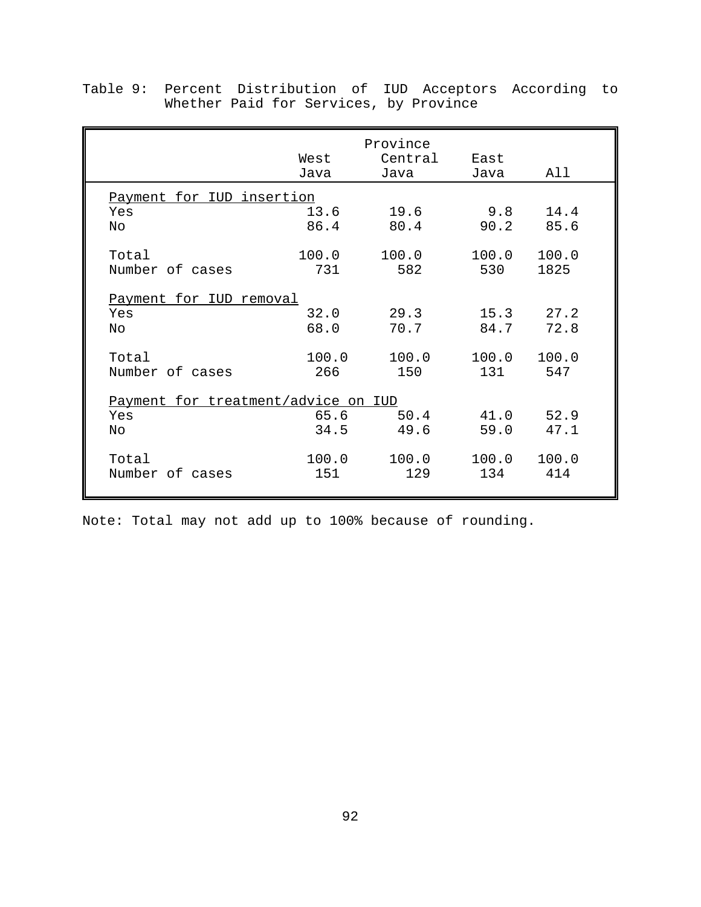|                                     | West<br>Java | Province<br>Central<br>Java | East<br>Java | All           |
|-------------------------------------|--------------|-----------------------------|--------------|---------------|
| Payment for IUD insertion           |              |                             |              |               |
| Yes                                 | 13.6         | 19.6                        | 9.8          | 14.4          |
| Nο                                  | 86.4         | 80.4                        | 90.2         | 85.6          |
| Total                               | 100.0        | 100.0                       | 100.0        | 100.0         |
| Number of cases                     | 731          | 582                         | 530          | 1825          |
| Payment for IUD removal             |              |                             |              |               |
| Yes                                 | 32.0         | 29.3                        | 84.7         | $15.3$ $27.2$ |
| Nο                                  | 68.0         | 70.7                        |              | 72.8          |
| Total                               | 100.0        | 100.0                       | 100.0        | 100.0         |
| Number of cases                     | 266          | 150                         | 131          | 547           |
| Payment for treatment/advice on IUD |              |                             |              |               |
| Yes                                 | 65.6         | 50.4                        | 41.0         | 52.9          |
| Nο                                  | 34.5         | 49.6                        | 59.0         | 47.1          |
| Total                               | 100.0        | 100.0                       | 100.0        | 100.0         |
| Number of cases                     | 151          | 129                         | 134          | 414           |

Table 9: Percent Distribution of IUD Acceptors According to Whether Paid for Services, by Province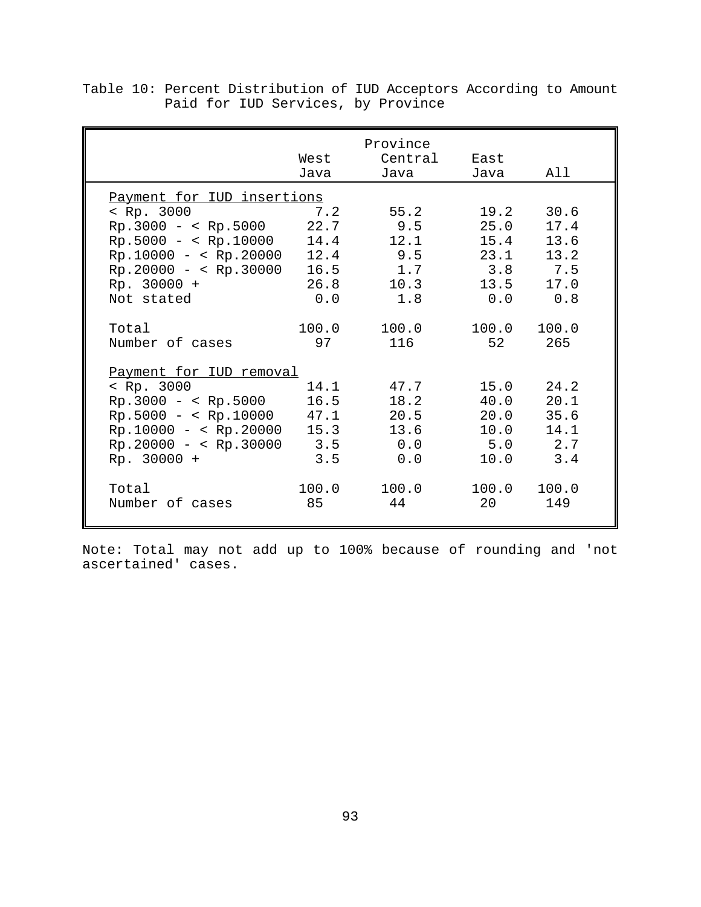|                                                                                                                                                            | West<br>Java                       | Province<br>Central<br>Java                      | East<br>Java                                       | All                                                |
|------------------------------------------------------------------------------------------------------------------------------------------------------------|------------------------------------|--------------------------------------------------|----------------------------------------------------|----------------------------------------------------|
| Payment for IUD insertions<br>Rp. 3000<br>$Rp.3000 -  22.7Rp.5000 - < Rp.10000 - 14.4Rp.10000 - < Rp.20000 12.4Rp.20000 - < Rp.30000Rp. 30000 +Not stated$ | 7.2<br>16.5<br>26.8<br>0.0         | 55.2<br>9.5<br>12.1<br>9.5<br>1.7<br>10.3<br>1.8 | 19.2<br>25.0<br>15.4<br>23.1<br>3.8<br>13.5<br>0.0 | 30.6<br>17.4<br>13.6<br>13.2<br>7.5<br>17.0<br>0.8 |
| Total<br>Number of cases<br>Payment for IUD removal                                                                                                        | 100.0<br>97                        | 100.0<br>116                                     | 100.0<br>52                                        | 100.0<br>265                                       |
| < Rp. 3000<br>$Rp.3000 - < Rp.5000$<br>$Rp.5000 - < Rp.10000 - 47.1$<br>$Rp.10000 - < Rp.20000$<br>$Rp.20000 - < Rp.30000$<br>$Rp. 30000 +$                | 14.1<br>16.5<br>15.3<br>3.5<br>3.5 | 47.7<br>18.2<br>20.5<br>13.6<br>0.0<br>0.0       | 15.0<br>40.0<br>20.0<br>10.0<br>10.0               | 24.2<br>20.1<br>35.6<br>14.1<br>$5.0$ 2.7<br>3.4   |
| Total<br>Number of cases                                                                                                                                   | 100.0<br>85                        | 100.0<br>44                                      | 100.0<br>20                                        | 100.0<br>149                                       |

Table 10: Percent Distribution of IUD Acceptors According to Amount Paid for IUD Services, by Province

Note: Total may not add up to 100% because of rounding and 'not ascertained' cases.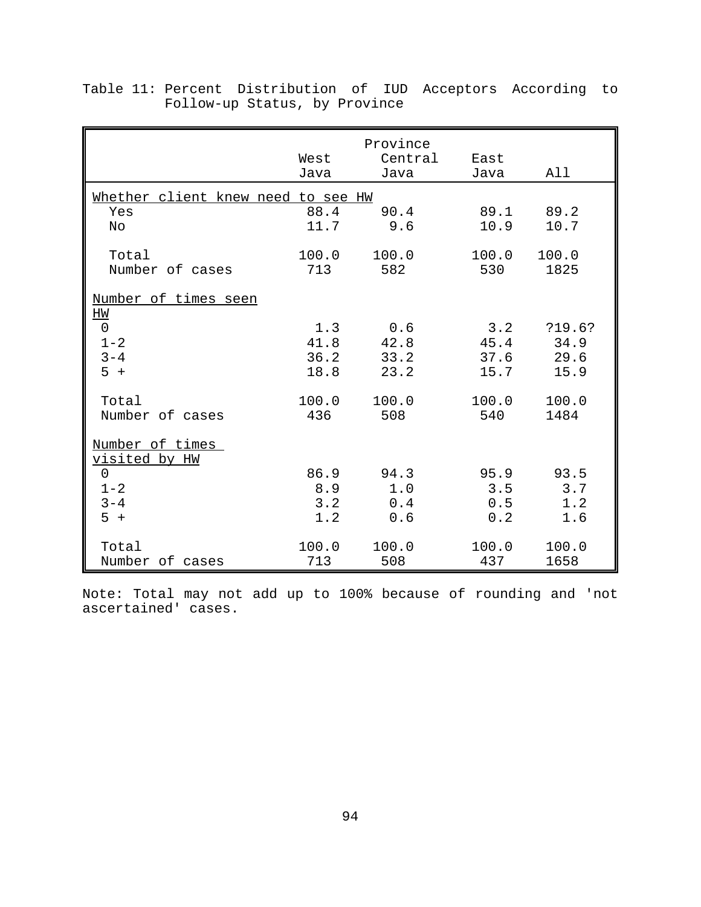|                                    | West<br>Java | Province<br>Central<br>Java | East<br>Java | All         |
|------------------------------------|--------------|-----------------------------|--------------|-------------|
| Whether client knew need to see HW |              |                             |              |             |
| Yes                                | 88.4         | 90.4                        | 10.9         | 89.1 89.2   |
| No                                 | 11.7         | 9.6                         |              | 10.7        |
| Total                              | 100.0        | 100.0                       | 100.0        | 100.0       |
| Number of cases                    | 713          | 582                         | 530          | 1825        |
| Number of times seen<br>HW         |              |                             |              |             |
| $\mathsf{O}$                       | 1.3          | 0.6                         | $3 \cdot 2$  | ?19.6?      |
| $1 - 2$                            | 41.8         | 42.8                        | 45.4         | 34.9        |
| $3 - 4$                            | 36.2         | 33.2                        | 37.6         | 29.6        |
| $5 +$                              | 18.8         | 23.2                        | 15.7         | 15.9        |
| Total                              | 100.0        | 100.0                       | 540          | 100.0 100.0 |
| Number of cases                    | 436          | 508                         |              | 1484        |
| Number of times<br>visited by HW   |              |                             |              |             |
| $\overline{0}$                     | 86.9         | 94.3                        | 95.9         | 93.5        |
| $1 - 2$                            | 8.9          | 1.0                         | 3.5          | 3.7         |
| $3 - 4$                            | 3.2          | 0.4                         | 0.5          | 1.2         |
| $5 +$                              | 1.2          | 0.6                         | 0.2          | 1.6         |
| Total                              | 100.0        | 100.0                       | 100.0        | 100.0       |
| Number of cases                    | 713          | 508                         | 437          | 1658        |

Table 11: Percent Distribution of IUD Acceptors According to Follow-up Status, by Province

Note: Total may not add up to 100% because of rounding and 'not ascertained' cases.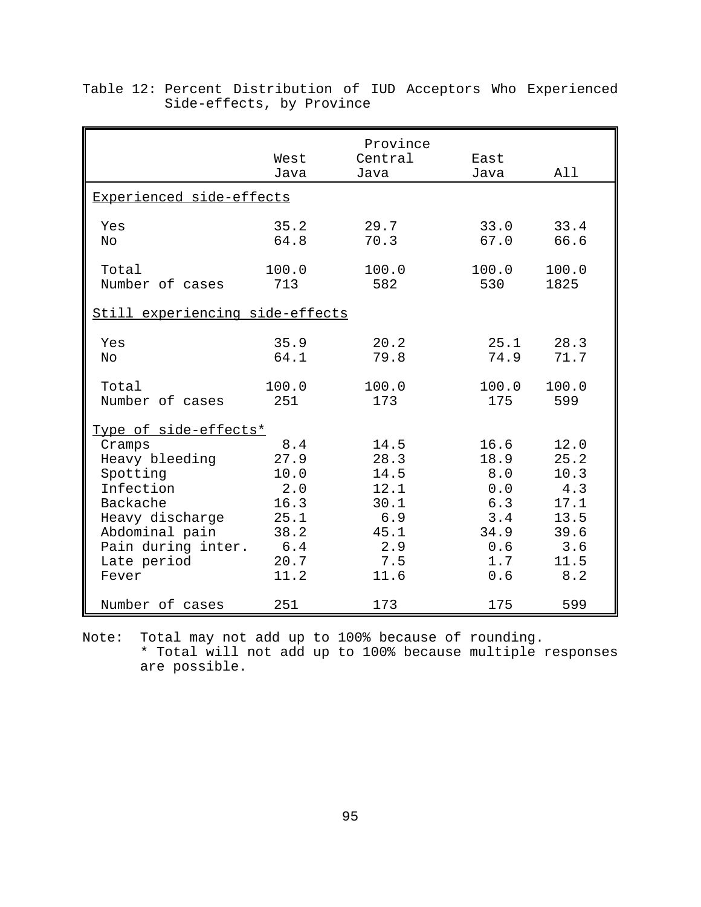|                                                                                                                                                      | West<br>Java                                                       | Province<br>Central<br>Java                                               | East<br>Java                                                          | All                                                                       |
|------------------------------------------------------------------------------------------------------------------------------------------------------|--------------------------------------------------------------------|---------------------------------------------------------------------------|-----------------------------------------------------------------------|---------------------------------------------------------------------------|
| Experienced side-effects                                                                                                                             |                                                                    |                                                                           |                                                                       |                                                                           |
| Yes<br>No                                                                                                                                            | 35.2<br>64.8                                                       | 29.7<br>70.3                                                              | 33.0<br>67.0                                                          | 33.4<br>66.6                                                              |
| Total<br>Number of cases                                                                                                                             | 100.0<br>713                                                       | 100.0<br>582                                                              | 100.0<br>530                                                          | 100.0<br>1825                                                             |
| Still experiencing side-effects                                                                                                                      |                                                                    |                                                                           |                                                                       |                                                                           |
| Yes<br>No                                                                                                                                            | 35.9<br>64.1                                                       | 20.2<br>79.8                                                              | 25.1<br>74.9                                                          | 28.3<br>71.7                                                              |
| Total<br>Number of cases                                                                                                                             | 100.0<br>251                                                       | 100.0<br>173                                                              | 100.0<br>175                                                          | 100.0<br>599                                                              |
| Type of side-effects*                                                                                                                                |                                                                    |                                                                           |                                                                       |                                                                           |
| Cramps<br>Heavy bleeding<br>Spotting<br>Infection<br>Backache<br>Heavy discharge<br>Abdominal pain<br>Pain during inter. 6.4<br>Late period<br>Fever | 8.4<br>27.9<br>10.0<br>2.0<br>16.3<br>25.1<br>38.2<br>20.7<br>11.2 | 14.5<br>28.3<br>14.5<br>12.1<br>30.1<br>6.9<br>45.1<br>2.9<br>7.5<br>11.6 | 16.6<br>18.9<br>8.0<br>0.0<br>6.3<br>3.4<br>34.9<br>0.6<br>1.7<br>0.6 | 12.0<br>25.2<br>10.3<br>4.3<br>17.1<br>13.5<br>39.6<br>3.6<br>11.5<br>8.2 |
| Number of cases                                                                                                                                      | 251                                                                | 173                                                                       | 175                                                                   | 599                                                                       |

Table 12: Percent Distribution of IUD Acceptors Who Experienced Side-effects, by Province

Note: Total may not add up to 100% because of rounding. \* Total will not add up to 100% because multiple responses are possible.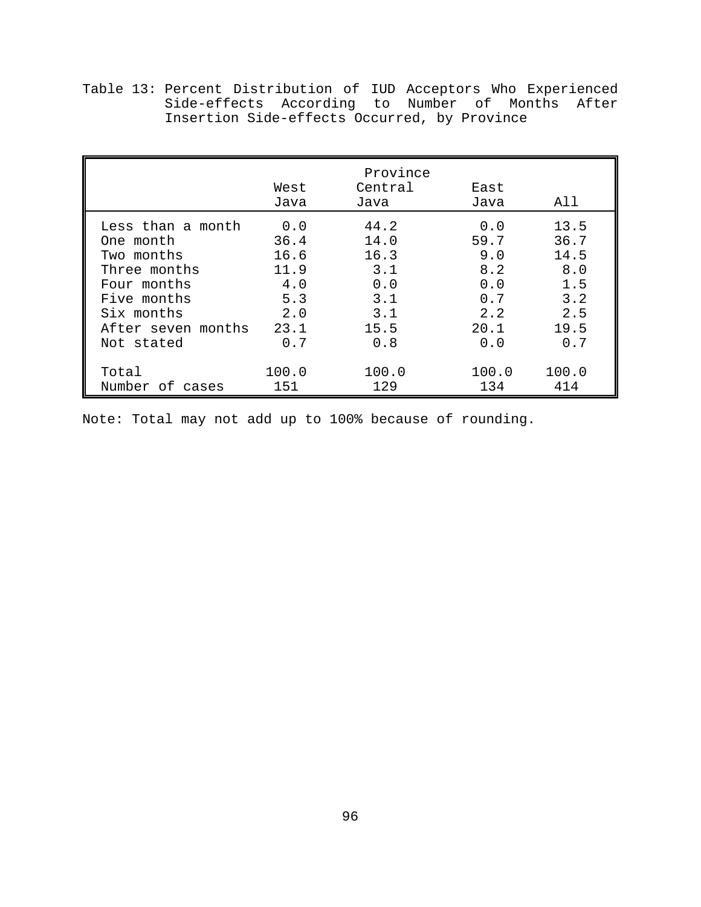Table 13: Percent Distribution of IUD Acceptors Who Experienced Side-effects According to Number of Months After Insertion Side-effects Occurred, by Province

|                    | West<br>Java | Province<br>Central<br>Java | East<br>Java | All   |
|--------------------|--------------|-----------------------------|--------------|-------|
| Less than a month  | 0.0          | 44.2                        | 0.0          | 13.5  |
| One month          | 36.4         | 14.0                        | 59.7         | 36.7  |
| Two months         | 16.6         | 16.3                        | 9.0          | 14.5  |
| Three months       | 11.9         | 3.1                         | 8.2          | 8.0   |
| Four months        | 4.0          | 0.0                         | 0.0          | 1.5   |
| Five months        | 5.3          | 3.1                         | 0.7          | 3.2   |
| Six months         | 2.0          | 3.1                         | 2.2          | 2.5   |
| After seven months | 23.1         | 15.5                        | 20.1         | 19.5  |
| Not stated         | 0.7          | 0.8                         | 0.0          | 0.7   |
| Total              | 100.0        | 100.0                       | 100.0        | 100.0 |
| Number of cases    | 151          | 129                         | 134          | 414   |

Note: Total may not add up to 100% because of rounding.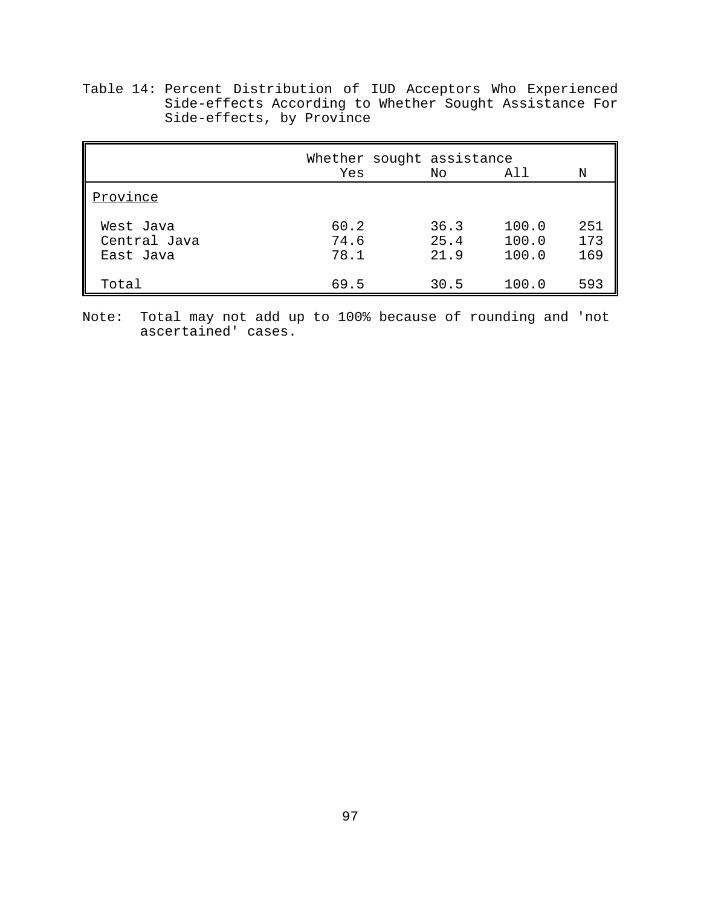Table 14: Percent Distribution of IUD Acceptors Who Experienced Side-effects According to Whether Sought Assistance For Side-effects, by Province

|                                        | Whether sought assistance<br>Yes | No                   | All                     | N                 |
|----------------------------------------|----------------------------------|----------------------|-------------------------|-------------------|
| Province                               |                                  |                      |                         |                   |
| West Java<br>Central Java<br>East Java | 60.2<br>74.6<br>78.1             | 36.3<br>25.4<br>21.9 | 100.0<br>100.0<br>100.0 | 251<br>173<br>169 |
| Total                                  | 69.5                             | 30.5                 | 100.0                   | 593               |

Note: Total may not add up to 100% because of rounding and 'not ascertained' cases.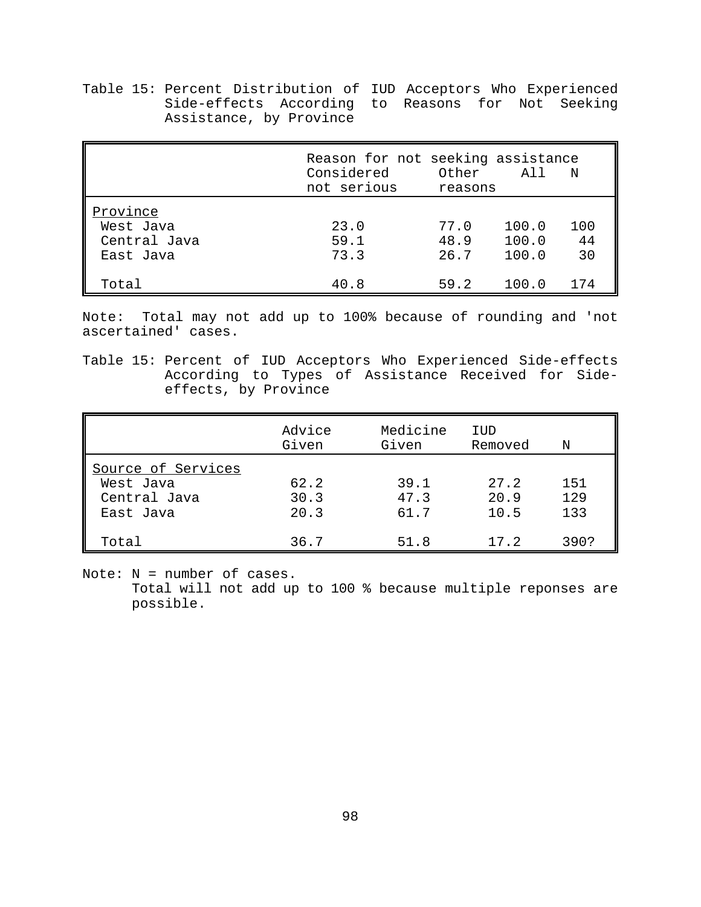Table 15: Percent Distribution of IUD Acceptors Who Experienced Side-effects According to Reasons for Not Seeking Assistance, by Province

|                                                    | Reason for not seeking assistance<br>Considered<br>not serious | Other<br>reasons     | All                     | N               |
|----------------------------------------------------|----------------------------------------------------------------|----------------------|-------------------------|-----------------|
| Province<br>West Java<br>Central Java<br>East Java | 23.0<br>59.1<br>73.3                                           | 77.0<br>48.9<br>26.7 | 100.0<br>100.0<br>100.0 | 100<br>44<br>30 |
| Total                                              | 40.8                                                           | 59.2                 | 100.0                   | 174             |

Note: Total may not add up to 100% because of rounding and 'not ascertained' cases.

Table 15: Percent of IUD Acceptors Who Experienced Side-effects According to Types of Assistance Received for Sideeffects, by Province

|                    | Advice<br>Given | Medicine<br>Given | IUD<br>Removed | N    |
|--------------------|-----------------|-------------------|----------------|------|
| Source of Services |                 |                   |                |      |
| West Java          | 62.2            | 39.1              | 27.2           | 151  |
| Central Java       | 30.3            | 47.3              | 20.9           | 129  |
| East Java          | 20.3            | 61.7              | 10.5           | 133  |
|                    |                 |                   |                |      |
| Total              | 36.7            | 51.8              | 17.2           | 390? |

Note: N = number of cases.

Total will not add up to 100 % because multiple reponses are possible.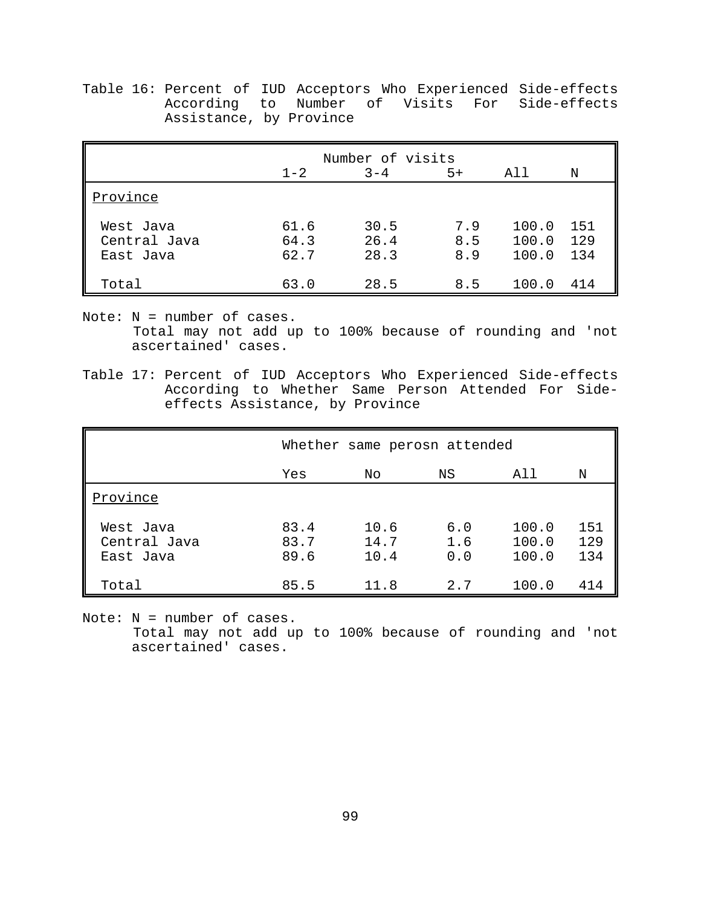Table 16: Percent of IUD Acceptors Who Experienced Side-effects According to Number of Visits For Side-effects Assistance, by Province

|                                        | Number of visits     |                      |                   |                         |                   |
|----------------------------------------|----------------------|----------------------|-------------------|-------------------------|-------------------|
|                                        | $1 - 2$              | $3 - 4$              | $5+$              | All                     | N                 |
| Province                               |                      |                      |                   |                         |                   |
| West Java<br>Central Java<br>East Java | 61.6<br>64.3<br>62.7 | 30.5<br>26.4<br>28.3 | 7.9<br>8.5<br>8.9 | 100.0<br>100.0<br>100.0 | 151<br>129<br>134 |
| Total                                  | 63.0                 | 28.5                 | 8.5               | 100.0                   | 414               |

Note: N = number of cases.

 Total may not add up to 100% because of rounding and 'not ascertained' cases.

Table 17: Percent of IUD Acceptors Who Experienced Side-effects According to Whether Same Person Attended For Sideeffects Assistance, by Province

|                                        | Whether same perosn attended |                      |                   |                         |                   |
|----------------------------------------|------------------------------|----------------------|-------------------|-------------------------|-------------------|
|                                        | Yes                          | No                   | ΝS                | All                     | N                 |
| Province                               |                              |                      |                   |                         |                   |
| West Java<br>Central Java<br>East Java | 83.4<br>83.7<br>89.6         | 10.6<br>14.7<br>10.4 | 6.0<br>1.6<br>0.0 | 100.0<br>100.0<br>100.0 | 151<br>129<br>134 |
| Total                                  | 85.5                         | 11.8                 | 2.7               | 100.0                   | 414               |

Note: N = number of cases.

 Total may not add up to 100% because of rounding and 'not ascertained' cases.